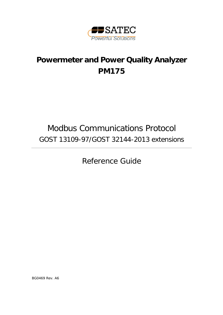

# **Powermeter and Power Quality Analyzer PM175**

# Modbus Communications Protocol GOST 13109-97/GOST 32144-2013 extensions

Reference Guide

BG0469 Rev. A6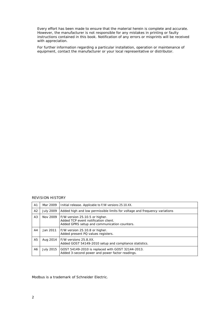Every effort has been made to ensure that the material herein is complete and accurate. However, the manufacturer is not responsible for any mistakes in printing or faulty instructions contained in this book. Notification of any errors or misprints will be received with appreciation.

For further information regarding a particular installation, operation or maintenance of equipment, contact the manufacturer or your local representative or distributor.

### REVISION HISTORY

| A <sub>1</sub> | Mar 2009         | Initial release. Applicable to F/W versions 25.10.XX.                                                                  |
|----------------|------------------|------------------------------------------------------------------------------------------------------------------------|
| A2             | <b>July 2009</b> | Added high and low permissible limits for voltage and frequency variations                                             |
| A <sub>3</sub> | Nov 2009         | F/W version 25.10.5 or higher.<br>Added TCP event notification client.<br>Added GPRS setup and communication counters. |
| A <sub>4</sub> | Jan 2011         | F/W version 25.10.8 or higher.<br>Added present PQ values registers.                                                   |
| A5             | Aug 2014         | F/W versions 25.8.XX.<br>Added GOST 54149-2010 setup and compliance statistics.                                        |
| A6             | July 2015        | GOST 54149-2010 is replaced with GOST 32144-2013.<br>Added 3-second power and power factor readings.                   |

Modbus is a trademark of Schneider Electric.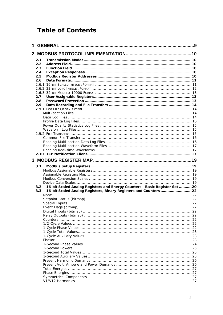## **Table of Contents**

| 1. |     |                                                                            |  |
|----|-----|----------------------------------------------------------------------------|--|
|    |     |                                                                            |  |
|    | 2.1 |                                                                            |  |
|    | 2.2 |                                                                            |  |
|    | 2.3 |                                                                            |  |
|    | 2.4 |                                                                            |  |
|    | 2.5 |                                                                            |  |
|    | 2.6 |                                                                            |  |
|    |     |                                                                            |  |
|    |     |                                                                            |  |
|    |     |                                                                            |  |
|    | 2.7 |                                                                            |  |
|    | 2.8 |                                                                            |  |
|    | 2.9 |                                                                            |  |
|    |     |                                                                            |  |
|    |     |                                                                            |  |
|    |     |                                                                            |  |
|    |     |                                                                            |  |
|    |     |                                                                            |  |
|    |     |                                                                            |  |
|    |     |                                                                            |  |
|    |     |                                                                            |  |
|    |     |                                                                            |  |
|    |     |                                                                            |  |
|    |     |                                                                            |  |
|    |     |                                                                            |  |
|    |     |                                                                            |  |
|    |     |                                                                            |  |
|    | 3.1 |                                                                            |  |
|    |     |                                                                            |  |
|    |     |                                                                            |  |
|    |     |                                                                            |  |
|    |     |                                                                            |  |
|    | 3.2 | 16-bit Scaled Analog Registers and Energy Counters - Basic Register Set 20 |  |
|    | 3.3 | 16-bit Scaled Analog Registers, Binary Registers and Counters  22          |  |
|    |     |                                                                            |  |
|    |     |                                                                            |  |
|    |     |                                                                            |  |
|    |     |                                                                            |  |
|    |     |                                                                            |  |
|    |     |                                                                            |  |
|    |     |                                                                            |  |
|    |     |                                                                            |  |
|    |     |                                                                            |  |
|    |     |                                                                            |  |
|    |     |                                                                            |  |
|    |     |                                                                            |  |
|    |     |                                                                            |  |
|    |     |                                                                            |  |
|    |     |                                                                            |  |
|    |     |                                                                            |  |
|    |     |                                                                            |  |
|    |     |                                                                            |  |
|    |     |                                                                            |  |
|    |     |                                                                            |  |
|    |     |                                                                            |  |
|    |     |                                                                            |  |
|    |     |                                                                            |  |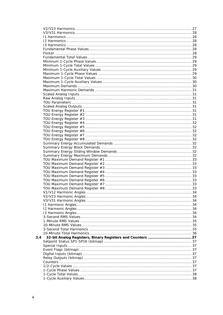| 3.4 |  |
|-----|--|
|     |  |
|     |  |
|     |  |
|     |  |
|     |  |
|     |  |
|     |  |
|     |  |
|     |  |
|     |  |
|     |  |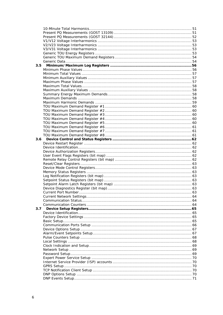| 3.5 |  |
|-----|--|
|     |  |
|     |  |
|     |  |
|     |  |
|     |  |
|     |  |
|     |  |
|     |  |
|     |  |
|     |  |
|     |  |
|     |  |
|     |  |
|     |  |
|     |  |
|     |  |
|     |  |
|     |  |
|     |  |
|     |  |
|     |  |
|     |  |
|     |  |
|     |  |
|     |  |
|     |  |
|     |  |
|     |  |
|     |  |
|     |  |
|     |  |
|     |  |
|     |  |
|     |  |
|     |  |
| 3.7 |  |
|     |  |
|     |  |
|     |  |
|     |  |
|     |  |
|     |  |
|     |  |
|     |  |
|     |  |
|     |  |
|     |  |
|     |  |
|     |  |
|     |  |
|     |  |
|     |  |
|     |  |
|     |  |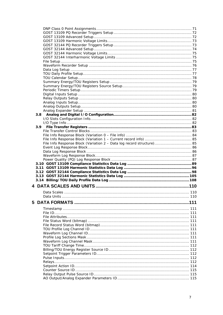|    | 3.8                                                                   |  |
|----|-----------------------------------------------------------------------|--|
|    |                                                                       |  |
|    |                                                                       |  |
|    |                                                                       |  |
|    |                                                                       |  |
|    |                                                                       |  |
|    |                                                                       |  |
|    | File Info Response Block (Variation 2 - Data log record structure) 85 |  |
|    |                                                                       |  |
|    |                                                                       |  |
|    |                                                                       |  |
|    |                                                                       |  |
|    |                                                                       |  |
|    |                                                                       |  |
|    |                                                                       |  |
|    |                                                                       |  |
|    |                                                                       |  |
|    |                                                                       |  |
|    |                                                                       |  |
|    |                                                                       |  |
|    |                                                                       |  |
|    |                                                                       |  |
| 5. |                                                                       |  |
|    |                                                                       |  |
|    |                                                                       |  |
|    |                                                                       |  |
|    |                                                                       |  |
|    |                                                                       |  |
|    |                                                                       |  |
|    |                                                                       |  |
|    |                                                                       |  |
|    |                                                                       |  |
|    |                                                                       |  |
|    |                                                                       |  |
|    |                                                                       |  |
|    |                                                                       |  |
|    |                                                                       |  |
|    |                                                                       |  |
|    |                                                                       |  |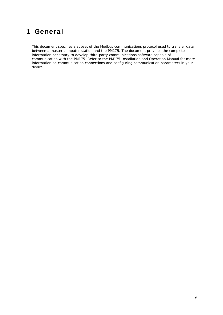## <span id="page-8-0"></span>1 General

This document specifies a subset of the Modbus communications protocol used to transfer data between a master computer station and the PM175. The document provides the complete information necessary to develop third-party communications software capable of communication with the PM175. Refer to the PM175 Installation and Operation Manual for more information on communication connections and configuring communication parameters in your device.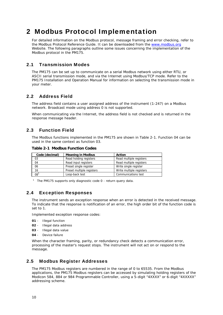## <span id="page-9-0"></span>2 Modbus Protocol Implementation

For detailed information on the Modbus protocol, message framing and error checking, refer to the Modbus Protocol Reference Guide. It can be downloaded from the [www.modbus.org](http://www.modbus.org/) Website. The following paragraphs outline some issues concerning the implementation of the Modbus protocol in the PM175.

## 2.1 Transmission Modes

<span id="page-9-1"></span>The PM175 can be set up to communicate on a serial Modbus network using either RTU, or ASCII serial transmission mode, and via the Internet using Modbus/TCP mode. Refer to the PM175 Installation and Operation Manual for information on selecting the transmission mode in your meter.

## 2.2 Address Field

<span id="page-9-2"></span>The address field contains a user assigned address of the instrument (1-247) on a Modbus network. Broadcast mode using address 0 is not supported.

When communicating via the Internet, the address field is not checked and is returned in the response message header.

## 2.3 Function Field

<span id="page-9-3"></span>The Modbus functions implemented in the PM175 are shown in Table 2-1. Function 04 can be used in the same context as function 03.

**Table 2-1 Modbus Function Codes** 

| Code (decimal)               | <b>Meaning in Modbus</b>  | <b>Action</b>            |
|------------------------------|---------------------------|--------------------------|
| 03                           | Read holding registers    | Read multiple registers  |
| 04                           | Read input registers      | Read multiple registers  |
| 06                           | Preset single register    | Write single register    |
| 16                           | Preset multiple registers | Write multiple registers |
| $\overline{0}8$ <sup>1</sup> | Loop-back test            | Communications test      |

<sup>1</sup> The PM175 supports only diagnostic code  $0$  - return query data.

## 2.4 Exception Responses

<span id="page-9-4"></span>The instrument sends an exception response when an error is detected in the received message. To indicate that the response is notification of an error, the high order bit of the function code is set to 1.

Implemented exception response codes:

- **01**  Illegal function
- **02**  Illegal data address
- **03**  Illegal data value
- **04**  Device failure

When the character framing, parity, or redundancy check detects a communication error, processing of the master's request stops. The instrument will not act on or respond to the message.

## 2.5 Modbus Register Addresses

<span id="page-9-5"></span>The PM175 Modbus registers are numbered in the range of 0 to 65535. From the Modbus applications, the PM175 Modbus registers can be accessed by simulating holding registers of the Modicon 584, 884 or 984 Programmable Controller, using a 5-digit "4XXXX" or 6-digit "4XXXXX" addressing scheme.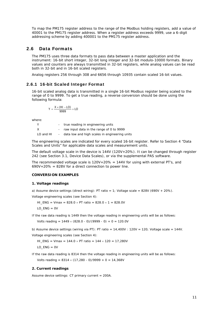To map the PM175 register address to the range of the Modbus holding registers, add a value of 40001 to the PM175 register address. When a register address exceeds 9999, use a 6-digit addressing scheme by adding 400001 to the PM175 register address.

## 2.6 Data Formats

<span id="page-10-0"></span>The PM175 uses three data formats to pass data between a master application and the instrument: 16-bit short integer, 32-bit long integer and 32-bit modulo-10000 formats. Binary values and counters are always transmitted in 32-bit registers, while analog values can be read both in 32-bit and in 16-bit scaled registers.

<span id="page-10-1"></span>Analog registers 256 through 308 and 6656 through 10935 contain scaled 16-bit values.

## 2.6.1 16-bit Scaled Integer Format

16-bit scaled analog data is transmitted in a single 16-bit Modbus register being scaled to the range of 0 to 9999. To get a true reading, a reverse conversion should be done using the following formula:

$$
Y = \frac{X \times (HI - LO)}{9999} + LO
$$

where:

|           | true reading in engineering units             |
|-----------|-----------------------------------------------|
| x         | raw input data in the range of 0 to 9999      |
| LO and HI | data low and high scales in engineering units |

The engineering scales are indicated for every scaled 16-bit register. Refer to Section 4 "Data Scales and Units" for applicable data scales and measurement units.

The default voltage scale in the device is 144V (120V+20%). It can be changed through register 242 (see Section 3.1, Device Data Scales), or via the supplemental PAS software.

The recommended voltage scale is  $120V+20\% = 144V$  for using with external PT's, and  $690V+20\% = 828V$  for a direct connection to power line.

## **CONVERSION EXAMPLES**

#### **1. Voltage readings**

a) Assume device settings (direct wiring): PT ratio = 1; Voltage scale =  $828V$  (690V + 20%).

Voltage engineering scales (see Section 4):

HI\_ENG = Vmax =  $828.0 \times PT$  ratio =  $828.0 \times 1 = 828.0V$ LO  $ENG = OV$ 

If the raw data reading is 1449 then the voltage reading in engineering units will be as follows:

Volts reading =  $1449 \times (828.0 - 0)/(9999 - 0) + 0 = 120.0V$ 

b) Assume device settings (wiring via PT): PT ratio =  $14,400V$  :  $120V$  =  $120$ ; Voltage scale =  $144V$ .

Voltage engineering scales (see Section 4):

HI ENG = Vmax = 144.0 × PT ratio = 144 × 120 = 17,280V LO  $ENG = OV$ 

If the raw data reading is 8314 then the voltage reading in engineering units will be as follows:

Volts reading =  $8314 \times (17,280 - 0)/9999 + 0 = 14,368V$ 

#### **2. Current readings**

Assume device settings: CT primary current = 200A.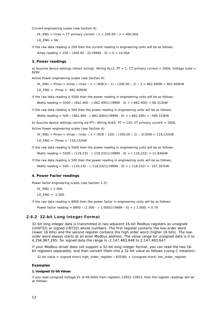Current engineering scales (see Section 4):

HI\_ENG = Imax = CT primary current  $\times$  2 = 200.00  $\times$  2 = 400.00A

LO  $ENG = OA$ 

If the raw data reading is 250 then the current reading in engineering units will be as follows: Amps reading =  $250 \times (400.00 - 0)/(9999 - 0) + 0 = 10.00A$ 

#### **3. Power readings**

a) Assume device settings (direct wiring): Wiring 4LL3;  $PT = 1$ ; CT primary current = 200A; Voltage scale = 828V.

Active Power engineering scales (see Section 4):

HI\_ENG = Pmax = Vmax × Imax × 2 =  $(828.0 \times 1) \times (200.00 \times 2) \times 2 = 662,400W = 662,400kW$ LO  $ENG = -Pmax = -662.400kW$ 

If the raw data reading is 5500 then the power reading in engineering units will be as follows: Watts reading =  $5500 \times (662.400 - (-662.400)) / (9999 - 0) + (-662.400) = 66.313 \text{kW}$ 

If the raw data reading is 500 then the power reading in engineering units will be as follows: Watts reading =  $500 \times (662.400 - (-662.400))/(9999 - 0) + (-662.400) = -596.153kW$ 

b) Assume device settings (wiring via PT): Wiring 4LN3;  $PT = 120$ ; CT primary current = 200A. Active Power engineering scales (see Section 4):

HI\_ENG = Pmax = Vmax × Imax × 3 =  $(828 \times 120) \times (200.00 \times 2) \times 3/1000 = 119,232kW$ LO\_ENG = -Pmax = -119,232kW

If the raw data reading is 5500 then the power reading in engineering units will be as follows: Watts reading =  $5500 \times (119,232 - (-119,232)) / (9999 - 0) + (-119,232) = 11,936kW$ 

If the raw data reading is 500 then the power reading in engineering units will be as follows: Watts reading =  $500 \times (119,232 - (-119,232))/(9999 - 0) + (-119,232) = -107,307kW$ 

#### **4. Power Factor readings**

Power factor engineering scales (see Section 3.3):

 $HI$  ENG = 1.000.

LO  $ENG = -1.000$ .

If the raw data reading is 8900 then the power factor in engineering units will be as follows:

<span id="page-11-0"></span>Power factor reading =  $8900 \times (1.000 - (-1.000)) / (9999 - 0) + (-1.000) = 0.78$ 

### 2.6.2 32-bit Long Integer Format

32-bit long integer data is transmitted in two adjacent 16-bit Modbus registers as unsigned (UINT32) or signed (INT32) whole numbers. The first register contains the low-order word (lower 16 bits) and the second register contains the high order word (higher 16 bits). The loworder word always starts at an even Modbus address. The value range for unsigned data is 0 to 4,294,967,295; for signed data the range is -2,147,483,648 to 2,147,483,647.

If your Modbus driver does not support a 32-bit long integer format, you can read the two 16 bit registers separately, and then convert them into a 32-bit value as follows (using C notation):

32-bit value = (signed short) high\_order\_register × 65536L + (unsigned short) low\_order\_register

#### **Examples**

#### **1. Unsigned 32-bit Values**

If you read unsigned Voltage V1 of 69,000V from registers 13952-13953, then the register readings will be as follows: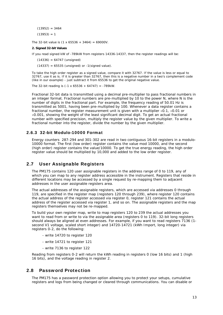$(13952) = 3464$  $(13953) = 1$ 

The 32-bit value is  $(1 \times 65536 + 3464) = 69000V$ .

#### **2. Signed 32-bit Values**

If you read signed kW of -789kW from registers 14336-14337, then the register readings will be:

 $(14336) = 64747$  (unsigned)

 $(14337) = 65535$  (unsigned) or -1(signed value).

To take the high order register as a signed value, compare it with 32767. If the value is less or equal to 32767, use it as is. If it is greater than 32767, then this is a negative number in a two's complement code (like in our example) - just subtract it from 65536 to get the original negative value.

The 32-bit reading is  $(-1 \times 65536 + 64747) = -789$ kW.

Fractional 32-bit data is transmitted using a decimal pre-multiplier to pass fractional numbers in an integer format. Fractional numbers are pre-multiplied by 10 to the power N, where N is the number of digits in the fractional part. For example, the frequency reading of 50.01 Hz is transmitted as 5001, having been pre-multiplied by 100. Whenever a data register contains a fractional number, the register measurement unit is given with a multiplier  $\times$ 0.1,  $\times$ 0.01 or ×0.001, showing the weight of the least significant decimal digit. To get an actual fractional number with specified precision, multiply the register value by the given multiplier. To write a fractional number into the register, divide the number by the given multiplier.

## 2.6.3 32-bit Modulo-10000 Format

<span id="page-12-0"></span>Energy counters 287-294 and 301-302 are read in two contiguous 16-bit registers in a modulo-10000 format. The first (low order) register contains the value mod 10000, and the second (high order) register contains the value/10000. To get the true energy reading, the high order register value should be multiplied by 10,000 and added to the low order register.

## 2.7 User Assignable Registers

<span id="page-12-1"></span>The PM175 contains 120 user assignable registers in the address range of 0 to 119, any of which you can map to any register address accessible in the instrument. Registers that reside in different locations may be accessed by a single request by re-mapping them to adjacent addresses in the user assignable registers area.

The actual addresses of the assignable registers, which are accessed via addresses 0 through 119, are specified in the register map (registers 120 through 239), where register 120 contains the actual address of the register accessed via register 0, register 121 contains the actual address of the register accessed via register 1, and so on. The assignable registers and the map registers themselves may not be re-mapped.

To build your own register map, write to map registers 120 to 239 the actual addresses you want to read from or write to via the assignable area (registers 0 to 119). 32-bit long registers should always be aligned at even addresses*.* For example, if you want to read registers 7136 (1 second V1 voltage, scaled short integer) and 14720-14721 (kWh Import, long integer) via registers 0-2, do the following:

- write 14720 to register 120
- write 14721 to register 121
- write 7136 to register 122

Reading from registers 0-2 will return the kWh reading in registers 0 (low 16 bits) and 1 (high 16 bits), and the voltage reading in register 2.

## 2.8 Password Protection

<span id="page-12-2"></span>The PM175 has a password protection option allowing you to protect your setups, cumulative registers and logs from being changed or cleared through communications. You can disable or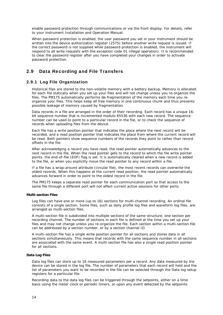enable password protection through communications or via the front display. For details, refer to your instrument Installation and Operation Manual.

When password protection is enabled, the user password you set in your instrument should be written into the device authorization register (2575) before another write request is issued. If the correct password is not supplied while password protection is enabled, the instrument will respond to all write requests with the exception code 01 (illegal operation). It is recommended to clear the password register after you have completed your changes in order to activate password protection.

## <span id="page-13-0"></span>2.9 Data Recording and File Transfers

## 2.9.1 Log File Organization

<span id="page-13-1"></span>Historical files are stored to the non-volatile memory with a battery backup. Memory is allocated for each file statically when you set up your files and will not change unless you re-organize the files. The PM175 automatically performs de-fragmentation of the memory each time you reorganize your files. This helps keep all free memory in one continuous chunk and thus prevents possible leakage of memory caused by fragmentation.

Data records in a file are arranged in the order of their recording. Each record has a unique 16 bit sequence number that is incremented modulo 65536 with each new record. The sequence number can be used to point to a particular record in the file, or to check the sequence of records when uploading files from the device.

Each file has a write position pointer that indicates the place where the next record will be recorded, and a read position pointer that indicates the place from where the current record will be read. Both pointers show sequence numbers of the records they point to rather than record offsets in the file.

After acknowledging a record you have read, the read pointer automatically advances to the next record in the file. When the read pointer gets to the record to which the file write pointer points, the end-of-file (EOF) flag is set. It is automatically cleared when a new record is added to the file, or when you explicitly move the read pointer to any record within a file.

If a file has a wrap-around attribute (circular file), the most recent records can overwrite the oldest records. When this happens at the current read position, the read pointer automatically advances forward in order to point to the oldest record in the file.

The PM175 keeps a separate read pointer for each communication port so that access to the same file through a different port will not affect current active sessions for other ports.

### <span id="page-13-2"></span>**Multi-section Files**

Log files can have one or more (up to 16) sections for multi-channel recording. An ordinal file consists of a single section. Some files, such as daily profile log files and waveform log files, are arranged as multi-section files.

A multi-section file is subdivided into multiple sections of the same structure, one section per recording channel. The number of sections in each file is defined at the time you set up your files and may not change unless you re-organize the file. Each section within a multi-section file can be addressed by a section number, or by a section channel ID.

A multi-section file has a single write position pointer for all sections and stores data in all sections simultaneously. This means that records with the same sequence number in all sections are associated with the same event. A multi-section file has also a single read position pointer for all sections.

### <span id="page-13-3"></span>**Data Log Files**

Data log files can store up to 16 measured parameters per a record. Any data measured by the device can be stored in the log file. The number of parameters that each record will hold and the list of parameters you want to be recorded in the file can be selected through the Data log setup registers for a particular file.

Recording data to the data log files can be triggered through the setpoints, either on a time basis using the meter clock or periodic timers, or upon any event detected by the setpoints.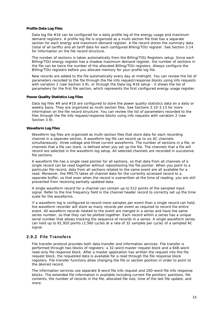### <span id="page-14-0"></span>**Profile Data Log Files**

Data log file #16 can be configured for a daily profile log of the energy usage and maximum demand registers. A profile log file is organized as a multi-section file that has a separate section for each energy and maximum demand register. A file record stores the summary data (total of all tariffs) and all tariff data for each configured Billing/TOU register. See Section 3.14 for information on the file record structure.

The number of sections is taken automatically from the Billing/TOU Registers setup. Since each Billing/TOU energy register has a shadow maximum demand register, the number of sections in the file can be twice the number of the allocated Billing/TOU registers. Always configure the Billing/TOU registers before you allocate memory for your profile log file.

New records are added to the file automatically every day at midnight. You can review the list of parameters recorded to the file through the file info request/response blocks using info requests with variation 2 (see Section 3.9), or through the Data log #16 setup - it shows the list of parameters for the first file section, which represents the first configured energy usage register.

#### <span id="page-14-1"></span>**Power Quality Statistics Log Files**

Data log files #9 and #10 are configured to store the power quality statistics data on a daily or weekly basis. They are organized as multi-section files. See Sections 3.10-3.13 for more information on the file record structure. You can review the list of parameters recorded to the files through the file info request/response blocks using info requests with variation 2 (see Section 3.9).

### <span id="page-14-2"></span>**Waveform Log Files**

Waveform log files are organized as multi-section files that store data for each recording channel in a separate section. A waveform log file can record up to six AC channels simultaneously: three voltage and three current waveforms. The number of sections in a file, or channels that a file can store, is defined when you set up the file. The channels that a file will record are selected in the waveform log setup. All selected channels are recorded in successive file sections.

A waveform file has a single read pointer for all sections, so that data from all channels of a single record can be read together without repositioning the file pointer. When you point to a particular file record, data from all sections related to the same event are all available for a read. Moreover, the PM175 takes all channel data for the currently accessed record to a separate buffer, so that even when the record is overwritten at the time of reading, you are still prevented from receiving partially updated data.

A single waveform record for a channel can contain up to 512 points of the sampled input signal. Refer to the line frequency field in the channel header record to correctly set up the time scale for the waveforms.

If a waveform log is configured to record more samples per event than a single record can hold, the waveform recorder will store as many records per event as required to record the entire event. All waveform records related to the event are merged in a series and have the same series number, so that they can be plotted together. Each record within a series has a unique serial number that allows tracking the sequence of records in a series. A single waveform series can hold up to 81,920 points (2,560 cycles at a rate of 32 samples per cycle) of a sampled AC signal.

## 2.9.2 File Transfers

<span id="page-14-3"></span>File transfer protocol provides both data transfer and information services. File transfer is performed through two blocks of registers: a 32-word master request block and a 648-word read-only file response block. After a master application has written the request into the file request block, the requested data is available for a read through the file response block registers. File transfer functions allow changing the file or section position in order to point to the desired record.

The information services use separate 8-word file info request and 200-word file info response blocks. The extended file information is available including current file pointers' positions, file contents, the number of records in the file, allocated file size, time of the last file update, and more.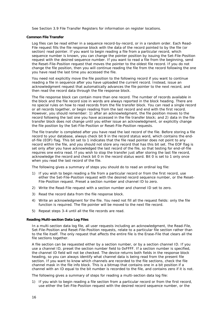See Section 3.9 File Transfer Registers for information on register locations.

### <span id="page-15-0"></span>**Common File Transfer**

Log files can be read either in a sequence record-by-record, or in a random order. Each Read-File request fills the file response block with the data of the record pointed to by the file (or section) read pointer. If you want to begin reading a file from a particular record, which sequence number is known, you can change the pointer position by issuing the Set-File-Position request with the desired sequence number. If you want to read a file from the beginning, send the Reset-File-Position request that moves the pointer to the oldest file record. If you do not change the file position, then you will continue reading the file from the record following the one you have read the last time you accessed the file.

You need not explicitly move the file position to the following record if you want to continue reading a file in sequence after you have uploaded the current record. Instead, issue an acknowledgment request that automatically advances the file pointer to the next record, and then read the record data through the file response block.

The file response block can contain more than one record. The number of records available in the block and the file record size in words are always reported in the block heading. There are no special rules on how to read records from the file transfer block. You can read a single record or all records together, or begin reading from the last record and end with the first record. However, you should remember: 1) after an acknowledgment, the file position moves to the record following the last one you have accessed in the file transfer block; and 2) data in the file transfer block does not change until you either issue an acknowledgment, or explicitly change the file position by the Set-File-Position or Reset-File-Position requests.

The file transfer is completed after you have read the last record of the file. Before storing a file record to your database, always check bit 9 in the record status word, which contains the endof-file (EOF) flag. This bit set to 1 indicates that the file read pointer does not point to any record within the file, and you should not store any record that has this bit set. The EOF flag is set only after you have acknowledged the last record of the file, so that testing for end-of-file requires one extra read. If you wish to stop the transfer just after storing the last file record, acknowledge the record and check bit 0 in the record status word. Bit 0 is set to 1 only once when you read the last record of the file.

The following gives a summary of steps you should do to read an ordinal log file:

- 1) If you wish to begin reading a file from a particular record or from the first record, use either the Set-File-Position request with the desired record sequence number, or the Reset-File-Position request. Preset a section number and channel ID to zero.
- 2) Write the Read-File request with a section number and channel ID set to zero.
- 3) Read the record data from the file response block.
- 4) Write an acknowledgment for the file. You need not fill all the request fields: only the file function is required. The file pointer will be moved to the next file record.
- 5) Repeat steps 3-4 until all the file records are read.

#### <span id="page-15-1"></span>**Reading Multi-section Data Log Files**

In a multi-section data log file, all user requests including an acknowledgment, the Read-File, Set-File-Position and Reset-File-Position requests, relate to a particular file section rather than to the file itself. The only request that affects the entire file is the Erase-File that clears all the file sections together.

A file section can be requested either by a section number, or by a section channel ID. If you use a channel ID, preset the section number field to 0xFFFF. If a section number is specified, the channel ID field will not be checked. The device returns both fields in the response block heading, so you can always identify what channel data is being read from the present file section. If you want to know which channels are recorded to the file sections, check the file channel mask in the file info block. This is a bitmap that contains one in a bit position if a channel with an ID equal to the bit number is recorded to the file, and contains zero if it is not.

The following gives a summary of steps for reading a multi-section data log file:

1) If you wish to begin reading a file section from a particular record or from the first record, use either the Set-File-Position request with the desired record sequence number, or the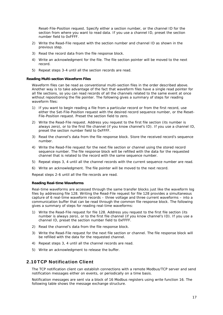Reset-File-Position request. Specify either a section number, or the channel ID for the section from where you want to read data. If you use a channel ID, preset the section number field to 0xFFFF.

- 2) Write the Read-File request with the section number and channel ID as shown in the previous step.
- 3) Read the record data from the file response block.
- 4) Write an acknowledgment for the file. The file section pointer will be moved to the next record.
- 5) Repeat steps 3-4 until all the section records are read.

#### <span id="page-16-0"></span>**Reading Multi-section Waveform Files**

Waveform files can be read as conventional multi-section files in the order described above. Another way is to take advantage of the fact that waveform files have a single read pointer for all file sections, so you can read records of all the channels related to the same event at once without repositioning the file pointer. The following gives a summary of steps for reading waveform files:

- 1) If you want to begin reading a file from a particular record or from the first record, use either the Set-File-Position request with the desired record sequence number, or the Reset-File-Position request. Preset the section field to zero.
- 2) Write the Read-File request. Address you request to the first file section (its number is always zero), or to the first file channel (if you know channel's ID). If you use a channel ID, preset the section number field to 0xFFFF.
- 3) Read the channel's data from the file response block. Store the received record's sequence number.
- 4) Write the Read-File request for the next file section or channel using the stored record sequence number. The file response block will be refilled with the data for the requested channel that is related to the record with the same sequence number.
- 5) Repeat steps 3, 4 until all the channel records with the current sequence number are read.
- 6) Write an acknowledgment. The file pointer will be moved to the next record.

Repeat steps 2-6 until all the file records are read.

#### <span id="page-16-1"></span>**Reading Real-time Waveforms**

Real-time waveforms are accessed through the same transfer blocks just like the waveform log files by addressing file 128. Writing the Read-File request for file 128 provides a simultaneous capture of 6 real-time waveform records – three voltage and three current waveforms – into a communication buffer that can be read through the common file response block. The following gives a summary of steps for reading real-time waveforms:

- 1) Write the Read-File request for file 128. Address you request to the first file section (its number is always zero), or to the first file channel (if you know channel's ID). If you use a channel ID, preset the section number field to 0xFFFF.
- 2) Read the channel's data from the file response block.
- 3) Write the Read-File request for the next file section or channel. The file response block will be refilled with the data for the requested channel.
- 4) Repeat steps 3, 4 until all the channel records are read.
- 5) Write an acknowledgment to release the buffer.

## 2.10 TCP Notification Client

<span id="page-16-2"></span>The TCP notification client can establish connections with a remote Modbus/TCP server and send notification messages either on events, or periodically on a time basis.

Notification messages are sent via a block of 16 Modbus registers using write function 16. The following table shows the message exchange structure.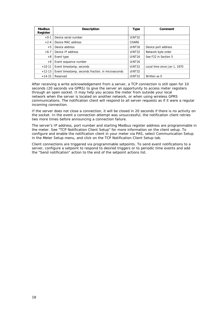| <b>Modbus</b><br>Register    | <b>Description</b>                                 | Type               | Comment                      |
|------------------------------|----------------------------------------------------|--------------------|------------------------------|
| $+0-1$                       | UINT32<br>Device serial number                     |                    |                              |
| Device MAC address<br>$+2-4$ |                                                    | CHAR6              |                              |
| Device address<br>$+5$       |                                                    | UINT <sub>16</sub> | Device port address          |
| $+6-7$                       | Device IP address                                  | <b>UINT32</b>      | Network byte order           |
| $+8$                         | Event type                                         | UINT <sub>16</sub> | See F22 in Section 5         |
| $+9$                         | Event sequence number                              | UINT <sub>16</sub> |                              |
| $+10-11$                     | Event timestamp, seconds                           | UINT32             | Local time since Jan 1, 1970 |
| $+12-13$                     | Event timestamp, seconds fraction, in microseconds | UINT32             |                              |
| $+14-15$                     | Reserved                                           | UINT32             | Written as 0                 |

After receiving a write acknowledgement from a server, a TCP connection is still open for 10 seconds (20 seconds via GPRS) to give the server an opportunity to access meter registers through an open socket. It may help you access the meter from outside your local network when the server is located on another network, or when using wireless GPRS communications. The notification client will respond to all server requests as if it were a regular incoming connection.

If the server does not close a connection, it will be closed in 20 seconds if there is no activity on the socket. In the event a connection attempt was unsuccessful, the notification client retries two more times before announcing a connection failure.

The server's IP address, port number and starting Modbus register address are programmable in the meter. See "TCP Notification Client Setup" for more information on the client setup. To configure and enable the notification client in your meter via PAS, select Communication Setup in the Meter Setup menu, and click on the TCP Notification Client Setup tab.

Client connections are triggered via programmable setpoints. To send event notifications to a server, configure a setpoint to respond to desired triggers or to periodic time events and add the "Send notification" action to the end of the setpoint actions list.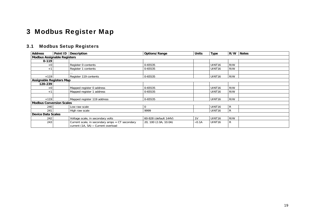## 3 Modbus Register Map

## 3.1 Modbus Setup Registers

<span id="page-18-5"></span><span id="page-18-4"></span><span id="page-18-3"></span><span id="page-18-2"></span><span id="page-18-1"></span><span id="page-18-0"></span>

| <b>Address</b>                     | Point ID Description                                                                          | Options/Range         | <b>Units</b>   | <b>Type</b>        | R/W | <b>Notes</b> |
|------------------------------------|-----------------------------------------------------------------------------------------------|-----------------------|----------------|--------------------|-----|--------------|
| <b>Modbus Assignable Registers</b> |                                                                                               |                       |                |                    |     |              |
| $0 - 119$                          |                                                                                               |                       |                |                    |     |              |
| $+0$                               | Register 0 contents                                                                           | 0-65535               |                | UINT <sub>16</sub> | R/W |              |
| $+1$                               | Register 1 contents                                                                           | 0-65535               |                | UINT <sub>16</sub> | R/W |              |
|                                    |                                                                                               |                       |                |                    |     |              |
| $+119$                             | Register 119 contents                                                                         | 0-65535               |                | UINT <sub>16</sub> | R/W |              |
| Assignable Registers Map           |                                                                                               |                       |                |                    |     |              |
| 120-239                            |                                                                                               |                       |                |                    |     |              |
| $+0$                               | Mapped register 0 address                                                                     | 0-65535               |                | UINT <sub>16</sub> | R/W |              |
| $+1$                               | Mapped register 1 address                                                                     | 0-65535               |                | UINT <sub>16</sub> | R/W |              |
|                                    |                                                                                               |                       |                |                    |     |              |
| $+119$                             | Mapped register 119 address                                                                   | 0-65535               |                | UINT <sub>16</sub> | R/W |              |
| <b>Modbus Conversion Scales</b>    |                                                                                               |                       |                |                    |     |              |
| 240                                | Low raw scale                                                                                 | 0                     |                | UINT <sub>16</sub> | R   |              |
| 241                                | High raw scale                                                                                | 9999                  |                | UINT <sub>16</sub> | R   |              |
| <b>Device Data Scales</b>          |                                                                                               |                       |                |                    |     |              |
| 242                                | Voltage scale, in secondary volts                                                             | 60-828 (default 144V) | 1 <sub>V</sub> | UINT <sub>16</sub> | R/W |              |
| 243                                | Current scale, in secondary amps = CT secondary<br>current (1A, 5A) $\times$ Current overload | 20, 100 (2.0A, 10.0A) | $\times 0.1A$  | UINT <sub>16</sub> | R   |              |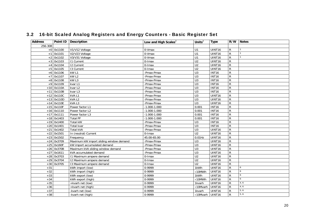<span id="page-19-0"></span>

| <b>Address</b> |              | Point ID   Description                  | Low and High Scales <sup>2</sup> | Units $^2$       | <b>Type</b>         | R/W            | <b>Notes</b> |
|----------------|--------------|-----------------------------------------|----------------------------------|------------------|---------------------|----------------|--------------|
| 256-308        |              |                                         |                                  |                  |                     |                |              |
|                | $+0$ 0x1100  | V1/V12 Voltage                          | 0-Vmax                           | U1               | UINT16              | $\mathsf{R}$   |              |
| $+1$           | 0x1101       | V2/V23 Voltage                          | 0-Vmax                           | U1               | UINT <sub>16</sub>  | ${\sf R}$      | $\mathbf{1}$ |
|                | $+2$ 0x1102  | V3/V31 Voltage                          | 0-Vmax                           | $\overline{U}$ 1 | <b>UINT16</b>       | ${\sf R}$      |              |
|                | $+3$ 0x1103  | <b>11 Current</b>                       | 0-Imax                           | U <sub>2</sub>   | UINT16              | $\mathsf{R}$   |              |
|                | $+4$ 0x1104  | <b>I2 Current</b>                       | $0$ -Imax                        | U <sub>2</sub>   | UINT16              | $\overline{R}$ |              |
|                | $+5$ 0x1105  | 13 Current                              | $0$ - $l$ max                    | U <sub>2</sub>   | UINT16              | $\overline{R}$ |              |
|                | $+6$ 0x1106  | kW <sub>L1</sub>                        | -Pmax-Pmax                       | $\overline{U}$ 3 | <b>INT16</b>        | $\overline{R}$ |              |
|                | $+7$ 0x1107  | kW <sub>L2</sub>                        | -Pmax-Pmax                       | U3               | <b>INT16</b>        | $\overline{R}$ |              |
|                | $+8$ 0x1108  | kW <sub>L3</sub>                        | -Pmax-Pmax                       | U3               | <b>INT16</b>        | $\overline{R}$ |              |
|                | +9 0x1109    | kvar L1                                 | -Pmax-Pmax                       | U3               | <b>INT16</b>        | $\overline{R}$ |              |
|                | $+10$ 0x110A | kvar L2                                 | -Pmax-Pmax                       | $\overline{U}$ 3 | <b>INT16</b>        | $\overline{R}$ |              |
|                | $+11$ 0x110B | kvar L3                                 | -Pmax-Pmax                       | $\overline{U}$ 3 | <b>INT16</b>        | $\mathsf{R}$   |              |
|                | $+12$ 0x110C | kVAL1                                   | -Pmax-Pmax                       | U3               | $\overline{UINT16}$ | $\mathsf{R}$   |              |
|                | $+13$ 0x110D | kVA L2                                  | -Pmax-Pmax                       | $\overline{U}$ 3 | UINT16              | ${\sf R}$      |              |
|                | $+14$ 0x110E | kVAL3                                   | -Pmax-Pmax                       | U3               | UINT16              | $\mathsf{R}$   |              |
|                | $+15$ 0x110F | Power factor L1                         | $-1.000 - 1.000$                 | 0.001            | <b>INT16</b>        | $\mathsf{R}$   |              |
|                | $+16$ 0x1110 | Power factor L2                         | $-1.000 - 1.000$                 | 0.001            | INT16               | $\overline{R}$ |              |
|                | $+17$ 0x1111 | Power factor L3                         | $-1.000 - 1.000$                 | 0.001            | <b>INT16</b>        | ${\sf R}$      |              |
|                | $+18$ 0x1403 | <b>Total PF</b>                         | $-1.000 - 1.000$                 | 0.001            | <b>INT16</b>        | $\overline{R}$ |              |
|                | $+19$ 0x1400 | <b>Total kW</b>                         | -Pmax-Pmax                       | U <sub>3</sub>   | <b>INT16</b>        | $\overline{R}$ |              |
|                | $+20$ 0x1401 | Total kvar                              | -Pmax-Pmax                       | $\overline{U}$ 3 | <b>INT16</b>        | $\overline{R}$ |              |
|                | $+21$ 0x1402 | <b>Total kVA</b>                        | -Pmax-Pmax                       | U3               | UINT16              | $\overline{R}$ |              |
|                | $+22$ 0x1501 | In (neutral) Current                    | $0$ -Imax                        | U <sub>2</sub>   | <b>UINT16</b>       | $\overline{R}$ |              |
|                | $+23$ 0x1502 | Frequency                               | 45.00-65.00                      | $0.01$ Hz        | <b>UINT16</b>       | $\mathsf{R}$   |              |
|                | $+24$ 0x3709 | Maximum kW import sliding window demand | -Pmax-Pmax                       | U3               | <b>UINT16</b>       | $\overline{R}$ |              |
|                | $+25$ 0x160F | kW import accumulated demand            | -Pmax-Pmax                       | U3               | <b>UINT16</b>       | $\mathsf{R}$   |              |
|                | $+26$ 0x370B | Maximum kVA sliding window demand       | -Pmax-Pmax                       | U3               | UINT16              | $\mathsf{R}$   |              |
|                | $+27$ 0x1611 | kVA accumulated demand                  | -Pmax-Pmax                       | U3               | UINT16              | $\overline{R}$ |              |
|                | $+28$ 0x3703 | 11 Maximum ampere demand                | 0-Imax                           | U <sub>2</sub>   | <b>UINT16</b>       | $\overline{R}$ |              |
|                | $+29$ 0x3704 | 12 Maximum ampere demand                | $0$ -Imax                        | U <sub>2</sub>   | <b>UINT16</b>       | $\overline{R}$ |              |
|                | $+30$ 0x3705 | 13 Maximum ampere demand                | 0-Imax                           | U <sub>2</sub>   | UINT16              | $\overline{R}$ |              |
| $+31$          |              | kWh import (low)                        | 0-9999                           | 1kWh             | UINT16              | $\overline{R}$ | 6            |
| $+32$          |              | kWh import (high)                       | 0-9999                           | $\times10$ MWh   | <b>UINT16</b>       | $\overline{R}$ | 6            |
| $+33$          |              | kWh export (low)                        | 0-9999                           | 1kWh             | UINT16              | $\overline{R}$ | 6            |
| $+34$          |              | kWh export (high)                       | 0-9999                           | $\times$ 10MWh   | <b>UINT16</b>       | $\mathsf{R}$   | 6            |
| $+35$          |              | +kvarh net (low)                        | 0-9999                           | 1kvarh           | <b>UINT16</b>       | ${\sf R}$      | 4, 6         |
| $+36$          |              | +kvarh net (high)                       | 0-9999                           | ×10Mvarh         | <b>UINT16</b>       | $\mathsf{R}$   | 4, 6         |
| $+37$          |              | -kvarh net (low)                        | 0-9999                           | 1kvarh           | <b>UINT16</b>       | $\mathsf{R}$   | 5, 6         |
| $+38$          |              | -kvarh net (high)                       | 0-9999                           | ×10Mvarh         | UINT16              | ${\sf R}$      | 5, 6         |

## 3.2 16-bit Scaled Analog Registers and Energy Counters - Basic Register Set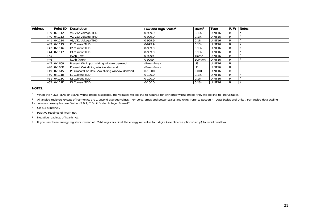| <b>Address</b> | Point ID     | <b>Description</b>                            | Low and High Scales <sup>2</sup> | Units <sup>2</sup> | <b>Type</b>        | R/W | <b>Notes</b> |
|----------------|--------------|-----------------------------------------------|----------------------------------|--------------------|--------------------|-----|--------------|
|                | $+39$ 0x1112 | V1/V12 Voltage THD                            | 0-999.9                          | 0.1%               | UINT <sub>16</sub> | R   |              |
|                | $+40$ 0x1113 | V2/V23 Voltage THD                            | 0-999.9                          | 0.1%               | UINT <sub>16</sub> | R   |              |
|                | $+41$ 0x1114 | V3/V31 Voltage THD                            | 0-999.9                          | 0.1%               | UINT <sub>16</sub> | R   |              |
|                | $+42$ 0x1115 | 11 Current THD                                | 0-999.9                          | 0.1%               | UINT <sub>16</sub> | R   |              |
|                | $+43$ 0x1116 | 12 Current THD                                | 0-999.9                          | 0.1%               | UINT <sub>16</sub> | R   |              |
|                | $+44$ 0x1117 | 13 Current THD                                | 0-999.9                          | 0.1%               | UINT <sub>16</sub> | R   |              |
| $+45$          |              | kVAh (low)                                    | 0-9999                           | 1kVAh              | UINT16             | R   |              |
| $+46$          |              | kVAh (high)                                   | 0-9999                           | 10MVAh             | UINT <sub>16</sub> | R   |              |
|                | $+47$ 0x1609 | Present kW import sliding window demand       | -Pmax-Pmax                       | U3                 | UINT <sub>16</sub> | R   |              |
|                | $+48$ 0x160B | Present kVA sliding window demand             | -Pmax-Pmax                       | U <sub>3</sub>     | UINT <sub>16</sub> | R   |              |
|                | $+49$ 0x1615 | PF (import) at Max. kVA sliding window demand | $0 - 1.000$                      | 0.001              | UINT <sub>16</sub> | R   |              |
|                | $+50$ 0x111B | 11 Current TDD                                | $0 - 100.0$                      | 0.1%               | UINT <sub>16</sub> | R   |              |
|                | $+51$ 0x111C | 12 Current TDD                                | $0-100.0$                        | 0.1%               | UINT16             | R   |              |
|                | $+52$ 0x111D | 13 Current TDD                                | $0-100.0$                        | 0.1%               | UINT <sub>16</sub> | R   |              |

#### **NOTES:**

<sup>1</sup> When the 4LN3, 3LN3 or 3BLN3 wiring mode is selected, the voltages will be line-to-neutral; for any other wiring mode, they will be line-to-line voltages.

<sup>2</sup> All analog registers except of harmonics are 1-second average values. For volts, amps and power scales and units, refer to Section 4 "Data Scales and Units". For analog data scaling formulas and examples, see Section 2.6.1, "16-bit Scaled Integer Format".

- 3 On a 3-s interval.
- 4 Positive readings of kvarh net.
- 5 Negative readings of kvarh net.

6 If you use these energy registers instead of 32-bit registers, limit the energy roll value to 8 digits (see Device Options Setup) to avoid overflow.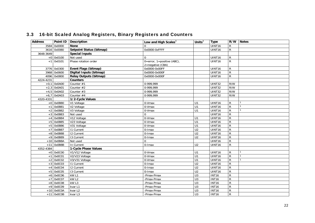<span id="page-21-9"></span><span id="page-21-8"></span><span id="page-21-7"></span><span id="page-21-6"></span><span id="page-21-5"></span><span id="page-21-4"></span><span id="page-21-3"></span><span id="page-21-2"></span><span id="page-21-1"></span><span id="page-21-0"></span>

| <b>Address</b> | Point ID      | Description                   | Low and High Scales $3$                                 | Units $3$        | <b>Type</b>   |                | R/W Notes |
|----------------|---------------|-------------------------------|---------------------------------------------------------|------------------|---------------|----------------|-----------|
|                | 3584 0x0000   | <b>None</b>                   |                                                         |                  | <b>UINT16</b> | R              |           |
|                | 3616 0x0080   | Setpoint Status (bitmap)      | 0x0000-0xFFFF                                           |                  | UINT16        | R              |           |
| 3648-3649      |               | <b>Special Inputs</b>         |                                                         |                  |               |                |           |
|                | $+0$ 0x0100   | Not used                      | $\Omega$                                                |                  | UINT16        | R              |           |
|                | $+1$ 0x0101   | Phase rotation order          | 0=error, $1 = positive (ABC)$ ,<br>$2 =$ negative (CBA) |                  | UINT16        | $\mathsf{R}$   |           |
|                | 3776 0x0300   | Event Flags (bitmap)          | 0x0000-0x00FF                                           |                  | UINT16        | R              |           |
|                | 3968 0x0600   | Digital Inputs (bitmap)       | 0x0000-0x000F                                           |                  | UINT16        | R              |           |
|                | 4096 0x0800   | <b>Relay Outputs (bitmap)</b> | 0x0000-0x000F                                           |                  | UINT16        | R              |           |
| 4224-4231      |               | <b>Counters</b>               |                                                         |                  |               |                |           |
|                | $+0,1$ 0x0A00 | Counter #1                    | 0-999.999                                               |                  | UINT32        | R/W            |           |
|                | $+2,3$ 0x0A01 | Counter #2                    | 0-999,999                                               |                  | UINT32        | R/W            |           |
|                | $+4,5$ 0x0A02 | Counter #3                    | 0-999,999                                               |                  | UINT32        | R/W            |           |
|                | $+6,7$ 0x0A03 | Counter $#4$                  | 0-999.999                                               |                  | UINT32        | R/W            |           |
| 4320-4331      |               | 1/2-Cycle Values              |                                                         |                  |               |                |           |
|                | $+0$ 0x0B80   | V1 Voltage                    | $\overline{0}$ -Vmax                                    | U1               | UINT16        | $\mathsf{R}$   |           |
|                | $+1$ 0x0B81   | V2 Voltage                    | 0-Vmax                                                  | U1               | UINT16        | R              |           |
|                | $+2$ 0x0B82   | V3 Voltage                    | 0-Vmax                                                  | U1               | UINT16        | R              |           |
|                | $+3$ 0x0B83   | Not used                      | $\Omega$                                                |                  | UINT16        | R              |           |
|                | $+4$ 0x0B84   | V12 Voltage                   | $0-Vmax$                                                | U1               | UINT16        | R              |           |
|                | $+5$ 0x0B85   | V23 Voltage                   | 0-Vmax                                                  | U1               | <b>UINT16</b> | R              |           |
|                | $+5$ 0x0B86   | V31 Voltage                   | $0-Vmax$                                                | U1               | UINT16        | R              |           |
|                | $+7$ 0x0B87   | <b>11 Current</b>             | 0-Imax                                                  | U <sub>2</sub>   | UINT16        | R              |           |
|                | +8 0x0B88     | <b>I2 Current</b>             | 0-Imax                                                  | U <sub>2</sub>   | UINT16        | R              |           |
|                | +9 0x0B89     | 13 Current                    | 0-Imax                                                  | U <sub>2</sub>   | UINT16        | $\mathsf{R}$   |           |
|                | $+10$ 0x0B8A  | Not used                      | $\Omega$                                                |                  | UINT16        | R              |           |
|                | $+11$ 0x0B8B  | In Current                    | 0-Imax                                                  | U <sub>2</sub>   | UINT16        | $\mathsf{R}$   |           |
| 4352-4384      |               | 1-Cycle Phase Values          |                                                         |                  |               |                |           |
|                | $+0$ 0x0C00   | V1/V12 Voltage                | $0-Vmax$                                                | U1               | UINT16        | R              |           |
|                | $+1$ 0x0C01   | V2/V23 Voltage                | $0-Vmax$                                                | U1               | UINT16        | R              |           |
|                | $+2$ 0x0C02   | V3/V31 Voltage                | $0-Vmax$                                                | $\overline{U}$ 1 | UINT16        | $\mathsf{R}$   |           |
|                | $+3$ 0x0C03   | <b>11 Current</b>             | 0-Imax                                                  | U <sub>2</sub>   | UINT16        | R              |           |
|                | $+4$ 0x0C04   | <b>12 Current</b>             | 0-Imax                                                  | U <sub>2</sub>   | UINT16        | R              |           |
|                | $+5$ 0x0C05   | 13 Current                    | $\overline{0}$ -Imax                                    | U <sub>2</sub>   | UINT16        | $\overline{R}$ |           |
|                | $+6$ 0x0C06   | kW L1                         | -Pmax-Pmax                                              | U <sub>3</sub>   | <b>INT16</b>  | R              |           |
|                | +7 0x0C07     | kW L2                         | -Pmax-Pmax                                              | $\overline{U}$   | <b>INT16</b>  | $\overline{R}$ |           |
|                | $+8$ 0x0C08   | kWL3                          | -Pmax-Pmax                                              | U3               | <b>INT16</b>  | $\overline{R}$ |           |
|                | $+9$ 0x0C09   | kvar L1                       | -Pmax-Pmax                                              | U <sub>3</sub>   | <b>INT16</b>  | $\overline{R}$ |           |
|                | $+10$ 0x0C0A  | kvar L2                       | -Pmax-Pmax                                              | U <sub>3</sub>   | <b>INT16</b>  | R              |           |
|                | $+11$ 0x0C0B  | kvar L3                       | -Pmax-Pmax                                              | U3               | <b>INT16</b>  | $\mathsf{R}$   |           |

## 3.3 16-bit Scaled Analog Registers, Binary Registers and Counters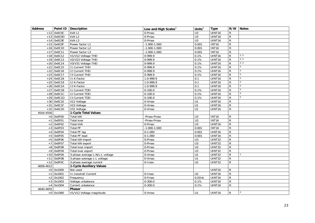<span id="page-22-2"></span><span id="page-22-1"></span><span id="page-22-0"></span>

| <b>Address</b> |              | Point ID   Description          | Low and High Scales $3$ | Units $3$        | Type               |                | R/W Notes       |
|----------------|--------------|---------------------------------|-------------------------|------------------|--------------------|----------------|-----------------|
|                | $+12$ 0x0C0C | kVAL1                           | 0-Pmax                  | $\overline{U}$ 3 | UINT <sub>16</sub> | R              |                 |
|                | $+13$ 0x0C0D | kVA L2                          | 0-Pmax                  | U3               | UINT16             | $\mathsf{R}$   |                 |
|                | $+14$ OxOCOE | kVAL3                           | $0$ -Pmax               | U3               | UINT16             | $\mathsf{R}$   |                 |
|                | $+15$ 0x0C0F | Power factor L1                 | $-1.000 - 1.000$        | 0.001            | <b>INT16</b>       | R              |                 |
|                | $+16$ 0x0C10 | Power factor L2                 | $-1.000 - 1.000$        | 0.001            | <b>INT16</b>       | R              |                 |
| $+17$          | 0x0C11       | Power factor L3                 | $-1.000 - 1.000$        | 0.001            | <b>INT16</b>       | R              |                 |
|                | $+18$ 0x0C12 | V1/V12 Voltage THD              | 0-999.9                 | 0.1%             | UINT16             | $\overline{R}$ | 2, 5            |
|                | $+19$ 0x0C13 | V2/V23 Voltage THD              | $0-999.9$               | 0.1%             | UINT16             | R              | 2, 5            |
|                | $+20$ 0x0C14 | V3/V31 Voltage THD              | $0-999.9$               | 0.1%             | UINT16             | ${\sf R}$      | 2, 5            |
| $+21$          | 0x0C15       | <b>11 Current THD</b>           | $0-999.9$               | 0.1%             | UINT16             | R              | 5               |
| $+22$          | 0x0C16       | <b>12 Current THD</b>           | 0-999.9                 | 0.1%             | UINT16             | R              | 5               |
| $+23$          | 0x0C17       | 13 Current THD                  | 0-999.9                 | 0.1%             | UINT16             | R              | 5               |
|                | $+24$ 0x0C18 | 11 K-Factor                     | 1.0-999.9               | 0.1              | UINT16             | $\mathsf{R}$   | $5\phantom{.0}$ |
| $+25$          | 0x0C19       | I2 K-Factor                     | 1.0-999.9               | 0.1              | UINT16             | R              | 5               |
|                | $+26$ OxOC1A | 13 K-Factor                     | 1.0-999.9               | 0.1              | UINT16             | $\mathsf{R}$   | 5               |
| $+27$          | 0x0C1B       | 11 Current TDD                  | $0-100.0$               | 0.1%             | UINT16             | R              | 5               |
| $+28$          | 0x0C1C       | 12 Current TDD                  | $0 - 100.0$             | 0.1%             | UINT16             | R              | 5               |
|                | $+29$ 0x0C1D | 13 Current TDD                  | $0 - 100.0$             | 0.1%             | UINT16             | R              | 5               |
|                | $+30$ 0x0C1E | V12 Voltage                     | 0-Vmax                  | U1               | UINT16             | R              |                 |
| $+31$          | 0x0C1F       | V23 Voltage                     | 0-Vmax                  | U1               | UINT16             | R              |                 |
|                | $+32$ 0x0C20 | V31 Voltage                     | 0-Vmax                  | U1               | UINT16             | R              |                 |
| 4544-4556      |              | 1-Cycle Total Values            |                         |                  |                    |                |                 |
|                | $+0$ 0x0F00  | Total kW                        | -Pmax-Pmax              | U <sub>3</sub>   | <b>INT16</b>       | $\mathsf{R}$   |                 |
| $+1$           | 0x0F01       | Total kvar                      | -Pmax-Pmax              | U3               | <b>INT16</b>       | R              |                 |
| $+2$           | 0x0F02       | Total kVA                       | 0-Pmax                  | U3               | UINT16             | $\mathsf{R}$   |                 |
| $+3$           | 0x0F03       | <b>Total PF</b>                 | $-1.000 - 1.000$        | 0.001            | <b>INT16</b>       | $\mathsf{R}$   |                 |
| $+4$           | 0x0F04       | <b>Total PF lag</b>             | $0-1.000$               | 0.001            | UINT16             | ${\sf R}$      |                 |
|                | $+5$ 0x0F05  | <b>Total PF lead</b>            | $0-1.000$               | 0.001            | UINT16             | $\overline{R}$ |                 |
|                | $+5$ 0x0F06  | Total kW import                 | 0-Pmax                  | $\overline{U}$   | UINT32             | $\overline{R}$ |                 |
| $+7$           | 0x0F07       | Total kW export                 | 0-Pmax                  | $\overline{U}$   | UINT32             | $\mathsf{R}$   |                 |
|                | $+8$ 0x0F08  | Total kvar import               | 0-Pmax                  | U <sub>3</sub>   | UINT32             | R              |                 |
|                | $+9$ 0x0F09  | Total kvar export               | 0-Pmax                  | $\overline{U}$ 3 | UINT32             | ${\sf R}$      |                 |
|                | $+10$ 0x0F0A | 3-phase average L-N/L-L voltage | 0-Vmax                  | U1               | UINT32             | R              |                 |
|                | $+11$ OxOFOB | 3-phase average L-L voltage     | 0-Vmax                  | U1               | UINT32             | R              |                 |
|                | $+12$ 0x0F0C | 3-phase average current         | 0-Imax                  | U <sub>2</sub>   | UINT32             | $\mathsf{R}$   |                 |
| 4608-4612      |              | 1-Cycle Auxiliary Values        |                         |                  |                    |                |                 |
|                | $+0$ 0x1000  | Not used                        |                         |                  | UINT16             | R              |                 |
| $+1$           | 0x1001       | In (neutral) Current            | 0-Imax                  | U <sub>2</sub>   | UINT16             | $\mathsf{R}$   |                 |
|                | $+2$ 0x1002  | Frequency                       | 0-Fmax                  | $0.01$ Hz        | UINT16             | $\mathsf{R}$   |                 |
|                | $+3$ 0x1003  | Voltage unbalance               | $0 - 300.0$             | 0.1%             | UINT16             | R              |                 |
|                | $+4$ 0x1004  | Current unbalance               | $0 - 300.0$             | 0.1%             | UINT16             | R              |                 |
| 4640-4655      |              | Phasor                          |                         |                  |                    |                |                 |
|                | $+0$ 0x1080  | V1/V12 Voltage magnitude        | 0-Vmax                  | U1               | UINT16             | R              | $\overline{2}$  |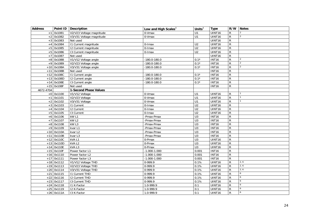<span id="page-23-0"></span>

| <b>Address</b> |              | Point ID   Description   | Low and High Scales <sup>3</sup> | Units $3$        | <b>Type</b>        |                | R/W Notes      |
|----------------|--------------|--------------------------|----------------------------------|------------------|--------------------|----------------|----------------|
| $+1$           | 0x1081       | V2/V23 Voltage magnitude | 0-Vmax                           | $\overline{U}$ 1 | <b>UINT16</b>      | R              | $\overline{2}$ |
|                | $+2$ 0x1082  | V3/V31 Voltage magnitude | 0-Vmax                           | U1               | UINT16             | $\mathsf{R}$   | $\overline{2}$ |
| $+3$           | 0x1083       | Not used                 |                                  |                  | UINT16             | $\mathsf{R}$   |                |
| $+4$           | 0x1084       | 11 Current magnitude     | 0-Imax                           | U <sub>2</sub>   | UINT16             | R              |                |
| $+5$           | 0x1085       | 12 Current magnitude     | $0$ -Imax                        | U <sub>2</sub>   | UINT16             | R              |                |
|                | $+5$ 0x1086  | 13 Current magnitude     | 0-Imax                           | U <sub>2</sub>   | UINT <sub>16</sub> | R              |                |
| $+7$           | 0x1087       | Not used                 |                                  |                  | UINT16             | R.             |                |
| $+8$           | 0x1088       | V1/V12 Voltage angle     | $-180.0 - 180.0$                 | $0.1^\circ$      | <b>INT16</b>       | R              | $\overline{2}$ |
| $+9$           | 0x1089       | V2/V23 Voltage angle     | $-180.0 - 180.0$                 | $0.1^\circ$      | <b>INT16</b>       | R              | $\overline{2}$ |
| $+10$          | 0x108A       | V3/V31 Voltage angle     | $-180.0 - 180.0$                 | $0.1^\circ$      | <b>INT16</b>       | R              | 2              |
|                | $+11$ 0x108B | Not used                 |                                  |                  | <b>INT16</b>       | R              |                |
|                | $+12$ 0x108C | 11 Current angle         | $-180.0 - 180.0$                 | $0.1^\circ$      | <b>INT16</b>       | R              |                |
|                | $+13$ 0x108D | 12 Current angle         | $-180.0 - 180.0$                 | $0.1^\circ$      | <b>INT16</b>       | R              |                |
|                | $+14$ 0x108E | 13 Current angle         | $-180.0 - 180.0$                 | $0.1^\circ$      | <b>INT16</b>       | R              |                |
|                | $+15$ 0x108F | Not used                 |                                  |                  | <b>INT16</b>       | R.             |                |
| 4672-4704      |              | 1-Second Phase Values    |                                  |                  |                    |                |                |
|                | $+0$ 0x1100  | V1/V12 Voltage           | 0-Vmax                           | U1               | UINT16             | R              |                |
|                | $+1$ 0x1101  | V2/V23 Voltage           | 0-Vmax                           | U1               | UINT16             | R              |                |
| $+2$           | 0x1102       | V3/V31 Voltage           | 0-Vmax                           | U1               | UINT16             | R              |                |
|                | $+3$ 0x1103  | <b>11 Current</b>        | 0-Imax                           | U <sub>2</sub>   | UINT16             | R              |                |
| $+4$           | 0x1104       | 12 Current               | 0-Imax                           | $\overline{U2}$  | UINT16             | R              |                |
|                | $+5$ 0x1105  | 13 Current               | $0$ -Imax                        | U <sub>2</sub>   | UINT16             | R              |                |
| $+6$           | 0x1106       | kW L1                    | -Pmax-Pmax                       | $\overline{U}$ 3 | <b>INT16</b>       | R              |                |
| $+7$           | 0x1107       | kW <sub>L2</sub>         | -Pmax-Pmax                       | U3               | <b>INT16</b>       | R.             |                |
|                | $+8$ 0x1108  | kWL3                     | -Pmax-Pmax                       | U3               | <b>INT16</b>       | R              |                |
|                | +9 0x1109    | kvar L1                  | -Pmax-Pmax                       | U3               | <b>INT16</b>       | $\mathsf{R}$   |                |
|                | $+10$ 0x110A | kvar L2                  | -Pmax-Pmax                       | U3               | <b>INT16</b>       | R              |                |
|                | $+11$ 0x110B | kvar L3                  | -Pmax-Pmax                       | $\overline{U}$ 3 | <b>INT16</b>       | $\overline{R}$ |                |
|                | $+12$ 0x110C | kVAL1                    | 0-Pmax                           | U3               | UINT16             | R              |                |
|                | $+13$ 0x110D | kVAL2                    | 0-Pmax                           | $\overline{U}$   | UINT16             | R              |                |
|                | $+14$ Ox110E | kVAL3                    | 0-Pmax                           | U <sub>3</sub>   | UINT16             | R              |                |
|                | $+15$ 0x110F | Power factor L1          | $-1.000 - 1.000$                 | 0.001            | <b>INT16</b>       | R              |                |
|                | $+16$ 0x1110 | Power factor L2          | $-1.000 - 1.000$                 | 0.001            | <b>INT16</b>       | R              |                |
|                | $+17$ 0x1111 | Power factor L3          | $-1.000 - 1.000$                 | 0.001            | <b>INT16</b>       | R              |                |
|                | $+18$ 0x1112 | V1/V12 Voltage THD       | 0-999.9                          | 0.1%             | UINT16             | R              | 2, 6           |
|                | $+19$ 0x1113 | V2/V23 Voltage THD       | 0-999.9                          | 0.1%             | UINT16             | R.             | 2, 6           |
|                | $+20$ 0x1114 | V3/V31 Voltage THD       | 0-999.9                          | 0.1%             | UINT16             | R              | 2, 6           |
| $+21$          | 0x1115       | <b>11 Current THD</b>    | 0-999.9                          | 0.1%             | UINT16             | R              | 6              |
|                | $+22$ 0x1116 | <b>12 Current THD</b>    | 0-999.9                          | 0.1%             | UINT16             | R              | 6              |
|                | $+23$ 0x1117 | 13 Current THD           | $0-999.9$                        | 0.1%             | UINT16             | R              | 6              |
|                | $+24$ 0x1118 | 11 K-Factor              | 1.0-999.9                        | 0.1              | UINT16             | R              | 6              |
|                | $+25$ 0x1119 | 12 K-Factor              | 1.0-999.9                        | 0.1              | UINT16             | R              | 6              |
|                | $+26$ 0x111A | 13 K-Factor              | 1.0-999.9                        | 0.1              | UINT16             | R              | 6              |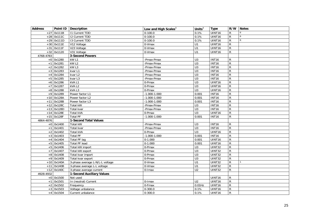<span id="page-24-2"></span><span id="page-24-1"></span><span id="page-24-0"></span>

| <b>Address</b> |              | Point ID   Description           | Low and High Scales <sup>3</sup> | Units $3$        | <b>Type</b>   |                | R/W Notes |
|----------------|--------------|----------------------------------|----------------------------------|------------------|---------------|----------------|-----------|
|                | $+27$ 0x111B | <b>11 Current TDD</b>            | $0-100.0$                        | 0.1%             | UINT16        | R              | 6         |
|                | $+28$ 0x111C | <b>I2 Current TDD</b>            | $0-100.0$                        | 0.1%             | UINT16        | R.             | 6         |
|                | $+29$ 0x111D | 13 Current TDD                   | $0-100.0$                        | 0.1%             | UINT16        | R              | 6         |
|                | $+30$ 0x111E | V12 Voltage                      | 0-Vmax                           | U1               | UINT16        | ${\sf R}$      |           |
| $+31$          | 0x111F       | V23 Voltage                      | 0-Vmax                           | U1               | UINT16        | ${\sf R}$      |           |
|                | $+32$ 0x1120 | V31 Voltage                      | 0-Vmax                           | U1               | UINT16        | R              |           |
| 4768-4783      |              | 3-Second Powers                  |                                  |                  |               |                |           |
|                | $+0$ 0x1280  | kW L1                            | -Pmax-Pmax                       | U <sub>3</sub>   | <b>INT16</b>  | $\mathsf{R}$   |           |
|                | $+1$ 0x1281  | kW L2                            | -Pmax-Pmax                       | U3               | <b>INT16</b>  | ${\sf R}$      |           |
|                | $+2$ 0x1282  | kW L3                            | -Pmax-Pmax                       | U3               | <b>INT16</b>  | R              |           |
|                | $+3$ 0x1283  | kvar L1                          | -Pmax-Pmax                       | $\overline{U}$ 3 | <b>INT16</b>  | R              |           |
|                | $+4$ 0x1284  | kvar L2                          | -Pmax-Pmax                       | U3               | <b>INT16</b>  | R              |           |
|                | $+5$ 0x1285  | kvar L3                          | -Pmax-Pmax                       | U3               | <b>INT16</b>  | $\mathsf{R}$   |           |
|                | $+6$ 0x1286  | kVAL1                            | 0-Pmax                           | U3               | UINT16        | R              |           |
|                | $+7$ 0x1287  | kVAL2                            | 0-Pmax                           | U3               | UINT16        | $\mathsf{R}$   |           |
|                | $+8$ 0x1288  | kVAL3                            | 0-Pmax                           | U3               | UINT16        | $\mathsf{R}$   |           |
|                | $+9$ 0x1289  | Power factor L1                  | $-1.000 - 1.000$                 | 0.001            | <b>INT16</b>  | R              |           |
|                | $+10$ 0x128A | Power factor L2                  | $-1.000 - 1.000$                 | 0.001            | <b>INT16</b>  | R              |           |
|                | $+11$ 0x128B | Power factor L3                  | $-1.000 - 1.000$                 | 0.001            | <b>INT16</b>  | ${\sf R}$      |           |
|                | $+12$ 0x128C | Total kW                         | -Pmax-Pmax                       | U3               | <b>INT16</b>  | R              |           |
|                | $+13$ 0x128D | Total kvar                       | -Pmax-Pmax                       | U3               | <b>INT16</b>  | $\mathsf{R}$   |           |
|                | $+14$ 0x128E | Total kVA                        | $\overline{0}$ -Pmax             | U3               | UINT16        | ${\sf R}$      |           |
|                | $+15$ 0x128F | <b>Total PF</b>                  | $-1.000 - 1.000$                 | 0.001            | <b>INT16</b>  | R              |           |
| 4864-4876      |              | 1-Second Total Values            |                                  |                  |               |                |           |
|                | $+0$ 0x1400  | Total kW                         | -Pmax-Pmax                       | $\overline{U}$ 3 | <b>INT16</b>  | R              |           |
|                | $+1$ 0x1401  | Total kvar                       | -Pmax-Pmax                       | U3               | <b>INT16</b>  | $\mathsf{R}$   |           |
|                | $+2$ 0x1402  | <b>Total kVA</b>                 | 0-Pmax                           | U3               | UINT16        | $\overline{R}$ |           |
|                | $+3$ 0x1403  | <b>Total PF</b>                  | $-1.000 - 1.000$                 | 0.001            | <b>INT16</b>  | $\mathsf{R}$   |           |
|                | $+4$ 0x1404  | Total PF lag                     | $0 - 1.000$                      | 0.001            | UINT16        | ${\sf R}$      |           |
| $+5$           | 0x1405       | <b>Total PF lead</b>             | $0-1.000$                        | 0.001            | UINT16        | ${\sf R}$      |           |
|                | $+5$ 0x1406  | Total kW import                  | 0-Pmax                           | $\overline{U}$ 3 | <b>UINT32</b> | $\mathsf{R}$   |           |
| $+7$           | 0x1407       | Total kW export                  | 0-Pmax                           | U3               | UINT32        | $\mathsf{R}$   |           |
|                | $+8$ 0x1408  | Total kvar import                | 0-Pmax                           | U3               | <b>UINT32</b> | $\overline{R}$ |           |
|                | $+9$ 0x1409  | Total kvar export                | 0-Pmax                           | U <sub>3</sub>   | <b>UINT32</b> | $\overline{R}$ |           |
|                | $+10$ 0x140A | 3-phase average L-N/L-L voltage  | 0-Vmax                           | U1               | <b>UINT32</b> | $\mathsf{R}$   |           |
| $+11$          | 0x140B       | 3-phase average L-L voltage      | 0-Vmax                           | U1               | <b>UINT32</b> | R.             |           |
|                | $+12$ 0x140C | 3-phase average current          | 0-Imax                           | U <sub>2</sub>   | <b>UINT32</b> | $\mathsf{R}$   |           |
| 4928-4932      |              | <b>1-Second Auxiliary Values</b> |                                  |                  |               |                |           |
|                | $+0$ 0x1500  | Not used                         |                                  |                  | UINT16        | R              |           |
|                | $+1$ 0x1501  | In (neutral) Current             | $0$ -Imax                        | U <sub>2</sub>   | UINT16        | ${\sf R}$      |           |
|                | $+2$ 0x1502  | Frequency                        | 0-Fmax                           | $0.01$ Hz        | UINT16        | $\overline{R}$ |           |
|                | $+3$ 0x1503  | Voltage unbalance                | $0 - 300.0$                      | 0.1%             | UINT16        | $\mathsf{R}$   |           |
|                | $+4$ 0x1504  | Current unbalance                | $0 - 300.0$                      | 0.1%             | UINT16        | $\mathsf{R}$   |           |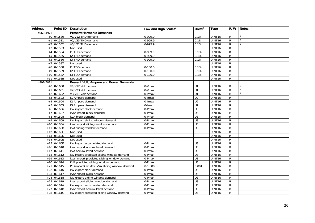<span id="page-25-1"></span><span id="page-25-0"></span>

| <b>Address</b> |              | Point ID   Description                        | Low and High Scales <sup>3</sup> | Units $3$        | <b>Type</b>        |              | R/W Notes      |
|----------------|--------------|-----------------------------------------------|----------------------------------|------------------|--------------------|--------------|----------------|
| 4960-4971      |              | <b>Present Harmonic Demands</b>               |                                  |                  |                    |              |                |
|                | $+0$ 0x1580  | V1/V12 THD demand                             | 0-999.9                          | 0.1%             | UINT16             | R            | $\overline{2}$ |
| $+1$           | 0x1581       | V2/V23 THD demand                             | 0-999.9                          | 0.1%             | UINT16             | R            | $\overline{2}$ |
| $+2$           | 0x1582       | V3/V31 THD demand                             | 0-999.9                          | 0.1%             | UINT16             | R            | $\overline{2}$ |
| $+3$           | 0x1583       | Not used                                      |                                  |                  | UINT16             | R            |                |
| $+4$           | 0x1584       | I1 THD demand                                 | 0-999.9                          | 0.1%             | UINT16             | $\mathsf{R}$ |                |
| $+5$           | 0x1585       | <b>I2 THD demand</b>                          | 0-999.9                          | 0.1%             | UINT16             | R            |                |
| $+5$           | 0x1586       | 13 THD demand                                 | 0-999.9                          | 0.1%             | UINT16             | R            |                |
| $+7$           | 0x1587       | Not used                                      |                                  |                  | UINT16             | R            |                |
| $+8$           | 0x1588       | <b>I1 TDD demand</b>                          | $0 - 100.0$                      | 0.1%             | UINT16             | R            |                |
| $+9$           | 0x1589       | <b>I2 TDD demand</b>                          | $0 - 100.0$                      | 0.1%             | UINT16             | R            |                |
|                | $+10$ 0x158A | 13 TDD demand                                 | $0 - 100.0$                      | 0.1%             | UINT16             | R            |                |
|                | $+11$ 0x158B | Not used                                      |                                  |                  | UINT16             | $\mathsf{R}$ |                |
| 4992-5021      |              | Present Volt, Ampere and Power Demands        |                                  |                  |                    |              |                |
|                | $+0$ 0x1600  | V1/V12 Volt demand                            | 0-Vmax                           | U1               | UINT16             | R            | $\overline{2}$ |
| $+1$           | 0x1601       | V2/V23 Volt demand                            | 0-Vmax                           | U1               | UINT <sub>16</sub> | R            | $\overline{2}$ |
| $+2$           | 0x1602       | V3/V31 Volt demand                            | 0-Vmax                           | U1               | UINT16             | R            | $\overline{2}$ |
| $+3$           | 0x1603       | 11 Ampere demand                              | 0-Imax                           | $\overline{U2}$  | UINT <sub>16</sub> | R            |                |
| $+4$           | 0x1604       | 12 Ampere demand                              | 0-Imax                           | $\overline{U2}$  | UINT16             | R            |                |
| $+5$           | 0x1605       | 13 Ampere demand                              | 0-Imax                           | $\overline{U2}$  | UINT16             | R            |                |
| $+6$           | 0x1606       | kW import block demand                        | 0-Pmax                           | $\overline{U}$   | UINT16             | R            |                |
| $+7$           | 0x1607       | kvar import block demand                      | 0-Pmax                           | $\overline{U}$ 3 | UINT16             | R            |                |
| $+8$           | 0x1608       | kVA block demand                              | $0$ -Pmax                        | $\overline{U}$   | UINT16             | R            |                |
| $+9$           | 0x1609       | kW import sliding window demand               | 0-Pmax                           | $\overline{U}$ 3 | UINT16             | R            |                |
| $+10$          | 0x160A       | kvar import sliding window demand             | 0-Pmax                           | $\overline{U}$ 3 | UINT16             | R            |                |
|                | $+11$ 0x160B | kVA sliding window demand                     | 0-Pmax                           | U <sub>3</sub>   | UINT16             | R            |                |
|                | $+12$ 0x160C | Not used                                      |                                  |                  | UINT16             | R            |                |
|                | $+13$ 0x160D | Not used                                      |                                  |                  | UINT16             | R            |                |
| $+14$          | 0x160E       | Not used                                      |                                  |                  | UINT16             | R            |                |
|                | $+15$ 0x160F | kW import accumulated demand                  | 0-Pmax                           | U <sub>3</sub>   | UINT16             | R            |                |
|                | $+16$ 0x1610 | kvar import accumulated demand                | 0-Pmax                           | $\overline{U}$ 3 | UINT16             | R            |                |
|                | $+17$ 0x1611 | kVA accumulated demand                        | 0-Pmax                           | $\overline{U}$ 3 | UINT16             | R            |                |
|                | $+18$ 0x1612 | kW import predicted sliding window demand     | 0-Pmax                           | U <sub>3</sub>   | UINT16             | R            |                |
|                | $+19$ 0x1613 | kvar import predicted sliding window demand   | 0-Pmax                           | $\overline{U}$   | UINT16             | R            |                |
|                | $+20$ 0x1614 | kVA predicted sliding window demand           | 0-Pmax                           | $\overline{U}$ 3 | UINT16             | R            |                |
| $+21$          | 0x1615       | PF (import) at Max. kVA sliding window demand | $0 - 1.000$                      | 0.001            | UINT16             | R            |                |
| $+22$          | 0x1616       | kW export block demand                        | 0-Pmax                           | U <sub>3</sub>   | UINT16             | R            |                |
| $+23$          | 0x1617       | kvar export block demand                      | 0-Pmax                           | $\overline{U}$ 3 | UINT16             | R            |                |
| $+24$          | 0x1618       | kW export sliding window demand               | 0-Pmax                           | $\overline{U}$ 3 | UINT16             | R            |                |
| $+25$          | 0x1619       | kvar export sliding window demand             | 0-Pmax                           | $\overline{U}$ 3 | UINT16             | R            |                |
|                | $+26$ 0x161A | kW export accumulated demand                  | 0-Pmax                           | $\overline{U}$ 3 | UINT16             | R            |                |
| $+27$          | 0x161B       | kvar export accumulated demand                | 0-Pmax                           | U3               | UINT16             | R            |                |
|                | $+28$ 0x161C | kW export predicted sliding window demand     | 0-Pmax                           | U <sub>3</sub>   | UINT16             | R            |                |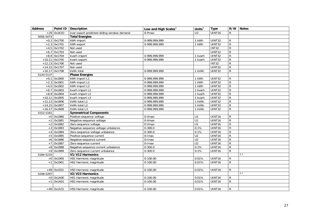<span id="page-26-4"></span><span id="page-26-3"></span><span id="page-26-2"></span><span id="page-26-1"></span><span id="page-26-0"></span>

| <b>Address</b> |                 | Point ID   Description                      | Low and High Scales <sup>3</sup> | Units $3$      | <b>Type</b>        |                | R/W Notes |
|----------------|-----------------|---------------------------------------------|----------------------------------|----------------|--------------------|----------------|-----------|
| $+29$          | 0x161D          | kvar export predicted sliding window demand | 0-Pmax                           | U <sub>3</sub> | UINT16             | R.             |           |
| 5056-5073      |                 | <b>Total Energies</b>                       |                                  |                |                    |                |           |
|                | $+0,1$ 0x1700   | kWh import                                  | 0-999.999.999                    | 1 kWh          | UINT32             | R              |           |
|                | $+2,3$ 0x1701   | kWh export                                  | 0-999,999,999                    | 1 kWh          | UINT32             | R              |           |
|                | $+4,5$ 0x1702   | Not used                                    |                                  |                | <b>INT32</b>       | R              |           |
| $+6,7$         | 0x1703          | Not used                                    |                                  |                | UINT32             | R              |           |
|                | $+8,9$ 0x1704   | kvarh import                                | 0-999,999,999                    | 1 kvarh        | UINT32             | $\mathsf R$    |           |
|                | $+10,11$ 0x1705 | kvarh export                                | 0-999,999,999                    | 1 kvarh        | UINT32             | $\overline{R}$ |           |
|                | $+12,13$ 0x1706 | Not used                                    |                                  |                | <b>INT32</b>       | R              |           |
|                | $+14,15$ 0x1707 | Not used                                    |                                  |                | <b>UINT32</b>      | $\overline{R}$ |           |
|                | $+16,17$ 0x1708 | kVAh total                                  | 0-999,999,999                    | 1 kVAh         | UINT32             | R              |           |
| 5120-5137      |                 | <b>Phase Energies</b>                       |                                  |                |                    |                |           |
|                | $+0,1$ 0x1800   | kWh import L1                               | 0-999,999,999                    | 1 kWh          | UINT32             | R              |           |
|                | $+2,3$ 0x1801   | kWh import L2                               | 0-999,999,999                    | 1 kWh          | UINT32             | $\mathsf{R}$   |           |
|                | $+4,5$ 0x1802   | kWh import L3                               | 0-999,999,999                    | 1 kWh          | UINT32             | R              |           |
| $+6.7$         | 0x1803          | kvarh import L1                             | 0-999,999,999                    | 1 kvarh        | UINT32             | R              |           |
|                | $+8,9$ 0x1804   | kvarh import L2                             | 0-999,999,999                    | 1 kvarh        | UINT32             | R              |           |
|                | $+10,11$ 0x1805 | kvarh import L3                             | 0-999,999,999                    | 1 kvarh        | <b>UINT32</b>      | R              |           |
|                | $+12,13$ 0x1806 | kVAh total L1                               | 0-999,999,999                    | 1 kVAh         | UINT32             | R              |           |
|                | $+14,15$ 0x1807 | kVAh total L2                               | 0-999,999,999                    | 1 kVAh         | UINT32             | R              |           |
|                | $+16,17$ 0x1808 | kVAh total L3                               | 0-999,999,999                    | 1 kVAh         | UINT32             | R.             |           |
| 5152-5161      |                 | <b>Symmetrical Components</b>               |                                  |                |                    |                |           |
|                | $+0$ 0x1880     | Positive-sequence voltage                   | 0-Vmax                           | U1             | UINT16             | R              |           |
| $+1$           | 0x1881          | Negative-sequence voltage                   | 0-Vmax                           | U1             | UINT16             | R              |           |
| $+2$           | 0x1882          | Zero-sequence voltage                       | 0-Vmax                           | U1             | UINT16             | R              |           |
| $+3$           | 0x1883          | Negative-sequence voltage unbalance         | $0 - 300.0$                      | 0.1%           | UINT <sub>16</sub> | $\mathsf{R}$   |           |
| $+4$           | 0x1884          | Zero-sequence voltage unbalance             | $0 - 300.0$                      | 0.1%           | UINT16             | R              |           |
| $+5$           | 0x1885          | Positive-sequence current                   | 0-Imax                           | U <sub>2</sub> | UINT16             | $\overline{R}$ |           |
| $+6$           | 0x1886          | Negative-sequence current                   | $0$ -Imax                        | U <sub>2</sub> | UINT16             | R              |           |
| $+7$           | 0x1887          | Zero-sequence current                       | 0-Imax                           | U <sub>2</sub> | UINT16             | ${\sf R}$      |           |
|                | $+8$ 0x1888     | Negative-sequence current unbalance         | $0 - 300.0$                      | 0.1%           | UINT16             | R              |           |
|                | $+9$ 0x1889     | Zero-sequence current unbalance             | $0 - 300.0$                      | 0.1%           | UINT16             | R              |           |
| 5184-5233      |                 | V1/V12 Harmonics                            |                                  |                |                    |                | 2,7       |
|                | $+0$ 0x1900     | H01 Harmonic magnitude                      | $0-100.00$                       | 0.01%          | UINT16             | R              |           |
| $+1$           | 0x1901          | H02 Harmonic magnitude                      | $0-100.00$                       | 0.01%          | UINT16             | R              |           |
|                |                 |                                             |                                  |                |                    |                |           |
|                | $+49$ 0x1931    | H50 Harmonic magnitude                      | $0-100.00$                       | 0.01%          | UINT16             | R              |           |
| 5248-5297      |                 | V2/V23 Harmonics                            |                                  |                |                    |                | 2,7       |
|                | $+0$ 0x1A00     | H01 Harmonic magnitude                      | $0-100.00$                       | 0.01%          | UINT <sub>16</sub> | R              |           |
|                | $+1$ 0x1A01     | H02 Harmonic magnitude                      | $0-100.00$                       | 0.01%          | UINT16             | R.             |           |
|                |                 |                                             |                                  |                |                    |                |           |
|                | $+49$ 0x1A31    | H50 Harmonic magnitude                      | $0-100.00$                       | 0.01%          | UINT16             | R              |           |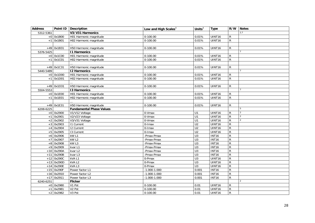<span id="page-27-5"></span><span id="page-27-4"></span><span id="page-27-3"></span><span id="page-27-2"></span><span id="page-27-1"></span><span id="page-27-0"></span>

| <b>Address</b> |              | Point ID   Description          | Low and High Scales <sup>3</sup> | Units $3$        | <b>Type</b>  |              | R/W Notes      |
|----------------|--------------|---------------------------------|----------------------------------|------------------|--------------|--------------|----------------|
| 5312-5361      |              | V3/V31 Harmonics                |                                  |                  |              |              | 2,7            |
|                | $+0$ 0x1B00  | H01 Harmonic magnitude          | $0-100.00$                       | 0.01%            | UINT16       | R            |                |
| $+1$           | 0x1B01       | H02 Harmonic magnitude          | $0-100.00$                       | 0.01%            | UINT16       | R            |                |
|                |              |                                 |                                  |                  |              |              |                |
|                | $+49$ 0x1B31 | H50 Harmonic magnitude          | $0-100.00$                       | 0.01%            | UINT16       | R            |                |
| 5376-5425      |              | <b>11 Harmonics</b>             |                                  |                  |              |              |                |
|                | $+0$ 0x1C00  | H01 Harmonic magnitude          | $0-100.00$                       | 0.01%            | UINT16       | R            |                |
|                | $+1$ 0x1C01  | H02 Harmonic magnitude          | $0-100.00$                       | 0.01%            | UINT16       | R            |                |
|                |              |                                 |                                  |                  |              |              |                |
|                | +49 0x1C31   | H50 Harmonic magnitude          | $0-100.00$                       | 0.01%            | UINT16       | R            |                |
| 5440-5489      |              | <b>12 Harmonics</b>             |                                  |                  |              |              |                |
|                | $+0$ 0x1D00  | H01 Harmonic magnitude          | $0-100.00$                       | 0.01%            | UINT16       | R            |                |
|                | $+1$ 0x1D01  | H02 Harmonic magnitude          | $0-100.00$                       | 0.01%            | UINT16       | R            |                |
|                |              |                                 |                                  |                  |              |              |                |
|                | $+49$ 0x1D31 | H50 Harmonic magnitude          | $0 - 100.00$                     | 0.01%            | UINT16       | R            |                |
| 5504-5553      |              | <b>13 Harmonics</b>             |                                  |                  |              |              |                |
|                | $+0$ 0x1E00  | H01 Harmonic magnitude          | $0-100.00$                       | 0.01%            | UINT16       | R            |                |
|                | $+1$ 0x1E01  | H02 Harmonic magnitude          | $0 - 100.00$                     | 0.01%            | UINT16       | R            |                |
|                |              |                                 |                                  |                  |              |              |                |
|                | $+49$ 0x1E31 | H50 Harmonic magnitude          | $0-100.00$                       | 0.01%            | UINT16       | R            |                |
| 6208-6225      |              | <b>Fundamental Phase Values</b> |                                  |                  |              |              | 5              |
|                | $+0$ 0x2900  | V1/V12 Voltage                  | 0-Vmax                           | U1               | UINT16       | R            | $\overline{2}$ |
|                | $+1$ 0x2901  | V2/V23 Voltage                  | 0-Vmax                           | U1               | UINT16       | ${\sf R}$    | $\overline{2}$ |
|                | $+2$ 0x2902  | V3/V31 Voltage                  | 0-Vmax                           | U1               | UINT16       | R            | $\overline{2}$ |
|                | $+3$ 0x2903  | <b>11 Current</b>               | 0-Imax                           | U <sub>2</sub>   | UINT16       | ${\sf R}$    |                |
| $+4$           | 0x2904       | <b>12 Current</b>               | $0$ -Imax                        | U <sub>2</sub>   | UINT16       | ${\sf R}$    |                |
| $+5$           | 0x2905       | 13 Current                      | 0-Imax                           | U <sub>2</sub>   | UINT16       | R            |                |
| $+6$           | 0x2906       | kW L1                           | -Pmax-Pmax                       | U3               | <b>INT16</b> | R            |                |
|                | $+7$ 0x2907  | kW L2                           | -Pmax-Pmax                       | U3               | <b>INT16</b> | R            |                |
| $+8$           | 0x2908       | kW L3                           | -Pmax-Pmax                       | $\overline{U}$   | <b>INT16</b> | R            |                |
|                | $+9$ 0x2909  | kvar L1                         | -Pmax-Pmax                       | $\overline{U}$   | <b>INT16</b> | R            |                |
|                | $+10$ 0x290A | kvar L2                         | -Pmax-Pmax                       | U3               | <b>INT16</b> | ${\sf R}$    |                |
| $+11$          | 0x290B       | kvar L3                         | -Pmax-Pmax                       | U3               | <b>INT16</b> | R            |                |
|                | $+12$ 0x290C | kVA L1                          | 0-Pmax                           | $\overline{U}$ 3 | UINT16       | R            |                |
|                | $+13$ 0x290D | kVA L2                          | 0-Pmax                           | $\overline{U}$   | UINT16       | ${\sf R}$    |                |
|                | $+14$ 0x290E | kVAL3                           | 0-Pmax                           | $\overline{U}$   | UINT16       | ${\sf R}$    |                |
|                | $+15$ 0x290F | Power factor L1                 | $-1.000 - 1.000$                 | 0.001            | <b>INT16</b> | R            |                |
|                | $+16$ 0x2910 | Power factor L2                 | $-1.000 - 1.000$                 | 0.001            | <b>INT16</b> | ${\sf R}$    |                |
|                | $+17$ 0x2911 | Power factor L3                 | $-1.000 - 1.000$                 | 0.001            | <b>INT16</b> | R            |                |
| 6240-6251      |              | <b>Flicker</b>                  |                                  |                  |              |              | $\overline{2}$ |
|                | $+0$ 0x2980  | V1 Pst                          | $0 - 100.00$                     | 0.01             | UINT16       | R            |                |
| $+1$           | 0x2981       | V <sub>2</sub> Pst              | $0-100.00$                       | 0.01             | UINT16       | $\mathsf{R}$ |                |
|                | $+2$ 0x2982  | V3 Pst                          | $0 - 100.00$                     | 0.01             | UINT16       | ${\sf R}$    |                |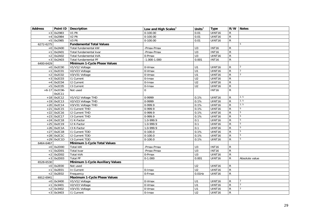<span id="page-28-4"></span><span id="page-28-3"></span><span id="page-28-2"></span><span id="page-28-1"></span><span id="page-28-0"></span>

| <b>Address</b> |                 | Point ID   Description           | Low and High Scales $3$ | Units $3$        | Type               |                | R/W Notes      |
|----------------|-----------------|----------------------------------|-------------------------|------------------|--------------------|----------------|----------------|
|                | $+3$ 0x2983     | V1 Plt                           | $0-100.00$              | 0.01             | UINT16             | $\mathsf{R}$   |                |
|                | $+4$ 0x2984     | V <sub>2</sub> Plt               | $0-100.00$              | 0.01             | <b>UINT16</b>      | $\overline{R}$ |                |
|                | $+5$ 0x2985     | V <sub>3</sub> Plt               | $0-100.00$              | 0.01             | UINT16             | $\overline{R}$ |                |
| 6272-6275      |                 | <b>Fundamental Total Values</b>  |                         |                  |                    |                | $5^{\circ}$    |
|                | $+0$ 0x2A00     | Total fundamental kW             | -Pmax-Pmax              | $\overline{U}$ 3 | <b>INT16</b>       | $\mathsf{R}$   |                |
|                | $+1$ 0x2A01     | Total fundamental kvar           | -Pmax-Pmax              | $\overline{U}$   | <b>INT16</b>       | $\mathsf{R}$   |                |
|                | $+2$ 0x2A02     | Total fundamental kVA            | 0-Pmax                  | U3               | UINT16             | $\overline{R}$ |                |
|                | $+3$ 0x2A03     | Total fundamental PF             | $-1.000 - 1.000$        | 0.001            | <b>INT16</b>       | $\mathsf{R}$   |                |
| 6400-6429      |                 | Minimum 1-Cycle Phase Values     |                         |                  |                    |                |                |
|                | $+0$ 0x2C00     | V1/V12 Voltage                   | 0-Vmax                  | U1               | UINT16             | R              |                |
|                | $+1$ 0x2C01     | V2/V23 Voltage                   | 0-Vmax                  | U1               | UINT16             | $\mathsf{R}$   | $\overline{2}$ |
| $+2$           | 0x2C02          | V3/V31 Voltage                   | 0-Vmax                  | U1               | UINT16             | $\mathsf{R}$   | 2              |
|                | $+3$ 0x2C03     | <b>11 Current</b>                | 0-Imax                  | $\overline{U2}$  | UINT16             | $\mathsf{R}$   |                |
| $+4$           | 0x2C04          | <b>12 Current</b>                | $0$ -Imax               | $\overline{U2}$  | UINT16             | ${\sf R}$      |                |
|                | $+5$ 0x2C05     | $\overline{13}$ Current          | 0-Imax                  | U <sub>2</sub>   | UINT16             | $\overline{R}$ |                |
|                | $+6-17$ 0x2C06- | Not used                         | $\Omega$                |                  | <b>INT16</b>       | $\overline{R}$ |                |
|                | 0x2C11          |                                  |                         |                  |                    |                |                |
|                | $+18$ 0x2C12    | V1/V12 Voltage THD               | 0-9999                  | 0.1%             | UINT16             | $\mathsf{R}$   | 2, 5           |
|                | $+19$ 0x2C13    | V2/V23 Voltage THD               | 0-9999                  | 0.1%             | UINT16             | $\mathsf{R}$   | 2, 5           |
|                | $+20$ 0x2C14    | V3/V31 Voltage THD               | $0-999.9$               | 0.1%             | UINT16             | ${\sf R}$      | 2, 5           |
|                | $+21$ 0x2C15    | <b>11 Current THD</b>            | $0-999.9$               | 0.1%             | UINT16             | ${\sf R}$      | 5              |
|                | $+22$ 0x2C16    | <b>I2 Current THD</b>            | $0-999.9$               | 0.1%             | UINT <sub>16</sub> | $\overline{R}$ | $\overline{5}$ |
|                | $+23$ 0x2C17    | 13 Current THD                   | $0-999.9$               | 0.1%             | UINT16             | $\overline{R}$ | 5              |
|                | $+24$ 0x2C18    | I1 K-Factor                      | 1.0-999.9               | 0.1              | UINT16             | $\mathsf{R}$   | $\overline{5}$ |
|                | $+25$ 0x2C19    | I2 K-Factor                      | 1.0-999.9               | 0.1              | UINT16             | $\overline{R}$ | 5              |
|                | $+26$ 0x2C1A    | 13 K-Factor                      | $1.0 - 999.9$           | 0.1              | UINT16             | $\overline{R}$ | 5              |
|                | $+27$ 0x2C1B    | <b>11 Current TDD</b>            | $0 - 100.0$             | 0.1%             | UINT16             | $\overline{R}$ | $\overline{5}$ |
|                | $+28$ 0x2C1C    | <b>12 Current TDD</b>            | $0-100.0$               | 0.1%             | UINT16             | $\overline{R}$ | 5              |
|                | $+29$ 0x2C1D    | <b>I3 Current TDD</b>            | $0-100.0$               | 0.1%             | UINT16             | $\mathsf{R}$   | 5              |
| 6464-6467      |                 | Minimum 1-Cycle Total Values     |                         |                  |                    |                |                |
|                | $+0$ 0x2D00     | Total kW                         | -Pmax-Pmax              | $\overline{U}$ 3 | <b>INT16</b>       | R              |                |
|                | $+1$ 0x2D01     | Total kvar                       | -Pmax-Pmax              | $\overline{U}$ 3 | <b>INT16</b>       | $\mathsf{R}$   |                |
|                | $+2$ 0x2D02     | <b>Total kVA</b>                 | 0-Pmax                  | $\overline{U}3$  | UINT16             | $\overline{R}$ |                |
|                | $+3$ 0x2D03     | <b>Total PF</b>                  | $0-1.000$               | 0.001            | UINT16             | $\mathsf{R}$   | Absolute value |
| 6528-6530      |                 | Minimum 1-Cycle Auxiliary Values |                         |                  |                    |                |                |
|                | $+0$ 0x2E00     | Not used                         |                         | U <sub>2</sub>   | UINT16             | R              |                |
|                | $+1$ 0x2E01     | In Current                       | 0-Imax                  | U <sub>2</sub>   | UINT16             | $\overline{R}$ |                |
|                | $+2$ 0x2E02     | Frequency                        | 0-Fmax                  | $0.01$ Hz        | UINT16             | $\mathsf{R}$   |                |
| 6912-6941      |                 | Maximum 1-Cycle Phase Values     |                         |                  |                    |                |                |
|                | $+0$ 0x3400     | V1/V12 Voltage                   | 0-Vmax                  | U1               | UINT16             | ${\sf R}$      | $\overline{2}$ |
|                | $+1$ 0x3401     | V2/V23 Voltage                   | 0-Vmax                  | U1               | UINT16             | ${\sf R}$      | $\overline{2}$ |
| $+2$           | 0x3402          | V3/V31 Voltage                   | 0-Vmax                  | U1               | UINT16             | $\mathsf{R}$   | $\overline{2}$ |
|                | $+3$ 0x3403     | <b>11 Current</b>                | 0-Imax                  | U <sub>2</sub>   | UINT16             | $\mathsf{R}$   |                |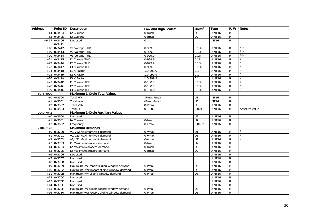<span id="page-29-2"></span><span id="page-29-1"></span><span id="page-29-0"></span>

| <b>Address</b> |                 | Point ID   Description                    | Low and High Scales $3$ | Units $3$        | <b>Type</b>  |                | R/W Notes       |
|----------------|-----------------|-------------------------------------------|-------------------------|------------------|--------------|----------------|-----------------|
| $+4$           | 0x3404          | <b>12 Current</b>                         | 0-Imax                  | $\overline{U2}$  | UINT16       | R              |                 |
|                | $+5$ 0x3405     | 13 Current                                | 0-Imax                  | U <sub>2</sub>   | UINT16       | R              |                 |
|                | $+6-17$ 0x3406- | Not used                                  | $\Omega$                |                  | <b>INT16</b> | $\mathsf{R}$   |                 |
|                | 0x3411          |                                           |                         |                  |              |                |                 |
| $+18$          | 0x3412          | V1 Voltage THD                            | 0-999.9                 | 0.1%             | UINT16       | R              | 2, 5            |
|                | $+19$ 0x3413    | V2 Voltage THD                            | 0-999.9                 | 0.1%             | UINT16       | R              | 2, 5            |
|                | $+20$ 0x3414    | V3 Voltage THD                            | $0-999.9$               | 0.1%             | UINT16       | R              | 2, 5            |
| $+21$          | 0x3415          | <b>11 Current THD</b>                     | 0-999.9                 | 0.1%             | UINT16       | $\mathsf{R}$   | $5\phantom{.0}$ |
|                | $+22$ 0x3416    | <b>12 Current THD</b>                     | 0-999.9                 | 0.1%             | UINT16       | $\mathsf{R}$   | 5               |
| $+23$          | 0x3417          | 13 Current THD                            | 0-999.9                 | 0.1%             | UINT16       | R              | 5               |
| $+24$          | 0x3418          | I1 K-Factor                               | $1.0 - 999.9$           | 0.1              | UINT16       | R              | 5               |
|                | $+25$ 0x3419    | I2 K-Factor                               | 1.0-999.9               | 0.1              | UINT16       | ${\sf R}$      | 5               |
| $+26$          | 0x341A          | 13 K-Factor                               | 1.0-999.9               | 0.1              | UINT16       | $\mathsf{R}$   | 5               |
| $+27$          | 0x341B          | 11 Current TDD                            | $0-100.0$               | 0.1%             | UINT16       | R              | 5               |
|                | $+28$ 0x341C    | 12 Current TDD                            | $0 - 100.0$             | 0.1%             | UINT16       | ${\sf R}$      | 5               |
|                | $+29$ 0x341D    | 13 Current TDD                            | $0 - 100.0$             | 0.1%             | UINT16       | R              | 5               |
| 6976-6979      |                 | <b>Maximum 1-Cycle Total Values</b>       |                         |                  |              |                |                 |
|                | $+0$ 0x3500     | Total kW                                  | -Pmax-Pmax              | U <sub>3</sub>   | <b>INT16</b> | R              |                 |
| $+1$           | 0x3501          | Total kvar                                | -Pmax-Pmax              | $\overline{U}$ 3 | <b>INT16</b> | $\mathsf{R}$   |                 |
| $+2$           | 0x3502          | Total kVA                                 | 0-Pmax                  | U3               | UINT16       | ${\sf R}$      |                 |
| $+3$           | 0x3503          | <b>Total PF</b>                           | $0-1.000$               | 0.001            | UINT16       | $\mathsf{R}$   | Absolute value  |
| 7040-7042      |                 | <b>Maximum 1-Cycle Auxiliary Values</b>   |                         |                  |              |                |                 |
|                | $+0$ 0x3600     | Not used                                  |                         | U <sub>2</sub>   | UINT16       | R              |                 |
|                | $+1$ 0x3601     | In Current                                | 0-Imax                  | U <sub>2</sub>   | UINT16       | $\mathsf{R}$   |                 |
|                | $+2$ 0x3602     | Frequency                                 | 0-Fmax                  | $0.01$ Hz        | UINT16       | ${\sf R}$      |                 |
| 7104-7120      |                 | <b>Maximum Demands</b>                    |                         |                  |              |                |                 |
|                | $+0$ 0x3700     | V1/V12 Maximum volt demand                | 0-Vmax                  | U1               | UINT16       | R              | $\overline{2}$  |
| $+1$           | 0x3701          | V2/V23 Maximum volt demand                | 0-Vmax                  | U1               | UINT16       | R              | $\overline{2}$  |
| $+2$           | 0x3702          | V3/V31 Maximum volt demand                | 0-Vmax                  | U1               | UINT16       | R              | $\overline{2}$  |
| $+3$           | 0x3703          | 11 Maximum ampere demand                  | 0-Imax                  | $\overline{U2}$  | UINT16       | R              |                 |
| $+4$           | 0x3704          | 12 Maximum ampere demand                  | 0-Imax                  | $\overline{U2}$  | UINT16       | R              |                 |
|                | $+5$ 0x3705     | 13 Maximum ampere demand                  | $0$ -Imax               | U <sub>2</sub>   | UINT16       | ${\sf R}$      |                 |
|                | $+6$ 0x3706     | Not used                                  |                         |                  | UINT16       | $\overline{R}$ |                 |
| $+7$           | 0x3707          | Not used                                  |                         |                  | UINT16       | R              |                 |
|                | +8 0x3708       | Not used                                  |                         |                  | UINT16       | R              |                 |
| $+9$           | 0x3709          | Maximum kW import sliding window demand   | 0-Pmax                  | U <sub>3</sub>   | UINT16       | R              |                 |
|                | $+10$ 0x370A    | Maximum kvar import sliding window demand | $0$ -Pmax               | U <sub>3</sub>   | UINT16       | R              |                 |
| $+11$          | 0x370B          | Maximum kVA sliding window demand         | 0-Pmax                  | U <sub>3</sub>   | UINT16       | R              |                 |
|                | $+12$ 0x370C    | Not used                                  |                         |                  | UINT16       | R              |                 |
|                | $+13$ 0x370D    | Not used                                  |                         |                  | UINT16       | R              |                 |
|                | $+14$ 0x370E    | Not used                                  |                         |                  | UINT16       | ${\sf R}$      |                 |
|                | $+15$ 0x370F    | Maximum kW export sliding window demand   | 0-Pmax                  | U <sub>3</sub>   | UINT16       | R              |                 |
|                | $+16$ 0x3710    | Maximum kvar export sliding window demand | 0-Pmax                  | U <sub>3</sub>   | UINT16       | R              |                 |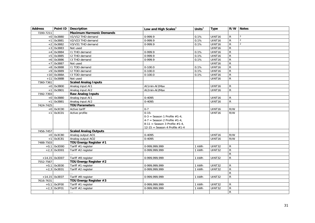<span id="page-30-7"></span><span id="page-30-6"></span><span id="page-30-5"></span><span id="page-30-4"></span><span id="page-30-3"></span><span id="page-30-2"></span><span id="page-30-1"></span><span id="page-30-0"></span>

| <b>Address</b> |                 | Point ID Description            | Low and High Scales $^3$         | Units $3$ | <b>Type</b>        | R/W            | <b>Notes</b>   |
|----------------|-----------------|---------------------------------|----------------------------------|-----------|--------------------|----------------|----------------|
| 7200-7211      |                 | <b>Maximum Harmonic Demands</b> |                                  |           |                    |                |                |
|                | $+0$ 0x3880     | V1/V12 THD demand               | $0-999.9$                        | 0.1%      | UINT16             | $\mathsf{R}$   | $\overline{2}$ |
|                | $+1$ 0x3881     | V2/V23 THD demand               | $0-999.9$                        | 0.1%      | UINT16             | $\mathsf{R}$   | $\overline{2}$ |
| $+2$           | 0x3882          | V3/V31 THD demand               | $0-999.9$                        | 0.1%      | UINT16             | $\overline{R}$ | $\overline{2}$ |
| $+3$           | 0x3883          | Not used                        |                                  |           | UINT <sub>16</sub> | $\overline{R}$ |                |
| $+4$           | 0x3884          | I1 THD demand                   | 0-999.9                          | 0.1%      | UINT16             | $\overline{R}$ |                |
| $+5$           | 0x3885          | I2 THD demand                   | $0-999.9$                        | 0.1%      | UINT16             | $\overline{R}$ |                |
| $+6$           | 0x3886          | 13 THD demand                   | 0-999.9                          | 0.1%      | UINT16             | $\overline{R}$ |                |
| $+7$           | 0x3887          | Not used                        |                                  |           | UINT16             | $\overline{R}$ |                |
|                | +8 0x3888       | I1 TDD demand                   | $0-100.0$                        | 0.1%      | UINT16             | $\overline{R}$ |                |
| $+9$           | 0x3889          | I2 TDD demand                   | $0-100.0$                        | 0.1%      | UINT16             | $\overline{R}$ |                |
|                | $+10$ 0x388A    | 13 TDD demand                   | $0-100.0$                        | 0.1%      | UINT16             | $\overline{R}$ |                |
|                | $+11$ 0x388B    | Not used                        |                                  |           | UINT16             | $\mathsf{R}$   |                |
| 7360-7361      |                 | <b>Scaled Analog Inputs</b>     |                                  |           |                    |                |                |
|                | $+0$ 0x3B00     | Analog input AI1                | Al1min-Al1Max                    |           | UINT16             | R              |                |
|                | $+1$ 0x3B01     | Analog input AI2                | AI2min-AI2Max                    |           | UINT16             | $\mathsf{R}$   |                |
| 7392-7393      |                 | <b>Raw Analog Inputs</b>        |                                  |           |                    |                |                |
|                | $+0$ 0x3B80     | Analog input AI1                | 0-4095                           |           | UINT16             | R              |                |
|                | $+1$ 0x3B81     | Analog input AI2                | 0-4095                           |           | UINT16             | $\mathsf{R}$   |                |
| 7424-7425      |                 | <b>TOU Parameters</b>           |                                  |           |                    |                |                |
|                | $+0$ 0x3C00     | Active tariff                   | $0 - 7$                          |           | UINT16             | R/W            |                |
|                | $+1$ 0x3C01     | Active profile                  | $0-15:$                          |           | UINT16             | R/W            |                |
|                |                 |                                 | $0-3 =$ Season 1 Profile #1-4,   |           |                    |                |                |
|                |                 |                                 | $4-7$ = Season 2 Profile #1-4,   |           |                    |                |                |
|                |                 |                                 | 8-11 = Season 3 Profile $#1-4$ , |           |                    |                |                |
|                |                 |                                 | 12-15 = Season 4 Profile $#1-4$  |           |                    |                |                |
| 7456-7457      |                 | <b>Scaled Analog Outputs</b>    |                                  |           |                    |                |                |
|                | $+0$ 0x3C80     | Analog output AO1               | $0 - 4095$                       |           | UINT16             | R/W            |                |
|                | $+1$ 0x3C81     | Analog output AO2               | 0-4095                           |           | UINT16             | R/W            |                |
| 7488-7503      |                 | TOU Energy Register #1          |                                  |           |                    |                |                |
| $+0,1$         | 0x3D00          | Tariff #1 register              | 0-999,999,999                    | 1 kWh     | UINT32             | $\mathsf{R}$   |                |
|                | $+2,3$ 0x3D01   | Tariff #2 register              | 0-999,999,999                    | 1 kWh     | UINT32             | $\overline{R}$ |                |
|                |                 |                                 |                                  |           |                    | $\overline{R}$ |                |
|                | $+14,15$ 0x3D07 | Tariff #8 register              | 0-999.999.999                    | 1 kWh     | UINT32             | $\overline{R}$ |                |
| 7552-7567      |                 | TOU Energy Register #2          |                                  |           |                    |                |                |
|                | $+0,1$ 0x3E00   | Tariff #1 register              | 0-999,999,999                    | 1 kWh     | UINT32             | R              |                |
|                | $+2,3$ 0x3E01   | Tariff #2 register              | 0-999,999,999                    | 1 kWh     | UINT32             | $\overline{R}$ |                |
|                |                 |                                 |                                  |           |                    | R              |                |
|                | $+14,15$ 0x3E07 | Tariff #8 register              | 0-999,999,999                    | 1 kWh     | UINT32             | R              |                |
| 7616-7631      |                 | TOU Energy Register #3          |                                  |           |                    |                |                |
|                | $+0,1$ 0x3F00   | Tariff #1 register              | 0-999,999,999                    | 1 kWh     | UINT32             | R              |                |
|                | $+2,3$ 0x3F01   | Tariff #2 register              | 0-999,999,999                    | 1 kWh     | UINT32             | $\mathsf R$    |                |
|                |                 |                                 |                                  |           |                    | R              |                |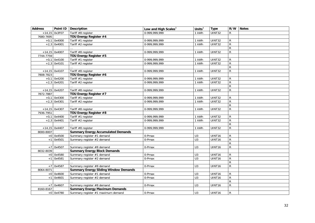<span id="page-31-8"></span><span id="page-31-7"></span><span id="page-31-6"></span><span id="page-31-5"></span><span id="page-31-4"></span><span id="page-31-3"></span><span id="page-31-2"></span><span id="page-31-1"></span><span id="page-31-0"></span>

| <b>Address</b> |                 | Point ID Description                         | Low and High Scales <sup>3</sup> | Units $3$        | <b>Type</b> |                | R/W Notes |
|----------------|-----------------|----------------------------------------------|----------------------------------|------------------|-------------|----------------|-----------|
|                | $+14,15$ 0x3F07 | Tariff #8 register                           | 0-999,999,999                    | 1 kWh            | UINT32      | R              |           |
| 7680-7695      |                 | TOU Energy Register #4                       |                                  |                  |             |                |           |
|                | $+0,1$ 0x4000   | Tariff #1 register                           | 0-999, 999, 999                  | 1 kWh            | UINT32      | $\mathsf{R}$   |           |
|                | $+2,3$ 0x4001   | Tariff #2 register                           | 0-999, 999, 999                  | 1 kWh            | UINT32      | $\overline{R}$ |           |
|                |                 |                                              |                                  |                  |             | $\overline{R}$ |           |
|                | $+14,15$ 0x4007 | Tariff #8 register                           | 0-999,999,999                    | 1 kWh            | UINT32      | $\overline{R}$ |           |
| 7744-7759      |                 | TOU Energy Register #5                       |                                  |                  |             |                |           |
|                | $+0,1$ 0x4100   | Tariff #1 register                           | 0-999, 999, 999                  | 1 kWh            | UINT32      | $\mathsf{R}$   |           |
|                | $+2,3$ 0x4101   | Tariff #2 register                           | 0-999,999,999                    | 1 kWh            | UINT32      | $\overline{R}$ |           |
|                |                 |                                              |                                  |                  |             | $\overline{R}$ |           |
|                | $+14,15$ 0x4107 | Tariff #8 register                           | 0-999,999,999                    | 1 kWh            | UINT32      | $\overline{R}$ |           |
| 7808-7823      |                 | TOU Energy Register #6                       |                                  |                  |             |                |           |
|                | $+0,1$ 0x4200   | Tariff #1 register                           | 0-999,999,999                    | 1 kWh            | UINT32      | R              |           |
|                | $+2,3$ 0x4201   | Tariff #2 register                           | 0-999, 999, 999                  | 1 kWh            | UINT32      | $\overline{R}$ |           |
|                |                 |                                              |                                  |                  |             | $\overline{R}$ |           |
|                | $+14,15$ 0x4207 | Tariff #8 register                           | 0-999,999,999                    | 1 kWh            | UINT32      | $\mathsf{R}$   |           |
| 7872-7887      |                 | TOU Energy Register #7                       |                                  |                  |             |                |           |
|                | $+0,1$ 0x4300   | Tariff #1 register                           | 0-999,999,999                    | 1 kWh            | UINT32      | $\mathsf{R}$   |           |
|                | $+2,3$ 0x4301   | Tariff #2 register                           | 0-999, 999, 999                  | 1 kWh            | UINT32      | $\overline{R}$ |           |
|                |                 |                                              |                                  |                  |             | $\overline{R}$ |           |
|                | $+14,15$ 0x4307 | Tariff #8 register                           | 0-999,999,999                    | 1 kWh            | UINT32      | ${\sf R}$      |           |
| 7936-7951      |                 | TOU Energy Register #8                       |                                  |                  |             |                |           |
|                | $+0,1$ 0x4400   | Tariff #1 register                           | 0-999,999,999                    | 1 kWh            | UINT32      | R              |           |
|                | $+2,3$ 0x4401   | Tariff #2 register                           | 0-999,999,999                    | 1 kWh            | UINT32      | $\overline{R}$ |           |
|                |                 |                                              |                                  |                  |             | $\overline{R}$ |           |
|                | $+14,15$ 0x4407 | Tariff #8 register                           | 0-999,999,999                    | 1 kWh            | UINT32      | $\mathsf{R}$   |           |
| 8000-8007      |                 | <b>Summary Energy Accumulated Demands</b>    |                                  |                  |             |                |           |
|                | $+0$ 0x4500     | Summary register #1 demand                   | 0-Pmax                           | U <sub>3</sub>   | UINT16      | ${\sf R}$      |           |
|                | $+1$ 0x4501     | Summary register #2 demand                   | 0-Pmax                           | $\overline{U}$ 3 | UINT16      | $\overline{R}$ |           |
|                |                 |                                              |                                  |                  |             | $\mathsf{R}$   |           |
|                | $+7$ 0x4507     | Summary register #8 demand                   | 0-Pmax                           | U3               | UINT16      | ${\sf R}$      |           |
| 8032-8039      |                 | <b>Summary Energy Block Demands</b>          |                                  |                  |             |                |           |
|                | $+0$ 0x4580     | Summary register #1 demand                   | 0-Pmax                           | U <sub>3</sub>   | UINT16      | $\mathsf{R}$   |           |
|                | $+1$ 0x4581     | Summary register #2 demand                   | 0-Pmax                           | $\overline{U}$ 3 | UINT16      | $\overline{R}$ |           |
|                |                 |                                              |                                  |                  |             | ${\sf R}$      |           |
|                | $+7$ 0x4587     | Summary register #8 demand                   | $0$ -Pmax                        | U3               | UINT16      | $\overline{R}$ |           |
| 8064-8071      |                 | <b>Summary Energy Sliding Window Demands</b> |                                  |                  |             |                |           |
|                | $+0$ 0x4600     | Summary register #1 demand                   | 0-Pmax                           | U3               | UINT16      | $\mathsf{R}$   |           |
|                | $+1$ 0x4601     | Summary register #2 demand                   | 0-Pmax                           | U <sub>3</sub>   | UINT16      | ${\sf R}$      |           |
|                |                 |                                              |                                  |                  |             | $\overline{R}$ |           |
|                | $+7$ 0x4607     | Summary register #8 demand                   | 0-Pmax                           | U3               | UINT16      | $\overline{R}$ |           |
| 8160-8167      |                 | <b>Summary Energy Maximum Demands</b>        |                                  |                  |             |                |           |
|                | $+0$ 0x4780     | Summary register #1 maximum demand           | 0-Pmax                           | U <sub>3</sub>   | UINT16      | $\mathsf{R}$   |           |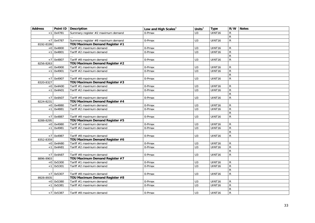<span id="page-32-7"></span><span id="page-32-6"></span><span id="page-32-5"></span><span id="page-32-4"></span><span id="page-32-3"></span><span id="page-32-2"></span><span id="page-32-1"></span><span id="page-32-0"></span>

| <b>Address</b> |             | Point ID   Description             | Low and High Scales $3$ | Units $3$        | <b>Type</b> |                | R/W Notes |
|----------------|-------------|------------------------------------|-------------------------|------------------|-------------|----------------|-----------|
| $+1$           | 0x4781      | Summary register #2 maximum demand | 0-Pmax                  | U3               | UINT16      | $\mathsf{R}$   |           |
|                |             |                                    |                         |                  |             | $\mathsf{R}$   |           |
|                | $+7$ 0x4787 | Summary register #8 maximum demand | 0-Pmax                  | U <sub>3</sub>   | UINT16      | $\mathsf{R}$   |           |
| 8192-8199      |             | TOU Maximum Demand Register #1     |                         |                  |             |                |           |
|                | $+0$ 0x4800 | Tariff #1 maximum demand           | 0-Pmax                  | $\overline{U}$ 3 | UINT16      | $\mathsf{R}$   |           |
|                | $+1$ 0x4801 | Tariff #2 maximum demand           | 0-Pmax                  | $\overline{U}$ 3 | UINT16      | $\overline{R}$ |           |
|                |             |                                    |                         |                  |             | $\overline{R}$ |           |
| $+7$           | 0x4807      | Tariff #8 maximum demand           | 0-Pmax                  | U <sub>3</sub>   | UINT16      | ${\sf R}$      |           |
| 8256-8263      |             | TOU Maximum Demand Register #2     |                         |                  |             |                |           |
|                | $+0$ 0x4900 | Tariff #1 maximum demand           | 0-Pmax                  | U <sub>3</sub>   | UINT16      | R              |           |
|                | $+1$ 0x4901 | Tariff #2 maximum demand           | 0-Pmax                  | U3               | UINT16      | $\overline{R}$ |           |
|                |             |                                    |                         |                  |             | $\overline{R}$ |           |
|                | $+7$ 0x4907 | Tariff #8 maximum demand           | 0-Pmax                  | U3               | UINT16      | $\mathsf{R}$   |           |
| 8320-8327      |             | TOU Maximum Demand Register #3     |                         |                  |             |                |           |
|                | $+0$ 0x4A00 | Tariff #1 maximum demand           | 0-Pmax                  | U3               | UINT16      | ${\sf R}$      |           |
|                | $+1$ 0x4A01 | Tariff #2 maximum demand           | 0-Pmax                  | U3               | UINT16      | ${\sf R}$      |           |
|                |             |                                    |                         |                  |             | $\overline{R}$ |           |
|                | $+7$ 0x4A07 | Tariff #8 maximum demand           | 0-Pmax                  | U3               | UINT16      | ${\sf R}$      |           |
| 8224-8231      |             | TOU Maximum Demand Register #4     |                         |                  |             |                |           |
|                | $+0$ 0x4880 | Tariff #1 maximum demand           | 0-Pmax                  | U3               | UINT16      | $\mathsf{R}$   |           |
|                | $+1$ 0x4881 | Tariff #2 maximum demand           | 0-Pmax                  | $\overline{U}$ 3 | UINT16      | $\overline{R}$ |           |
|                |             |                                    |                         |                  |             | $\mathsf{R}$   |           |
|                | $+7$ 0x4887 | Tariff #8 maximum demand           | 0-Pmax                  | U <sub>3</sub>   | UINT16      | $\mathsf{R}$   |           |
| 8288-8295      |             | TOU Maximum Demand Register #5     |                         |                  |             |                |           |
|                | $+0$ 0x4980 | Tariff #1 maximum demand           | 0-Pmax                  | $\overline{U}$ 3 | UINT16      | $\mathsf{R}$   |           |
|                | $+1$ 0x4981 | Tariff #2 maximum demand           | $0$ -Pmax               | $\overline{U}$ 3 | UINT16      | $\overline{R}$ |           |
|                |             |                                    |                         |                  |             | $\overline{R}$ |           |
|                | $+7$ 0x4987 | Tariff #8 maximum demand           | 0-Pmax                  | $\overline{U}$ 3 | UINT16      | ${\sf R}$      |           |
| 8352-8359      |             | TOU Maximum Demand Register #6     |                         |                  |             |                |           |
|                | $+0$ 0x4A80 | Tariff #1 maximum demand           | 0-Pmax                  | U3               | UINT16      | $\mathsf{R}$   |           |
|                | $+1$ 0x4A81 | Tariff #2 maximum demand           | 0-Pmax                  | $\overline{U}$ 3 | UINT16      | $\overline{R}$ |           |
|                |             |                                    |                         |                  |             | $\overline{R}$ |           |
|                | $+7$ 0x4A87 | Tariff #8 maximum demand           | 0-Pmax                  | U3               | UINT16      | $\mathsf{R}$   |           |
| 8896-8903      |             | TOU Maximum Demand Register #7     |                         |                  |             |                |           |
|                | $+0$ 0x5300 | Tariff #1 maximum demand           | 0-Pmax                  | U <sub>3</sub>   | UINT16      | $\mathsf{R}$   |           |
| $+1$           | 0x5301      | Tariff #2 maximum demand           | 0-Pmax                  | $\overline{U}$   | UINT16      | ${\sf R}$      |           |
|                |             |                                    |                         |                  |             | $\overline{R}$ |           |
|                | $+7$ 0x5307 | Tariff #8 maximum demand           | 0-Pmax                  | U <sub>3</sub>   | UINT16      | $\overline{R}$ |           |
| 8928-8935      |             | TOU Maximum Demand Register #8     |                         |                  |             |                |           |
|                | $+0$ 0x5380 | Tariff #1 maximum demand           | 0-Pmax                  | U3               | UINT16      | $\mathsf{R}$   |           |
|                | $+1$ 0x5381 | Tariff #2 maximum demand           | 0-Pmax                  | U <sub>3</sub>   | UINT16      | ${\sf R}$      |           |
|                |             |                                    |                         |                  |             | $\overline{R}$ |           |
|                | $+7$ 0x5387 | Tariff #8 maximum demand           | 0-Pmax                  | U <sub>3</sub>   | UINT16      | $\mathsf{R}$   |           |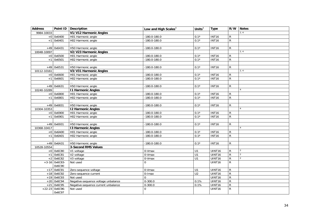<span id="page-33-6"></span><span id="page-33-5"></span><span id="page-33-4"></span><span id="page-33-3"></span><span id="page-33-2"></span><span id="page-33-1"></span><span id="page-33-0"></span>

| <b>Address</b> |                 | Point ID   Description              | Low and High Scales $^3$ | Units $3$      | <b>Type</b>  | R/W            | <b>Notes</b> |
|----------------|-----------------|-------------------------------------|--------------------------|----------------|--------------|----------------|--------------|
| 9984-10033     |                 | V1/V12 Harmonic Angles              |                          |                |              |                | 2, 4         |
|                | $+0$ 0x6400     | H01 Harmonic angle                  | $-180.0 - 180.0$         | $0.1^\circ$    | <b>INT16</b> | $\mathsf{R}$   |              |
|                | $+1$ 0x6401     | H02 Harmonic angle                  | $-180.0 - 180.0$         | $0.1^\circ$    | <b>INT16</b> | $\mathsf{R}$   |              |
|                |                 |                                     |                          |                |              |                |              |
|                | $+49$ 0x6431    | H50 Harmonic angle                  | $-180.0 - 180.0$         | $0.1^\circ$    | <b>INT16</b> | R              |              |
| 10048-10097    |                 | V2/V23 Harmonic Angles              |                          |                |              |                | 2, 4         |
|                | $+0$ 0x6500     | H01 Harmonic angle                  | $-180.0 - 180.0$         | $0.1^\circ$    | <b>INT16</b> | R              |              |
|                | $+1$ 0x6501     | H02 Harmonic angle                  | $-180.0 - 180.0$         | $0.1^\circ$    | <b>INT16</b> | $\mathsf{R}$   |              |
|                |                 |                                     |                          |                |              |                |              |
|                | $+49$ 0x6531    | H50 Harmonic angle                  | $-180.0 - 180.0$         | $0.1^\circ$    | <b>INT16</b> | R              |              |
| 10112-10161    |                 | V3/V31 Harmonic Angles              |                          |                |              |                | 2, 4         |
|                | $+0$ 0x6600     | H01 Harmonic angle                  | $-180.0 - 180.0$         | $0.1^\circ$    | <b>INT16</b> | $\mathsf{R}$   |              |
|                | $+1$ 0x6601     | H02 Harmonic angle                  | $-180.0 - 180.0$         | $0.1^\circ$    | <b>INT16</b> | $\mathsf{R}$   |              |
|                |                 |                                     |                          |                |              |                |              |
|                | $+49$ 0x6631    | H50 Harmonic angle                  | $-180.0 - 180.0$         | $0.1^\circ$    | <b>INT16</b> | $\mathsf{R}$   |              |
| 10240-10289    |                 | <b>11 Harmonic Angles</b>           |                          |                |              |                |              |
|                | $+0$ 0x6800     | H01 Harmonic angle                  | $-180.0 - 180.0$         | $0.1^\circ$    | <b>INT16</b> | R              |              |
|                | $+1$ 0x6801     | H02 Harmonic angle                  | $-180.0 - 180.0$         | $0.1^\circ$    | <b>INT16</b> | $\overline{R}$ |              |
|                |                 |                                     |                          |                |              |                |              |
|                | $+49$ 0x6831    | H50 Harmonic angle                  | $-180.0 - 180.0$         | $0.1^\circ$    | <b>INT16</b> | R              |              |
| 10304-10353    |                 | <b>12 Harmonic Angles</b>           |                          |                |              |                |              |
|                | $+0$ 0x6900     | H01 Harmonic angle                  | $-180.0 - 180.0$         | $0.1^\circ$    | <b>INT16</b> | $\overline{R}$ |              |
|                | $+1$ 0x6901     | H02 Harmonic angle                  | $-180.0 - 180.0$         | $0.1^\circ$    | <b>INT16</b> | $\mathsf{R}$   |              |
|                |                 |                                     |                          |                |              |                |              |
|                | $+49$ 0x6931    | H50 Harmonic angle                  | $-180.0 - 180.0$         | $0.1^\circ$    | <b>INT16</b> | $\mathsf{R}$   |              |
| 10368-10417    |                 | <b>13 Harmonic Angles</b>           |                          |                |              |                |              |
|                | $+0$ 0x6A00     | H01 Harmonic angle                  | $-180.0 - 180.0$         | $0.1^\circ$    | <b>INT16</b> | $\mathsf{R}$   |              |
|                | $+1$ 0x6A01     | H02 Harmonic angle                  | $-180.0 - 180.0$         | $0.1^\circ$    | <b>INT16</b> | $\overline{R}$ |              |
|                |                 |                                     |                          |                |              |                |              |
|                | $+49$ 0x6A31    | H50 Harmonic angle                  | -180.0-180.0             | $0.1^\circ$    | <b>INT16</b> | R              |              |
| 10528-10554    |                 | <b>3-Second RMS Values</b>          |                          |                |              |                |              |
|                | $+0$ 0x6C80     | V1 voltage                          | 0-Vmax                   | U1             | UINT16       | $\mathsf{R}$   | 2            |
|                | $+1$ 0x6C81     | V2 voltage                          | 0-Vmax                   | $\overline{U}$ | UINT16       | $\overline{R}$ | 2            |
|                | $+2$ 0x6C82     | V3 voltage                          | 0-Vmax                   | $\overline{U}$ | UINT16       | $\overline{R}$ | 2            |
|                | $+3-16$ 0x6C83- | Not used                            | $\Omega$                 |                | UINT16       | $\mathsf{R}$   |              |
|                | 0x6C90          |                                     |                          |                |              |                |              |
|                | $+17$ 0x6C91    | Zero-sequence voltage               | 0-Vmax                   | U1             | UINT16       | ${\sf R}$      |              |
|                | $+18$ 0x6C92    | Zero-sequence current               | 0-Imax                   | U <sub>2</sub> | UINT16       | $\overline{R}$ |              |
|                | $+19$ 0x6C93    | Not used                            | $\Omega$                 |                | UINT16       | $\overline{R}$ |              |
|                | $+20$ 0x6C94    | Negative-sequence voltage unbalance | $0 - 300.0$              | 0.1%           | UINT16       | $\overline{R}$ |              |
| $+21$          | 0x6C95          | Negative-sequence current unbalance | $0 - 300.0$              | 0.1%           | UINT16       | $\overline{R}$ |              |
| $+22-23$       | 0x6C96-         | Not used                            | $\Omega$                 |                | UINT16       | $\overline{R}$ |              |
|                | 0x6C97          |                                     |                          |                |              |                |              |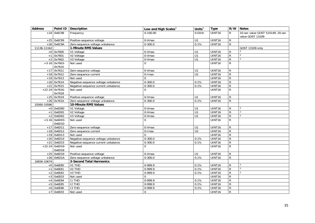<span id="page-34-2"></span><span id="page-34-1"></span><span id="page-34-0"></span>

| <b>Address</b> |                 | Point ID   Description              | Low and High Scales <sup>3</sup> | Units $3$       | <b>Type</b>   | R/W            | <b>Notes</b>                     |
|----------------|-----------------|-------------------------------------|----------------------------------|-----------------|---------------|----------------|----------------------------------|
|                | $+24$ 0x6C98    | Frequency                           | $0-100.00$                       | $0.01$ Hz       | UINT16        | R              | 10-sec value GOST 514149, 20-sec |
|                |                 |                                     |                                  |                 |               |                | value GOST 13109                 |
|                | $+25$ 0x6C99    | Positive-sequence voltage           | 0-Vmax                           | U1              | UINT16        | $\mathsf{R}$   |                                  |
|                | $+26$ 0x6C9A    | Zero-sequence voltage unbalance     | $0 - 300.0$                      | 0.1%            | UINT16        | $\overline{R}$ |                                  |
| 11136-11162    |                 | 1-Minute RMS Values                 |                                  |                 |               |                | GOST 13109 only                  |
|                | $+0$ 0x7600     | V1 Voltage                          | 0-Vmax                           | U1              | UINT16        | R              |                                  |
|                | $+1$ 0x7601     | V2 Voltage                          | 0-Vmax                           | U1              | UINT16        | ${\sf R}$      | $\overline{2}$                   |
|                | $+2$ 0x7602     | V3 Voltage                          | 0-Vmax                           | $\overline{U}$  | UINT16        | $\overline{R}$ | 2                                |
|                | $+3-16$ 0x7603- | Not used                            | $\Omega$                         |                 | UINT16        | $\overline{R}$ |                                  |
|                | 0x7610          |                                     |                                  |                 |               |                |                                  |
|                | $+17$ 0x7611    | Zero-sequence voltage               | 0-Vmax                           | U1              | UINT16        | ${\sf R}$      |                                  |
|                | $+18$ 0x7612    | Zero-sequence current               | 0-Imax                           | $\overline{U2}$ | UINT16        | $\overline{R}$ |                                  |
|                | $+19$ 0x7613    | Not used                            | $\Omega$                         |                 | UINT16        | $\overline{R}$ |                                  |
|                | $+20$ 0x7614    | Negative-sequence voltage unbalance | $0 - 300.0$                      | 0.1%            | UINT16        | $\overline{R}$ |                                  |
| $+21$          | 0x7615          | Negative-sequence current unbalance | $0 - 300.0$                      | 0.1%            | UINT16        | $\overline{R}$ |                                  |
| $+22-24$       | 0x7616-         | Not used                            | $\Omega$                         |                 | UINT16        | $\mathsf{R}$   |                                  |
|                | 0x7618          |                                     |                                  |                 |               |                |                                  |
|                | $+25$ 0x7619    | Positive-sequence voltage           | 0-Vmax                           | U1              | UINT16        | $\overline{R}$ |                                  |
|                | $+26$ 0x761A    | Zero-sequence voltage unbalance     | $0 - 300.0$                      | 0.1%            | UINT16        | $\mathsf{R}$   |                                  |
| 10560-10586    |                 | 10-Minute RMS Values                |                                  |                 |               |                |                                  |
|                | $+0$ 0x6D00     | V1 Voltage                          | 0-Vmax                           | U1              | UINT16        | $\mathsf{R}$   |                                  |
| $+1$           | 0x6D01          | V2 Voltage                          | 0-Vmax                           | U1              | UINT16        | $\overline{R}$ | $\overline{2}$                   |
| $+2$           | 0x6D02          | V3 Voltage                          | 0-Vmax                           | U1              | UINT16        | $\overline{R}$ | $\overline{2}$                   |
|                | $+3-16$ 0x6D03- | Not used                            | $\Omega$                         |                 | UINT16        | $\mathsf{R}$   |                                  |
|                | 0x6D10          |                                     |                                  |                 |               |                |                                  |
|                | $+17$ 0x6D11    | Zero-sequence voltage               | 0-Vmax                           | U1              | UINT16        | $\mathsf{R}$   |                                  |
|                | $+18$ 0x6D12    | Zero-sequence current               | 0-Imax                           | U <sub>2</sub>  | UINT16        | $\mathsf{R}$   |                                  |
|                | $+19$ 0x6D13    | Not used                            | $\Omega$                         |                 | UINT16        | $\overline{R}$ |                                  |
| $+20$          | 0x6D14          | Negative-sequence voltage unbalance | $0 - 300.0$                      | 0.1%            | UINT16        | $\overline{R}$ |                                  |
| $+21$          | 0x6D15          | Negative-sequence current unbalance | $0 - 300.0$                      | 0.1%            | UINT16        | $\overline{R}$ |                                  |
| $+22-24$       | 0x6D16-         | Not used                            | $\Omega$                         |                 | <b>UINT16</b> | $\overline{R}$ |                                  |
|                | 0x6D18          |                                     |                                  |                 |               |                |                                  |
|                | $+25$ 0x6D19    | Positive-sequence voltage           | 0-Vmax                           | $\overline{U}$  | UINT16        | ${\sf R}$      |                                  |
|                | $+26$ 0x6D1A    | Zero-sequence voltage unbalance     | $0 - 300.0$                      | 0.1%            | UINT16        | $\overline{R}$ |                                  |
| 10656-10674    |                 | <b>3-Second Total Harmonics</b>     |                                  |                 |               |                |                                  |
|                | $+0$ 0x6E80     | V1 THD                              | $0-999.9$                        | 0.1%            | UINT16        | $\mathsf{R}$   |                                  |
| $+1$           | 0x6E81          | V <sub>2</sub> THD                  | $0-999.9$                        | 0.1%            | UINT16        | $\overline{R}$ | $\overline{2}$                   |
| $+2$           | 0x6E82          | V <sub>3</sub> THD                  | $0-999.9$                        | 0.1%            | UINT16        | $\overline{R}$ |                                  |
| $+3$           | 0x6E03          | Not used                            | $\Omega$                         |                 | UINT16        | $\overline{R}$ |                                  |
| $+4$           | 0x6E84          | <b>I1 THD</b>                       | 0-999.9                          | 0.1%            | UINT16        | $\overline{R}$ |                                  |
| $+5$           | 0x6E85          | <b>I2 THD</b>                       | 0-999.9                          | 0.1%            | UINT16        | $\overline{R}$ |                                  |
| $+6$           | 0x6E86          | <b>I3 THD</b>                       | 0-999.9                          | 0.1%            | UINT16        | ${\sf R}$      |                                  |
| $+7$           | 0x6E03          | Not used                            | 0                                |                 | UINT16        | ${\sf R}$      |                                  |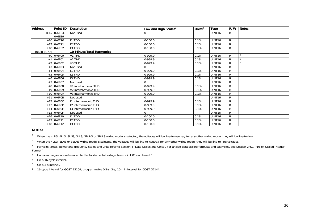| <b>Address</b>   | Point ID        | <b>Description</b>        | Low and High Scales $3$ | Units $3$ | <b>Type</b>        | R/W | <b>Notes</b>   |
|------------------|-----------------|---------------------------|-------------------------|-----------|--------------------|-----|----------------|
|                  | $+8-15$ 0x6E04- | Not used                  |                         |           | UINT <sub>16</sub> | R   |                |
|                  | 0x6E89          |                           |                         |           |                    |     |                |
|                  | $+16$ 0x6E90    | <b>I1 TDD</b>             | $0-100.0$               | 0.1%      | UINT16             | R   |                |
|                  | $+17$ 0x6E91    | <b>I2 TDD</b>             | $0-100.0$               | 0.1%      | UINT16             | R   |                |
|                  | $+18$ 0x6E92    | 13 TDD                    | $0-100.0$               | 0.1%      | UINT <sub>16</sub> | R   |                |
| 10688-10706      |                 | 10-Minute Total Harmonics |                         |           |                    |     |                |
|                  | $+0$ 0x6F00     | V1 THD                    | 0-999.9                 | 0.1%      | UINT <sub>16</sub> | R   | $\overline{2}$ |
| $+$ <sup>-</sup> | 0x6F01          | V <sub>2</sub> THD        | 0-999.9                 | 0.1%      | UINT <sub>16</sub> | R   | $\overline{2}$ |
|                  | $+2$ 0x6F02     | V3 THD                    | 0-999.9                 | 0.1%      | UINT <sub>16</sub> | R   |                |
|                  | $+3$ 0x6F03     | Not used                  | 0                       |           | UINT <sub>16</sub> | R   |                |
| $+4$             | 0x6F04          | <b>I1 THD</b>             | 0-999.9                 | 0.1%      | UINT16             | R   |                |
|                  | $+5$ 0x6F05     | <b>I2 THD</b>             | 0-999.9                 | 0.1%      | UINT <sub>16</sub> | R   |                |
|                  | $+6$ 0x6F06     | 13 THD                    | 0-999.9                 | 0.1%      | UINT16             | R   |                |
| $+7$             | 0x6F07          | Not used                  | 0                       |           | UINT16             | R   |                |
|                  | $+8$ 0x6F08     | V1 interharmonic THD      | 0-999.9                 | 0.1%      | UINT <sub>16</sub> | R   |                |
|                  | $+9$ 0x6F09     | V2 interharmonic THD      | 0-999.9                 | 0.1%      | UINT <sub>16</sub> | R   |                |
|                  | $+10$ 0x6F0A    | V3 interharmonic THD      | 0-999.9                 | 0.1%      | UINT <sub>16</sub> | R   |                |
|                  | $+11$ 0x6F0B    | Not used                  | 0                       |           | UINT <sub>16</sub> | R   |                |
|                  | $+12$ 0x6F0C    | 11 interharmonic THD      | 0-999.9                 | 0.1%      | UINT <sub>16</sub> | R   |                |
|                  | $+13$ 0x6F0D    | 12 interharmonic THD      | 0-999.9                 | 0.1%      | UINT16             | R   |                |
|                  | $+14$ Ox6FOE    | 13 interharmonic THD      | 0-999.9                 | 0.1%      | UINT <sub>16</sub> | R   |                |
|                  | $+15$ Ox6FOF    | Not used                  | 0                       |           | UINT <sub>16</sub> | R   |                |
|                  | $+16$ 0x6F10    | <b>I1 TDD</b>             | $0-100.0$               | 0.1%      | UINT16             | R   |                |
|                  | $+17$ 0x6F11    | <b>I2 TDD</b>             | $0-100.0$               | 0.1%      | UINT <sub>16</sub> | R   |                |
|                  | $+18$ 0x6F12    | 13 TDD                    | $0 - 100.0$             | 0.1%      | UINT <sub>16</sub> | R   |                |

**NOTES:** 

<sup>1</sup> When the 4LN3, 4LL3, 3LN3, 3LL3, 3BLN3 or 3BLL3 wiring mode is selected, the voltages will be line-to-neutral; for any other wiring mode, they will be line-to-line.

<sup>2</sup> When the 4LN3, 3LN3 or 3BLN3 wiring mode is selected, the voltages will be line-to-neutral; for any other wiring mode, they will be line-to-line voltages.

3 For volts, amps, power and frequency scales and units refer to Section 4 "Data Scales and Units". For analog data scaling formulas and examples, see Section 2.6.1, "16-bit Scaled Integer Format".

4 Harmonic angles are referenced to the fundamental voltage harmonic H01 on phase L1.

5 On a 16-cycle interval.

6 On a 3-s interval.

<span id="page-35-0"></span>7 16-cycle interval for GOST 13109, programmable 0.2-s, 3-s, 10-min interval for GOST 32144.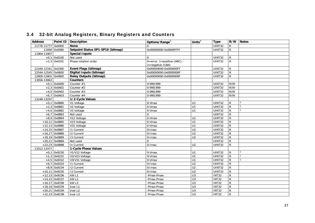# 3.4 32-bit Analog Registers, Binary Registers and Counters

| <b>Address</b>     |                 | Point ID   Description            | Options/Range <sup>3</sup>                              | Units $3$        | <b>Type</b>   |                | R/W Notes |
|--------------------|-----------------|-----------------------------------|---------------------------------------------------------|------------------|---------------|----------------|-----------|
| 11776-11777        | 0x0000          | <b>None</b>                       |                                                         |                  | UINT32        | $\mathsf{R}$   |           |
|                    | 11840 0x0080    | Setpoint Status SP1-SP16 (bitmap) | 0x00000000-0x0000FFFF                                   |                  | <b>UINT32</b> | $\mathsf{R}$   |           |
| 11904-11907        |                 | <b>Special Inputs</b>             |                                                         |                  |               |                |           |
|                    | $+0,1$ 0x0100   | Not used                          | $\Omega$                                                |                  | <b>UINT32</b> | R              |           |
|                    | $+2,3$ 0x0101   | Phase rotation order              | $0 = error$ , $1 = positive$ (ABC),<br>2=negative (CBA) |                  | UINT32        | $\mathsf{R}$   |           |
| 12160-12161 0x0300 |                 | Event Flags (bitmap)              | 0x00000000-0x000000FF                                   |                  | UINT32        | $\mathsf{R}$   |           |
| 12544-12545 0x0600 |                 | Digital Inputs (bitmap)           | 0x00000000-0x0000000F                                   |                  | UINT32        | $\overline{R}$ |           |
| 12800-12801 0x0800 |                 | <b>Relay Outputs (bitmap)</b>     | 0x00000000-0x0000000F                                   |                  | UINT32        | $\overline{R}$ |           |
| 13056-13063        |                 | <b>Counters</b>                   |                                                         |                  |               |                |           |
|                    | $+0,1$ 0x0A00   | Counter #1                        | 0-999,999                                               |                  | UINT32        | R/W            |           |
|                    | $+2,3$ 0x0A01   | Counter #2                        | 0-999,999                                               |                  | UINT32        | R/W            |           |
|                    | $+4,5$ 0x0A02   | Counter #3                        | 0-999,999                                               |                  | UINT32        | R/W            |           |
|                    | $+6,7$ 0x0A03   | Counter #4                        | 0-999.999                                               |                  | UINT32        | R/W            |           |
| 13248-13297        |                 | 1/2-Cycle Values                  |                                                         |                  |               |                |           |
|                    | $+0,1$ 0x0B80   | V1 Voltage                        | 0-Vmax                                                  | U1               | UINT32        | $\mathsf{R}$   |           |
|                    | $+2,3$ 0x0B81   | V2 Voltage                        | 0-Vmax                                                  | U1               | <b>UINT32</b> | ${\sf R}$      |           |
|                    | $+4,5$ 0x0B82   | V3 Voltage                        | 0-Vmax                                                  | U1               | <b>UINT32</b> | $\overline{R}$ |           |
|                    | $+6,7$ 0x0B83   | Not used                          | $\Omega$                                                |                  | <b>UINT32</b> | $\overline{R}$ |           |
|                    | $+8,9$ 0x0B84   | V12 Voltage                       | 0-Vmax                                                  | U1               | <b>UINT32</b> | $\overline{R}$ |           |
|                    | $+10,11$ 0x0B85 | V23 Voltage                       | 0-Vmax                                                  | U <sub>1</sub>   | <b>UINT32</b> | $\overline{R}$ |           |
|                    | +12,13 0x0B86   | V31 Voltage                       | 0-Vmax                                                  | $\overline{U}$   | UINT32        | $\overline{R}$ |           |
|                    | $+14,15$ 0x0B87 | <b>11 Current</b>                 | 0-Imax                                                  | U <sub>2</sub>   | UINT32        | $\overline{R}$ |           |
|                    | $+16,17$ 0x0B88 | <b>12 Current</b>                 | 0-Imax                                                  | U <sub>2</sub>   | UINT32        | $\overline{R}$ |           |
|                    | +18,19 0x0B89   | 13 Current                        | 0-Imax                                                  | U <sub>2</sub>   | UINT32        | $\overline{R}$ |           |
|                    | $+20,21$ 0x0B8A | Not used                          | $\mathbf 0$                                             |                  | UINT32        | ${\sf R}$      |           |
|                    | +22,23 0x0B8B   | In Current                        | 0-Imax                                                  | U <sub>2</sub>   | <b>UINT32</b> | $\overline{R}$ |           |
| 13312-13377        |                 | 1-Cycle Phase Values              |                                                         |                  |               |                |           |
|                    | $+0,1$ 0x0C00   | V1/V12 Voltage                    | 0-Vmax                                                  | U1               | UINT32        | $\mathsf{R}$   |           |
|                    | $+2,3$ 0x0C01   | V2/V23 Voltage                    | 0-Vmax                                                  | $\overline{U}$ 1 | <b>UINT32</b> | $\overline{R}$ |           |
|                    | $+4,5$ 0x0C02   | V3/V31 Voltage                    | 0-Vmax                                                  | U1               | <b>UINT32</b> | $\mathsf{R}$   |           |
|                    | $+6,7$ 0x0C03   | <b>11 Current</b>                 | 0-Imax                                                  | U <sub>2</sub>   | <b>UINT32</b> | $\mathsf{R}$   |           |
|                    | $+8,9$ 0x0C04   | <b>12 Current</b>                 | 0-Imax                                                  | U <sub>2</sub>   | UINT32        | $\mathsf{R}$   |           |
|                    | $+10,11$ 0x0C05 | 13 Current                        | 0-Imax                                                  | U <sub>2</sub>   | <b>UINT32</b> | $\overline{R}$ |           |
|                    | $+12,13$ 0x0C06 | kW <sub>L1</sub>                  | -Pmax-Pmax                                              | U <sub>3</sub>   | <b>INT32</b>  | $\mathsf{R}$   |           |
|                    | $+14,15$ 0x0C07 | kW <sub>L2</sub>                  | -Pmax-Pmax                                              | U3               | <b>INT32</b>  | $\overline{R}$ |           |
|                    | $+16,17$ 0x0C08 | kW <sub>L3</sub>                  | -Pmax-Pmax                                              | U <sub>3</sub>   | <b>INT32</b>  | ${\sf R}$      |           |
|                    | +18,19 0x0C09   | kvar L1                           | -Pmax-Pmax                                              | U <sub>3</sub>   | <b>INT32</b>  | $\overline{R}$ |           |
|                    | $+20,21$ 0x0C0A | kvar L2                           | -Pmax-Pmax                                              | U3               | <b>INT32</b>  | ${\sf R}$      |           |
|                    | $+22,23$ 0x0C0B | kvar L3                           | -Pmax-Pmax                                              | U3               | <b>INT32</b>  | R              |           |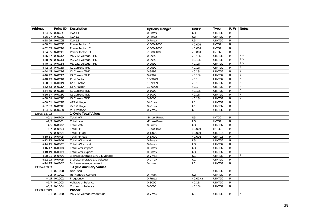| <b>Address</b> |                 | Point ID   Description          | Options/Range <sup>3</sup> | Units $3$        | <b>Type</b>         |                | R/W Notes      |
|----------------|-----------------|---------------------------------|----------------------------|------------------|---------------------|----------------|----------------|
|                | $+24,25$ 0x0C0C | kVA L1                          | 0-Pmax                     | U3               | UINT32              | R              |                |
|                | $+26,27$ 0x0C0D | kVA L2                          | 0-Pmax                     | $\overline{U}$ 3 | <b>UINT32</b>       | R              |                |
|                | +28,29 OxOCOE   | kVAL3                           | 0-Pmax                     | $\overline{U}$ 3 | UINT32              | R              |                |
|                | $+30,31$ OxOCOF | Power factor L1                 | $-1000 - 1000$             | $\times$ 0.001   | <b>INT32</b>        | $\overline{R}$ |                |
|                | $+32,33$ 0x0C10 | Power factor L2                 | $-1000 - 1000$             | $\times 0.001$   | INT32               | $\overline{R}$ |                |
|                | $+34,35$ 0x0C11 | Power factor L3                 | $-1000 - 1000$             | $\times$ 0.001   | <b>INT32</b>        | ${\sf R}$      |                |
|                | $+36,37$ 0x0C12 | V1/V12 Voltage THD              | 0-9999                     | $\times 0.1\%$   | UINT32              | $\overline{R}$ | 2, 5           |
|                | $+38,39$ 0x0C13 | V2/V23 Voltage THD              | 0-9999                     | $\times 0.1\%$   | UINT32              | R              | 2, 5           |
|                | $+40,41$ 0x0C14 | V3/V31 Voltage THD              | 0-9999                     | $\times 0.1\%$   | UINT32              | R              | 2, 5           |
|                | $+42,43$ 0x0C15 | <b>11 Current THD</b>           | 0-9999                     | $\times 0.1\%$   | UINT32              | $\mathsf{R}$   | 5              |
|                | $+44,45$ 0x0C16 | <b>I2 Current THD</b>           | 0-9999                     | $\times 0.1\%$   | $\overline{UINT32}$ | R              | $\overline{5}$ |
|                | $+46,47$ 0x0C17 | 13 Current THD                  | 0-9999                     | $\times$ 0.1%    | UINT32              | R              | 5              |
|                | $+48,49$ 0x0C18 | 11 K-Factor                     | 10-9999                    | $\times 0.1$     | UINT32              | ${\sf R}$      | 5              |
|                | +50,51 0x0C19   | 12 K-Factor                     | 10-9999                    | $\times 0.1$     | UINT32              | $\overline{R}$ | 5              |
|                | $+52,53$ 0x0C1A | 13 K-Factor                     | 10-9999                    | $\times 0.1$     | UINT32              | R              | 5              |
|                | $+54,55$ 0x0C1B | <b>11 Current TDD</b>           | $0 - 1000$                 | $\times 0.1\%$   | UINT32              | ${\sf R}$      | 5              |
|                | +56,57 0x0C1C   | <b>I2 Current TDD</b>           | $0 - 1000$                 | $\times 0.1\%$   | UINT32              | R              | 5              |
|                | $+58,59$ 0x0C1D | 13 Current TDD                  | $0 - 1000$                 | $\times 0.1\%$   | UINT32              | R              | $\overline{5}$ |
|                | $+60,61$ 0x0C1E | V12 Voltage                     | 0-Vmax                     | U1               | <b>UINT32</b>       | R              |                |
|                | $+62,63$ 0x0C1F | V23 Voltage                     | 0-Vmax                     | U1               | UINT32              | R              |                |
|                | $+64,65$ 0x0C20 | V31 Voltage                     | 0-Vmax                     | U1               | UINT32              | R.             |                |
| 13696-13703    |                 | 1-Cycle Total Values            |                            |                  |                     |                |                |
|                | $+0,1$ 0x0F00   | <b>Total kW</b>                 | -Pmax-Pmax                 | U <sub>3</sub>   | INT32               | R              |                |
|                | $+2,3$ 0x0F01   | Total kvar                      | -Pmax-Pmax                 | $\overline{U}$ 3 | INT32               | $\mathsf{R}$   |                |
|                | $+4,5$ 0x0F02   | <b>Total kVA</b>                | 0-Pmax                     | U3               | UINT32              | R              |                |
|                | $+6,7$ 0x0F03   | <b>Total PF</b>                 | $-1000 - 1000$             | $\times 0.001$   | <b>INT32</b>        | $\mathsf{R}$   |                |
|                | $+8,9$ 0x0F04   | Total PF lag                    | $0 - 1.000$                | $\times$ 0.001   | UINT16              | $\mathsf{R}$   |                |
|                | $+10,11$ 0x0F05 | <b>Total PF lead</b>            | $0-1.000$                  | $\times 0.001$   | UINT16              | R.             |                |
|                | $+12,13$ 0x0F06 | Total kW import                 | 0-Pmax                     | $\overline{U}$ 3 | UINT32              | ${\sf R}$      |                |
|                | $+14,15$ 0x0F07 | Total kW export                 | 0-Pmax                     | U <sub>3</sub>   | UINT32              | R              |                |
|                | $+16,17$ 0x0F08 | Total kvar import               | 0-Pmax                     | $\overline{U}$ 3 | UINT32              | R              |                |
|                | +18,19 0x0F09   | Total kvar export               | 0-Pmax                     | U <sub>3</sub>   | UINT32              | R              |                |
|                | $+20,21$ OxOFOA | 3-phase average L-N/L-L voltage | 0-Vmax                     | U1               | UINT32              | R              |                |
|                | $+22,23$ OxOFOB | 3-phase average L-L voltage     | 0-Vmax                     | U1               | $\overline{UINT32}$ | R              |                |
|                | $+24,25$ OxOFOC | 3-phase average current         | 0-Imax                     | U <sub>2</sub>   | UINT32              | $\mathsf{R}$   |                |
| 13824-13833    |                 | 1-Cycle Auxiliary Values        |                            |                  |                     |                |                |
|                | $+0,1$ 0x1000   | Not used                        |                            |                  | UINT32              | R              |                |
|                | $+2,3$ 0x1001   | In (neutral) Current            | $\overline{0}$ -Imax       | U <sub>2</sub>   | UINT32              | $\mathsf{R}$   |                |
|                | $+4,5$ 0x1002   | Frequency                       | 0-Fmax                     | $\times 0.01$ Hz | UINT32              | R              |                |
|                | $+6,7$ 0x1003   | Voltage unbalance               | 0-3000                     | $\times 0.1\%$   | UINT32              | $\mathsf{R}$   |                |
|                | $+8,9$ 0x1004   | Current unbalance               | $0 - 3000$                 | $\times 0.1\%$   | UINT32              | $\mathsf{R}$   |                |
| 13888-13919    |                 | Phasor                          |                            |                  |                     |                |                |
|                | $+0,1$ 0x1080   | V1/V12 Voltage magnitude        | 0-Vmax                     | U1               | UINT32              | $\mathsf{R}$   | $\overline{2}$ |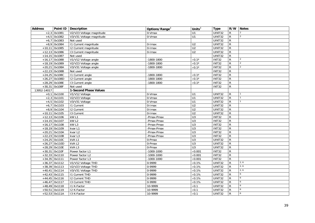| <b>Address</b> |                 | Point ID Description     | Options/Range <sup>3</sup> | Units $3$          | <b>Type</b>   |                | R/W Notes       |
|----------------|-----------------|--------------------------|----------------------------|--------------------|---------------|----------------|-----------------|
|                | $+2,3$ 0x1081   | V2/V23 Voltage magnitude | 0-Vmax                     | U1                 | UINT32        | $\mathsf{R}$   | $\overline{2}$  |
|                | $+4,5$ 0x1082   | V3/V31 Voltage magnitude | 0-Vmax                     | U1                 | <b>UINT32</b> | ${\sf R}$      | $\overline{2}$  |
|                | $+6,7$ 0x1083   | Not used                 |                            |                    | <b>UINT32</b> | $\mathsf{R}$   |                 |
|                | $+8,9$ 0x1084   | 11 Current magnitude     | 0-Imax                     | U <sub>2</sub>     | UINT32        | $\mathsf{R}$   |                 |
|                | $+10,11$ 0x1085 | 12 Current magnitude     | 0-Imax                     | U <sub>2</sub>     | <b>UINT32</b> | $\mathsf{R}$   |                 |
|                | $+12,13$ 0x1086 | 13 Current magnitude     | 0-Imax                     | U <sub>2</sub>     | UINT32        | $\mathsf{R}$   |                 |
|                | $+14,15$ 0x1087 | Not used                 |                            |                    | UINT32        | $\overline{R}$ |                 |
|                | $+16,17$ 0x1088 | V1/V12 Voltage angle     | $-1800 - 1800$             | $\times 0.1^\circ$ | <b>INT32</b>  | $\mathsf{R}$   | 2               |
|                | +18,19 0x1089   | V2/V23 Voltage angle     | $-1800 - 1800$             | $\times 0.1^\circ$ | <b>INT32</b>  | $\mathsf{R}$   | $\overline{2}$  |
|                | $+20,21$ 0x108A | V3/V31 Voltage angle     | $-1800 - 1800$             | $\times 0.1^\circ$ | <b>INT32</b>  | ${\sf R}$      | $\overline{2}$  |
|                | $+22,23$ 0x108B | Not used                 |                            |                    | <b>INT32</b>  | $\mathsf{R}$   |                 |
|                | $+24,25$ 0x108C | 11 Current angle         | $-1800 - 1800$             | $\times 0.1^\circ$ | INT32         | ${\sf R}$      |                 |
|                | $+26,27$ 0x108D | 12 Current angle         | $-1800 - 1800$             | $\times 0.1^\circ$ | INT32         | $\mathsf{R}$   |                 |
|                | $+28,29$ 0x108E | 13 Current angle         | $-1800 - 1800$             | $\times 0.1^\circ$ | INT32         | $\overline{R}$ |                 |
|                | $+30,31$ 0x108F | Not used                 |                            |                    | INT32         | $\mathsf{R}$   |                 |
| 13952-14017    |                 | 1-Second Phase Values    |                            |                    |               |                |                 |
|                | $+0,1$ 0x1100   | V1/V12 Voltage           | 0-Vmax                     | U1                 | UINT32        | R              |                 |
|                | $+2,3$ 0x1101   | V2/V23 Voltage           | 0-Vmax                     | U1                 | UINT32        | $\mathsf{R}$   |                 |
|                | $+4,5$ 0x1102   | V3/V31 Voltage           | 0-Vmax                     | U1                 | UINT32        | $\mathsf{R}$   | $\overline{1}$  |
|                | $+6,7$ 0x1103   | 11 Current               | 0-Imax                     | U <sub>2</sub>     | UINT32        | $\overline{R}$ |                 |
|                | $+8,9$ 0x1104   | 12 Current               | 0-Imax                     | U <sub>2</sub>     | <b>UINT32</b> | $\mathsf{R}$   |                 |
|                | $+10,11$ 0x1105 | 13 Current               | 0-Imax                     | $\overline{U2}$    | UINT32        | $\mathsf{R}$   |                 |
|                | $+12,13$ 0x1106 | kW L1                    | -Pmax-Pmax                 | $\overline{U}$ 3   | <b>INT32</b>  | $\overline{R}$ |                 |
|                | $+14,15$ 0x1107 | kW <sub>L2</sub>         | -Pmax-Pmax                 | U3                 | <b>INT32</b>  | $\overline{R}$ |                 |
|                | $+16,17$ 0x1108 | kWL3                     | -Pmax-Pmax                 | U <sub>3</sub>     | INT32         | ${\sf R}$      |                 |
|                | $+18,19$ 0x1109 | kvar L1                  | -Pmax-Pmax                 | U3                 | INT32         | ${\sf R}$      |                 |
|                | $+20,21$ 0x110A | kvar L2                  | -Pmax-Pmax                 | U3                 | INT32         | $\mathsf{R}$   |                 |
|                | $+22,23$ 0x110B | kvar L3                  | -Pmax-Pmax                 | U <sub>3</sub>     | <b>INT32</b>  | $\overline{R}$ |                 |
|                | $+24,25$ 0x110C | kVAL1                    | 0-Pmax                     | $\overline{U}$ 3   | <b>UINT32</b> | $\overline{R}$ |                 |
|                | $+26,27$ 0x110D | kVAL2                    | 0-Pmax                     | U <sub>3</sub>     | UINT32        | $\mathsf{R}$   |                 |
|                | $+28,29$ 0x110E | kVAL3                    | 0-Pmax                     | $\overline{U}$ 3   | UINT32        | ${\sf R}$      |                 |
|                | +30,31 0x110F   | Power factor L1          | $-1000 - 1000$             | $\times$ 0.001     | <b>INT32</b>  | $\overline{R}$ |                 |
|                | $+32,33$ 0x1110 | Power factor L2          | $-1000 - 1000$             | $\times$ 0.001     | INT32         | $\overline{R}$ |                 |
|                | $+34,35$ 0x1111 | Power factor L3          | $-1000 - 1000$             | $\times$ 0.001     | <b>INT32</b>  | $\mathsf{R}$   |                 |
|                | $+36,37$ 0x1112 | V1/V12 Voltage THD       | 0-9999                     | $\times 0.1\%$     | UINT32        | $\mathsf{R}$   | 2, 6            |
|                | $+38,39$ 0x1113 | V2/V23 Voltage THD       | 0-9999                     | $\times 0.1\%$     | UINT32        | ${\sf R}$      | 2, 6            |
|                | $+40,41$ 0x1114 | V3/V31 Voltage THD       | 0-9999                     | $\times 0.1\%$     | UINT32        | R              | 2, 6            |
|                | $+42,43$ 0x1115 | 11 Current THD           | 0-9999                     | $\times 0.1\%$     | UINT32        | $\mathsf{R}$   | $6\overline{6}$ |
|                | $+44,45$ 0x1116 | <b>12 Current THD</b>    | 0-9999                     | $\times 0.1\%$     | UINT32        | $\mathsf{R}$   | 6               |
|                | $+46,47$ 0x1117 | 13 Current THD           | 0-9999                     | $\times 0.1\%$     | <b>UINT32</b> | $\mathsf{R}$   | 6               |
|                | $+48,49$ 0x1118 | I1 K-Factor              | 10-9999                    | $\times 0.1$       | <b>UINT32</b> | $\mathsf{R}$   | 6               |
|                | +50,51 0x1119   | 12 K-Factor              | 10-9999                    | $\times 0.1$       | UINT32        | R              | 6               |
|                | $+52,53$ 0x111A | 13 K-Factor              | 10-9999                    | $\times 0.1$       | UINT32        | $\mathsf{R}$   | 6               |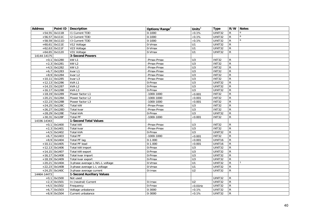| <b>Address</b> |                 | Point ID   Description           | Options/Range <sup>3</sup> | Units $3$        | <b>Type</b>   |                | R/W Notes |
|----------------|-----------------|----------------------------------|----------------------------|------------------|---------------|----------------|-----------|
|                | $+54,55$ 0x111B | <b>11 Current TDD</b>            | $0 - 1000$                 | $\times 0.1\%$   | UINT32        | R              |           |
|                | $+56,57$ 0x111C | 12 Current TDD                   | $0 - 1000$                 | $\times 0.1\%$   | <b>UINT32</b> | R              | 6         |
|                | $+58,59$ 0x111D | 13 Current TDD                   | $0 - 1000$                 | $\times 0.1\%$   | UINT32        | $\mathsf{R}$   | 6         |
|                | $+60,61$ 0x111E | V12 Voltage                      | 0-Vmax                     | U1               | UINT32        | $\mathsf{R}$   |           |
|                | $+62,63$ 0x111F | V23 Voltage                      | 0-Vmax                     | $\overline{U}$ 1 | <b>UINT32</b> | $\mathsf{R}$   |           |
|                | $+64,65$ 0x1120 | V31 Voltage                      | 0-Vmax                     | U1               | UINT32        | R              |           |
| 14144-14175    |                 | 3-Second Powers                  |                            |                  |               |                |           |
|                | $+0,1$ 0x1280   | kW <sub>L1</sub>                 | Pmax-Pmax                  | U3               | INT32         | R              |           |
|                | $+2,3$ 0x1281   | kW <sub>L2</sub>                 | Pmax-Pmax                  | $\overline{U}$   | INT32         | $\mathsf{R}$   |           |
|                | $+4,5$ 0x1282   | kW <sub>L3</sub>                 | Pmax-Pmax                  | $\overline{U}$ 3 | <b>INT32</b>  | $\mathsf{R}$   |           |
|                | $+6,7$ 0x1283   | kvar L1                          | Pmax-Pmax                  | U <sub>3</sub>   | <b>INT32</b>  | $\mathsf{R}$   |           |
|                | $+8,9$ 0x1284   | kvar L <sub>2</sub>              | Pmax-Pmax                  | $\overline{U}$   | <b>INT32</b>  | ${\sf R}$      |           |
|                | $+10,11$ 0x1285 | kvar L3                          | Pmax-Pmax                  | U <sub>3</sub>   | <b>INT32</b>  | $\mathsf{R}$   |           |
|                | $+12,13$ 0x1286 | kVAL1                            | 0-Pmax                     | U <sub>3</sub>   | UINT32        | $\mathsf{R}$   |           |
|                | $+14,15$ 0x1287 | kVAL <sub>2</sub>                | 0-Pmax                     | U <sub>3</sub>   | UINT32        | ${\sf R}$      |           |
|                | $+16,17$ 0x1288 | kVAL3                            | 0-Pmax                     | U <sub>3</sub>   | UINT32        | $\mathsf{R}$   |           |
|                | $+18,19$ 0x1289 | Power factor L1                  | $-1000 - 1000$             | $\times 0.001$   | <b>INT32</b>  | $\overline{R}$ |           |
|                | $+20,21$ 0x128A | Power factor L2                  | $-1000 - 1000$             | $\times 0.001$   | <b>INT32</b>  | $\overline{R}$ |           |
|                | $+22,23$ 0x128B | Power factor L3                  | $-1000 - 1000$             | $\times 0.001$   | <b>INT32</b>  | ${\sf R}$      |           |
|                | $+24,25$ 0x128C | Total kW                         | Pmax-Pmax                  | U <sub>3</sub>   | <b>INT32</b>  | $\mathsf{R}$   |           |
|                | $+26,27$ 0x128D | Total kvar                       | Pmax-Pmax                  | U <sub>3</sub>   | <b>INT32</b>  | $\overline{R}$ |           |
|                | +28,29 0x128E   | Total kVA                        | $0$ -Pmax                  | $\overline{U}$   | UINT32        | $\mathsf{R}$   |           |
|                | $+30,31$ 0x128F | Total PF                         | $-1000 - 1000$             | $\times$ 0.001   | <b>INT32</b>  | $\mathsf{R}$   |           |
| 14336-14343    |                 | 1-Second Total Values            |                            |                  |               |                |           |
|                | $+0,1$ 0x1400   | Total kW                         | Pmax-Pmax                  | U <sub>3</sub>   | <b>INT32</b>  | R              |           |
|                | $+2,3$ 0x1401   | Total kvar                       | Pmax-Pmax                  | $\overline{U}$   | <b>INT32</b>  | $\mathsf{R}$   |           |
|                | $+4,5$ 0x1402   | Total kVA                        | 0-Pmax                     | U <sub>3</sub>   | UINT32        | $\mathsf{R}$   |           |
|                | $+6,7$ 0x1403   | <b>Total PF</b>                  | $-1000 - 1000$             | $\times 0.001$   | <b>INT32</b>  | ${\sf R}$      |           |
|                | $+8,9$ 0x1404   | Total PF lag                     | $0-1.000$                  | $\times 0.001$   | UINT16        | ${\sf R}$      |           |
|                | $+10,11$ 0x1405 | <b>Total PF lead</b>             | $0-1.000$                  | $\times 0.001$   | UINT16        | $\overline{R}$ |           |
|                | $+12,13$ 0x1406 | Total kW import                  | 0-Pmax                     | U3               | UINT32        | $\overline{R}$ |           |
|                | $+14,15$ 0x1407 | Total kW export                  | 0-Pmax                     | U <sub>3</sub>   | UINT32        | ${\sf R}$      |           |
|                | $+16,17$ 0x1408 | Total kvar import                | 0-Pmax                     | $\overline{U}$ 3 | UINT32        | $\mathsf{R}$   |           |
|                | $+18,19$ 0x1409 | Total kvar export                | 0-Pmax                     | U <sub>3</sub>   | <b>UINT32</b> | $\overline{R}$ |           |
|                | $+20,21$ 0x140A | 3-phase average L-N/L-L voltage  | 0-Vmax                     | U1               | UINT32        | $\mathsf{R}$   |           |
|                | $+22,23$ 0x140B | 3-phase average L-L voltage      | 0-Vmax                     | U1               | <b>UINT32</b> | $\mathsf{R}$   |           |
|                | $+24,25$ 0x140C | 3-phase average current          | $0$ -Imax                  | U <sub>2</sub>   | <b>UINT32</b> | R.             |           |
| 14464-14473    |                 | <b>1-Second Auxiliary Values</b> |                            |                  |               |                |           |
|                | $+0,1$ 0x1500   | Not used                         |                            |                  | UINT32        | $\mathsf{R}$   |           |
|                | $+2,3$ 0x1501   | In (neutral) Current             | 0-Imax                     | U <sub>2</sub>   | UINT32        | $\mathsf{R}$   |           |
|                | $+4,5$ 0x1502   | Frequency                        | 0-Fmax                     | $\times$ 0.01Hz  | <b>UINT32</b> | ${\sf R}$      |           |
|                | $+6,7$ 0x1503   | Voltage unbalance                | $0 - 3000$                 | $\times 0.1\%$   | UINT32        | $\mathsf{R}$   |           |
|                | $+8,9$ 0x1504   | Current unbalance                | $0 - 3000$                 | $\times 0.1\%$   | UINT32        | $\mathsf{R}$   |           |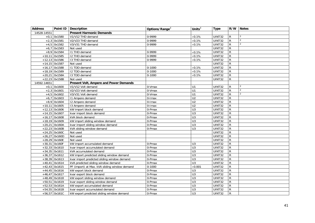| <b>Address</b> |                 | Point ID   Description                        | Options/Range <sup>3</sup> | Units $3$        | <b>Type</b>         |                | R/W Notes      |
|----------------|-----------------|-----------------------------------------------|----------------------------|------------------|---------------------|----------------|----------------|
| 14528-14551    |                 | <b>Present Harmonic Demands</b>               |                            |                  |                     |                |                |
| $+0,1$         | 0x1580          | V1/V12 THD demand                             | 0-9999                     | $\times$ 0.1%    | UINT32              | R              | 2              |
|                | $+2,3$ 0x1581   | V2/V23 THD demand                             | 0-9999                     | $\times 0.1\%$   | <b>UINT32</b>       | $\mathsf{R}$   | $\overline{2}$ |
|                | $+4,5$ 0x1582   | V3/V31 THD demand                             | 0-9999                     | $\times 0.1\%$   | UINT32              | R              | 2              |
| $+6,7$         | 0x1583          | Not used                                      |                            |                  | UINT32              | R              |                |
|                | $+8,9$ 0x1584   | I1 THD demand                                 | 0-9999                     | $\times 0.1\%$   | UINT32              | R              |                |
|                | $+10,11$ 0x1585 | I2 THD demand                                 | 0-9999                     | $\times 0.1\%$   | UINT32              | R              |                |
|                | $+12,13$ 0x1586 | <b>I3 THD demand</b>                          | 0-9999                     | $\times$ 0.1%    | $\overline{UINT32}$ | R              |                |
|                | $+14,15$ 0x1587 | Not used                                      |                            |                  | <b>UINT32</b>       | R              |                |
|                | $+16,17$ 0x1588 | I1 TDD demand                                 | $0 - 1000$                 | $\times 0.1\%$   | UINT32              | R              |                |
|                | $+18,19$ 0x1589 | <b>I2 TDD demand</b>                          | $0 - 1000$                 | $\times 0.1\%$   | UINT32              | R              |                |
|                | $+20,21$ 0x158A | 13 TDD demand                                 | $0 - 1000$                 | $\times 0.1\%$   | <b>UINT32</b>       | $\overline{R}$ |                |
|                | $+22,23$ 0x158B | Not used                                      |                            |                  | UINT32              | $\mathsf{R}$   |                |
| 14592-14651    |                 | Present Volt, Ampere and Power Demands        |                            |                  |                     |                |                |
|                | $+0,1$ 0x1600   | V1/V12 Volt demand                            | 0-Vmax                     | U <sub>1</sub>   | UINT32              | R.             | $\overline{2}$ |
|                | $+2,3$ 0x1601   | V2/V23 Volt demand                            | 0-Vmax                     | U <sub>1</sub>   | <b>UINT32</b>       | $\mathsf{R}$   | $\overline{2}$ |
|                | $+4,5$ 0x1602   | V3/V31 Volt demand                            | 0-Vmax                     | U1               | <b>UINT32</b>       | R.             | $\overline{2}$ |
|                | $+6,7$ 0x1603   | 11 Ampere demand                              | $0$ -Imax                  | U <sub>2</sub>   | UINT32              | $\mathsf{R}$   |                |
|                | $+8,9$ 0x1604   | 12 Ampere demand                              | 0-Imax                     | U <sub>2</sub>   | UINT32              | R              |                |
|                | $+10,11$ 0x1605 | 13 Ampere demand                              | 0-Imax                     | U <sub>2</sub>   | UINT32              | $\mathsf{R}$   |                |
|                | $+12,13$ 0x1606 | kW import block demand                        | 0-Pmax                     | U3               | UINT32              | $\overline{R}$ |                |
|                | $+14,15$ 0x1607 | kvar import block demand                      | 0-Pmax                     | U <sub>3</sub>   | UINT32              | R              |                |
|                | $+16,17$ 0x1608 | kVA block demand                              | 0-Pmax                     | U3               | UINT32              | R              |                |
|                | +18,19 0x1609   | kW import sliding window demand               | 0-Pmax                     | $\overline{U}$ 3 | UINT32              | R              |                |
|                | $+20,21$ 0x160A | kvar import sliding window demand             | 0-Pmax                     | U <sub>3</sub>   | UINT32              | R              |                |
|                | $+22,23$ 0x160B | kVA sliding window demand                     | 0-Pmax                     | U <sub>3</sub>   | UINT32              | R              |                |
|                | $+24,25$ 0x160C | Not used                                      |                            |                  | UINT32              | R              |                |
|                | $+26,27$ 0x160D | Not used                                      |                            |                  | <b>UINT32</b>       | R              |                |
|                | $+28,29$ 0x160E | Not used                                      |                            |                  | UINT32              | R              |                |
|                | $+30,31$ 0x160F | kW import accumulated demand                  | 0-Pmax                     | U3               | UINT32              | $\mathsf{R}$   |                |
|                | $+32,33$ 0x1610 | kvar import accumulated demand                | 0-Pmax                     | U3               | UINT32              | R              |                |
|                | $+34,35$ 0x1611 | kVA accumulated demand                        | 0-Pmax                     | U <sub>3</sub>   | UINT32              | $\mathsf{R}$   |                |
|                | $+36,37$ 0x1612 | kW import predicted sliding window demand     | 0-Pmax                     | U3               | UINT32              | R              |                |
|                | $+38,39$ 0x1613 | kvar import predicted sliding window demand   | 0-Pmax                     | $\overline{U}$ 3 | UINT32              | $\overline{R}$ |                |
|                | $+40,41$ 0x1614 | kVA predicted sliding window demand           | 0-Pmax                     | $\overline{U}$ 3 | UINT32              | R              |                |
|                | $+42,43$ 0x1615 | PF (import) at Max. kVA sliding window demand | $0 - 1000$                 | $\times$ 0.001   | UINT32              | R.             |                |
|                | $+44,45$ 0x1616 | kW export block demand                        | 0-Pmax                     | U <sub>3</sub>   | UINT32              | R              |                |
|                | $+46,47$ 0x1617 | kvar export block demand                      | 0-Pmax                     | U3               | UINT32              | R              |                |
|                | $+48,49$ 0x1618 | kW export sliding window demand               | 0-Pmax                     | U <sub>3</sub>   | UINT32              | $\mathsf{R}$   |                |
|                | $+50,51$ 0x1619 | kvar export sliding window demand             | 0-Pmax                     | U3               | UINT32              | $\mathsf{R}$   |                |
|                | $+52,53$ 0x161A | kW export accumulated demand                  | 0-Pmax                     | U <sub>3</sub>   | UINT32              | R.             |                |
|                | $+54,55$ 0x161B | kvar export accumulated demand                | 0-Pmax                     | $\overline{U}$ 3 | UINT32              | R              |                |
|                | $+56,57$ 0x161C | kW export predicted sliding window demand     | 0-Pmax                     | $\overline{U}$ 3 | UINT32              | $\mathsf{R}$   |                |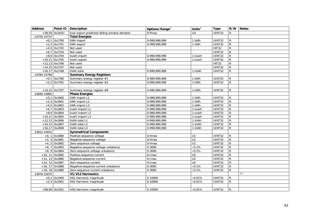| <b>Address</b> |                  | Point ID   Description                      | Options/Range <sup>3</sup> | Units $3$       | <b>Type</b>   |                | R/W Notes |
|----------------|------------------|---------------------------------------------|----------------------------|-----------------|---------------|----------------|-----------|
| $+58,59$       | 0x161D           | kvar export predicted sliding window demand | 0-Pmax                     | U <sub>3</sub>  | UINT32        | R              |           |
| 14720-14737    |                  | <b>Total Energies</b>                       |                            |                 |               |                |           |
|                | $+0,1$ 0x1700    | kWh import                                  | 0-999,999,999              | 1 kWh           | UINT32        | R              |           |
| $+2,3$         | 0x1701           | kWh export                                  | 0-999,999,999              | 1 kWh           | UINT32        | $\overline{R}$ |           |
| $+4,5$         | 0x1702           | Not used                                    |                            |                 | <b>INT32</b>  | $\mathsf{R}$   |           |
| $+6,7$         | 0x1703           | Not used                                    |                            |                 | UINT32        | ${\sf R}$      |           |
| $+8,9$         | 0x1704           | kvarh import                                | 0-999,999,999              | 1 kvarh         | UINT32        | $\overline{R}$ |           |
|                | $+10,11$ 0x1705  | kvarh export                                | 0-999,999,999              | 1 kvarh         | UINT32        | $\mathsf{R}$   |           |
|                | $+12,13$ 0x1706  | Not used                                    |                            |                 | <b>INT32</b>  | $\overline{R}$ |           |
|                | $+14,15$ 0x1707  | Not used                                    |                            |                 | <b>UINT32</b> | $\mathsf{R}$   |           |
|                | $+16,17$ 0x1708  | kVAh total                                  | 0-999,999,999              | 1 kVAh          | UINT32        | $\mathsf{R}$   |           |
| 14784-14799    |                  | <b>Summary Energy Registers</b>             |                            |                 |               |                |           |
|                | $+0,1$ 0x1780    | Summary energy register #1                  | 0-999,999,999              | 1 kWh           | UINT32        | $\mathsf{R}$   |           |
|                | $+2,3$ 0x1781    | Summary energy register #2                  | 0-999,999,999              | 1 kWh           | UINT32        | $\overline{R}$ |           |
|                |                  |                                             |                            |                 |               |                |           |
|                | $+14,15$ 0x1787  | Summary energy register #8                  | 0-999,999,999              | 1 kWh           | UINT32        | $\mathsf{R}$   |           |
| 14848-14865    |                  | <b>Phase Energies</b>                       |                            |                 |               |                |           |
|                | $+0,1$ 0x1800    | kWh import L1                               | 0-999,999,999              | 1 kWh           | UINT32        | R              |           |
|                | $+2,3$ 0x1801    | kWh import L2                               | 0-999,999,999              | 1 kWh           | UINT32        | $\mathsf{R}$   |           |
| $+4,5$         | 0x1802           | kWh import L3                               | 0-999,999,999              | 1 kWh           | UINT32        | $\overline{R}$ |           |
| $+6,7$         | 0x1803           | kvarh import L1                             | 0-999.999.999              | 1 kvarh         | UINT32        | $\overline{R}$ |           |
|                | $+8,9$ 0x1804    | kvarh import L2                             | 0-999,999,999              | 1 kvarh         | UINT32        | $\mathsf{R}$   |           |
|                | $+10,11$ 0x1805  | kvarh import L3                             | 0-999,999,999              | 1 kvarh         | UINT32        | $\mathsf{R}$   |           |
|                | $+12,13$ 0x1806  | kVAh total L1                               | 0-999,999,999              | 1 kVAh          | UINT32        | $\mathsf{R}$   |           |
|                | $+14,15$ 0x1807  | kVAh total L2                               | 0-999,999,999              | 1 kVAh          | UINT32        | ${\sf R}$      |           |
|                | $+16,17$ 0x1808  | kVAh total L3                               | 0-999,999,999              | 1 kVAh          | UINT32        | $\mathsf{R}$   |           |
| 14912-14931    |                  | <b>Symmetrical Components</b>               |                            |                 |               |                |           |
| $+0, 1$        | 0x1880           | Positive-sequence voltage                   | 0-Vmax                     | U1              | UINT32        | $\mathsf{R}$   |           |
| $+2, 3$        | 0x1881           | Negative-sequence voltage                   | 0-Vmax                     | U1              | UINT32        | $\mathsf{R}$   |           |
| $+4, 5$        | 0x1882           | Zero-sequence voltage                       | 0-Vmax                     | U1              | UINT32        | $\mathsf{R}$   |           |
| $+6, 7$        | 0x1883           | Negative-sequence voltage unbalance         | 0-3000                     | $\times 0.1\%$  | UINT32        | $\overline{R}$ |           |
| $+8, 9$        | 0x1884           | Zero-sequence voltage unbalance             | $0 - 3000$                 | $\times 0.1\%$  | UINT32        | ${\sf R}$      |           |
| $+10, 11$      | 0x1885           | Positive-sequence current                   | $0$ -Imax                  | U <sub>2</sub>  | UINT32        | ${\sf R}$      |           |
|                | $+12, 13$ 0x1886 | Negative-sequence current                   | 0-Imax                     | U <sub>2</sub>  | UINT32        | $\overline{R}$ |           |
|                | $+14, 15$ 0x1887 | Zero-sequence current                       | 0-Imax                     | U <sub>2</sub>  | UINT32        | $\mathsf{R}$   |           |
|                | $+16, 17$ 0x1888 | Negative-sequence current unbalance         | 0-3000                     | $\times 0.1\%$  | <b>UINT32</b> | ${\sf R}$      |           |
|                | $+18, 19$ 0x1889 | Zero-sequence current unbalance             | 0-3000                     | $\times 0.1\%$  | UINT32        | R              |           |
| 14976-15075    |                  | V1/V12 Harmonics                            |                            |                 |               |                | 2,7       |
|                | $+0,1$ 0x1900    | H01 Harmonic magnitude                      | 0-10000                    | $\times 0.01\%$ | UINT32        | R              |           |
|                | $+2,3$ 0x1901    | H02 Harmonic magnitude                      | $0-10000$                  | $\times 0.01\%$ | UINT32        | $\mathsf{R}$   |           |
|                |                  |                                             |                            |                 |               |                |           |
|                | +98,99 0x1931    | H50 Harmonic magnitude                      | 0-10000                    | $\times 0.01\%$ | <b>UINT32</b> | $\mathsf{R}$   |           |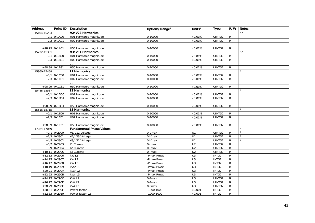| <b>Address</b> |                 | Point ID   Description          | Options/Range <sup>3</sup> | Units $3$       | <b>Type</b>  | R/W            | <b>Notes</b>   |
|----------------|-----------------|---------------------------------|----------------------------|-----------------|--------------|----------------|----------------|
| 15104-15203    |                 | V2/V23 Harmonics                |                            |                 |              |                | 2,7            |
| $+0,1$         | 0x1A00          | H01 Harmonic magnitude          | 0-10000                    | $\times$ 0.01%  | UINT32       | R              |                |
|                | $+2,3$ 0x1A01   | H02 Harmonic magnitude          | $0 - 10000$                | $\times 0.01\%$ | UINT32       | $\mathsf{R}$   |                |
|                |                 |                                 |                            |                 |              |                |                |
|                | +98,99 0x1A31   | H50 Harmonic magnitude          | 0-10000                    | $\times 0.01\%$ | UINT32       | $\mathsf{R}$   |                |
| 15232-15331    |                 | V3/V31 Harmonics                |                            |                 |              |                | 2,7            |
|                | $+0,1$ 0x1B00   | H01 Harmonic magnitude          | 0-10000                    | $\times 0.01\%$ | UINT32       | R              |                |
|                | $+2,3$ 0x1B01   | H02 Harmonic magnitude          | 0-10000                    | $\times 0.01\%$ | UINT32       | $\mathsf{R}$   |                |
|                |                 |                                 |                            |                 |              |                |                |
|                | +98,99 0x1B31   | H50 Harmonic magnitude          | $0 - 10000$                | $\times 0.01\%$ | UINT32       | R              |                |
| 15360-15459    |                 | <b>I1 Harmonics</b>             |                            |                 |              |                |                |
|                | $+0,1$ 0x1C00   | H01 Harmonic magnitude          | $0-10000$                  | $\times 0.01\%$ | UINT32       | $\mathsf{R}$   |                |
|                | $+2,3$ 0x1C01   | H02 Harmonic magnitude          | 0-10000                    | $\times 0.01\%$ | UINT32       | R              |                |
|                |                 |                                 |                            |                 |              |                |                |
|                | +98,99 0x1C31   | H50 Harmonic magnitude          | 0-10000                    | $\times 0.01\%$ | UINT32       | $\mathsf{R}$   |                |
| 15488-15587    |                 | <b>I2 Harmonics</b>             |                            |                 |              |                | $\overline{7}$ |
|                | $+0,1$ 0x1D00   | H01 Harmonic magnitude          | 0-10000                    | $\times 0.01\%$ | UINT32       | $\mathsf{R}$   |                |
|                | $+2,3$ 0x1D01   | H02 Harmonic magnitude          | $0 - 10000$                | $\times 0.01\%$ | UINT32       | $\mathsf{R}$   |                |
|                |                 |                                 |                            |                 |              |                |                |
|                | +98,99 0x1D31   | H50 Harmonic magnitude          | 0-10000                    | $\times 0.01\%$ | UINT32       | R              |                |
| 15616-15715    |                 | <b>13 Harmonics</b>             |                            |                 |              |                | $\overline{7}$ |
|                | $+0,1$ 0x1E00   | H01 Harmonic magnitude          | 0-10000                    | $\times 0.01\%$ | UINT32       | $\mathsf{R}$   |                |
|                | $+2,3$ 0x1E01   | H02 Harmonic magnitude          | 0-10000                    | $\times 0.01\%$ | UINT32       | $\mathsf{R}$   |                |
|                |                 |                                 |                            |                 |              |                |                |
|                | +98,99 0x1E31   | H50 Harmonic magnitude          | 0-10000                    | $\times 0.01\%$ | UINT32       | R              |                |
| 17024-17059    |                 | <b>Fundamental Phase Values</b> |                            |                 |              |                | 5              |
|                | $+0,1$ 0x2900   | V1/V12 Voltage                  | 0-Vmax                     | U1              | UINT32       | R              | 2              |
|                | $+2,3$ 0x2901   | V2/V23 Voltage                  | 0-Vmax                     | U1              | UINT32       | $\mathsf{R}$   | $\overline{2}$ |
|                | $+4,5$ 0x2902   | V3/V31 Voltage                  | 0-Vmax                     | U1              | UINT32       | $\mathsf{R}$   | $\overline{2}$ |
|                | $+6,7$ 0x2903   | <b>11 Current</b>               | 0-Imax                     | U <sub>2</sub>  | UINT32       | $\mathsf{R}$   |                |
|                | $+8,9$ 0x2904   | <b>I2 Current</b>               | 0-Imax                     | $\overline{U2}$ | UINT32       | $\overline{R}$ |                |
|                | $+10,11$ 0x2905 | 13 Current                      | 0-Imax                     | $\overline{U2}$ | UINT32       | R              |                |
|                | $+12,13$ 0x2906 | kW L1                           | Pmax-Pmax                  | $\overline{U}$  | <b>INT32</b> | R              |                |
|                | $+14,15$ 0x2907 | kWL2                            | Pmax-Pmax                  | U3              | <b>INT32</b> | R              |                |
|                | $+16,17$ 0x2908 | kW <sub>L3</sub>                | Pmax-Pmax                  | U <sub>3</sub>  | <b>INT32</b> | $\mathsf{R}$   |                |
|                | $+18,19$ 0x2909 | kvar L1                         | Pmax-Pmax                  | $\overline{U}$  | <b>INT32</b> | $\mathsf{R}$   |                |
|                | $+20,21$ 0x290A | kvar $L2$                       | -Pmax-Pmax                 | U3              | <b>INT32</b> | $\overline{R}$ |                |
|                | $+22,23$ 0x290B | kvar L3                         | -Pmax-Pmax                 | U <sub>3</sub>  | <b>INT32</b> | ${\sf R}$      |                |
|                | $+24,25$ 0x290C | kVA L1                          | 0-Pmax                     | $\overline{U}$  | UINT32       | $\mathsf{R}$   |                |
|                | $+26,27$ 0x290D | kVA L2                          | 0-Pmax                     | U3              | UINT32       | $\overline{R}$ |                |
|                | $+28,29$ 0x290E | kVAL3                           | 0-Pmax                     | U <sub>3</sub>  | UINT32       | $\mathsf{R}$   |                |
|                | +30,31 0x290F   | Power factor L1                 | $-1000 - 1000$             | $\times$ 0.001  | INT32        | $\mathsf{R}$   |                |
|                | $+32,33$ 0x2910 | Power factor L2                 | $-1000 - 1000$             | $\times 0.001$  | <b>INT32</b> | $\overline{R}$ |                |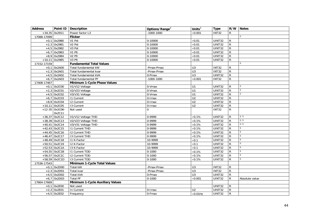| <b>Address</b> |                  | Point ID   Description           | Options/Range <sup>3</sup> | Units $3$       | <b>Type</b>   |                | R/W Notes       |
|----------------|------------------|----------------------------------|----------------------------|-----------------|---------------|----------------|-----------------|
| $+34,35$       | 0x2911           | Power factor L3                  | $-1000 - 1000$             | $\times$ 0.001  | <b>INT32</b>  | R              |                 |
| 17088-17099    |                  | <b>Flicker</b>                   |                            |                 |               |                | $\overline{2}$  |
|                | $+0,1$ 0x2980    | V1 Pst                           | $0 - 10000$                | $\times 0.01$   | <b>UINT32</b> | R              |                 |
|                | $+2,3$ 0x2981    | V <sub>2</sub> Pst               | $0 - 10000$                | $\times 0.01$   | <b>UINT32</b> | $\mathsf{R}$   |                 |
|                | $+4,5$ 0x2982    | V <sub>3</sub> Pst               | $0 - 10000$                | $\times 0.01$   | <b>UINT32</b> | $\overline{R}$ |                 |
|                | $+6,7$ 0x2983    | V1 Plt                           | 0-10000                    | $\times 0.01$   | UINT32        | R              |                 |
|                | $+8,9$ 0x2984    | V <sub>2</sub> Plt               | $0 - 10000$                | $\times 0.01$   | UINT32        | $\mathsf{R}$   |                 |
|                | $+10,11$ 0x2985  | V3 Plt                           | 0-10000                    | $\times 0.01$   | <b>UINT32</b> | $\mathsf{R}$   |                 |
| 17152-17159    |                  | <b>Fundamental Total Values</b>  |                            |                 |               |                | 5               |
|                | $+0,1$ 0x2A00    | Total fundamental kW             | -Pmax-Pmax                 | U <sub>3</sub>  | INT32         | ${\sf R}$      |                 |
|                | $+2,3$ 0x2A01    | Total fundamental kvar           | -Pmax-Pmax                 | $\overline{U}$  | <b>INT32</b>  | $\overline{R}$ |                 |
|                | $+4,5$ 0x2A02    | Total fundamental kVA            | 0-Pmax                     | U <sub>3</sub>  | <b>UINT32</b> | ${\sf R}$      |                 |
|                | $+6,7$ 0x2A03    | Total fundamental PF             | $-1000 - 1000$             | $\times$ 0.001  | INT32         | $\mathsf{R}$   |                 |
| 17408-17467    |                  | Minimum 1-Cycle Phase Values     |                            |                 |               |                |                 |
|                | $+0,1$ 0x2C00    | V1/V12 Voltage                   | 0-Vmax                     | U1              | UINT32        | $\mathsf{R}$   | $\overline{2}$  |
|                | $+2,3$ 0x2C01    | V2/V23 Voltage                   | 0-Vmax                     | U1              | <b>UINT32</b> | $\overline{R}$ | $\overline{2}$  |
|                | $+4,5$ 0x2C02    | V3/V31 Voltage                   | 0-Vmax                     | U1              | <b>UINT32</b> | $\mathsf{R}$   | $\overline{2}$  |
|                | $+6,7$ 0x2C03    | 11 Current                       | $0$ -Imax                  | U <sub>2</sub>  | <b>UINT32</b> | $\mathsf{R}$   |                 |
|                | $+8,9$ 0x2C04    | $\overline{12}$ Current          | 0-Imax                     | $\overline{U2}$ | UINT32        | $\mathsf{R}$   |                 |
|                | $+10,11$ 0x2C05  | 13 Current                       | $0$ -Imax                  | U <sub>2</sub>  | UINT32        | $\overline{R}$ |                 |
|                | $+12-35$ 0x2C06- | Not used                         | $\Omega$                   |                 | <b>INT32</b>  | $\mathsf{R}$   |                 |
|                | 0x2C11           |                                  |                            |                 |               |                |                 |
|                | $+36,37$ 0x2C12  | V1/V12 Voltage THD               | 0-9999                     | $\times 0.1\%$  | UINT32        | R              | 2, 5            |
|                | $+38,39$ 0x2C13  | V2/V23 Voltage THD               | 0-9999                     | $\times 0.1\%$  | <b>UINT32</b> | $\mathsf{R}$   | 2, 5            |
|                | $+40,41$ 0x2C14  | V3/V31 Voltage THD               | 0-9999                     | $\times 0.1\%$  | <b>UINT32</b> | $\mathsf{R}$   | 2, 5            |
|                | $+42,43$ 0x2C15  | <b>11 Current THD</b>            | 0-9999                     | $\times 0.1\%$  | <b>UINT32</b> | $\mathsf{R}$   | 5               |
|                | $+44,45$ 0x2C16  | <b>I2 Current THD</b>            | 0-9999                     | $\times 0.1\%$  | <b>UINT32</b> | $\overline{R}$ | $\overline{5}$  |
|                | $+46,47$ 0x2C17  | 13 Current THD                   | 0-9999                     | $\times 0.1\%$  | UINT32        | R              | $5\phantom{.0}$ |
|                | +48,49 0x2C18    | 11 K-Factor                      | 10-9999                    | $\times 0.1$    | UINT32        | $\mathsf{R}$   | $\overline{5}$  |
|                | $+50,51$ 0x2C19  | I2 K-Factor                      | 10-9999                    | $\times 0.1$    | <b>UINT32</b> | $\mathsf{R}$   | $\overline{5}$  |
|                | $+52,53$ 0x2C1A  | 13 K-Factor                      | 10-9999                    | $\times 0.1$    | <b>UINT32</b> | $\mathsf{R}$   | 5               |
|                | $+54,55$ 0x2C1B  | <b>11 Current TDD</b>            | $0 - 1000$                 | $\times 0.1\%$  | UINT32        | $\mathsf{R}$   | 5               |
|                | $+56,57$ 0x2C1C  | <b>I2 Current TDD</b>            | $0 - 1000$                 | $\times 0.1\%$  | UINT32        | $\mathsf{R}$   | 5               |
|                | $+58,59$ 0x2C1D  | 13 Current TDD                   | $0 - 1000$                 | $\times 0.1\%$  | UINT32        | $\mathsf{R}$   | 5               |
| 17536-17543    |                  | Minimum 1-Cycle Total Values     |                            |                 |               |                |                 |
|                | $+0,1$ 0x2D00    | Total kW                         | -Pmax-Pmax                 | U <sub>3</sub>  | <b>INT32</b>  | $\mathsf{R}$   |                 |
|                | $+2,3$ 0x2D01    | Total kvar                       | -Pmax-Pmax                 | $\overline{U}$  | <b>INT32</b>  | $\overline{R}$ |                 |
|                | $+4,5$ 0x2D02    | Total kVA                        | 0-Pmax                     | $\overline{U}$  | <b>UINT32</b> | ${\sf R}$      |                 |
|                | $+6,7$ 0x2D03    | <b>Total PF</b>                  | $0 - 1000$                 | $\times 0.001$  | UINT32        | R              | Absolute value  |
| 17664-17669    |                  | Minimum 1-Cycle Auxiliary Values |                            |                 |               |                |                 |
|                | $+0,1$ 0x2E00    | Not used                         |                            |                 | UINT32        | R              |                 |
|                | $+2,3$ 0x2E01    | In Current                       | 0-Imax                     | U <sub>2</sub>  | <b>UINT32</b> | $\mathsf{R}$   |                 |
|                | $+4,5$ 0x2E02    | Frequency                        | 0-Fmax                     | $\times$ 0.01Hz | <b>UINT32</b> | $\overline{R}$ |                 |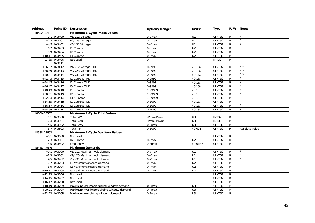| <b>Address</b> |                            | Point ID   Description                    | Options/Range <sup>3</sup> | Units $3$        | <b>Type</b>   |                | R/W Notes      |
|----------------|----------------------------|-------------------------------------------|----------------------------|------------------|---------------|----------------|----------------|
| 18432-18491    |                            | <b>Maximum 1-Cycle Phase Values</b>       |                            |                  |               |                |                |
|                | $+0,1$ 0x3400              | V1/V12 Voltage                            | 0-Vmax                     | U1               | <b>UINT32</b> | R              | $\overline{2}$ |
|                | $+2,3$ 0x3401              | V2/V23 Voltage                            | 0-Vmax                     | U <sub>1</sub>   | UINT32        | $\mathsf{R}$   | $\overline{2}$ |
|                | $+4,5$ 0x3402              | V3/V31 Voltage                            | $0-Vmax$                   | U <sub>1</sub>   | UINT32        | $\mathsf{R}$   | $\overline{2}$ |
| $+6,7$         | 0x3403                     | <b>11 Current</b>                         | 0-Imax                     | U <sub>2</sub>   | UINT32        | $\mathsf{R}$   |                |
|                | $+8,9$ 0x3404              | <b>12 Current</b>                         | 0-Imax                     | U <sub>2</sub>   | UINT32        | $\mathsf{R}$   |                |
|                | $+10,11$ 0x3405            | 13 Current                                | 0-Imax                     | U <sub>2</sub>   | UINT32        | $\overline{R}$ |                |
|                | $+12-35$ 0x3406-<br>0x3411 | Not used                                  | 0                          |                  | <b>INT32</b>  | $\overline{R}$ |                |
|                | $+36,37$ 0x3412            | V1/V12 Voltage THD                        | 0-9999                     | $\times 0.1\%$   | UINT32        | R              | 2, 5           |
|                | $+38,39$ 0x3413            | V2/V23 Voltage THD                        | 0-9999                     | $\times 0.1\%$   | UINT32        | $\mathsf{R}$   | 2, 5           |
|                | $+40,41$ 0x3414            | V3/V31 Voltage THD                        | 0-9999                     | $\times 0.1\%$   | UINT32        | R              | 2, 5           |
|                | $+42,43$ 0x3415            | <b>I1 Current THD</b>                     | 0-9999                     | $\times 0.1\%$   | UINT32        | $\mathsf{R}$   | 5              |
|                | $+44,45$ 0x3416            | <b>I2 Current THD</b>                     | 0-9999                     | $\times 0.1\%$   | UINT32        | $\mathsf{R}$   | 5              |
|                | $+46,47$ 0x3417            | <b>I3 Current THD</b>                     | 0-9999                     | $\times 0.1\%$   | UINT32        | $\mathsf{R}$   | 5              |
|                | $+48,49$ 0x3418            | 11 K-Factor                               | 10-9999                    | $\times 0.1$     | UINT32        | $\mathsf{R}$   | 5              |
|                | $+50,51$ 0x3419            | I2 K-Factor                               | 10-9999                    | $\times 0.1$     | UINT32        | $\overline{R}$ | 5              |
|                | $+52,53$ 0x341A            | 13 K-Factor                               | 10-9999                    | $\times$ 0.1     | UINT32        | $\mathsf{R}$   | 5              |
|                | $+54,55$ 0x341B            | <b>11 Current TDD</b>                     | $0 - 1000$                 | $\times 0.1\%$   | UINT32        | R              | 5              |
|                | +56,57 0x341C              | 12 Current TDD                            | $0 - 1000$                 | $\times 0.1\%$   | UINT32        | $\mathsf{R}$   | 5              |
|                | +58,59 0x341D              | 13 Current TDD                            | $0 - 1000$                 | $\times 0.1\%$   | UINT32        | R              | 5              |
| 18560-18567    |                            | <b>Maximum 1-Cycle Total Values</b>       |                            |                  |               |                |                |
|                | $+0,1$ 0x3500              | <b>Total kW</b>                           | Pmax-Pmax                  | U3               | INT32         | R              |                |
|                | $+2,3$ 0x3501              | Total kvar                                | Pmax-Pmax                  | U3               | <b>INT32</b>  | $\overline{R}$ |                |
|                | $+4,5$ 0x3502              | <b>Total kVA</b>                          | 0-Pmax                     | U <sub>3</sub>   | UINT32        | $\mathsf{R}$   |                |
|                | $+6,7$ 0x3503              | <b>Total PF</b>                           | $0 - 1000$                 | $\times 0.001$   | UINT32        | $\mathsf{R}$   | Absolute value |
| 18688-18693    |                            | <b>Maximum 1-Cycle Auxiliary Values</b>   |                            |                  |               |                |                |
|                | $+0,1$ 0x3600              | Not used                                  |                            |                  | UINT32        | R              |                |
|                | $+2,3$ 0x3601              | In Current                                | 0-Imax                     | U <sub>2</sub>   | UINT32        | $\mathsf{R}$   |                |
|                | $+4,5$ 0x3602              | Frequency                                 | 0-Fmax                     | $\times 0.01$ Hz | UINT32        | ${\sf R}$      |                |
| 18816-18849    |                            | <b>Maximum Demands</b>                    |                            |                  |               |                |                |
| $+0,1$         | 0x3700                     | V1/V12 Maximum volt demand                | 0-Vmax                     | U1               | UINT32        | R              | 2              |
|                | $+2,3$ 0x3701              | V2/V23 Maximum volt demand                | 0-Vmax                     | U1               | UINT32        | $\mathsf{R}$   | $\overline{2}$ |
|                | $+4,5$ 0x3702              | V3/V31 Maximum volt demand                | 0-Vmax                     | U1               | UINT32        | $\mathsf{R}$   | $\overline{2}$ |
| $+6,7$         | 0x3703                     | 11 Maximum ampere demand                  | $\overline{0}$ -Imax       | $\overline{U2}$  | UINT32        | ${\sf R}$      |                |
|                | $+8,9$ 0x3704              | 12 Maximum ampere demand                  | 0-Imax                     | $\overline{U2}$  | UINT32        | $\mathsf{R}$   |                |
|                | $+10,11$ 0x3705            | 13 Maximum ampere demand                  | 0-Imax                     | U <sub>2</sub>   | UINT32        | $\mathsf{R}$   |                |
|                | $+12,13$ 0x3706            | Not used                                  |                            |                  | UINT32        | R              |                |
|                | $+14,15$ 0x3707            | Not used                                  |                            |                  | UINT32        | R              |                |
|                | $+16,17$ 0x3708            | Not used                                  |                            |                  | UINT32        | $\overline{R}$ |                |
|                | $+18,19$ 0x3709            | Maximum kW import sliding window demand   | $0$ -Pmax                  | U <sub>3</sub>   | <b>UINT32</b> | $\mathsf{R}$   |                |
|                | $+20,21$ 0x370A            | Maximum kvar import sliding window demand | 0-Pmax                     | U <sub>3</sub>   | UINT32        | ${\sf R}$      |                |
|                | $+22,23$ 0x370B            | Maximum kVA sliding window demand         | 0-Pmax                     | U3               | UINT32        | $\mathsf{R}$   |                |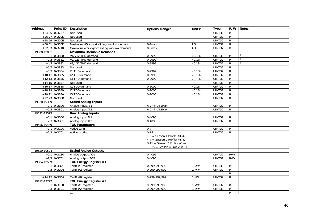| <b>Address</b> |                 | Point ID   Description                    | Options/Range <sup>3</sup>        | Units $3$      | <b>Type</b>         |                | R/W Notes      |
|----------------|-----------------|-------------------------------------------|-----------------------------------|----------------|---------------------|----------------|----------------|
|                | $+24,25$ 0x3737 | Not used                                  |                                   |                | UINT32              | $\mathsf{R}$   |                |
|                | $+26,27$ 0x370D | Not used                                  |                                   |                | UINT32              | $\mathsf{R}$   |                |
|                | $+28,29$ 0x370E | Not used                                  |                                   |                | UINT32              | $\mathsf{R}$   |                |
|                | $+30,31$ 0x370F | Maximum kW export sliding window demand   | 0-Pmax                            | U <sub>3</sub> | UINT32              | $\overline{R}$ |                |
|                | $+32,33$ 0x3710 | Maximum kvar export sliding window demand | 0-Pmax                            | U3             | UINT32              | $\mathsf{R}$   |                |
| 19008-19031    |                 | <b>Maximum Harmonic Demands</b>           |                                   |                |                     |                |                |
|                | $+0,1$ 0x3880   | V1/V12 THD demand                         | 0-9999                            | $\times 0.1\%$ | UINT32              | $\mathsf{R}$   | 2              |
|                | $+2,3$ 0x3881   | V2/V23 THD demand                         | 0-9999                            | $\times 0.1\%$ | UINT32              | $\mathsf{R}$   | $\overline{2}$ |
|                | $+4,5$ 0x3882   | V3/V31 THD demand                         | 0-9999                            | $\times 0.1\%$ | UINT32              | $\mathsf R$    | 2              |
|                | $+6,7$ 0x3883   | Not used                                  |                                   |                | UINT32              | R              |                |
|                | $+8,9$ 0x3884   | I1 THD demand                             | 0-9999                            | $\times 0.1\%$ | UINT32              | $\mathsf{R}$   |                |
|                | $+10,11$ 0x3885 | 12 THD demand                             | 0-9999                            | $\times 0.1\%$ | UINT32              | $\mathsf{R}$   |                |
|                | $+12,13$ 0x3886 | 13 THD demand                             | 0-9999                            | $\times 0.1\%$ | UINT32              | ${\sf R}$      |                |
|                | $+14,15$ 0x3887 | Not used                                  |                                   |                | UINT32              | ${\sf R}$      |                |
|                | $+16,17$ 0x3888 | I1 TDD demand                             | $0 - 1000$                        | $\times 0.1\%$ | UINT32              | $\mathsf{R}$   |                |
|                | $+18,19$ 0x3889 | I2 TDD demand                             | $0 - 1000$                        | $\times 0.1\%$ | UINT32              | ${\sf R}$      |                |
|                | $+20,21$ 0x388A | 13 TDD demand                             | $0 - 1000$                        | $\times 0.1\%$ | UINT32              | ${\sf R}$      |                |
|                | $+22,23$ 0x388B | Not used                                  |                                   |                | UINT32              | $\mathsf{R}$   |                |
| 19328-19359    |                 | <b>Scaled Analog Inputs</b>               |                                   |                |                     |                |                |
|                | $+0,1$ 0x3B00   | Analog input AI1                          | Al1min-Al1Max                     |                | $\overline{UN}$ T32 | R              |                |
|                | $+2,3$ 0x3B01   | Analog input AI2                          | Al2min-Al2Max                     |                | UINT32              | R              |                |
| 19392-19393    |                 | <b>Raw Analog Inputs</b>                  |                                   |                |                     |                |                |
|                | $+0,1$ 0x3B80   | Analog input AI1                          | $0 - 4095$                        |                | UINT32              | R              |                |
|                | $+2,3$ 0x3B81   | Analog input AI2                          | 0-4095                            |                | UINT32              | $\mathsf{R}$   |                |
| 19456-19459    |                 | <b>TOU Parameters</b>                     |                                   |                |                     |                |                |
| $+0,1$         | 0x3C00          | Active tariff                             | $0 - 7$                           |                | UINT32              | R              |                |
|                | $+2,3$ 0x3C01   | Active profile                            | $0 - 15:$                         |                | <b>UINT32</b>       | $\mathsf{R}$   |                |
|                |                 |                                           | $1-3$ = Season 1 Profile $#1-4$ . |                |                     |                |                |
|                |                 |                                           | $4-7$ = Season 2 Profile #1-4,    |                |                     |                |                |
|                |                 |                                           | 8-11 = Season 3 Profile $#1-4$ ,  |                |                     |                |                |
|                |                 |                                           | 12-15 = Season 4 Profile $#1-4$   |                |                     |                |                |
| 19520-19524    |                 | <b>Scaled Analog Outputs</b>              |                                   |                |                     |                |                |
|                | $+0,1$ 0x3C80   | Analog output AO1                         | 0-4095                            |                | UINT32              | R/W            |                |
|                | $+2,3$ 0x3C81   | Analog output AO2                         | 0-4095                            |                | UINT32              | R/W            |                |
| 19584-19599    |                 | TOU Energy Register #1                    |                                   |                |                     |                |                |
|                | $+0,1$ 0x3D00   | Tariff #1 register                        | 0-999,999,999                     | 1 kWh          | UINT32              | R              |                |
|                | $+2,3$ 0x3D01   | Tariff #2 register                        | 0-999,999,999                     | 1 kWh          | UINT32              | R              |                |
|                |                 |                                           |                                   |                |                     | ${\sf R}$      |                |
|                | $+14,15$ 0x3D07 | Tariff #8 register                        | 0-999,999,999                     | 1 kWh          | UINT32              | R              |                |
| 19712-19727    |                 | TOU Energy Register #2                    |                                   |                |                     |                |                |
|                | $+0,1$ 0x3E00   | Tariff #1 register                        | 0-999,999,999                     | 1 kWh          | UINT32              | R              |                |
|                | $+2,3$ 0x3E01   | Tariff #2 register                        | 0-999,999,999                     | 1 kWh          | UINT32              | R              |                |
|                |                 |                                           |                                   |                |                     | R              |                |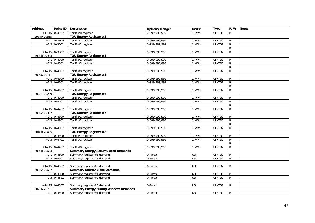| <b>Address</b> |                 | Point ID   Description                       | Options/Range <sup>3</sup> | Units $3$      | <b>Type</b>   |                | R/W Notes |
|----------------|-----------------|----------------------------------------------|----------------------------|----------------|---------------|----------------|-----------|
|                | $+14,15$ 0x3E07 | Tariff #8 register                           | 0-999.999.999              | 1 kWh          | UINT32        | R              |           |
| 19840-19855    |                 | TOU Energy Register #3                       |                            |                |               |                |           |
|                | $+0,1$ 0x3F00   | Tariff #1 register                           | 0-999,999,999              | 1 kWh          | UINT32        | R              |           |
|                | $+2,3$ 0x3F01   | Tariff #2 register                           | 0-999, 999, 999            | 1 kWh          | UINT32        | $\mathsf{R}$   |           |
|                |                 |                                              |                            |                |               | $\mathsf{R}$   |           |
|                | $+14,15$ 0x3F07 | Tariff #8 register                           | 0-999,999,999              | 1 kWh          | UINT32        | $\mathsf{R}$   |           |
| 19968-19983    |                 | TOU Energy Register #4                       |                            |                |               |                |           |
|                | $+0,1$ 0x4000   | Tariff #1 register                           | 0-999,999,999              | 1 kWh          | UINT32        | $\mathsf{R}$   |           |
|                | $+2,3$ 0x4001   | Tariff #2 register                           | 0-999,999,999              | 1 kWh          | <b>UINT32</b> | $\mathsf{R}$   |           |
|                |                 |                                              |                            |                |               | $\mathsf{R}$   |           |
|                | $+14,15$ 0x4007 | Tariff #8 register                           | 0-999,999,999              | 1 kWh          | UINT32        | R              |           |
| 20096-20111    |                 | TOU Energy Register #5                       |                            |                |               |                |           |
|                | $+0,1$ 0x4100   | Tariff #1 register                           | 0-999,999,999              | 1 kWh          | UINT32        | R              |           |
|                | $+2,3$ 0x4101   | Tariff #2 register                           | 0-999, 999, 999            | 1 kWh          | UINT32        | $\mathsf{R}$   |           |
|                |                 |                                              |                            |                |               | $\overline{R}$ |           |
|                | $+14,15$ 0x4107 | Tariff #8 register                           | 0-999,999,999              | 1 kWh          | UINT32        | $\mathsf{R}$   |           |
| 20224-20239    |                 | TOU Energy Register #6                       |                            |                |               |                |           |
|                | $+0,1$ 0x4200   | Tariff #1 register                           | 0-999,999,999              | 1 kWh          | UINT32        | $\mathsf{R}$   |           |
|                | $+2,3$ 0x4201   | Tariff #2 register                           | 0-999,999,999              | 1 kWh          | UINT32        | $\mathsf{R}$   |           |
|                |                 |                                              |                            |                |               | $\overline{R}$ |           |
|                | $+14,15$ 0x4207 | Tariff #8 register                           | 0-999,999,999              | 1 kWh          | UINT32        | $\mathsf{R}$   |           |
| 20352-20367    |                 | TOU Energy Register #7                       |                            |                |               |                |           |
|                | $+0,1$ 0x4300   | Tariff #1 register                           | 0-999,999,999              | 1 kWh          | UINT32        | R              |           |
|                | $+2,3$ 0x4301   | Tariff #2 register                           | 0-999,999,999              | 1 kWh          | UINT32        | $\overline{R}$ |           |
|                |                 |                                              |                            |                |               | $\mathsf{R}$   |           |
|                | $+14,15$ 0x4307 | Tariff #8 register                           | 0-999,999,999              | 1 kWh          | UINT32        | $\mathsf{R}$   |           |
| 20480-20495    |                 | TOU Energy Register #8                       |                            |                |               |                |           |
|                | $+0,1$ 0x4400   | Tariff #1 register                           | 0-999,999,999              | 1 kWh          | UINT32        | $\mathsf{R}$   |           |
|                | $+2,3$ 0x4401   | Tariff #2 register                           | 0-999,999,999              | 1 kWh          | UINT32        | $\mathsf{R}$   |           |
|                |                 |                                              |                            |                |               | $\mathsf{R}$   |           |
|                | $+14,15$ 0x4407 | Tariff #8 register                           | 0-999,999,999              | 1 kWh          | UINT32        | R              |           |
| 20608-20623    |                 | <b>Summary Energy Accumulated Demands</b>    |                            |                |               |                |           |
|                | $+0,1$ 0x4500   | Summary register #1 demand                   | 0-Pmax                     | U <sub>3</sub> | UINT32        | R              |           |
|                | $+2,3$ 0x4501   | Summary register #2 demand                   | 0-Pmax                     | U <sub>3</sub> | UINT32        | $\mathsf{R}$   |           |
|                |                 |                                              |                            |                |               |                |           |
|                | $+14,15$ 0x4507 | Summary register #8 demand                   | 0-Pmax                     | U <sub>3</sub> | UINT32        | R              |           |
| 20672-20687    |                 | <b>Summary Energy Block Demands</b>          |                            |                |               |                |           |
|                | $+0,1$ 0x4580   | Summary register #1 demand                   | 0-Pmax                     | U <sub>3</sub> | UINT32        | R              |           |
|                | $+2,3$ 0x4581   | Summary register #2 demand                   | $0$ -Pmax                  | U <sub>3</sub> | UINT32        | $\mathsf{R}$   |           |
|                |                 |                                              |                            |                |               |                |           |
|                | $+14,15$ 0x4587 | Summary register #8 demand                   | 0-Pmax                     | U <sub>3</sub> | UINT32        | $\mathsf{R}$   |           |
| 20736-20751    |                 | <b>Summary Energy Sliding Window Demands</b> |                            |                |               |                |           |
|                | $+0,1$ 0x4600   | Summary register #1 demand                   | 0-Pmax                     | U <sub>3</sub> | UINT32        | $\mathsf{R}$   |           |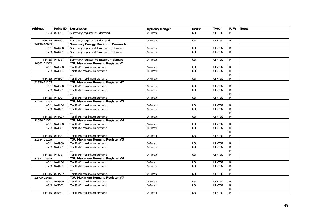| <b>Address</b> |                 | Point ID   Description                | Options/Range <sup>3</sup> | Units $3$      | <b>Type</b>   |                | R/W Notes |
|----------------|-----------------|---------------------------------------|----------------------------|----------------|---------------|----------------|-----------|
|                | $+2,3$ 0x4601   | Summary register #2 demand            | 0-Pmax                     | U <sub>3</sub> | UINT32        | R              |           |
|                |                 |                                       |                            |                |               |                |           |
|                | $+14,15$ 0x4607 | Summary register #8 demand            | 0-Pmax                     | U <sub>3</sub> | UINT32        | $\mathsf{R}$   |           |
| 20928-20943    |                 | <b>Summary Energy Maximum Demands</b> |                            |                |               |                |           |
|                | $+0,1$ 0x4780   | Summary register #1 maximum demand    | 0-Pmax                     | U <sub>3</sub> | UINT32        | R              |           |
|                | $+2,3$ 0x4781   | Summary register #2 maximum demand    | 0-Pmax                     | U3             | <b>UINT32</b> | $\mathsf{R}$   |           |
|                |                 |                                       |                            |                |               |                |           |
|                | $+14,15$ 0x4787 | Summary register #8 maximum demand    | 0-Pmax                     | U3             | UINT32        | $\mathsf{R}$   |           |
| 20992-21023    |                 | TOU Maximum Demand Register #1        |                            |                |               |                |           |
|                | $+0,1$ 0x4800   | Tariff #1 maximum demand              | 0-Pmax                     | U <sub>3</sub> | UINT32        | R              |           |
|                | $+2,3$ 0x4801   | Tariff #2 maximum demand              | 0-Pmax                     | U <sub>3</sub> | <b>UINT32</b> | $\overline{R}$ |           |
|                |                 |                                       |                            |                |               | $\mathsf{R}$   |           |
|                | $+14,15$ 0x4807 | Tariff #8 maximum demand              | 0-Pmax                     | U <sub>3</sub> | UINT32        | $\mathsf{R}$   |           |
| 21120-21135    |                 | TOU Maximum Demand Register #2        |                            |                |               |                |           |
|                | $+0,1$ 0x4900   | Tariff #1 maximum demand              | 0-Pmax                     | U3             | UINT32        | R.             |           |
|                | $+2,3$ 0x4901   | Tariff #2 maximum demand              | $0$ -Pmax                  | $\overline{U}$ | UINT32        | R              |           |
|                |                 |                                       |                            |                |               | $\mathsf{R}$   |           |
|                | $+14,15$ 0x4907 | Tariff #8 maximum demand              | 0-Pmax                     | U <sub>3</sub> | UINT32        | $\mathsf{R}$   |           |
| 21248-21263    |                 | TOU Maximum Demand Register #3        |                            |                |               |                |           |
|                | $+0,1$ 0x4A00   | Tariff #1 maximum demand              | 0-Pmax                     | U <sub>3</sub> | UINT32        | R              |           |
|                | $+2,3$ 0x4A01   | Tariff #2 maximum demand              | 0-Pmax                     | U <sub>3</sub> | UINT32        | $\mathsf{R}$   |           |
|                |                 |                                       |                            |                |               | $\mathsf{R}$   |           |
|                | $+14,15$ 0x4A07 | Tariff #8 maximum demand              | 0-Pmax                     | U3             | UINT32        | $\mathsf{R}$   |           |
| 21056-21071    |                 | TOU Maximum Demand Register #4        |                            |                |               |                |           |
|                | $+0,1$ 0x4880   | Tariff #1 maximum demand              | 0-Pmax                     | U <sub>3</sub> | UINT32        | $\mathsf{R}$   |           |
|                | $+2,3$ 0x4881   | Tariff #2 maximum demand              | 0-Pmax                     | U <sub>3</sub> | <b>UINT32</b> | $\mathsf{R}$   |           |
|                |                 |                                       |                            |                |               | $\overline{R}$ |           |
|                | $+14,15$ 0x4887 | Tariff #8 maximum demand              | $0$ -Pmax                  | U <sub>3</sub> | UINT32        | $\mathsf{R}$   |           |
| 21184-21199    |                 | TOU Maximum Demand Register #5        |                            |                |               |                |           |
|                | $+0,1$ 0x4980   | Tariff #1 maximum demand              | 0-Pmax                     | U3             | UINT32        | R              |           |
|                | $+2,3$ 0x4981   | Tariff #2 maximum demand              | 0-Pmax                     | U <sub>3</sub> | UINT32        | $\mathsf{R}$   |           |
|                |                 |                                       |                            |                |               | $\mathsf{R}$   |           |
|                | $+14,15$ 0x4987 | Tariff #8 maximum demand              | 0-Pmax                     | U <sub>3</sub> | UINT32        | $\mathsf{R}$   |           |
| 21312-21325    |                 | TOU Maximum Demand Register #6        |                            |                |               |                |           |
|                | $+0,1$ 0x4A80   | Tariff #1 maximum demand              | 0-Pmax                     | U <sub>3</sub> | UINT32        | $\mathsf{R}$   |           |
|                | $+2,3$ 0x4A81   | Tariff #2 maximum demand              | 0-Pmax                     | U <sub>3</sub> | UINT32        | $\mathsf{R}$   |           |
|                |                 |                                       |                            |                |               | $\mathsf{R}$   |           |
|                | $+14,15$ 0x4A87 | Tariff #8 maximum demand              | 0-Pmax                     | U <sub>3</sub> | UINT32        | $\overline{R}$ |           |
| 22400-22415    |                 | TOU Maximum Demand Register #7        |                            |                |               |                |           |
|                | $+0,1$ 0x5300   | Tariff #1 maximum demand              | 0-Pmax                     | U <sub>3</sub> | UINT32        | R              |           |
|                | $+2,3$ 0x5301   | Tariff #2 maximum demand              | 0-Pmax                     | U3             | UINT32        | $\mathsf{R}$   |           |
|                |                 |                                       |                            |                |               | R              |           |
|                | $+14,15$ 0x5307 | Tariff #8 maximum demand              | 0-Pmax                     | U <sub>3</sub> | UINT32        | $\mathsf{R}$   |           |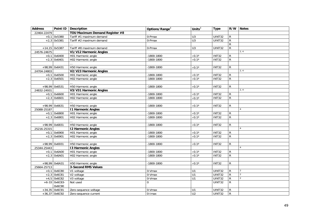| <b>Address</b> |                 | Point ID   Description         | Options/Range <sup>3</sup> | Units $3$          | <b>Type</b>         | R/W            | <b>Notes</b>   |
|----------------|-----------------|--------------------------------|----------------------------|--------------------|---------------------|----------------|----------------|
| 22464-22479    |                 | TOU Maximum Demand Register #8 |                            |                    |                     |                |                |
|                | $+0,1$ 0x5380   | Tariff #1 maximum demand       | 0-Pmax                     | U <sub>3</sub>     | UINT32              | R              |                |
|                | $+2,3$ 0x5381   | Tariff #2 maximum demand       | 0-Pmax                     | U <sub>3</sub>     | UINT32              | $\mathsf{R}$   |                |
|                |                 |                                |                            |                    |                     | ${\sf R}$      |                |
|                | $+14,15$ 0x5387 | Tariff #8 maximum demand       | 0-Pmax                     | U3                 | UINT32              | $\mathsf{R}$   |                |
| 24576-24675    |                 | V1/V12 Harmonic Angles         |                            |                    |                     |                | 2, 4           |
|                | $+0,1$ 0x6400   | H01 Harmonic angle             | $-1800 - 1800$             | $\times 0.1^\circ$ | <b>INT32</b>        | R              |                |
|                | $+2,3$ 0x6401   | H02 Harmonic angle             | $-1800 - 1800$             | $\times 0.1^\circ$ | <b>INT32</b>        | $\mathsf{R}$   |                |
|                |                 |                                |                            |                    |                     |                |                |
|                | +98,99 0x6431   | H50 Harmonic angle             | -1800-1800                 | $\times 0.1^\circ$ | INT32               | R              |                |
| 24704-24803    |                 | V2/V23 Harmonic Angles         |                            |                    |                     |                | 2, 4           |
|                | $+0,1$ 0x6500   | H01 Harmonic angle             | $-1800 - 1800$             | $\times 0.1^\circ$ | <b>INT32</b>        | R              |                |
|                | $+2,3$ 0x6501   | H02 Harmonic angle             | $-1800 - 1800$             | $\times 0.1^\circ$ | <b>INT32</b>        | $\mathsf{R}$   |                |
|                |                 |                                |                            |                    |                     |                |                |
|                | +98,99 0x6531   | H50 Harmonic angle             | $-1800 - 1800$             | $\times 0.1^\circ$ | <b>INT32</b>        | R              |                |
| 24832-24931    |                 | V3/V31 Harmonic Angles         |                            |                    |                     |                | 2, 4           |
|                | $+0,1$ 0x6600   | H01 Harmonic angle             | $-1800 - 1800$             | $\times 0.1^\circ$ | <b>INT32</b>        | R              |                |
|                | $+2,3$ 0x6601   | H02 Harmonic angle             | $-1800 - 1800$             | $\times 0.1^\circ$ | <b>INT32</b>        | $\mathsf{R}$   |                |
|                |                 |                                |                            |                    |                     |                |                |
|                | +98,99 0x6631   | H50 Harmonic angle             | -1800-1800                 | $\times 0.1^\circ$ | <b>INT32</b>        | R              |                |
| 25088-25187    |                 | <b>11 Harmonic Angles</b>      |                            |                    |                     |                |                |
|                | $+0,1$ 0x6800   | H01 Harmonic angle             | $-1800 - 1800$             | $\times 0.1^\circ$ | <b>INT32</b>        | $\mathsf{R}$   |                |
|                | $+2,3$ 0x6801   | H02 Harmonic angle             | $-1800 - 1800$             | $\times 0.1^\circ$ | <b>INT32</b>        | $\mathsf{R}$   |                |
|                |                 |                                |                            |                    |                     |                |                |
|                | +98,99 0x6831   | H50 Harmonic angle             | 1800-1800                  | $\times 0.1^\circ$ | <b>INT32</b>        | R              |                |
| 25216-25315    |                 | <b>12 Harmonic Angles</b>      |                            |                    |                     |                |                |
|                | $+0,1$ 0x6900   | H01 Harmonic angle             | $-1800 - 1800$             | $\times 0.1^\circ$ | <b>INT32</b>        | ${\sf R}$      |                |
|                | $+2,3$ 0x6901   | H02 Harmonic angle             | $-1800 - 1800$             | $\times 0.1^\circ$ | INT32               | $\mathsf{R}$   |                |
|                |                 |                                |                            |                    |                     |                |                |
|                | +98,99 0x6931   | H50 Harmonic angle             | -1800-1800                 | $\times 0.1^\circ$ | <b>INT32</b>        | R              |                |
| 25344-25443    |                 | <b>13 Harmonic Angles</b>      |                            |                    |                     |                |                |
| $+0,1$         | 0x6A00          | H01 Harmonic angle             | $-1800 - 1800$             | $\times 0.1^\circ$ | <b>INT32</b>        | R              |                |
|                | $+2,3$ 0x6A01   | H02 Harmonic angle             | -1800-1800                 | $\times 0.1^\circ$ | <b>INT32</b>        | $\mathsf{R}$   |                |
|                |                 |                                |                            |                    |                     |                |                |
|                | +98,99 0x6A31   | H50 Harmonic angle             | $-1800 - 1800$             | $\times 0.1^\circ$ | <b>INT32</b>        | R              |                |
| 25664-25713    |                 | <b>3-Second RMS Values</b>     |                            |                    |                     |                |                |
|                | $+0,1$ 0x6C80   | V1 voltage                     | 0-Vmax                     | U1                 | $\overline{UINT32}$ | $\mathsf{R}$   | 2              |
|                | $+2,3$ 0x6C81   | V2 voltage                     | 0-Vmax                     | U1                 | <b>UINT32</b>       | $\mathsf{R}$   | $\overline{2}$ |
|                | $+4,5$ 0x6C82   | V3 voltage                     | 0-Vmax                     | U1                 | <b>UINT32</b>       | $\mathsf{R}$   | $\overline{2}$ |
|                | $+6-33$ 0x6C83- | Not used                       | $\Omega$                   |                    | <b>UINT32</b>       | $\mathsf{R}$   |                |
|                | 0x6C90          |                                |                            |                    |                     |                |                |
|                | $+34,35$ 0x6C91 | Zero-sequence voltage          | 0-Vmax                     | U1                 | UINT32              | R              |                |
|                | $+36,37$ 0x6C92 | Zero-sequence current          | $0$ -Imax                  | U <sub>2</sub>     | UINT32              | $\overline{R}$ |                |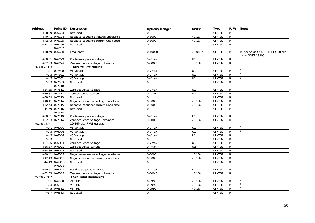| <b>Address</b> |                  | Point ID Description                | Options/Range <sup>3</sup> | Units $3$        | <b>Type</b>   |                | R/W Notes                        |
|----------------|------------------|-------------------------------------|----------------------------|------------------|---------------|----------------|----------------------------------|
|                | $+38,39$ 0x6C93  | Not used                            |                            |                  | UINT32        | R              |                                  |
|                | $+40,41$ 0x6C94  | Negative-sequence voltage unbalance | 0-3000                     | $\times$ 0.1%    | UINT32        | $\mathsf{R}$   |                                  |
|                | $+42,43$ 0x6C95  | Negative-sequence current unbalance | $0 - 3000$                 | $\times$ 0.1%    | <b>UINT32</b> | ${\sf R}$      |                                  |
|                | $+44-47$ 0x6C96- | Not used                            | $\overline{0}$             |                  | <b>UINT32</b> | $\mathsf{R}$   |                                  |
|                | 0x6C97           |                                     |                            |                  |               |                |                                  |
|                | $+48,49$ 0x6C98  | Frequency                           | 0-10000                    | $\times 0.01$ Hz | UINT32        | R.             | 10-sec value GOST 514149, 20-sec |
|                |                  |                                     |                            |                  |               |                | value GOST 13109                 |
|                | $+50,51$ 0x6C99  | Positive-sequence voltage           | $\overline{0}$ -Vmax       | U1               | <b>UINT32</b> | $\overline{R}$ |                                  |
|                | $+52,53$ 0x6C9A  | Zero-sequence voltage unbalance     | $0 - 300.0$                | $\times 0.1\%$   | UINT32        | $\mathsf{R}$   |                                  |
| 26880-26993    |                  | 1-Minute RMS Values                 |                            |                  |               |                |                                  |
|                | $+0,1$ 0x7600    | V1 Voltage                          | 0-Vmax                     | U1               | UINT32        | R              | $\mathcal{D}$                    |
|                | $+2,3$ 0x7601    | V2 Voltage                          | 0-Vmax                     | U <sub>1</sub>   | UINT32        | ${\sf R}$      | $\overline{2}$                   |
|                | $+4,5$ 0x7602    | V3 Voltage                          | 0-Vmax                     | U <sub>1</sub>   | UINT32        | $\mathsf{R}$   | 2                                |
|                | $+6-33$ 0x7603-  | Not used                            | $\Omega$                   |                  | UINT32        | $\mathsf{R}$   |                                  |
|                | 0x7610           |                                     |                            |                  |               |                |                                  |
|                | $+34,35$ 0x7611  | Zero-sequence voltage               | 0-Vmax                     | U1               | UINT32        | $\mathsf{R}$   |                                  |
|                | $+36,37$ 0x7612  | Zero-sequence current               | $0$ -Imax                  | U <sub>2</sub>   | UINT32        | ${\sf R}$      |                                  |
|                | $+38,39$ 0x7613  | Not used                            | $\Omega$                   |                  | UINT32        | ${\sf R}$      |                                  |
|                | $+40,41$ 0x7614  | Negative-sequence voltage unbalance | 0-3000                     | $\times 0.1\%$   | UINT32        | $\mathsf{R}$   |                                  |
|                | $+42,43$ 0x7615  | Negative-sequence current unbalance | $0 - 3000$                 | $\times 0.1\%$   | UINT32        | $\overline{R}$ |                                  |
|                | $+44-49$ 0x7616- | Not used                            | $\Omega$                   |                  | <b>UINT32</b> | $\overline{R}$ |                                  |
|                | 0x7618           |                                     |                            |                  |               |                |                                  |
|                | +50,51 0x7619    | Positive-sequence voltage           | 0-Vmax                     | U1               | UINT32        | $\mathsf{R}$   |                                  |
|                | $+52,53$ 0x761A  | Zero-sequence voltage unbalance     | $0 - 300.0$                | $\times 0.1\%$   | <b>UINT32</b> | $\mathsf{R}$   |                                  |
| 25728-25781    |                  | 10-Minute RMS Values                |                            |                  |               |                |                                  |
|                | $+0,1$ 0x6D00    | V1 Voltage                          | $0-Vmax$                   | U <sub>1</sub>   | UINT32        | $\mathsf{R}$   | $\overline{2}$                   |
|                | $+2,3$ 0x6D01    | V2 Voltage                          | 0-Vmax                     | U1               | UINT32        | $\mathsf{R}$   | $\mathfrak{D}$                   |
|                | $+4,5$ 0x6D02    | V3 Voltage                          | 0-Vmax                     | U1               | UINT32        | ${\sf R}$      | $\overline{2}$                   |
| $+6-33$        |                  | Not used                            | $\Omega$                   |                  | UINT32        | $\overline{R}$ |                                  |
|                | $+34,35$ 0x6D11  | Zero-sequence voltage               | 0-Vmax                     | U1               | UINT32        | R              |                                  |
|                | $+36,37$ 0x6D12  | Zero-sequence current               | $0$ -Imax                  | U <sub>2</sub>   | UINT32        | ${\sf R}$      |                                  |
|                | $+38,39$ 0x6D13  | Not used                            | $\mathbf 0$                |                  | UINT32        | ${\sf R}$      |                                  |
|                | $+40,41$ 0x6D14  | Negative-sequence voltage unbalance | $0 - 3000$                 | $\times 0.1\%$   | UINT32        | $\overline{R}$ |                                  |
|                | $+42,43$ 0x6D15  | Negative-sequence current unbalance | 0-3000                     | $\times 0.1\%$   | UINT32        | $\overline{R}$ |                                  |
|                | $+44-49$ 0x6D16- | Not used                            | $\Omega$                   |                  | UINT32        | $\mathsf{R}$   |                                  |
|                | 0x6D18           |                                     |                            |                  |               |                |                                  |
|                | $+50,51$ 0x6D19  | Positive-sequence voltage           | 0-Vmax                     | U1               | UINT32        | ${\sf R}$      |                                  |
|                | +52,53 0x6D1A    | Zero-sequence voltage unbalance     | $0 - 300.0$                | $\times 0.1\%$   | UINT32        | ${\sf R}$      |                                  |
| 25920-25957    |                  | 3-Sec Total Harmonics               |                            |                  |               |                |                                  |
|                | $+0,1$ 0x6E80    | V1 THD                              | 0-9999                     | $\times 0.1\%$   | UINT32        | ${\sf R}$      | $\overline{2}$                   |
|                | $+2,3$ 0x6E81    | V <sub>2</sub> THD                  | 0-9999                     | $\times 0.1\%$   | UINT32        | ${\sf R}$      | $\overline{2}$                   |
|                | $+4,5$ 0x6E82    | V3 THD                              | 0-9999                     | $\times 0.1\%$   | UINT32        | $\mathsf R$    | $\overline{2}$                   |
|                | $+6,7$ 0x6E83    | Not used                            | 0                          |                  | UINT32        | ${\sf R}$      |                                  |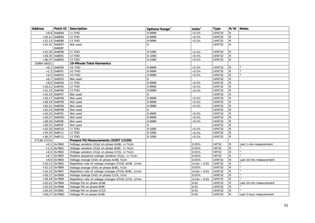| <b>Address</b> |                  | Point ID   Description                                | Options/Range <sup>3</sup> | Units $3$           | <b>Type</b>   |                | R/W Notes               |
|----------------|------------------|-------------------------------------------------------|----------------------------|---------------------|---------------|----------------|-------------------------|
|                | $+8,9$ 0x6E84    | <b>I1 THD</b>                                         | 0-9999                     | $\times 0.1\%$      | UINT32        | R              |                         |
|                | +10,11 0x6E85    | $I2$ THD                                              | 0-9999                     | $\times 0.1\%$      | <b>UINT32</b> | R              |                         |
|                | $+12,13$ 0x6E86  | <b>I3 THD</b>                                         | 0-9999                     | $\times 0.1\%$      | UINT32        | $\mathsf{R}$   |                         |
|                | $+14-31$ 0x6E87- | Not used                                              | 0                          |                     | UINT32        | $\mathsf{R}$   |                         |
|                | 0x6E8F           |                                                       |                            |                     |               |                |                         |
|                | $+32,33$ 0x6E90  | I1 TDD                                                | $0 - 1000$                 | $\times 0.1\%$      | UINT32        | R              |                         |
|                | $+34,35$ 0x6E91  | I2 TDD                                                | $0 - 1000$                 | $\times 0.1\%$      | UINT32        | $\mathsf{R}$   |                         |
|                | +36,37 0x6E92    | <b>I3 TDD</b>                                         | $0 - 1000$                 | $\times 0.1\%$      | UINT32        | $\mathsf{R}$   |                         |
| 25984-26021    |                  | <b>10-Minute Total Harmonics</b>                      |                            |                     |               |                |                         |
|                | $+0,1$ 0x6F00    | V1 THD                                                | 0-9999                     | $\times 0.1\%$      | UINT32        | R              | 2                       |
|                | $+2,3$ 0x6F01    | V <sub>2</sub> THD                                    | 0-9999                     | $\times 0.1\%$      | UINT32        | $\mathsf{R}$   | $\overline{2}$          |
|                | $+4,5$ 0x6F02    | V3 THD                                                | 0-9999                     | $\times 0.1\%$      | UINT32        | R              | 2                       |
|                | $+6,7$ 0x6F03    | Not used                                              | $\Omega$                   |                     | UINT32        | R              |                         |
|                | $+8,9$ 0x6F04    | <b>I1 THD</b>                                         | 0-9999                     | $\times 0.1\%$      | UINT32        | $\mathsf{R}$   |                         |
|                | $+10,11$ 0x6F05  | $I2$ THD                                              | 0-9999                     | $\times 0.1\%$      | <b>UINT32</b> | $\mathsf{R}$   |                         |
|                | $+12,13$ 0x6F06  | I3 THD                                                | 0-9999                     | $\times 0.1\%$      | UINT32        | R              |                         |
|                | $+14,15$ 0x6F07  | Not used                                              | $\Omega$                   |                     | <b>UINT32</b> | $\mathsf{R}$   |                         |
|                | $+16,17$ 0x6F08  | Not used                                              | 0-9999                     | $\times 0.1\%$      | UINT32        | $\mathsf{R}$   |                         |
|                | $+18,19$ 0x6F09  | Not used                                              | 0-9999                     | $\times 0.1\%$      | UINT32        | $\mathsf{R}$   |                         |
|                | $+20,21$ 0x6F0A  | Not used                                              | 0-9999                     | $\times$ 0.1%       | UINT32        | $\mathsf{R}$   |                         |
|                | $+22,23$ 0x6F0B  | Not used                                              | $\Omega$                   |                     | UINT32        | R              |                         |
|                | $+24,25$ 0x6F0C  | Not used                                              | 0-9999                     | $\times 0.1\%$      | UINT32        | R              |                         |
|                | $+26,27$ 0x6F0D  | Not used                                              | 0-9999                     | $\times 0.1\%$      | UINT32        | $\overline{R}$ |                         |
|                | +28,29 0x6F0E    | Not used                                              | 0-9999                     | $\times 0.1\%$      | UINT32        | $\mathsf{R}$   |                         |
|                | $+30,31$ 0x6F0F  | Not used                                              | $\mathbf 0$                |                     | UINT32        | R              |                         |
|                | $+32,33$ 0x6F10  | I1 TDD                                                | $0 - 1000$                 | $\times 0.1\%$      | UINT32        | $\mathsf{R}$   |                         |
|                | $+34,35$ 0x6F11  | <b>I2 TDD</b>                                         | $0 - 1000$                 | $\times 0.1\%$      | UINT32        | $\mathsf{R}$   |                         |
|                | $+36,37$ 0x6F12  | 13 TDD                                                | $0 - 1000$                 | $\times 0.1\%$      | UINT32        | R              |                         |
| 27136-27215    |                  | Present PQ Measurements (GOST 13109)                  |                            |                     |               |                |                         |
|                | $+0,1$ 0x7800    | Voltage variation (8Uy) on phase A/AB, +/-%Un         |                            | 0.01%               | <b>INT32</b>  | R              | Last 1-min measurement  |
|                | $+2,3$ 0x7801    | Voltage variation (8Uy) on phase B/BC, +/-%Un         |                            | 0.01%               | <b>INT32</b>  | $\mathsf{R}$   |                         |
|                | $+4,5$ 0x7802    | Voltage variation (8Uy) on phase C/CA, +/-%Un         |                            | 0.01%               | INT32         | R              |                         |
|                | $+6,7$ 0x7803    | Positive sequence voltage variation (8Uy), +/-%Un     |                            | 0.01%               | <b>INT32</b>  | $\mathsf{R}$   |                         |
|                | $+8,9$ 0x7804    | Voltage change (8Ut) on phase A/AB, %Un               |                            | 0.01%               | UINT32        | R              | Last 10-min measurement |
| $+10,11$       | 0x7805           | Repetition rate of voltage changes (F8Ut) A/AB, 1/min |                            | $1/min \times 0.01$ | UINT32        | $\mathsf{R}$   |                         |
|                | $+12,13$ 0x7806  | Voltage change (8Ut) on phase B/BC, %Un               |                            | 0.01%               | UINT32        | R              |                         |
|                | $+14,15$ 0x7807  | Repetition rate of voltage changes (F8Ut) B/BC, 1/min |                            | $1/min \times 0.01$ | UINT32        | $\mathsf{R}$   |                         |
|                | $+16,17$ 0x7808  | Voltage change (8Ut) on phase C/CA, %Un               |                            | 0.01%               | <b>UINT32</b> | R              |                         |
|                | $+18,19$ 0x7809  | Repetition rate of voltage changes (F8Ut) C/CA, 1/min |                            | $1/min \times 0.01$ | UINT32        | $\mathsf{R}$   |                         |
|                | $+20,21$ 0x780A  | Voltage Pst on phase A/AB                             |                            | 0.01                | UINT32        | R              | Last 10-min measurement |
|                | $+22,23$ 0x780B  | Voltage Pst on phase B/BC                             |                            | 0.01                | <b>UINT32</b> | $\mathsf{R}$   |                         |
|                | $+24,25$ 0x780C  | Voltage Pst on phase C/CA                             |                            | 0.01                | UINT32        | R              |                         |
|                | $+26,27$ 0x780D  | Voltage Plt on phase A/AB                             |                            | 0.01                | UINT32        | $\mathsf{R}$   | Last 2-hour measurement |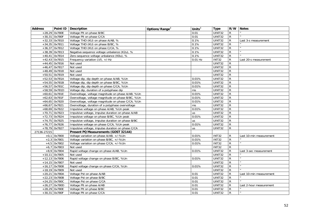| <b>Address</b> |                 | Point ID   Description                            | Options/Range <sup>3</sup> | Units $3$ | <b>Type</b>   |                | R/W Notes               |
|----------------|-----------------|---------------------------------------------------|----------------------------|-----------|---------------|----------------|-------------------------|
|                | $+28,29$ 0x780E | Voltage Plt on phase B/BC                         |                            | 0.01      | UINT32        | R              |                         |
|                | $+30,31$ 0x780F | Voltage Plt on phase C/CA                         |                            | 0.01      | UINT32        | $\mathsf{R}$   |                         |
|                | $+32,33$ 0x7810 | Voltage THD (KU) on phase A/AB, %                 |                            | 0.1%      | <b>UINT32</b> | $\mathsf{R}$   | Last 3-s measurement    |
|                | $+34,35$ 0x7811 | Voltage THD (KU) on phase B/BC, %                 |                            | 0.1%      | <b>UINT32</b> | $\mathsf{R}$   |                         |
|                | $+36,37$ 0x7812 | Voltage THD (KU) on phase C/CA, %                 |                            | 0.1%      | <b>UINT32</b> | $\mathsf{R}$   |                         |
|                | $+38,39$ 0x7813 | Negative-sequence voltage unbalance (K2u), %      |                            | 0.1%      | <b>UINT32</b> | $\mathsf{R}$   |                         |
|                | $+40,41$ 0x7814 | Zero-sequence voltage unbalance (KOu), %          |                            | 0.1%      | <b>UINT32</b> | $\mathsf{R}$   |                         |
|                | $+42,43$ 0x7815 | Frequency variation $(\Delta f)$ , +/-Hz          |                            | $0.01$ Hz | <b>INT32</b>  | R              | Last 20-s measurement   |
|                | $+44,45$ 0x7816 | Not used                                          |                            |           | <b>UINT32</b> | R              |                         |
|                | $+46,47$ 0x7817 | Not used                                          |                            |           | <b>UINT32</b> | $\mathsf{R}$   |                         |
|                | $+48,49$ 0x7818 | Not used                                          |                            |           | <b>UINT32</b> | $\mathsf{R}$   |                         |
|                | $+50,51$ 0x7819 | Not used                                          |                            |           | <b>UINT32</b> | $\mathsf{R}$   |                         |
|                | $+52,53$ 0x781A | Voltage dip, dip depth on phase A/AB, %Un         |                            | 0.01%     | UINT32        | $\mathsf{R}$   |                         |
|                | $+54,55$ 0x781B | Voltage dip, dip depth on phase B/BC, %Un         |                            | 0.01%     | <b>UINT32</b> | $\mathsf{R}$   |                         |
|                | $+56,57$ 0x781C | Voltage dip, dip depth on phase C/CA, %Un         |                            | 0.01%     | <b>UINT32</b> | $\overline{R}$ |                         |
|                | +58,59 0x781D   | Voltage dip, duration of a polyphase dip          |                            | ms        | UINT32        | $\mathsf{R}$   |                         |
|                | +60,61 0x781E   | Overvoltage, voltage magnitude on phase A/AB, %Un |                            | 0.01%     | <b>UINT32</b> | $\mathsf{R}$   |                         |
|                | $+62,63$ 0x781F | Overvoltage, voltage magnitude on phase B/BC, %Un |                            | 0.01%     | <b>UINT32</b> | $\mathsf{R}$   |                         |
|                | $+64,65$ 0x7820 | Overvoltage, voltage magnitude on phase C/CA, %Un |                            | 0.01%     | UINT32        | $\mathsf{R}$   |                         |
|                | $+66,67$ 0x7821 | Overvoltage, duration of a polyphase overvoltage  |                            | ms        | <b>UINT32</b> | $\mathsf{R}$   |                         |
|                | $+68,69$ 0x7822 | Impulsive voltage on phase A/AB, %Un peak         |                            | 0.01%     | UINT32        | $\overline{R}$ |                         |
|                | $+70,71$ 0x7823 | Impulsive voltage, impulse duration on phase A/AB |                            | <b>us</b> | <b>UINT32</b> | $\mathsf{R}$   |                         |
|                | $+72,73$ 0x7824 | Impulsive voltage on phase B/BC, %Un peak         |                            | 0.01%     | UINT32        | $\mathsf{R}$   |                         |
|                | $+74,75$ 0x7825 | Impulsive voltage, impulse duration on phase B/BC |                            | <b>us</b> | <b>UINT32</b> | $\mathsf{R}$   |                         |
|                | $+76,77$ 0x7826 | Impulsive voltage on phase C/CA, %Un peak         |                            | 0.01%     | UINT32        | $\mathsf{R}$   |                         |
|                | +78,79 0x7827   | Impulsive voltage, impulse duration on phase C/CA |                            | <b>us</b> | UINT32        | $\mathsf{R}$   |                         |
| 27136-27215    |                 | Present PQ Measurements (GOST 32144)              |                            |           |               |                |                         |
|                | $+0,1$ 0x7800   | Voltage variation on phase A/AB, +/-%Un           |                            | 0.01%     | <b>INT32</b>  | R              | Last 10-min measurement |
|                | $+2,3$ 0x7801   | Voltage variation on phase B/BC, +/-%Un           |                            | 0.01%     | <b>INT32</b>  | R              |                         |
|                | $+4,5$ 0x7802   | Voltage variation on phase C/CA, +/-%Un           |                            | 0.01%     | <b>INT32</b>  | $\mathsf{R}$   |                         |
|                | $+6,7$ 0x7803   | Not used                                          |                            |           | <b>INT32</b>  | $\mathsf{R}$   |                         |
|                | $+8,9$ 0x7804   | Rapid voltage change on phase A/AB, %Un           |                            | 0.01%     | UINT32        | R              | Last 3-sec measurement  |
|                | $+10,11$ 0x7805 | Not used                                          |                            |           | UINT32        | R.             |                         |
|                | $+12,13$ 0x7806 | Rapid voltage change on phase B/BC, %Un           |                            | 0.01%     | UINT32        | $\mathsf{R}$   |                         |
|                | $+14,15$ 0x7807 | Not used                                          |                            |           | <b>UINT32</b> | R              |                         |
|                | $+16,17$ 0x7808 | Rapid voltage change on phase C/CA, %Un           |                            | 0.01%     | UINT32        | R              |                         |
|                | $+18,19$ 0x7809 | Not used                                          |                            |           | <b>UINT32</b> | R              |                         |
|                | $+20,21$ 0x780A | Voltage Pst on phase A/AB                         |                            | 0.01      | UINT32        | R              | Last 10-min measurement |
|                | $+22,23$ 0x780B | Voltage Pst on phase B/BC                         |                            | 0.01      | UINT32        | R              |                         |
|                | $+24,25$ 0x780C | Voltage Pst on phase C/CA                         |                            | 0.01      | UINT32        | $\mathsf{R}$   |                         |
|                | $+26,27$ 0x780D | Voltage Plt on phase A/AB                         |                            | 0.01      | UINT32        | R              | Last 2-hour measurement |
|                | +28,29 0x780E   | Voltage Plt on phase B/BC                         |                            | 0.01      | <b>UINT32</b> | R.             |                         |
|                | +30,31 0x780F   | Voltage Plt on phase C/CA                         |                            | 0.01      | UINT32        | ${\sf R}$      |                         |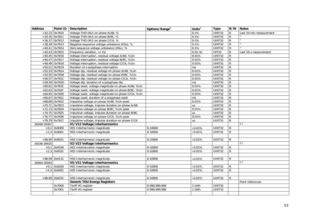| <b>Address</b> |                 | Point ID   Description                              | Options/Range <sup>3</sup> | Units $3$       | <b>Type</b>   | R/W            | <b>Notes</b>            |
|----------------|-----------------|-----------------------------------------------------|----------------------------|-----------------|---------------|----------------|-------------------------|
|                | $+32,33$ 0x7810 | Voltage THD (KU) on phase A/AB, %                   |                            | 0.1%            | <b>UINT32</b> | R              | Last 10-min measurement |
|                | $+34,35$ 0x7811 | Voltage THD (KU) on phase B/BC, %                   |                            | 0.1%            | <b>UINT32</b> | $\mathsf{R}$   |                         |
|                | $+36,37$ 0x7812 | Voltage THD (KU) on phase C/CA, %                   |                            | 0.1%            | UINT32        | $\mathsf{R}$   |                         |
|                | $+38,39$ 0x7813 | Negative-sequence voltage unbalance (K2u), %        |                            | 0.1%            | UINT32        | $\overline{R}$ |                         |
|                | $+40,41$ 0x7814 | Zero-sequence voltage unbalance (KOu), %            |                            | 0.1%            | UINT32        | $\overline{R}$ |                         |
|                | $+42,43$ 0x7815 | Frequency variation, +/-Hz                          |                            | $0.01$ Hz       | <b>INT32</b>  | $\mathsf{R}$   | Last 10-s measurement   |
|                | $+44,45$ 0x7816 | Voltage interruption, residual voltage A/AB, %Un    |                            | 0.01%           | UINT32        | $\overline{R}$ |                         |
|                | $+46,47$ 0x7817 | Voltage interruption, residual voltage B/BC, %Un    |                            | 0.01%           | UINT32        | $\overline{R}$ |                         |
|                | $+48,49$ 0x7818 | Voltage interruption, residual voltage C/CA, %Un    |                            | 0.01%           | UINT32        | $\overline{R}$ |                         |
|                | +50,51 0x7819   | Duration of a polyphase interruption                |                            | ms              | UINT32        | $\mathsf{R}$   |                         |
|                | $+52,53$ 0x781A | Voltage dip, residual voltage oh phase A/AB, %Un    |                            | 0.01%           | UINT32        | $\mathsf{R}$   |                         |
|                | $+54,55$ 0x781B | Voltage dip, residual voltage on phase B/BC, %Un    |                            | 0.01%           | UINT32        | $\overline{R}$ |                         |
|                | $+56,57$ 0x781C | Voltage dip, residual voltage on phase C/CA, %Un    |                            | 0.01%           | UINT32        | $\overline{R}$ |                         |
|                | +58,59 0x781D   | Voltage dip, duration of a polyphase dip            |                            | ms              | UINT32        | $\overline{R}$ |                         |
|                | $+60,61$ 0x781E | Voltage swell, voltage magnitude on phase A/AB, %Un |                            | 0.01%           | UINT32        | $\overline{R}$ |                         |
|                | $+62,63$ 0x781F | Voltage swell, voltage magnitude on phase B/BC, %Un |                            | 0.01%           | UINT32        | $\overline{R}$ |                         |
|                | $+64,65$ 0x7820 | Voltage swell, voltage magnitude on phase C/CA, %Un |                            | 0.01%           | UINT32        | ${\sf R}$      |                         |
|                | $+66,67$ 0x7821 | Voltage swell, duration of a polyphase swell        |                            | ms              | UINT32        | $\overline{R}$ |                         |
|                | $+68,69$ 0x7822 | Impulsive voltage on phase A/AB, %Un peak           |                            | 0.01%           | UINT32        | $\mathsf{R}$   |                         |
|                | $+70,71$ 0x7823 | Impulsive voltage, impulse duration on phase A/AB   |                            | us              | <b>UINT32</b> | $\overline{R}$ |                         |
|                | $+72,73$ 0x7824 | Impulsive voltage on phase B/BC, %Un peak           |                            | 0.01%           | UINT32        | $\overline{R}$ |                         |
|                | $+74,75$ 0x7825 | Impulsive voltage, impulse duration on phase B/BC   |                            | us              | <b>UINT32</b> | $\mathsf{R}$   |                         |
|                | $+76,77$ 0x7826 | Impulsive voltage on phase C/CA, %Un peak           |                            | 0.01%           | UINT32        | $\overline{R}$ |                         |
|                | $+78,79$ 0x7827 | Impulsive voltage, impulse duration on phase C/CA   |                            | <b>us</b>       | UINT32        | $\mathsf{R}$   |                         |
| 30208-30307    |                 | V1/V12 Voltage Interharmonics                       |                            |                 |               |                | 2,7                     |
|                | $+0.1$ 0x9000   | H01 Interharmonic magnitude                         | 0-10000                    | $\times 0.01\%$ | UINT32        | $\mathsf{R}$   |                         |
|                | $+2,3$ 0x9001   | H02 Interharmonic magnitude                         | 0-10000                    | $\times 0.01\%$ | <b>UINT32</b> | $\mathsf{R}$   |                         |
|                |                 |                                                     |                            |                 |               |                |                         |
|                | +98,99 0x9031   | H50 Interharmonic magnitude                         | 0-10000                    | $\times 0.01\%$ | UINT32        | $\mathsf{R}$   |                         |
| 30336-39435    |                 | V2/V23 Voltage Interharmonics                       |                            |                 |               |                | 2,7                     |
|                | $+0,1$ 0x9100   | H01 Interharmonic magnitude                         | 0-10000                    | $\times 0.01\%$ | UINT32        | $\mathsf{R}$   |                         |
|                | $+2,3$ 0x9101   | H02 Interharmonic magnitude                         | 0-10000                    | $\times 0.01\%$ | <b>UINT32</b> | $\mathsf{R}$   |                         |
|                |                 |                                                     |                            |                 |               |                |                         |
|                | +98,99 0x9131   | H50 Interharmonic magnitude                         | 0-10000                    | $\times 0.01\%$ | UINT32        | $\mathsf{R}$   |                         |
| 30464-30563    |                 | V3/V31 Voltage Interharmonics                       |                            |                 |               |                | 2,7                     |
|                | $+0,1$ 0x9200   | H01 Interharmonic magnitude                         | 0-10000                    | $\times 0.01\%$ | UINT32        | $\mathsf{R}$   |                         |
|                | $+2,3$ 0x9201   | H02 Interharmonic magnitude                         | 0-10000                    | $\times 0.01\%$ | UINT32        | $\mathsf{R}$   |                         |
|                |                 |                                                     |                            |                 |               |                |                         |
|                | +98,99 0x9231   | H50 Interharmonic magnitude                         | 0-10000                    | $\times 0.01\%$ | UINT32        | R              |                         |
|                |                 | <b>Generic TOU Energy Registers</b>                 |                            |                 |               |                | Point references        |
|                | 0x7000          | Tariff #1 register                                  | 0-999,999,999              | 1 kWh           | <b>UINT32</b> |                |                         |
|                | 0x7001          | Tariff #2 register                                  | 0-999, 999, 999            | 1 kWh           | <b>UINT32</b> |                |                         |
|                |                 |                                                     |                            |                 |               |                |                         |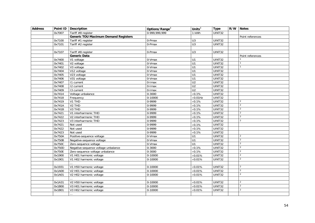| <b>Address</b> | Point ID | <b>Description</b>                          | Options/Range <sup>3</sup> | Units $3$        | <b>Type</b>   | $\overline{R/W}$ | <b>Notes</b>             |
|----------------|----------|---------------------------------------------|----------------------------|------------------|---------------|------------------|--------------------------|
|                | 0x7007   | Tariff #8 register                          | 0-999,999,999              | 1 kWh            | UINT32        |                  |                          |
|                |          | <b>Generic TOU Maximum Demand Registers</b> |                            |                  |               |                  | Point references         |
|                | 0x7100   | Tariff #1 register                          | 0-Pmax                     | U3               | <b>UINT32</b> |                  |                          |
|                | 0x7101   | Tariff $#2$ register                        | 0-Pmax                     | U3               | UINT32        |                  |                          |
|                |          |                                             |                            |                  |               |                  |                          |
|                | 0x7107   | Tariff #8 register                          | 0-Pmax                     | U <sub>3</sub>   | UINT32        |                  |                          |
|                |          | Generic Data                                |                            |                  |               |                  | Point references         |
|                | 0x7400   | V1 voltage                                  | 0-Vmax                     | U1               | UINT32        |                  |                          |
|                | 0x7401   | V <sub>2</sub> voltage                      | $0-Vmax$                   | U1               | <b>UINT32</b> |                  |                          |
|                | 0x7402   | V3 voltage                                  | 0-Vmax                     | U1               | UINT32        |                  |                          |
|                | 0x7404   | V12 voltage                                 | 0-Vmax                     | U1               | <b>UINT32</b> |                  |                          |
|                | 0x7405   | V23 voltage                                 | 0-Vmax                     | U1               | UINT32        |                  |                          |
|                | 0x7406   | V31 voltage                                 | 0-Vmax                     | U1               | UINT32        |                  |                          |
|                | 0x7407   | 11 current                                  | 0-Imax                     | U <sub>2</sub>   | UINT32        |                  |                          |
|                | 0x7408   | $\overline{12}$ current                     | 0-Imax                     | U <sub>2</sub>   | <b>UINT32</b> |                  |                          |
|                | 0x7409   | 13 current                                  | 0-Imax                     | U <sub>2</sub>   | UINT32        |                  |                          |
|                | 0x7414   | Voltage unbalance                           | $0 - 3000$                 | $\times$ 0.1%    | <b>UINT32</b> |                  |                          |
|                | 0x7418   | Frequency                                   | $0-10000$                  | $\times 0.01$ Hz | <b>UINT32</b> |                  |                          |
|                | 0x7419   | V1 THD                                      | 0-9999                     | $\times$ 0.1%    | UINT32        |                  | $\overline{2}$           |
|                | 0x741A   | V <sub>2</sub> THD                          | 0-9999                     | $\times 0.1\%$   | UINT32        |                  | $\overline{2}$           |
|                | 0x741B   | $V3$ THD                                    | 0-9999                     | $\times 0.1\%$   | UINT32        |                  | $\overline{2}$           |
|                | 0x7421   | V1 interharmonic THD                        | 0-9999                     | $\times 0.1\%$   | UINT32        |                  | $\overline{2}$           |
|                | 0x7422   | V2 interharmonic THD                        | 0-9999                     | $\times 0.1\%$   | <b>UINT32</b> |                  | 2                        |
|                | 0x7423   | V3 interharmonic THD                        | 0-9999                     | $\times 0.1\%$   | UINT32        |                  | $\mathfrak{D}$           |
|                | 0x7421   | Not used                                    | 0-9999                     | $\times 0.1\%$   | UINT32        |                  |                          |
|                | 0x7422   | Not used                                    | 0-9999                     | $\times 0.1\%$   | UINT32        |                  |                          |
|                | 0x7423   | Not used                                    | 0-9999                     | $\times 0.1\%$   | <b>UINT32</b> |                  |                          |
|                | 0x750A   | Positive-sequence voltage                   | 0-Vmax                     | U1               | UINT32        |                  | 2                        |
|                | 0x750B   | Negative-sequence voltage                   | 0-Vmax                     | U1               | UINT32        |                  | $\overline{2}$           |
|                | 0x750C   | Zero-sequence voltage                       | 0-Vmax                     | U1               | <b>UINT32</b> |                  | $\overline{\phantom{a}}$ |
|                | 0x750D   | Negative-sequence voltage unbalance         | $0 - 3000$                 | $\times$ 0.1%    | <b>UINT32</b> |                  | $\overline{2}$           |
|                | 0x750E   | Zero-sequence voltage unbalance             | $0 - 3000$                 | $\times 0.1\%$   | <b>UINT32</b> |                  | $\overline{2}$           |
|                | 0x1900   | V1 H01 harmonic voltage                     | 0-10000                    | $\times 0.01\%$  | UINT32        |                  | 2                        |
|                | 0x1901   | V1 H02 harmonic voltage                     | 0-10000                    | $\times$ 0.01%   | UINT32        |                  | $\overline{2}$           |
|                |          |                                             |                            |                  |               |                  |                          |
|                | 0x1931   | V1 H50 harmonic voltage                     | 0-10000                    | $\times 0.01\%$  | UINT32        |                  | $\overline{2}$           |
|                | 0x1A00   | V2 H01 harmonic voltage                     | 0-10000                    | $\times 0.01\%$  | UINT32        |                  | $\overline{2}$           |
|                | 0x1A01   | V2 H02 harmonic voltage                     | 0-10000                    | $\times 0.01\%$  | UINT32        |                  | $\overline{2}$           |
|                |          |                                             |                            |                  |               |                  |                          |
|                | 0x1A31   | V2 H50 harmonic voltage                     | 0-10000                    | $\times 0.01\%$  | UINT32        |                  | $\overline{2}$           |
|                | 0x1B00   | V3 H01 harmonic voltage                     | $0-10000$                  | $\times 0.01\%$  | UINT32        |                  | 2                        |
|                | 0x1B01   | V3 H02 harmonic voltage                     | 0-10000                    | $\times$ 0.01%   | UINT32        |                  | 2                        |
|                |          |                                             |                            |                  |               |                  |                          |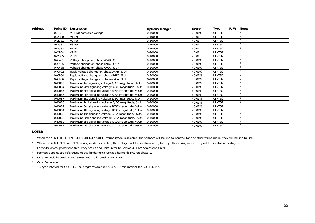| <b>Address</b> | Point ID | <b>Description</b>                                | Options/Range <sup>3</sup> | Units $3$       | <b>Type</b> | R/W | <b>Notes</b>            |
|----------------|----------|---------------------------------------------------|----------------------------|-----------------|-------------|-----|-------------------------|
|                | 0x1B31   | V3 H50 harmonic voltage                           | 0-10000                    | $\times 0.01\%$ | UINT32      |     |                         |
|                | 0x2980   | V1 Pst                                            | 0-10000                    | $\times$ 0.01   | UINT32      |     |                         |
|                | 0x2981   | V <sub>2</sub> Pst                                | 0-10000                    | $\times$ 0.01   | UINT32      |     | $\overline{2}$          |
|                | 0x2982   | V <sub>3</sub> Pst                                | 0-10000                    | $\times 0.01$   | UINT32      |     |                         |
|                | 0x2983   | V1 Plt                                            | 0-10000                    | $\times$ 0.01   | UINT32      |     | 2                       |
|                | 0x2984   | V <sub>2</sub> Plt                                | 0-10000                    | $\times 0.01$   | UINT32      |     | 2                       |
|                | 0x2985   | V <sub>3</sub> Plt                                | 0-10000                    | $\times$ 0.01   | UINT32      |     |                         |
|                | 0xC481   | Voltage change on phase A/AB, %Un                 | 0-10000                    | $\times 0.01\%$ | UINT32      |     | $\overline{2}$          |
|                | 0xC486   | Voltage change on phase B/BC, %Un                 | 0-10000                    | $\times 0.01\%$ | UINT32      |     |                         |
|                | 0xC48B   | Voltage change on phase C/CA, %Un                 | 0-10000                    | $\times 0.01\%$ | UINT32      |     | $\overline{a}$          |
|                | 0xCF02   | Rapid voltage change on phase A/AB, %Un           | 0-10000                    | $\times 0.01\%$ | UINT32      |     |                         |
|                | 0xCF04   | Rapid voltage change on phase B/BC, %Un           | 0-10000                    | $\times$ 0.01%  | UINT32      |     | 2                       |
|                | 0xCF06   | Rapid voltage change on phase C/CA, %Un           | 0-10000                    | $\times 0.01\%$ | UINT32      |     |                         |
|                | 0xD083   | Maximum 1st signaling voltage A/AB magnitude, %Un | 0-10000                    | $\times 0.01\%$ | UINT32      |     | 2                       |
|                | 0xD084   | Maximum 2nd signaling voltage A/AB magnitude, %Un | 0-10000                    | $\times 0.01\%$ | UINT32      |     | $\mathfrak{p}$          |
|                | 0xD085   | Maximum 3rd signaling voltage A/AB magnitude, %Un | 0-10000                    | $\times$ 0.01%  | UINT32      |     | 2                       |
|                | 0xD086   | Maximum 4th signaling voltage A/AB magnitude, %Un | 0-10000                    | $\times 0.01\%$ | UINT32      |     | 2                       |
|                | 0xD087   | Maximum 1st signaling voltage B/BC magnitude, %Un | 0-10000                    | $\times 0.01\%$ | UINT32      |     | 2                       |
|                | 0xD088   | Maximum 2nd signaling voltage B/BC magnitude, %Un | 0-10000                    | $\times 0.01\%$ | UINT32      |     | 2                       |
|                | 0xD089   | Maximum 3rd signaling voltage B/BC magnitude, %Un | 0-10000                    | $\times 0.01\%$ | UINT32      |     |                         |
|                | 0xD08A   | Maximum 4th signaling voltage B/BC magnitude, %Un | 0-10000                    | $\times 0.01\%$ | UINT32      |     | $\overline{2}$          |
|                | 0xD08B   | Maximum 1st signaling voltage C/CA magnitude, %Un | 0-10000                    | $\times$ 0.01%  | UINT32      |     | $\overline{2}$          |
|                | 0xD08C   | Maximum 2nd signaling voltage C/CA magnitude, %Un | 0-10000                    | $\times 0.01\%$ | UINT32      |     |                         |
|                | 0xD08D   | Maximum 3rd signaling voltage C/CA magnitude, %Un | 0-10000                    | $\times 0.01\%$ | UINT32      |     | $\overline{2}$          |
|                | 0xD08E   | Maximum 4th signaling voltage C/CA magnitude, %Un | 0-10000                    | $\times$ 0.01%  | UINT32      |     | $\overline{\mathbf{c}}$ |

## **NOTES:**

<sup>1</sup> When the 4LN3, 4LL3, 3LN3, 3LL3, 3BLN3 or 3BLL3 wiring mode is selected, the voltages will be line-to-neutral; for any other wiring mode, they will be line-to-line.

<sup>2</sup> When the 4LN3, 3LN3 or 3BLN3 wiring mode is selected, the voltages will be line-to-neutral; for any other wiring mode, they will be line-to-line voltages.

3For volts, amps, power and frequency scales and units, refer to Section 4 "Data Scales and Units".

4 Harmonic angles are referenced to the fundamental voltage harmonic H01 on phase L1.

5 On a 16-cycle interval GOST 13109, 200-ms interval GOST 32144.

- 6 On a 3-s interval.
- 7 16-cycle interval for GOST 13109, programmable 0.2-s, 3-s, 10-min interval for GOST 32144.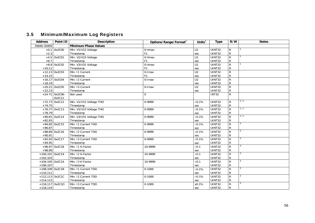# 3.5 Minimum/Maximum Log Registers

| <b>Address</b>    | Point ID         | <b>Description</b>          | Options/Range/Format <sup>2</sup> | Units $^2$     | <b>Type</b>   | R/W            | <b>Notes</b> |
|-------------------|------------------|-----------------------------|-----------------------------------|----------------|---------------|----------------|--------------|
| 35840-35959       |                  | <b>Minimum Phase Values</b> |                                   |                |               |                |              |
|                   | $+0,1$ 0x2C00    | Min. V1/V12 Voltage         | 0-Vmax                            | U1             | UINT32        | R              |              |
| $+2,3$            |                  | Timestamp                   | F <sub>1</sub>                    | sec            | <b>UINT32</b> | ${\sf R}$      |              |
|                   | $+4,5$ 0x2C01    | Min. V2/V23 Voltage         | 0-Vmax                            | U1             | <b>UINT32</b> | $\overline{R}$ | 1            |
| $+6,7$            |                  | Timestamp                   | F <sub>1</sub>                    | sec            | UINT32        | $\mathsf{R}$   |              |
|                   | $+8,9$ 0x2C02    | Min. V3/V31 Voltage         | 0-Vmax                            | U1             | <b>UINT32</b> | $\overline{R}$ |              |
| $+10,11$          |                  | Timestamp                   | F <sub>1</sub>                    | sec            | UINT32        | ${\sf R}$      |              |
|                   | $+12,13$ 0x2C03  | Min. I1 Current             | $0$ -Imax                         | U <sub>2</sub> | <b>UINT32</b> | $\mathsf R$    |              |
| $+14,15$          |                  | Timestamp                   | F <sub>1</sub>                    | sec            | UINT32        | ${\sf R}$      |              |
|                   | $+16,17$ 0x2C04  | Min. 12 Current             | 0-Imax                            | U <sub>2</sub> | UINT32        | ${\sf R}$      |              |
| $+18,19$          |                  | Timestamp                   |                                   | sec            | <b>UINT32</b> | $\mathsf R$    |              |
|                   | $+20,21$ 0x2C05  | Min. 13 Current             | $0$ -Imax                         | U <sub>2</sub> | <b>UINT32</b> | ${\sf R}$      |              |
| $+22,23$          |                  | Timestamp                   |                                   | sec            | UINT32        | ${\sf R}$      |              |
|                   | $+24-71$ 0x2C06- | Not used                    | $\Omega$                          |                | <b>INT32</b>  | ${\sf R}$      |              |
|                   | 0x2C11           |                             |                                   |                |               |                |              |
|                   | $+72,73$ 0x2C12  | Min. V1/V12 Voltage THD     | 0-9999                            | $\times$ 0.1%  | UINT32        | R              | 1, 3         |
| $+74,75$          |                  | Timestamp                   |                                   | sec            | UINT32        | ${\sf R}$      |              |
|                   | $+76,77$ 0x2C13  | Min. V2/V23 Voltage THD     | 0-9999                            | $\times 0.1\%$ | <b>UINT32</b> | $\overline{R}$ | 1, 3         |
| $+78,79$          |                  | Timestamp                   |                                   | sec            | <b>UINT32</b> | $\mathsf{R}$   |              |
|                   | $+80,81$ 0x2C14  | Min. V3/V31 Voltage THD     | 0-9999                            | $\times 0.1\%$ | <b>UINT32</b> | $\overline{R}$ | 1, 3         |
| $+82,83$          |                  | Timestamp                   |                                   | sec            | UINT32        | ${\sf R}$      |              |
|                   | $+84,85$ 0x2C15  | Min. I1 Current THD         | 0-9999                            | $\times 0.1\%$ | <b>UINT32</b> | $\mathsf{R}$   | 3            |
| $+86,87$          |                  | Timestamp                   |                                   | sec            | UINT32        | ${\sf R}$      |              |
|                   | $+88,89$ 0x2C16  | Min. I2 Current THD         | 0-9999                            | $\times 0.1\%$ | UINT32        | $\mathsf{R}$   |              |
| $+90,91$          |                  | Timestamp                   |                                   | sec            | UINT32        | $\mathsf{R}$   |              |
|                   | $+92,93$ 0x2C17  | Min. I3 Current THD         | 0-9999                            | $\times$ 0.1%  | UINT32        | $\mathsf R$    | 3            |
| $+94,95$          |                  | Timestamp                   |                                   | sec            | <b>UINT32</b> | ${\sf R}$      |              |
|                   | $+96,97$ 0x2C18  | Min. 11 K-Factor            | 10-9999                           | $\times$ 0.1   | UINT32        | $\mathsf{R}$   | 3            |
| $+98,99$          |                  | Timestamp                   |                                   | sec            | UINT32        | R              |              |
| $+100,101$ 0x2C19 |                  | Min. 12 K-Factor            | 10-9999                           | $\times$ 0.1   | <b>UINT32</b> | $\overline{R}$ |              |
| $+102,103$        |                  | Timestamp                   |                                   | sec            | UINT32        | $\mathsf{R}$   |              |
| $+104,105$ 0x2C1A |                  | Min. 13 K-Factor            | 10-9999                           | $\times$ 0.1   | UINT32        | $\overline{R}$ | 3            |
| $+106,107$        |                  | Timestamp                   |                                   | sec            | UINT32        | ${\sf R}$      |              |
| $+108,109$ 0x2C1B |                  | Min. I1 Current TDD         | $0 - 1000$                        | $\times$ 0.1%  | <b>UINT32</b> | $\overline{R}$ | 3            |
| $+110,111$        |                  | Timestamp                   |                                   | sec            | UINT32        | $\mathsf{R}$   |              |
| $+112,113$ 0x2C1C |                  | Min. I2 Current TDD         | $0 - 1000$                        | $\times 0.1\%$ | UINT32        | $\mathsf{R}$   | 3            |
| $+114,115$        |                  | Timestamp                   |                                   | sec            | <b>UINT32</b> | ${\sf R}$      |              |
| $+116,117$ 0x2C1D |                  | Min. I3 Current TDD         | $0 - 1000$                        | x0.1%          | <b>UINT32</b> | $\overline{R}$ | 3            |
| $+118,119$        |                  | Timestamp                   |                                   | sec            | UINT32        | $\mathsf{R}$   |              |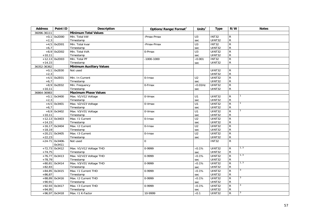| <b>Address</b> | Point ID         | <b>Description</b>              | Options/Range/Format <sup>2</sup> | Units $2$       | <b>Type</b>   | R/W            | <b>Notes</b> |
|----------------|------------------|---------------------------------|-----------------------------------|-----------------|---------------|----------------|--------------|
| 36096-36111    |                  | <b>Minimum Total Values</b>     |                                   |                 |               |                |              |
|                | $+0,1$ 0x2D00    | Min. Total kW                   | -Pmax-Pmax                        | $\overline{U}$  | <b>INT32</b>  | ${\sf R}$      |              |
| $+2,3$         |                  | Timestamp                       |                                   | sec             | UINT32        | ${\sf R}$      |              |
|                | $+4,5$ 0x2D01    | Min. Total kvar                 | -Pmax-Pmax                        | U3              | INT32         | $\overline{R}$ |              |
| $+6,7$         |                  | Timestamp                       |                                   | sec             | UINT32        | ${\sf R}$      |              |
|                | $+8,9$ 0x2D02    | Min. Total kVA                  | 0-Pmax                            | $\overline{U}$  | <b>UINT32</b> | $\overline{R}$ |              |
| $+10,11$       |                  | Timestamp                       |                                   | sec             | UINT32        | ${\sf R}$      |              |
|                | $+12,13$ 0x2D03  | Min. Total PF                   | $-1000 - 1000$                    | $\times 0.001$  | <b>INT32</b>  | $\overline{R}$ |              |
| $+14,15$       |                  | Timestamp                       |                                   | sec             | UINT32        | $\mathsf{R}$   |              |
| 36352-36362    |                  | <b>Minimum Auxiliary Values</b> |                                   |                 |               |                |              |
|                | $+0,1$ 0x2E00    | Not used                        |                                   |                 | UINT32        | ${\sf R}$      |              |
| $+2,3$         |                  |                                 |                                   |                 | UINT32        | ${\sf R}$      |              |
|                | $+4,5$ 0x2E01    | Min. In Current                 | $0$ -Imax                         | U <sub>2</sub>  | UINT32        | $\overline{R}$ |              |
| $+6,7$         |                  | Timestamp                       |                                   | sec             | UINT32        | ${\sf R}$      |              |
|                | $+8,9$ 0x2E02    | Min. Frequency                  | 0-Fmax                            | $\times$ 0.01Hz | UINT32        | $\overline{R}$ |              |
| $+10,11$       |                  | Timestamp                       |                                   | sec             | UINT32        | ${\sf R}$      |              |
| 36864-36983    |                  | <b>Maximum Phase Values</b>     |                                   |                 |               |                |              |
|                | $+0,1$ 0x3400    | Max. V1/V12 Voltage             | 0-Vmax                            | U1              | UINT32        | $\mathsf{R}$   |              |
| $+2,3$         |                  | Timestamp                       |                                   | sec             | UINT32        | ${\sf R}$      |              |
|                | $+4,5$ 0x3401    | Max. V2/V23 Voltage             | 0-Vmax                            | U1              | UINT32        | $\overline{R}$ |              |
| $+6,7$         |                  | Timestamp                       |                                   | sec             | UINT32        | ${\sf R}$      |              |
|                | $+8,9$ 0x3402    | Max. V3/V31 Voltage             | 0-Vmax                            | $\overline{U1}$ | <b>UINT32</b> | $\overline{R}$ |              |
| $+10,11$       |                  | Timestamp                       |                                   | sec             | UINT32        | ${\sf R}$      |              |
|                | $+12,13$ 0x3403  | Max. 11 Current                 | $0$ -Imax                         | U <sub>2</sub>  | UINT32        | $\overline{R}$ |              |
| $+14,15$       |                  | Timestamp                       |                                   | sec             | UINT32        | ${\sf R}$      |              |
|                | $+16,17$ 0x3404  | Max. 12 Current                 | $0$ -Imax                         | $\overline{U2}$ | UINT32        | $\overline{R}$ |              |
| $+18,19$       |                  | Timestamp                       |                                   | sec             | UINT32        | ${\sf R}$      |              |
|                | $+20,21$ 0x3405  | Max. 13 Current                 | 0-Imax                            | U <sub>2</sub>  | <b>UINT32</b> | $\overline{R}$ |              |
| $+22,23$       |                  | Timestamp                       |                                   | sec             | UINT32        | ${\sf R}$      |              |
|                | $+24-71$ 0x3406- | Not used                        | $\Omega$                          |                 | <b>INT32</b>  | $\overline{R}$ |              |
|                | 0x3411           |                                 |                                   |                 |               |                |              |
|                | $+72,73$ 0x3412  | Max. V1/V12 Voltage THD         | 0-9999                            | $\times$ 0.1%   | UINT32        | $\mathsf{R}$   | 1, 3         |
| $+74,75$       |                  | Timestamp                       |                                   | sec             | UINT32        | ${\sf R}$      |              |
|                | $+76,77$ 0x3413  | Max. V2/V23 Voltage THD         | 0-9999                            | $\times$ 0.1%   | UINT32        | $\overline{R}$ | 1, 3         |
| $+78,79$       |                  | Timestamp                       |                                   | sec             | UINT32        | ${\sf R}$      |              |
|                | $+80,81$ 0x3414  | Max. V3/V31 Voltage THD         | 0-9999                            | $\times$ 0.1%   | <b>UINT32</b> | $\overline{R}$ | 1, 3         |
| $+82,83$       |                  | Timestamp                       |                                   | sec             | UINT32        | ${\sf R}$      |              |
|                | $+84,85$ 0x3415  | Max. 11 Current THD             | 0-9999                            | $\times 0.1\%$  | UINT32        | $\overline{R}$ | 3            |
| $+86,87$       |                  | Timestamp                       |                                   | sec             | UINT32        | ${\sf R}$      |              |
|                | $+88,89$ 0x3416  | Max. I2 Current THD             | 0-9999                            | $\times 0.1\%$  | UINT32        | $\overline{R}$ | 3            |
| $+90,91$       |                  | Timestamp                       |                                   | sec             | UINT32        | ${\sf R}$      |              |
|                | $+92,93$ 0x3417  | Max. 13 Current THD             | $0-9999$                          | $\times$ 0.1%   | UINT32        | $\overline{R}$ | 3            |
| $+94,95$       |                  | Timestamp                       |                                   | sec             | UINT32        | ${\sf R}$      |              |
|                | $+96,97$ 0x3418  | Max. 11 K-Factor                | 10-9999                           | $\times$ 0.1    | UINT32        | $\overline{R}$ | 3            |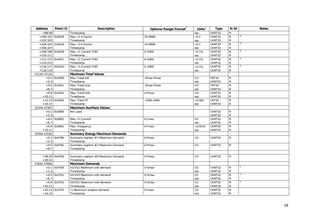| <b>Address</b>    | Point ID        | Description                             | Options/Range/Format <sup>2</sup> | Units $2$               | <b>Type</b>             | R/W                            | <b>Notes</b> |
|-------------------|-----------------|-----------------------------------------|-----------------------------------|-------------------------|-------------------------|--------------------------------|--------------|
| $+98,99$          |                 | Timestamp                               |                                   | sec                     | <b>UINT32</b>           | $\mathsf R$                    |              |
| +100,101 0x3419   |                 | Max. 12 K-Factor                        | 10-9999                           | $\times 0.1$            | UINT32                  | ${\sf R}$                      |              |
| $+102,103$        |                 | Timestamp                               |                                   | sec                     | UINT32                  | ${\sf R}$                      |              |
| $+104,105$ 0x341A |                 | Max. 13 K-Factor                        | 10-9999                           | $\times 0.1$            | <b>UINT32</b>           | $\overline{R}$                 | 3            |
| $+106,107$        |                 | Timestamp                               |                                   | sec                     | <b>UINT32</b>           | R                              |              |
| $+108,109$ 0x341B |                 | Max. 11 Current TDD                     | $0 - 1000$                        | $\times 0.1\%$          | <b>UINT32</b>           | $\mathsf{R}$                   | 3            |
| $+110,111$        |                 | Timestamp                               |                                   | sec                     | <b>UINT32</b>           | $\mathsf{R}$                   |              |
| $+112,113$ 0x341C |                 | Max. I2 Current TDD                     | $0 - 1000$                        | $\times$ 0.1%           | <b>UINT32</b>           | $\mathsf{R}$                   | 3            |
| $+114,115$        |                 | Timestamp                               |                                   | sec                     | UINT32                  | $\mathsf{R}$                   |              |
| $+116,117$ 0x341D |                 | Max. 13 Current TDD                     | $0 - 1000$                        | $\times 0.1\%$          | <b>UINT32</b>           | ${\sf R}$                      |              |
| $+118,119$        |                 | Timestamp                               |                                   | sec                     | UINT32                  | R                              |              |
| 37120-37135       |                 | <b>Maximum Total Values</b>             |                                   |                         |                         |                                |              |
|                   | $+0,1$ 0x3500   | Max. Total kW                           | -Pmax-Pmax                        | U3                      | <b>INT32</b>            | $\mathsf{R}$                   |              |
| $+2,3$            |                 | Timestamp                               |                                   | sec                     | UINT32                  | ${\sf R}$                      |              |
|                   | $+4,5$ 0x3501   | Max. Total kvar                         | -Pmax-Pmax                        | U3                      | <b>INT32</b>            | $\mathsf{R}$                   |              |
| $+6,7$            |                 | Timestamp                               |                                   | sec                     | UINT32                  | ${\sf R}$                      |              |
|                   | $+8,9$ 0x3502   | Max. Total kVA                          | 0-Pmax                            | U <sub>3</sub>          | <b>UINT32</b>           | $\overline{R}$                 |              |
| $+10,11$          |                 | Timestamp                               |                                   | sec                     | UINT32                  | $\mathsf{R}$                   |              |
|                   | $+12,13$ 0x3503 | Max. Total PF                           | $-1000 - 1000$                    | $\times$ 0.001          | INT32                   | $\overline{R}$                 |              |
| $+14,15$          |                 | Timestamp                               |                                   | sec                     | <b>UINT32</b>           | $\mathsf{R}$                   |              |
| 37376-37387       |                 | <b>Maximum Auxiliary Values</b>         |                                   |                         |                         |                                |              |
|                   | $+0,1$ 0x3600   | Not used                                |                                   |                         | <b>UINT32</b>           | $\mathsf{R}$                   |              |
| $+2,3$            |                 |                                         |                                   |                         | UINT32                  | ${\sf R}$                      |              |
|                   | $+4,5$ 0x3601   | Max. In Current                         | $0$ -Imax                         | U <sub>2</sub>          | UINT32                  | $\overline{R}$                 |              |
| $+6,7$            |                 | Timestamp                               |                                   | sec                     | <b>UINT32</b>           | R                              |              |
|                   | $+8,9$ 0x3602   | Max. Frequency                          | 0-Fmax                            | $\times$ 0.01Hz         | <b>UINT32</b>           | $\overline{R}$                 |              |
| $+10,11$          |                 | Timestamp                               |                                   | sec                     | <b>UINT32</b>           | $\mathsf{R}$                   |              |
| 37504-37535       |                 | <b>Summary Energy Maximum Demands</b>   |                                   |                         |                         |                                |              |
|                   | $+0,1$ 0x4780   | Summary register #1 Maximum Demand      | 0-Pmax                            | U <sub>3</sub>          | UINT32                  | $\mathsf{R}$                   |              |
| $+2,3$            |                 | Timestamp                               |                                   |                         |                         |                                |              |
|                   | $+4,5$ 0x4781   | Summary register #2 Maximum Demand      | 0-Pmax                            | U <sub>3</sub>          | <b>UINT32</b>           | R                              |              |
| $+6,7$            |                 | Timestamp                               |                                   |                         |                         |                                |              |
|                   |                 |                                         |                                   |                         |                         |                                |              |
|                   | $+28,29$ 0x4783 | Summary register #8 Maximum Demand      | 0-Pmax                            | U3                      | <b>UINT32</b>           | $\mathsf{R}$                   |              |
| $+30,31$          |                 | Timestamp                               |                                   |                         |                         |                                |              |
| 37632-37695       |                 | <b>Maximum Demands</b>                  |                                   |                         |                         |                                |              |
|                   | $+0,1$ 0x3700   | V1/V12 Maximum volt demand              | 0-Vmax                            | U1                      | UINT32                  | R                              |              |
| $+2,3$            |                 | Timestamp<br>V2/V23 Maximum volt demand |                                   | sec<br>$\overline{U}$ 1 | UINT32<br>UINT32        | $\mathsf{R}$<br>$\overline{R}$ |              |
|                   | $+4,5$ 0x3701   |                                         | 0-Vmax                            |                         |                         |                                |              |
| $+6,7$            |                 | Timestamp<br>V3/V31 Maximum volt demand |                                   | sec                     | <b>UINT32</b>           | $\mathsf{R}$                   |              |
|                   | $+8,9$ 0x3702   |                                         | 0-Vmax                            | $\overline{U}$ 1        | <b>UINT32</b><br>UINT32 | $\overline{R}$                 |              |
| $+10,11$          | $+12,13$ 0x3703 | Timestamp<br>11 Maximum ampere demand   | 0-Imax                            | sec<br>U <sub>2</sub>   | <b>UINT32</b>           | R<br>$\overline{R}$            |              |
| $+14,15$          |                 | Timestamp                               |                                   |                         | <b>UINT32</b>           | $\mathsf{R}$                   |              |
|                   |                 |                                         |                                   | sec                     |                         |                                |              |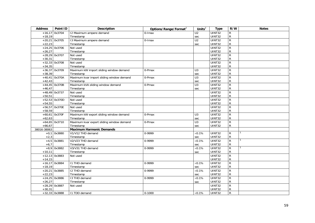| <b>Address</b> | Point ID        | <b>Description</b>                        | Options/Range/Format <sup>2</sup> | Units $2$       | <b>Type</b>   | R/W            | <b>Notes</b> |
|----------------|-----------------|-------------------------------------------|-----------------------------------|-----------------|---------------|----------------|--------------|
| $+16,17$       | 0x3704          | 12 Maximum ampere demand                  | $0$ -Imax                         | U <sub>2</sub>  | <b>UINT32</b> | $\mathsf{R}$   |              |
| $+18,19$       |                 | Timestamp                                 |                                   | sec             | <b>UINT32</b> | ${\sf R}$      |              |
|                | $+20,21$ 0x3705 | 13 Maximum ampere demand                  | 0-Imax                            | $\overline{U2}$ | <b>UINT32</b> | $\overline{R}$ |              |
| $+22,23$       |                 | Timestamp                                 |                                   | sec             | <b>UINT32</b> | ${\sf R}$      |              |
|                | $+24,25$ 0x3706 | Not used                                  |                                   |                 | UINT32        | $\overline{R}$ |              |
| $+26,27$       |                 | Timestamp                                 |                                   |                 | UINT32        | ${\sf R}$      |              |
|                | $+28,29$ 0x3707 | Not used                                  |                                   |                 | UINT32        | $\overline{R}$ |              |
| $+30,31$       |                 | Timestamp                                 |                                   |                 | UINT32        | ${\sf R}$      |              |
|                | $+32,33$ 0x3708 | Not used                                  |                                   |                 | UINT32        | $\overline{R}$ |              |
| $+34,35$       |                 | Timestamp                                 |                                   |                 | UINT32        | ${\sf R}$      |              |
|                | $+36,37$ 0x3709 | Maximum kW import sliding window demand   | 0-Pmax                            | U3              | <b>UINT32</b> | $\overline{R}$ |              |
| $+38,39$       |                 | Timestamp                                 |                                   | sec             | <b>UINT32</b> | ${\sf R}$      |              |
|                | $+40,41$ 0x370A | Maximum kvar import sliding window demand | 0-Pmax                            | U3              | <b>UINT32</b> | ${\sf R}$      |              |
| $+42,43$       |                 | Timestamp                                 |                                   | sec             | UINT32        | ${\sf R}$      |              |
|                | $+44,45$ 0x370B | Maximum kVA sliding window demand         | 0-Pmax                            | $\overline{U}$  | UINT32        | $\overline{R}$ |              |
| $+46,47$       |                 | Timestamp                                 |                                   | sec             | <b>UINT32</b> | ${\sf R}$      |              |
|                | $+48,49$ 0x3737 | Not used                                  |                                   |                 | UINT32        | $\overline{R}$ |              |
| $+50,51$       |                 | Timestamp                                 |                                   |                 | UINT32        | ${\sf R}$      |              |
|                | $+52,53$ 0x370D | Not used                                  |                                   |                 | <b>UINT32</b> | $\overline{R}$ |              |
| $+54,55$       |                 | Timestamp                                 |                                   |                 | UINT32        | $\mathsf R$    |              |
|                | $+56,57$ 0x370E | Not used                                  |                                   |                 | UINT32        | $\overline{R}$ |              |
| $+58,59$       |                 | Timestamp                                 |                                   |                 | UINT32        | ${\sf R}$      |              |
|                | $+60,61$ 0x370F | Maximum kW export sliding window demand   | 0-Pmax                            | U <sub>3</sub>  | UINT32        | ${\sf R}$      |              |
| $+62,63$       |                 | Timestamp                                 |                                   | sec             | UINT32        | ${\sf R}$      |              |
|                | $+64,65$ 0x3710 | Maximum kvar export sliding window demand | 0-Pmax                            | U3              | <b>UINT32</b> | $\overline{R}$ |              |
| $+66,67$       |                 | Timestamp                                 |                                   | sec             | UINT32        | ${\sf R}$      |              |
| 38016-38063    |                 | <b>Maximum Harmonic Demands</b>           |                                   |                 |               |                |              |
|                | $+0,1$ 0x3880   | V1/V12 THD demand                         | 0-9999                            | $\times 0.1\%$  | UINT32        | R              |              |
| $+2,3$         |                 | Timestamp                                 |                                   | sec             | UINT32        | ${\sf R}$      |              |
| $+4,5$         | 0x3881          | V2/V23 THD demand                         | 0-9999                            | $\times$ 0.1%   | <b>UINT32</b> | $\overline{R}$ |              |
| $+6,7$         |                 | Timestamp                                 |                                   | sec             | UINT32        | ${\sf R}$      |              |
| $+8,9$         | 0x3882          | V3/V31 THD demand                         | 0-9999                            | $\times 0.1\%$  | <b>UINT32</b> | ${\sf R}$      |              |
| $+10,11$       |                 | Timestamp                                 |                                   | sec             | UINT32        | ${\sf R}$      |              |
|                | $+12,13$ 0x3883 | Not used                                  |                                   |                 | <b>UINT32</b> | $\overline{R}$ |              |
| $+14,15$       |                 |                                           |                                   |                 | UINT32        | ${\sf R}$      |              |
|                | $+16,17$ 0x3884 | I1 THD demand                             | 0-9999                            | $\times$ 0.1%   | <b>UINT32</b> | $\overline{R}$ |              |
| $+18,19$       |                 | Timestamp                                 |                                   | sec             | <b>UINT32</b> | ${\sf R}$      |              |
|                | $+20,21$ 0x3885 | <b>I2 THD demand</b>                      | 0-9999                            | $\times 0.1\%$  | UINT32        | ${\sf R}$      |              |
| $+22,23$       |                 | Timestamp                                 |                                   | sec             | UINT32        | ${\sf R}$      |              |
|                | $+24,25$ 0x3886 | 13 THD demand                             | 0-9999                            | $\times 0.1\%$  | UINT32        | $\overline{R}$ |              |
| $+26,27$       |                 | Timestamp                                 |                                   | sec             | UINT32        | ${\sf R}$      |              |
|                | $+28,29$ 0x3887 | Not used                                  |                                   |                 | UINT32        | $\overline{R}$ |              |
| $+30,31$       |                 |                                           |                                   |                 | <b>UINT32</b> | ${\sf R}$      |              |
|                | $+32,33$ 0x3888 | 11 TDD demand                             | $0 - 1000$                        | $\times 0.1\%$  | UINT32        | $\mathsf{R}$   |              |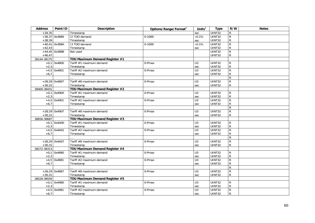| <b>Address</b> | Point ID        | <b>Description</b>             | Options/Range/Format <sup>2</sup> | Units $\sqrt{2}$ | <b>Type</b>   | R/W            | <b>Notes</b> |
|----------------|-----------------|--------------------------------|-----------------------------------|------------------|---------------|----------------|--------------|
| $+34,35$       |                 | Timestamp                      |                                   | sec              | UINT32        | R              |              |
|                | $+36,37$ 0x3889 | 12 TDD demand                  | $0 - 1000$                        | $\times$ 0.1%    | UINT32        | $\overline{R}$ |              |
| $+38,39$       |                 | Timestamp                      |                                   | sec              | UINT32        | ${\sf R}$      |              |
|                | $+40,41$ 0x388A | 13 TDD demand                  | $0 - 1000$                        | $\times 0.1\%$   | <b>UINT32</b> | $\overline{R}$ |              |
| $+42,43$       |                 | Timestamp                      |                                   | sec              | UINT32        | ${\sf R}$      |              |
|                | $+44,45$ 0x388B | Not used                       |                                   |                  | UINT32        | $\overline{R}$ |              |
| $+46,47$       |                 |                                |                                   |                  | UINT32        | $\mathsf{R}$   |              |
| 38144-38175    |                 | TOU Maximum Demand Register #1 |                                   |                  |               |                |              |
|                | $+0,1$ 0x4800   | Tariff #1 maximum demand       | 0-Pmax                            | U3               | UINT32        | R              |              |
| $+2,3$         |                 | Timestamp                      |                                   | sec              | UINT32        | ${\sf R}$      |              |
|                | $+4,5$ 0x4801   | Tariff #2 maximum demand       | 0-Pmax                            | $\overline{U}$   | UINT32        | $\overline{R}$ |              |
| $+6,7$         |                 | Timestamp                      |                                   | sec              | UINT32        | $\mathsf{R}$   |              |
|                |                 |                                |                                   |                  |               | $\overline{R}$ |              |
|                | $+28,29$ 0x4807 | Tariff #8 maximum demand       | 0-Pmax                            | U3               | UINT32        | $\overline{R}$ |              |
| $+30,31$       |                 | Timestamp                      |                                   | sec              | UINT32        | R              |              |
| 38400-38431    |                 | TOU Maximum Demand Register #2 |                                   |                  |               |                |              |
|                | $+0,1$ 0x4900   | Tariff #1 maximum demand       | 0-Pmax                            | U3               | UINT32        | R              |              |
| $+2,3$         |                 | Timestamp                      |                                   | sec              | UINT32        | ${\sf R}$      |              |
|                | $+4,5$ 0x4901   | Tariff #2 maximum demand       | 0-Pmax                            | U3               | UINT32        | $\overline{R}$ |              |
| $+6,7$         |                 | Timestamp                      |                                   | sec              | UINT32        | $\mathsf{R}$   |              |
|                |                 |                                |                                   |                  |               | $\overline{R}$ |              |
|                | $+28,29$ 0x4907 | Tariff #8 maximum demand       | 0-Pmax                            | U <sub>3</sub>   | UINT32        | $\overline{R}$ |              |
| $+30,31$       |                 | Timestamp                      |                                   | sec              | UINT32        | $\mathsf{R}$   |              |
| 38656-38687    |                 | TOU Maximum Demand Register #3 |                                   |                  |               |                |              |
|                | $+0,1$ 0x4A00   | Tariff #1 maximum demand       | 0-Pmax                            | U3               | UINT32        | ${\sf R}$      |              |
| $+2,3$         |                 | Timestamp                      |                                   | sec              | UINT32        | ${\sf R}$      |              |
|                | $+4,5$ 0x4A01   | Tariff #2 maximum demand       | 0-Pmax                            | U <sub>3</sub>   | UINT32        | $\overline{R}$ |              |
| $+6,7$         |                 | Timestamp                      |                                   | sec              | <b>UINT32</b> | $\mathsf{R}$   |              |
|                |                 |                                |                                   |                  |               | $\overline{R}$ |              |
|                | $+28,29$ 0x4A07 | Tariff #8 maximum demand       | 0-Pmax                            | U3               | <b>UINT32</b> | ${\sf R}$      |              |
| $+30,31$       |                 | Timestamp                      |                                   | sec              | UINT32        | $\mathsf{R}$   |              |
| 38272-38313    |                 | TOU Maximum Demand Register #4 |                                   |                  |               |                |              |
|                | $+0,1$ 0x4880   | Tariff #1 maximum demand       | 0-Pmax                            | U <sub>3</sub>   | UINT32        | $\mathsf{R}$   |              |
| $+2,3$         |                 | Timestamp                      |                                   | sec              | UINT32        | ${\sf R}$      |              |
|                | $+4,5$ 0x4881   | Tariff #2 maximum demand       | 0-Pmax                            | U3               | <b>UINT32</b> | $\mathsf{R}$   |              |
| $+6,7$         |                 | Timestamp                      |                                   | sec              | UINT32        | ${\sf R}$      |              |
|                |                 |                                |                                   |                  |               | ${\sf R}$      |              |
|                | $+28,29$ 0x4887 | Tariff #8 maximum demand       | 0-Pmax                            | U3               | UINT32        | $\overline{R}$ |              |
| $+30,31$       |                 | Timestamp                      |                                   | sec              | <b>UINT32</b> | ${\sf R}$      |              |
| 38528-38559    |                 | TOU Maximum Demand Register #5 |                                   |                  |               |                |              |
|                | $+0,1$ 0x4980   | Tariff #1 maximum demand       | 0-Pmax                            | U3               | <b>UINT32</b> | R              |              |
| $+2,3$         |                 | Timestamp                      |                                   | sec              | <b>UINT32</b> | ${\sf R}$      |              |
|                | $+4,5$ 0x4981   | Tariff #2 maximum demand       | 0-Pmax                            | U3               | <b>UINT32</b> | $\overline{R}$ |              |
| $+6,7$         |                 | Timestamp                      |                                   | sec              | <b>UINT32</b> | $\mathsf{R}$   |              |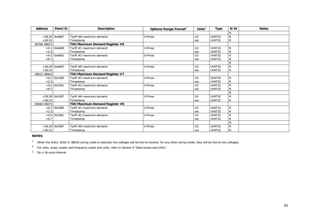| <b>Address</b> | Point ID        | <b>Description</b>             | Options/Range/Format <sup>2</sup> | Units $2$      | <b>Type</b>   | R/W          | <b>Notes</b> |
|----------------|-----------------|--------------------------------|-----------------------------------|----------------|---------------|--------------|--------------|
|                |                 |                                |                                   |                |               | R            |              |
|                | $+28,29$ 0x4987 | Tariff #8 maximum demand       | 0-Pmax                            | U <sub>3</sub> | UINT32        | $\mathsf{R}$ |              |
| $+30,31$       |                 | Timestamp                      |                                   | sec            | UINT32        | ${\sf R}$    |              |
| 38784-38815    |                 | TOU Maximum Demand Register #6 |                                   |                |               |              |              |
|                | $+0,1$ 0x4A80   | Tariff #1 maximum demand       | 0-Pmax                            | U <sub>3</sub> | UINT32        | $\mathsf{R}$ |              |
| $+2,3$         |                 | Timestamp                      |                                   | sec            | UINT32        | ${\sf R}$    |              |
|                | $+4,5$ 0x4A81   | Tariff #2 maximum demand       | 0-Pmax                            | U <sub>3</sub> | <b>UINT32</b> | $\mathsf{R}$ |              |
| $+6,7$         |                 | Timestamp                      |                                   | sec            | UINT32        | ${\sf R}$    |              |
|                |                 |                                |                                   |                |               | $\mathsf{R}$ |              |
|                | +28,29 0x4A87   | Tariff #8 maximum demand       | 0-Pmax                            | U <sub>3</sub> | UINT32        | $\mathsf{R}$ |              |
| $+30,31$       |                 | Timestamp                      |                                   | sec            | UINT32        | ${\sf R}$    |              |
| 38912-38943    |                 | TOU Maximum Demand Register #7 |                                   |                |               |              |              |
|                | $+0,1$ 0x5300   | Tariff #1 maximum demand       | 0-Pmax                            | U <sub>3</sub> | UINT32        | R            |              |
| $+2,3$         |                 | Timestamp                      |                                   | sec            | UINT32        | ${\sf R}$    |              |
| $+4,5$         | 0x5301          | Tariff #2 maximum demand       | 0-Pmax                            | U <sub>3</sub> | <b>UINT32</b> | R            |              |
| $+6,7$         |                 | Timestamp                      |                                   | sec            | UINT32        | ${\sf R}$    |              |
|                |                 |                                |                                   |                |               | $\mathsf{R}$ |              |
|                | +28,29 0x5307   | Tariff #8 maximum demand       | 0-Pmax                            | U <sub>3</sub> | UINT32        | $\mathsf{R}$ |              |
| $+30,31$       |                 | Timestamp                      |                                   | sec            | UINT32        | ${\sf R}$    |              |
| 39040-39071    |                 | TOU Maximum Demand Register #8 |                                   |                |               |              |              |
|                | $+0.1$ 0x5380   | Tariff #1 maximum demand       | 0-Pmax                            | U <sub>3</sub> | UINT32        | R            |              |
| $+2,3$         |                 | Timestamp                      |                                   | sec            | UINT32        | ${\sf R}$    |              |
| $+4,5$         | 0x5381          | Tariff #2 maximum demand       | 0-Pmax                            | U <sub>3</sub> | <b>UINT32</b> | ${\sf R}$    |              |
| $+6,7$         |                 | Timestamp                      |                                   | sec            | UINT32        | $\mathsf{R}$ |              |
|                |                 |                                |                                   |                |               | $\mathsf{R}$ |              |
|                | $+28,29$ 0x5387 | Tariff #8 maximum demand       | 0-Pmax                            | U <sub>3</sub> | UINT32        | R            |              |
| $+30,31$       |                 | Timestamp                      |                                   | sec            | UINT32        | $\mathsf{R}$ |              |

**NOTES:** 

<sup>1</sup> When the 4LN3, 3LN3 or 3BLN3 wiring mode is selected, the voltages will be line-to-neutral; for any other wiring mode, they will be line-to-line voltages.

<sup>2</sup> For volts, amps, power and frequency scales and units, refer to Section 4 "Data Scales and Units".

3 On a 16-cycle interval.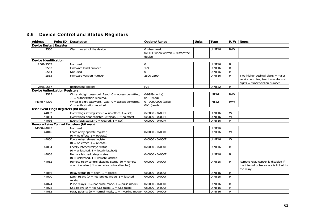# 3.6 Device Control and Status Registers

| <b>Address</b>                        | Point ID   Description |                                                                                                       | Options/Range                                                 | <b>Units</b> | <b>Type</b>        |                | R/W Notes                                                                                                   |
|---------------------------------------|------------------------|-------------------------------------------------------------------------------------------------------|---------------------------------------------------------------|--------------|--------------------|----------------|-------------------------------------------------------------------------------------------------------------|
| <b>Device Restart Register</b>        |                        |                                                                                                       |                                                               |              |                    |                |                                                                                                             |
| 2560                                  |                        | Warm restart of the device                                                                            | 0 when read.<br>OxFFFF when written $=$ restart the<br>device |              | UINT <sub>16</sub> | R/W            |                                                                                                             |
| <b>Device Identification</b>          |                        |                                                                                                       |                                                               |              |                    |                |                                                                                                             |
| 2561-2562                             |                        | Not used                                                                                              | $\Omega$                                                      |              | UINT16             | R              |                                                                                                             |
| 2563                                  |                        | Firmware build number                                                                                 | $1 - 99$                                                      |              | UINT16             | $\overline{R}$ |                                                                                                             |
| 2564                                  |                        | Not used                                                                                              | $\Omega$                                                      |              | UINT16             | ${\sf R}$      |                                                                                                             |
| 2565                                  |                        | Firmware version number                                                                               | 2500-2599                                                     |              | UINT <sub>16</sub> | R              | Two higher decimal digits $=$ major<br>version number, two lower decimal<br>$digits = minor version number$ |
| 2566,2567                             |                        | Instrument options                                                                                    | F28                                                           |              | UINT32             | ${\sf R}$      |                                                                                                             |
| <b>Device Authorization Registers</b> |                        |                                                                                                       |                                                               |              |                    |                |                                                                                                             |
| 2575                                  |                        | Write: 4-digit password. Read: $0 =$ access permitted,<br>-1 = authorization required.                | 0-9999 (write)<br>$0/-1$ (read)                               |              | <b>INT16</b>       | R/W            |                                                                                                             |
| 44378-44379                           |                        | Write: 8-digit password. Read: $0 =$ access permitted,<br>$-1$ = authorization required.              | 0 - 99999999 (write)<br>$0/-1$ (read)                         |              | <b>INT32</b>       | R/W            |                                                                                                             |
| User Event Flags Registers (bit map)  |                        |                                                                                                       |                                                               |              |                    |                |                                                                                                             |
| 44032                                 |                        | Event flags set register ( $0 =$ no effect, $1 =$ set)                                                | 0x0000 - 0x00FF                                               |              | UINT16             | W              |                                                                                                             |
| 44034                                 |                        | Event flags clear register (0=clear, $1 =$ no effect)                                                 | 0x0000 - 0x00FF                                               |              | UINT <sub>16</sub> | $\overline{W}$ |                                                                                                             |
| 44036                                 |                        | Event flags status ( $0 =$ cleared, $1 =$ set)                                                        | 0x0000 - 0x00FF                                               |              | UINT16             | $\mathsf{R}$   |                                                                                                             |
|                                       |                        | Remote Relay Control Registers (bit map)                                                              |                                                               |              |                    |                |                                                                                                             |
| 44038-44045                           |                        | Not used                                                                                              |                                                               |              | UINT16             |                |                                                                                                             |
| 44046                                 |                        | Force relay operate register<br>$(0 = no effect, 1 = operate)$                                        | 0x0000 - 0x000F                                               |              | UINT16             | W              |                                                                                                             |
| 44050                                 |                        | Force relay release register<br>$(0 = no effect, 1 = release)$                                        | 0x0000 - 0x000F                                               |              | UINT16             | W              |                                                                                                             |
| 44054                                 |                        | Locally latched relays status<br>$(0 = \text{unlatched}, 1 = \text{locally latched})$                 | 0x0000 - 0x000F                                               |              | UINT <sub>16</sub> | $\mathsf{R}$   |                                                                                                             |
| 44058                                 |                        | Remote latched relays status<br>$(0 = \text{unlatched}, 1 = \text{remote latched})$                   | 0x0000 - 0x000F                                               |              | UINT <sub>16</sub> | $\mathsf{R}$   |                                                                                                             |
| 44062                                 |                        | Remote relay control disabled status $(0 =$ remote<br>control enabled, $1 =$ remote control disabled) | 0x0000 - 0x000F                                               |              | UINT16             | R              | Remote relay control is disabled if<br>the internal pulse source is linked to<br>the relay                  |
| 44066                                 |                        | Relay status ( $0 =$ open, $1 =$ closed)                                                              | 0x0000 - 0x000F                                               |              | UINT16             | ${\sf R}$      |                                                                                                             |
| 44070                                 |                        | Latch relays $(0 = not \text{ latched mode}, 1 = \text{latched})$<br>mode)                            | 0x0000 - 0x000F                                               |              | UINT <sub>16</sub> | $\mathsf{R}$   |                                                                                                             |
| 44074                                 |                        | Pulse relays $(0 = not pulse mode, 1 = pulse mode)$                                                   | 0x0000 - 0x000F                                               |              | UINT <sub>16</sub> | R              |                                                                                                             |
| 44078                                 |                        | KYZ relays ( $0 = not$ KYZ mode, $1 =$ KYZ mode)                                                      | 0x0000 - 0x000F                                               |              | UINT16             | $\overline{R}$ |                                                                                                             |
| 44082                                 |                        | Relay polarity ( $0 =$ normal mode, $1 =$ inverting mode)                                             | 0x0000 - 0x000F                                               |              | UINT <sub>16</sub> | ${\sf R}$      |                                                                                                             |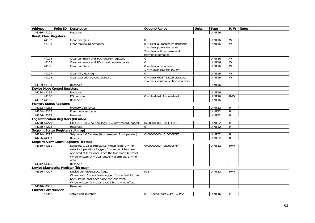| <b>Address</b>                        | Point ID   Description                                     | Options/Range                     | <b>Units</b> | <b>Type</b>        | R/W          | <b>Notes</b> |
|---------------------------------------|------------------------------------------------------------|-----------------------------------|--------------|--------------------|--------------|--------------|
| 44086-44101                           | Reserved                                                   |                                   |              | UINT16             |              |              |
| <b>Reset/Clear Registers</b>          |                                                            |                                   |              |                    |              |              |
| 44102                                 | Clear energies                                             | $\Omega$                          |              | UINT16             | W            |              |
| 44103                                 | Clear maximum demands                                      | $0 =$ clear all maximum demands   |              | UINT <sub>16</sub> | W            |              |
|                                       |                                                            | $1 =$ clear power demands         |              |                    |              |              |
|                                       |                                                            | $2 =$ clear volt, ampere and      |              |                    |              |              |
|                                       |                                                            | harmonic demands                  |              |                    |              |              |
| 44104                                 | Clear summary and TOU energy registers                     | $\Omega$                          |              | UINT <sub>16</sub> | W            |              |
| 44105                                 | Clear summary and TOU maximum demands                      | $\Omega$                          |              | UINT16             | W            |              |
| 44106                                 | Clear counters                                             | $0 =$ clear all counters.         |              | UINT16             | W            |              |
|                                       |                                                            | $1-4$ = clear counter #1-#4       |              |                    |              |              |
| 44107                                 | Clear Min/Max log                                          | $\Omega$                          |              | UINT16             | W            |              |
| 44108                                 | Clear operation/event counters                             | $0 =$ clear GOST 13109 statistics |              | <b>UINT16</b>      | W            |              |
|                                       |                                                            | 1 = clear communication counters  |              |                    |              |              |
| 44109-44133                           | Reserved                                                   |                                   |              | UINT16             |              |              |
| <b>Device Mode Control Registers</b>  |                                                            |                                   |              |                    |              |              |
| 44134-44135                           | Reserved                                                   |                                   |              | UINT16             |              |              |
| 44136                                 | PQ recorder                                                | $0 =$ disabled, $1 =$ enabled     |              | UINT16             | R/W          |              |
| 44137-44165                           | Reserved                                                   |                                   |              | UINT16             |              |              |
| <b>Memory Status Registers</b>        |                                                            |                                   |              |                    |              |              |
| 44262-44263                           | Memory size, bytes                                         |                                   |              | <b>UINT32</b>      | R            |              |
| 44264-44265                           | Free memory, bytes                                         |                                   |              | UINT32             | ${\sf R}$    |              |
| 44266-44277                           | Reserved                                                   |                                   |              | UINT32             | $\mathsf{R}$ |              |
| Log Notification Registers (bit map)  |                                                            |                                   |              |                    |              |              |
| 44278-44279                           | Files $0-31$ ( $0 =$ no new logs, $1 =$ new record logged) | 0x00000000 - 0xFFFFFFFF           |              | UINT32             | $\mathsf{R}$ |              |
| 44280-44293                           | Reserved                                                   | $\mathbf 0$                       |              | UINT32             | $\mathsf{R}$ |              |
| Setpoint Status Registers (bit map)   |                                                            |                                   |              |                    |              |              |
| 44294-44295                           | Setpoints 1-16 status ( $0 =$ released, $1 =$ operated)    | 0x00000000 - 0x0000FFFF           |              | UINT32             | $\mathsf{R}$ |              |
| 44296-44309                           | Reserved                                                   |                                   |              | UINT32             | $\mathsf{R}$ |              |
|                                       | Setpoint Alarm Latch Registers (bit map)                   |                                   |              |                    |              |              |
| 44310-44311                           | Setpoints 1-16 alarm status. When read: $0 = no$           | 0x00000000 - 0x0000FFFF           |              | UINT32             | R/W          |              |
|                                       | setpoint operations logged, 1 = setpoint has been          |                                   |              |                    |              |              |
|                                       | operated at least once since the last alarm bit reset.     |                                   |              |                    |              |              |
|                                       | When written: $0 =$ clear setpoint alarm bit, $1 =$ no     |                                   |              |                    |              |              |
|                                       | effect.                                                    |                                   |              |                    |              |              |
| 44312-44325                           | Reserved                                                   |                                   |              |                    |              |              |
| Device Diagnostics Register (bit map) |                                                            |                                   |              |                    |              |              |
| 44326-44327                           | Device self-diagnostics flags.                             | F23                               |              | UINT32             | R/W          |              |
|                                       | When read: $0 =$ no faults logged, $1 =$ a fault bit has   |                                   |              |                    |              |              |
|                                       | been set at least once since the last reset.               |                                   |              |                    |              |              |
|                                       | When written: $0 =$ clear a fault bit, $1 =$ no effect.    |                                   |              |                    |              |              |
| 44328-44341                           | Reserved                                                   |                                   |              |                    |              |              |
| <b>Current Port Number</b>            |                                                            |                                   |              |                    |              |              |
| 44342                                 | Active port number                                         | $0-1$ = serial port COM1-COM2     |              | UINT <sub>16</sub> | R            |              |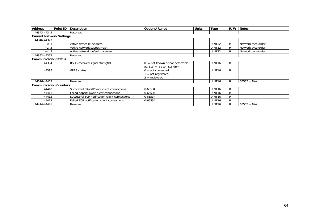| <b>Address</b>                  | Point ID | <b>Description</b>                             | Options/Range                                                                | <b>Units</b> | Type               | R/W          | <b>Notes</b>       |
|---------------------------------|----------|------------------------------------------------|------------------------------------------------------------------------------|--------------|--------------------|--------------|--------------------|
| 44343-44345                     |          | Reserved                                       |                                                                              |              |                    |              |                    |
| <b>Current Network Settings</b> |          |                                                |                                                                              |              |                    |              |                    |
| 44346-44377                     |          |                                                |                                                                              |              |                    |              |                    |
| $+0, 1$                         |          | Active device IP Address                       |                                                                              |              | <b>UINT32</b>      | R            | Network byte order |
| $+2, 3$                         |          | Active network subnet mask                     |                                                                              |              | UINT32             | R            | Network byte order |
| $+4, 5$                         |          | Active network default gateway                 |                                                                              |              | <b>UINT32</b>      | R            | Network byte order |
| 44352-44377                     |          | Reserved                                       |                                                                              |              |                    |              |                    |
| <b>Communication Status</b>     |          |                                                |                                                                              |              |                    |              |                    |
| 44394                           |          | RSSI (received signal strength)                | $=$ not known or not detectable,<br>$\Omega$<br>$51-113 = -51$ to $-113$ dBm |              | UINT <sub>16</sub> | R            |                    |
| 44395                           |          | <b>GPRS status</b>                             | $0 = not connected$ ,<br>$=$ not registered,<br>$2 =$ registered             |              | UINT <sub>16</sub> | R            |                    |
| 44396-44409                     |          | Reserved                                       |                                                                              |              | UINT <sub>16</sub> | R            | $65535 = N/A$      |
| <b>Communication Counters</b>   |          |                                                |                                                                              |              |                    |              |                    |
| 44410                           |          | Successful eXpertPower client connections      | 0-65534                                                                      |              | UINT <sub>16</sub> | $\mathsf{R}$ |                    |
| 44411                           |          | Failed eXpertPower client connections          | 0-65534                                                                      |              | UINT <sub>16</sub> | R            |                    |
| 44412                           |          | Successful TCP notification client connections | 0-65534                                                                      |              | UINT <sub>16</sub> | R            |                    |
| 44413                           |          | Failed TCP notification client connections     | 0-65534                                                                      |              | UINT <sub>16</sub> | R            |                    |
| 44414-44441                     |          | Reserved                                       |                                                                              |              | UINT <sub>16</sub> | R            | $65535 = N/A$      |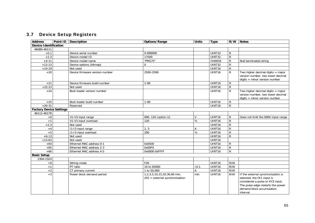# 3.7 Device Setup Registers

| <b>Address</b>                 | Point ID | <b>Description</b>             | Options/Range |                                                                 | <b>Units</b> | <b>Type</b>        | R/W            | <b>Notes</b>                                                                                                                                                                        |
|--------------------------------|----------|--------------------------------|---------------|-----------------------------------------------------------------|--------------|--------------------|----------------|-------------------------------------------------------------------------------------------------------------------------------------------------------------------------------------|
| <b>Device Identification</b>   |          |                                |               |                                                                 |              |                    |                |                                                                                                                                                                                     |
| 46080-46111                    |          |                                |               |                                                                 |              |                    |                |                                                                                                                                                                                     |
| $+0,1$                         |          | Device serial number           | 0-999999      |                                                                 |              | UINT32             | R              |                                                                                                                                                                                     |
| $+2,3$                         |          | Device model ID                | 17500         |                                                                 |              | <b>UINT32</b>      | $\overline{R}$ |                                                                                                                                                                                     |
| $+4-11$                        |          | Device model name              | "PM175"       |                                                                 |              | CHAR16             | $\mathsf{R}$   | Null-terminated string                                                                                                                                                              |
| $+12-13$                       |          | Device options (bitmap)        | $\mathbf 0$   |                                                                 |              | <b>UINT32</b>      | $\overline{R}$ |                                                                                                                                                                                     |
| $+14-19$                       |          | Not used                       |               |                                                                 |              | UINT16             | $\mathsf{R}$   |                                                                                                                                                                                     |
| $+20$                          |          | Device firmware version number | 2500-2599     |                                                                 |              | UINT16             | $\mathsf{R}$   | Two higher decimal digits $=$ major<br>version number, two lower decimal<br>$digits = minor version number$                                                                         |
| $+21$                          |          | Device firmware build number   | $1-99$        |                                                                 |              | UINT <sub>16</sub> | $\mathsf{R}$   |                                                                                                                                                                                     |
| $+22,23$                       |          | Not used                       |               |                                                                 |              | UINT16             | $\overline{R}$ |                                                                                                                                                                                     |
| $+24$                          |          | Boot loader version number     |               |                                                                 |              | UINT16             | $\mathsf{R}$   | Two higher decimal digits $=$ major<br>version number, two lower decimal<br>$digits = minor version number$                                                                         |
| $+25$                          |          | Boot loader build number       | $1-99$        |                                                                 |              | UINT <sub>16</sub> | R              |                                                                                                                                                                                     |
| $+26-31$                       |          | Reserved                       |               |                                                                 |              | UINT16             | $\overline{R}$ |                                                                                                                                                                                     |
| <b>Factory Device Settings</b> |          |                                |               |                                                                 |              |                    |                |                                                                                                                                                                                     |
| 46112-46178                    |          |                                |               |                                                                 |              |                    |                |                                                                                                                                                                                     |
| $+0$                           |          | V1-V3 input range              |               | 690, 120 (option U)                                             | V            | UINT <sub>16</sub> | $\mathsf{R}$   | Does not limit the 690V input range                                                                                                                                                 |
| $+1$                           |          | V1-V3 input overload           | 120           |                                                                 | %            | UINT16             | $\overline{R}$ |                                                                                                                                                                                     |
| $+2,3$                         |          | Not used                       |               |                                                                 |              | UINT16             | ${\sf R}$      |                                                                                                                                                                                     |
| $+4$                           |          | 11-13 input range              | 1, 5          |                                                                 | А            | UINT16             | $\overline{R}$ |                                                                                                                                                                                     |
| $+5$                           |          | I1-I3 input overload           | 200           |                                                                 | $\%$         | UINT16             | ${\sf R}$      |                                                                                                                                                                                     |
| $+6-13$                        |          | Not used                       |               |                                                                 |              | UINT16             | ${\sf R}$      |                                                                                                                                                                                     |
| $+13-63$                       |          | Not used                       |               |                                                                 |              | UINT16             |                |                                                                                                                                                                                     |
| $+64$                          |          | Ethernet MAC address 0-1       | 0x0500        |                                                                 |              | UINT16             | $\mathsf{R}$   |                                                                                                                                                                                     |
| $+65$                          |          | Ethernet MAC address 2-3       | 0x00F0        |                                                                 |              | UINT16             | ${\sf R}$      |                                                                                                                                                                                     |
| $+66$                          |          | Ethernet MAC address 4-5       | 0x0000-0xFFFF |                                                                 |              | UINT16             | ${\sf R}$      |                                                                                                                                                                                     |
| <b>Basic Setup</b>             |          |                                |               |                                                                 |              |                    |                |                                                                                                                                                                                     |
| 2304-2324                      |          |                                |               |                                                                 |              |                    |                |                                                                                                                                                                                     |
| $+0$                           |          | Wiring mode                    | F26           |                                                                 |              | UINT16             | R/W            |                                                                                                                                                                                     |
| $+1$                           |          | PT ratio                       | 10 to 65000   |                                                                 | $\times 0.1$ | UINT <sub>16</sub> | R/W            |                                                                                                                                                                                     |
| $\pm 2$                        |          | CT primary current             | 1 to 50,000   |                                                                 | A            | UINT16             | R/W            |                                                                                                                                                                                     |
| $+3$                           |          | Power block demand period      |               | 1,2,3,5,10,15,20,30,60 min,<br>$255 =$ external synchronization | min          | UINT16             | R/W            | If the external synchronization is<br>selected, the DI1 input is<br>considered a pulse or KYZ input.<br>The pulse edge restarts the power<br>demand block accumulation<br>interval. |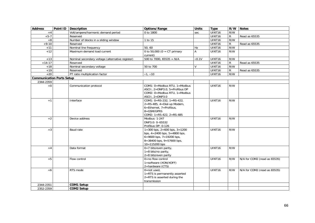| Volt/ampere/harmonic demand period<br>UINT16<br>R/W<br>$+4$<br>0 to 1800<br>sec<br>$+5-7$<br>UINT16<br>$\mathsf{R}$<br>Reserved<br>Read as 65535<br>R/W<br>$+8$<br>Number of blocks in a sliding window<br>1 to 15<br>UINT16<br>$+9-10$<br><b>UINT16</b><br>$\mathsf{R}$<br>Reserved<br>Read as 65535<br>R/W<br>50,60<br>UINT <sub>16</sub><br>$+11$<br>Nominal line frequency<br>Hz<br>Maximum demand load current<br>R/W<br>$+12$<br>0 to 50,000 (0 = $CT$ primary<br>$\mathsf{A}$<br><b>UINT16</b><br>current)<br>500 to 7000, 65535 = N/A<br>UINT16<br>R/W<br>$+13$<br>Nominal secondary voltage (alternative register)<br>$\times 0.1V$<br>$+14-17$<br>UINT <sub>16</sub><br>$\mathsf{R}$<br>Reserved<br>Read as 65535<br>50 to 700<br>UINT16<br>R/W<br>Nominal secondary voltage<br>V<br>$+18$<br>UINT16<br>$\mathsf{R}$<br>$+19$<br>Reserved<br>Read as 65535<br>R/W<br>$+20$<br>PT ratio multiplication factor<br>$\times$ 1, $\times$ 10<br>UINT16<br><b>Communication Ports Setup</b><br>2344-2359<br>R/W<br>COM1: 0=Modbus RTU, 1=Modbus<br>UINT <sub>16</sub><br>$+0$<br>Communication protocol<br>ASCII, 2=DNP3.0, 5=Profibus DP<br>COM2: 0=Modbus RTU, 1=Modbus<br>ASCII, $2 = DNP3.0$<br>COM1: $0 = RS-232$ , $1 = RS-422$ ,<br><b>UINT16</b><br>R/W<br>$+1$<br>Interface<br>$2 = RS - 485$ , $4 = Dial-up Modem$ ,<br>6=Ethernet, 7=Profibus,<br>8=GSM/GPRS<br>COM2: $1 = RS-422$ , $2 = RS-485$<br>$+2$<br>Modbus: 1-247<br>UINT16<br>R/W<br>Device address<br>DNP3.0: 0-65532<br>Profibus DP: 0-126<br>$1=300$ bps, $2=600$ bps, $3=1200$<br>R/W<br>$+3$<br><b>UINT16</b><br>Baud rate<br>bps, $4=2400$ bps, $5=4800$ bps,<br>$6 = 9600$ bps, $7 = 19200$ bps,<br>$8 = 38400$ bps, $9 = 57600$ bps,<br>$10 = 115200$ bps<br>$0=7$ bits/even parity,<br><b>UINT16</b><br>R/W<br>$+4$<br>Data format<br>$1=8$ bits/no parity,<br>$2=8$ bits/even parity<br>Flow control<br>$0 = no$ flow control<br><b>UINT16</b><br>R/W<br>$+5$<br>N/A for COM2 (read as 65535)<br>1=software (XON/XOFF)<br>2=hardware (CTS)<br><b>UINT16</b><br>R/W<br>RTS mode<br>$0 = not used$ ,<br>N/A for COM2 (read as 65535)<br>$+6$<br>1=RTS is permanently asserted<br>2=RTS is asserted during the<br>transmission<br>2344-2351<br><b>COM1 Setup</b><br>2352-2359<br><b>COM2 Setup</b> | <b>Address</b> | Point ID | <b>Description</b> | Options/Range | <b>Units</b> | <b>Type</b> | R/W | <b>Notes</b> |
|------------------------------------------------------------------------------------------------------------------------------------------------------------------------------------------------------------------------------------------------------------------------------------------------------------------------------------------------------------------------------------------------------------------------------------------------------------------------------------------------------------------------------------------------------------------------------------------------------------------------------------------------------------------------------------------------------------------------------------------------------------------------------------------------------------------------------------------------------------------------------------------------------------------------------------------------------------------------------------------------------------------------------------------------------------------------------------------------------------------------------------------------------------------------------------------------------------------------------------------------------------------------------------------------------------------------------------------------------------------------------------------------------------------------------------------------------------------------------------------------------------------------------------------------------------------------------------------------------------------------------------------------------------------------------------------------------------------------------------------------------------------------------------------------------------------------------------------------------------------------------------------------------------------------------------------------------------------------------------------------------------------------------------------------------------------------------------------------------------------------------------------------------------------------------------------------------------------------------------------------------------------------------------|----------------|----------|--------------------|---------------|--------------|-------------|-----|--------------|
|                                                                                                                                                                                                                                                                                                                                                                                                                                                                                                                                                                                                                                                                                                                                                                                                                                                                                                                                                                                                                                                                                                                                                                                                                                                                                                                                                                                                                                                                                                                                                                                                                                                                                                                                                                                                                                                                                                                                                                                                                                                                                                                                                                                                                                                                                    |                |          |                    |               |              |             |     |              |
|                                                                                                                                                                                                                                                                                                                                                                                                                                                                                                                                                                                                                                                                                                                                                                                                                                                                                                                                                                                                                                                                                                                                                                                                                                                                                                                                                                                                                                                                                                                                                                                                                                                                                                                                                                                                                                                                                                                                                                                                                                                                                                                                                                                                                                                                                    |                |          |                    |               |              |             |     |              |
|                                                                                                                                                                                                                                                                                                                                                                                                                                                                                                                                                                                                                                                                                                                                                                                                                                                                                                                                                                                                                                                                                                                                                                                                                                                                                                                                                                                                                                                                                                                                                                                                                                                                                                                                                                                                                                                                                                                                                                                                                                                                                                                                                                                                                                                                                    |                |          |                    |               |              |             |     |              |
|                                                                                                                                                                                                                                                                                                                                                                                                                                                                                                                                                                                                                                                                                                                                                                                                                                                                                                                                                                                                                                                                                                                                                                                                                                                                                                                                                                                                                                                                                                                                                                                                                                                                                                                                                                                                                                                                                                                                                                                                                                                                                                                                                                                                                                                                                    |                |          |                    |               |              |             |     |              |
|                                                                                                                                                                                                                                                                                                                                                                                                                                                                                                                                                                                                                                                                                                                                                                                                                                                                                                                                                                                                                                                                                                                                                                                                                                                                                                                                                                                                                                                                                                                                                                                                                                                                                                                                                                                                                                                                                                                                                                                                                                                                                                                                                                                                                                                                                    |                |          |                    |               |              |             |     |              |
|                                                                                                                                                                                                                                                                                                                                                                                                                                                                                                                                                                                                                                                                                                                                                                                                                                                                                                                                                                                                                                                                                                                                                                                                                                                                                                                                                                                                                                                                                                                                                                                                                                                                                                                                                                                                                                                                                                                                                                                                                                                                                                                                                                                                                                                                                    |                |          |                    |               |              |             |     |              |
|                                                                                                                                                                                                                                                                                                                                                                                                                                                                                                                                                                                                                                                                                                                                                                                                                                                                                                                                                                                                                                                                                                                                                                                                                                                                                                                                                                                                                                                                                                                                                                                                                                                                                                                                                                                                                                                                                                                                                                                                                                                                                                                                                                                                                                                                                    |                |          |                    |               |              |             |     |              |
|                                                                                                                                                                                                                                                                                                                                                                                                                                                                                                                                                                                                                                                                                                                                                                                                                                                                                                                                                                                                                                                                                                                                                                                                                                                                                                                                                                                                                                                                                                                                                                                                                                                                                                                                                                                                                                                                                                                                                                                                                                                                                                                                                                                                                                                                                    |                |          |                    |               |              |             |     |              |
|                                                                                                                                                                                                                                                                                                                                                                                                                                                                                                                                                                                                                                                                                                                                                                                                                                                                                                                                                                                                                                                                                                                                                                                                                                                                                                                                                                                                                                                                                                                                                                                                                                                                                                                                                                                                                                                                                                                                                                                                                                                                                                                                                                                                                                                                                    |                |          |                    |               |              |             |     |              |
|                                                                                                                                                                                                                                                                                                                                                                                                                                                                                                                                                                                                                                                                                                                                                                                                                                                                                                                                                                                                                                                                                                                                                                                                                                                                                                                                                                                                                                                                                                                                                                                                                                                                                                                                                                                                                                                                                                                                                                                                                                                                                                                                                                                                                                                                                    |                |          |                    |               |              |             |     |              |
|                                                                                                                                                                                                                                                                                                                                                                                                                                                                                                                                                                                                                                                                                                                                                                                                                                                                                                                                                                                                                                                                                                                                                                                                                                                                                                                                                                                                                                                                                                                                                                                                                                                                                                                                                                                                                                                                                                                                                                                                                                                                                                                                                                                                                                                                                    |                |          |                    |               |              |             |     |              |
|                                                                                                                                                                                                                                                                                                                                                                                                                                                                                                                                                                                                                                                                                                                                                                                                                                                                                                                                                                                                                                                                                                                                                                                                                                                                                                                                                                                                                                                                                                                                                                                                                                                                                                                                                                                                                                                                                                                                                                                                                                                                                                                                                                                                                                                                                    |                |          |                    |               |              |             |     |              |
|                                                                                                                                                                                                                                                                                                                                                                                                                                                                                                                                                                                                                                                                                                                                                                                                                                                                                                                                                                                                                                                                                                                                                                                                                                                                                                                                                                                                                                                                                                                                                                                                                                                                                                                                                                                                                                                                                                                                                                                                                                                                                                                                                                                                                                                                                    |                |          |                    |               |              |             |     |              |
|                                                                                                                                                                                                                                                                                                                                                                                                                                                                                                                                                                                                                                                                                                                                                                                                                                                                                                                                                                                                                                                                                                                                                                                                                                                                                                                                                                                                                                                                                                                                                                                                                                                                                                                                                                                                                                                                                                                                                                                                                                                                                                                                                                                                                                                                                    |                |          |                    |               |              |             |     |              |
|                                                                                                                                                                                                                                                                                                                                                                                                                                                                                                                                                                                                                                                                                                                                                                                                                                                                                                                                                                                                                                                                                                                                                                                                                                                                                                                                                                                                                                                                                                                                                                                                                                                                                                                                                                                                                                                                                                                                                                                                                                                                                                                                                                                                                                                                                    |                |          |                    |               |              |             |     |              |
|                                                                                                                                                                                                                                                                                                                                                                                                                                                                                                                                                                                                                                                                                                                                                                                                                                                                                                                                                                                                                                                                                                                                                                                                                                                                                                                                                                                                                                                                                                                                                                                                                                                                                                                                                                                                                                                                                                                                                                                                                                                                                                                                                                                                                                                                                    |                |          |                    |               |              |             |     |              |
|                                                                                                                                                                                                                                                                                                                                                                                                                                                                                                                                                                                                                                                                                                                                                                                                                                                                                                                                                                                                                                                                                                                                                                                                                                                                                                                                                                                                                                                                                                                                                                                                                                                                                                                                                                                                                                                                                                                                                                                                                                                                                                                                                                                                                                                                                    |                |          |                    |               |              |             |     |              |
|                                                                                                                                                                                                                                                                                                                                                                                                                                                                                                                                                                                                                                                                                                                                                                                                                                                                                                                                                                                                                                                                                                                                                                                                                                                                                                                                                                                                                                                                                                                                                                                                                                                                                                                                                                                                                                                                                                                                                                                                                                                                                                                                                                                                                                                                                    |                |          |                    |               |              |             |     |              |
|                                                                                                                                                                                                                                                                                                                                                                                                                                                                                                                                                                                                                                                                                                                                                                                                                                                                                                                                                                                                                                                                                                                                                                                                                                                                                                                                                                                                                                                                                                                                                                                                                                                                                                                                                                                                                                                                                                                                                                                                                                                                                                                                                                                                                                                                                    |                |          |                    |               |              |             |     |              |
|                                                                                                                                                                                                                                                                                                                                                                                                                                                                                                                                                                                                                                                                                                                                                                                                                                                                                                                                                                                                                                                                                                                                                                                                                                                                                                                                                                                                                                                                                                                                                                                                                                                                                                                                                                                                                                                                                                                                                                                                                                                                                                                                                                                                                                                                                    |                |          |                    |               |              |             |     |              |
|                                                                                                                                                                                                                                                                                                                                                                                                                                                                                                                                                                                                                                                                                                                                                                                                                                                                                                                                                                                                                                                                                                                                                                                                                                                                                                                                                                                                                                                                                                                                                                                                                                                                                                                                                                                                                                                                                                                                                                                                                                                                                                                                                                                                                                                                                    |                |          |                    |               |              |             |     |              |
|                                                                                                                                                                                                                                                                                                                                                                                                                                                                                                                                                                                                                                                                                                                                                                                                                                                                                                                                                                                                                                                                                                                                                                                                                                                                                                                                                                                                                                                                                                                                                                                                                                                                                                                                                                                                                                                                                                                                                                                                                                                                                                                                                                                                                                                                                    |                |          |                    |               |              |             |     |              |
|                                                                                                                                                                                                                                                                                                                                                                                                                                                                                                                                                                                                                                                                                                                                                                                                                                                                                                                                                                                                                                                                                                                                                                                                                                                                                                                                                                                                                                                                                                                                                                                                                                                                                                                                                                                                                                                                                                                                                                                                                                                                                                                                                                                                                                                                                    |                |          |                    |               |              |             |     |              |
|                                                                                                                                                                                                                                                                                                                                                                                                                                                                                                                                                                                                                                                                                                                                                                                                                                                                                                                                                                                                                                                                                                                                                                                                                                                                                                                                                                                                                                                                                                                                                                                                                                                                                                                                                                                                                                                                                                                                                                                                                                                                                                                                                                                                                                                                                    |                |          |                    |               |              |             |     |              |
|                                                                                                                                                                                                                                                                                                                                                                                                                                                                                                                                                                                                                                                                                                                                                                                                                                                                                                                                                                                                                                                                                                                                                                                                                                                                                                                                                                                                                                                                                                                                                                                                                                                                                                                                                                                                                                                                                                                                                                                                                                                                                                                                                                                                                                                                                    |                |          |                    |               |              |             |     |              |
|                                                                                                                                                                                                                                                                                                                                                                                                                                                                                                                                                                                                                                                                                                                                                                                                                                                                                                                                                                                                                                                                                                                                                                                                                                                                                                                                                                                                                                                                                                                                                                                                                                                                                                                                                                                                                                                                                                                                                                                                                                                                                                                                                                                                                                                                                    |                |          |                    |               |              |             |     |              |
|                                                                                                                                                                                                                                                                                                                                                                                                                                                                                                                                                                                                                                                                                                                                                                                                                                                                                                                                                                                                                                                                                                                                                                                                                                                                                                                                                                                                                                                                                                                                                                                                                                                                                                                                                                                                                                                                                                                                                                                                                                                                                                                                                                                                                                                                                    |                |          |                    |               |              |             |     |              |
|                                                                                                                                                                                                                                                                                                                                                                                                                                                                                                                                                                                                                                                                                                                                                                                                                                                                                                                                                                                                                                                                                                                                                                                                                                                                                                                                                                                                                                                                                                                                                                                                                                                                                                                                                                                                                                                                                                                                                                                                                                                                                                                                                                                                                                                                                    |                |          |                    |               |              |             |     |              |
|                                                                                                                                                                                                                                                                                                                                                                                                                                                                                                                                                                                                                                                                                                                                                                                                                                                                                                                                                                                                                                                                                                                                                                                                                                                                                                                                                                                                                                                                                                                                                                                                                                                                                                                                                                                                                                                                                                                                                                                                                                                                                                                                                                                                                                                                                    |                |          |                    |               |              |             |     |              |
|                                                                                                                                                                                                                                                                                                                                                                                                                                                                                                                                                                                                                                                                                                                                                                                                                                                                                                                                                                                                                                                                                                                                                                                                                                                                                                                                                                                                                                                                                                                                                                                                                                                                                                                                                                                                                                                                                                                                                                                                                                                                                                                                                                                                                                                                                    |                |          |                    |               |              |             |     |              |
|                                                                                                                                                                                                                                                                                                                                                                                                                                                                                                                                                                                                                                                                                                                                                                                                                                                                                                                                                                                                                                                                                                                                                                                                                                                                                                                                                                                                                                                                                                                                                                                                                                                                                                                                                                                                                                                                                                                                                                                                                                                                                                                                                                                                                                                                                    |                |          |                    |               |              |             |     |              |
|                                                                                                                                                                                                                                                                                                                                                                                                                                                                                                                                                                                                                                                                                                                                                                                                                                                                                                                                                                                                                                                                                                                                                                                                                                                                                                                                                                                                                                                                                                                                                                                                                                                                                                                                                                                                                                                                                                                                                                                                                                                                                                                                                                                                                                                                                    |                |          |                    |               |              |             |     |              |
|                                                                                                                                                                                                                                                                                                                                                                                                                                                                                                                                                                                                                                                                                                                                                                                                                                                                                                                                                                                                                                                                                                                                                                                                                                                                                                                                                                                                                                                                                                                                                                                                                                                                                                                                                                                                                                                                                                                                                                                                                                                                                                                                                                                                                                                                                    |                |          |                    |               |              |             |     |              |
|                                                                                                                                                                                                                                                                                                                                                                                                                                                                                                                                                                                                                                                                                                                                                                                                                                                                                                                                                                                                                                                                                                                                                                                                                                                                                                                                                                                                                                                                                                                                                                                                                                                                                                                                                                                                                                                                                                                                                                                                                                                                                                                                                                                                                                                                                    |                |          |                    |               |              |             |     |              |
|                                                                                                                                                                                                                                                                                                                                                                                                                                                                                                                                                                                                                                                                                                                                                                                                                                                                                                                                                                                                                                                                                                                                                                                                                                                                                                                                                                                                                                                                                                                                                                                                                                                                                                                                                                                                                                                                                                                                                                                                                                                                                                                                                                                                                                                                                    |                |          |                    |               |              |             |     |              |
|                                                                                                                                                                                                                                                                                                                                                                                                                                                                                                                                                                                                                                                                                                                                                                                                                                                                                                                                                                                                                                                                                                                                                                                                                                                                                                                                                                                                                                                                                                                                                                                                                                                                                                                                                                                                                                                                                                                                                                                                                                                                                                                                                                                                                                                                                    |                |          |                    |               |              |             |     |              |
|                                                                                                                                                                                                                                                                                                                                                                                                                                                                                                                                                                                                                                                                                                                                                                                                                                                                                                                                                                                                                                                                                                                                                                                                                                                                                                                                                                                                                                                                                                                                                                                                                                                                                                                                                                                                                                                                                                                                                                                                                                                                                                                                                                                                                                                                                    |                |          |                    |               |              |             |     |              |
|                                                                                                                                                                                                                                                                                                                                                                                                                                                                                                                                                                                                                                                                                                                                                                                                                                                                                                                                                                                                                                                                                                                                                                                                                                                                                                                                                                                                                                                                                                                                                                                                                                                                                                                                                                                                                                                                                                                                                                                                                                                                                                                                                                                                                                                                                    |                |          |                    |               |              |             |     |              |
|                                                                                                                                                                                                                                                                                                                                                                                                                                                                                                                                                                                                                                                                                                                                                                                                                                                                                                                                                                                                                                                                                                                                                                                                                                                                                                                                                                                                                                                                                                                                                                                                                                                                                                                                                                                                                                                                                                                                                                                                                                                                                                                                                                                                                                                                                    |                |          |                    |               |              |             |     |              |
|                                                                                                                                                                                                                                                                                                                                                                                                                                                                                                                                                                                                                                                                                                                                                                                                                                                                                                                                                                                                                                                                                                                                                                                                                                                                                                                                                                                                                                                                                                                                                                                                                                                                                                                                                                                                                                                                                                                                                                                                                                                                                                                                                                                                                                                                                    |                |          |                    |               |              |             |     |              |
|                                                                                                                                                                                                                                                                                                                                                                                                                                                                                                                                                                                                                                                                                                                                                                                                                                                                                                                                                                                                                                                                                                                                                                                                                                                                                                                                                                                                                                                                                                                                                                                                                                                                                                                                                                                                                                                                                                                                                                                                                                                                                                                                                                                                                                                                                    |                |          |                    |               |              |             |     |              |
|                                                                                                                                                                                                                                                                                                                                                                                                                                                                                                                                                                                                                                                                                                                                                                                                                                                                                                                                                                                                                                                                                                                                                                                                                                                                                                                                                                                                                                                                                                                                                                                                                                                                                                                                                                                                                                                                                                                                                                                                                                                                                                                                                                                                                                                                                    |                |          |                    |               |              |             |     |              |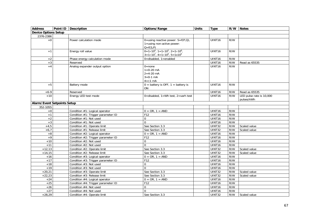| <b>Address</b>                     | Point ID Description               | Options/Range                                         | <b>Units</b> | <b>Type</b>        |     | R/W Notes                |
|------------------------------------|------------------------------------|-------------------------------------------------------|--------------|--------------------|-----|--------------------------|
| Device Options Setup               |                                    |                                                       |              |                    |     |                          |
| 2376-2386                          |                                    |                                                       |              |                    |     |                          |
| $+0$                               | Power calculation mode             | 0=using reactive power: $S = f(P,Q)$ ,                |              | UINT <sub>16</sub> | R/W |                          |
|                                    |                                    | $1 =$ using non-active power:                         |              |                    |     |                          |
|                                    |                                    | $Q = f(S, P)$                                         |              |                    |     |                          |
| $+1$                               | Energy roll value                  | $0=1\times10^4$ , $1=1\times10^5$ , $2=1\times10^6$ , |              | UINT16             | R/W |                          |
|                                    |                                    | $3=1\times10^7$ , $4=1\times10^8$ , $5=1\times10^9$   |              |                    |     |                          |
| $+2$                               | Phase energy calculation mode      | $0 =$ disabled, $1 =$ enabled                         |              | UINT <sub>16</sub> | R/W |                          |
| $+3$                               | Reserved                           |                                                       |              | UINT16             | R/W | Read as 65535            |
| $+4$                               | Analog expander output option      | $0 = none$                                            |              | UINT16             | R/W |                          |
|                                    |                                    | $1 = 0 - 20$ mA                                       |              |                    |     |                          |
|                                    |                                    | $2 = 4 - 20$ mA                                       |              |                    |     |                          |
|                                    |                                    | $3=0-1$ mA                                            |              |                    |     |                          |
|                                    |                                    | $4=\pm 1$ mA                                          |              |                    |     |                          |
| $+5$                               | Battery mode                       | $0 =$ battery is OFF, $1 =$ battery is                |              | UINT16             | R/W |                          |
|                                    |                                    | <b>ON</b>                                             |              |                    |     |                          |
| $+6-9$                             | Reserved                           |                                                       |              | UINT16             | R/W | Read as 65535            |
| $+10$                              | Energy LED test mode               | 0=disabled, $1=Wh$ test, $2=varh$ test                |              | <b>UINT16</b>      | R/W | LED pulse rate is 10,000 |
|                                    |                                    |                                                       |              |                    |     | pulses/kWh               |
| <b>Alarm/Event Setpoints Setup</b> |                                    |                                                       |              |                    |     |                          |
| 352-1055                           |                                    |                                                       |              |                    |     |                          |
| $\bf +0$                           | Condition #1: Logical operator     | $0 = OR, 1 = AND$                                     |              | UINT16             | R/W |                          |
| $+1$                               | Condition #1: Trigger parameter ID | F12                                                   |              | UINT16             | R/W |                          |
| $+2$                               | Condition #1: Not used             | $\Omega$                                              |              | UINT16             | R/W |                          |
| $+3$                               | Condition #1: Not used             | $\Omega$                                              |              | UINT16             | R/W |                          |
| $+4,5$                             | Condition #1: Operate limit        | See Section 3.3                                       |              | UINT32             | R/W | Scaled value             |
| $+6,7$                             | Condition #1: Release limit        | See Section 3.3                                       |              | <b>UINT32</b>      | R/W | Scaled value             |
| $\bf +8$                           | Condition #2: Logical operator     | $0 = OR, 1 = AND$                                     |              | UINT16             | R/W |                          |
| $+9$                               | Condition #2: Trigger parameter ID | F <sub>12</sub>                                       |              | UINT <sub>16</sub> | R/W |                          |
| $+10$                              | Condition #2: Not used             | $\Omega$                                              |              | UINT16             | R/W |                          |
| $+11$                              | Condition #2: Not used             | $\Omega$                                              |              | UINT16             | R/W |                          |
| $+12,13$                           | Condition #2: Operate limit        | See Section 3.3                                       |              | <b>UINT32</b>      | R/W | Scaled value             |
| $+14,15$                           | Condition #2: Release limit        | See Section 3.3                                       |              | <b>UINT32</b>      | R/W | Scaled value             |
| $+16$                              | Condition #3: Logical operator     | $0 = OR, 1 = AND$                                     |              | UINT16             | R/W |                          |
| $+17$                              | Condition #3: Trigger parameter ID | F12                                                   |              | UINT16             | R/W |                          |
| $+18$                              | Condition #3: Not used             | $\Omega$                                              |              | UINT16             | R/W |                          |
| $+19$                              | Condition #3: Not used             | $\Omega$                                              |              | UINT16             | R/W |                          |
| $+20,21$                           | Condition #3: Operate limit        | See Section 3.3                                       |              | <b>UINT32</b>      | R/W | Scaled value             |
| $+22,23$                           | Condition #3: Release limit        | See Section 3.3                                       |              | <b>UINT32</b>      | R/W | Scaled value             |
| $+24$                              | Condition #4: Logical operator     | $0 = \overline{OR}$ , 1 = AND                         |              | UINT16             | R/W |                          |
| $+25$                              | Condition #4: Trigger parameter ID | F12                                                   |              | UINT16             | R/W |                          |
| $+26$                              | Condition #4: Not used             | $\Omega$                                              |              | UINT16             | R/W |                          |
| $+27$                              | Condition #4: Not used             | $\Omega$                                              |              | UINT16             | R/W |                          |
| $+28,29$                           | Condition #4: Operate limit        | See Section 3.3                                       |              | <b>UINT32</b>      | R/W | Scaled value             |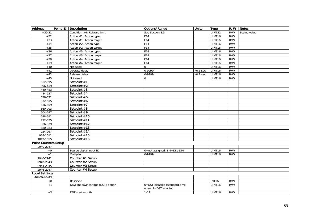| <b>Address</b>              | Point ID   Description             | Options/Range                 | <b>Units</b>     | <b>Type</b>   |     | R/W Notes    |
|-----------------------------|------------------------------------|-------------------------------|------------------|---------------|-----|--------------|
| $+30,31$                    | Condition #4: Release limit        | See Section 3.3               |                  | <b>UINT32</b> | R/W | Scaled value |
| $+32$                       | Action #1: Action type             | F14                           |                  | UINT16        | R/W |              |
| $+33$                       | Action #1: Action target           | F14                           |                  | UINT16        | R/W |              |
| $+34$                       | Action #2: Action type             | F14                           |                  | UINT16        | R/W |              |
| $+35$                       | Action #2: Action target           | F14                           |                  | UINT16        | R/W |              |
| $+36$                       | Action #3: Action type             | F14                           |                  | UINT16        | R/W |              |
| $+37$                       | Action #3: Action target           | F14                           |                  | UINT16        | R/W |              |
| $+38$                       | Action #4: Action type             | F14                           |                  | UINT16        | R/W |              |
| $+39$                       | Action #4: Action target           | F14                           |                  | UINT16        | R/W |              |
| $+40$                       | Not used                           | $\Omega$                      |                  | UINT16        | R/W |              |
| $+41$                       | Operate delay                      | 0-9999                        | $\times 0.1$ sec | UINT16        | R/W |              |
| $+42$                       | Release delay                      | 0-9999                        | $\times 0.1$ sec | UINT16        | R/W |              |
| $+43$                       | Not used                           | 0                             |                  | UINT16        | R/W |              |
| 352-395                     | Setpoint #1                        |                               |                  |               |     |              |
| 396-439                     | Setpoint #2                        |                               |                  |               |     |              |
| 440-483                     | Setpoint #3                        |                               |                  |               |     |              |
| 484-527                     | Setpoint #4                        |                               |                  |               |     |              |
| 528-571                     | Setpoint #5                        |                               |                  |               |     |              |
| 572-615                     | Setpoint #6                        |                               |                  |               |     |              |
| 616-659                     | Setpoint #7                        |                               |                  |               |     |              |
| 660-703                     | Setpoint #8                        |                               |                  |               |     |              |
| 704-747                     | Setpoint #9                        |                               |                  |               |     |              |
| 748-791                     | Setpoint #10                       |                               |                  |               |     |              |
| 792-835                     | Setpoint #11                       |                               |                  |               |     |              |
| 836-879                     | Setpoint #12                       |                               |                  |               |     |              |
| 880-923                     | Setpoint #13                       |                               |                  |               |     |              |
| 924-967                     | Setpoint #14                       |                               |                  |               |     |              |
| 968-1011                    | Setpoint #15                       |                               |                  |               |     |              |
| 1012-1055                   | Setpoint #16                       |                               |                  |               |     |              |
| <b>Pulse Counters Setup</b> |                                    |                               |                  |               |     |              |
| 2940-2947                   |                                    |                               |                  |               |     |              |
| $+0$                        | Source digital input ID            | 0=not assigned, 1-4=DI1-DI4   |                  | UINT16        | R/W |              |
| $+1$                        | Multiplier                         | 0-9999                        |                  | UINT16        | R/W |              |
| 2940-2941                   | Counter #1 Setup                   |                               |                  |               |     |              |
| 2942-2943                   | Counter #2 Setup                   |                               |                  |               |     |              |
| 2944-2945                   | Counter #3 Setup                   |                               |                  |               |     |              |
| 2946-2947                   | Counter #4 Setup                   |                               |                  |               |     |              |
| <b>Local Settings</b>       |                                    |                               |                  |               |     |              |
| 46400-46415                 |                                    |                               |                  |               |     |              |
| $+0$                        | Reserved                           |                               |                  | <b>INT16</b>  | R/W |              |
| $+1$                        | Daylight savings time (DST) option | 0=DST disabled (standard time |                  | UINT16        | R/W |              |
|                             |                                    | only), 1=DST enabled          |                  |               |     |              |
| $\pm 2$                     | DST start month                    | $1 - 12$                      |                  | UINT16        | R/W |              |
|                             |                                    |                               |                  |               |     |              |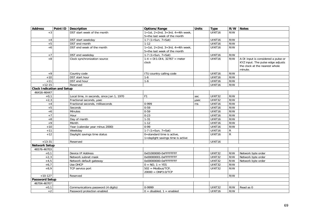| <b>Address</b>                    | Point ID | Description                               | Options/Range                     | <b>Units</b> | <b>Type</b>        | R/W            | <b>Notes</b>                                                                   |
|-----------------------------------|----------|-------------------------------------------|-----------------------------------|--------------|--------------------|----------------|--------------------------------------------------------------------------------|
| $+3$                              |          | DST start week of the month               | 1=1st, 2=2nd, 3=3rd, 4=4th week,  |              | UINT <sub>16</sub> | R/W            |                                                                                |
|                                   |          |                                           | 5=the last week of the month      |              |                    |                |                                                                                |
| $+4$                              |          | DST start weekday                         | 1-7 $(1 = Sun, 7 = Sat)$          |              | UINT16             | R/W            |                                                                                |
| $+5$                              |          | DST end month                             | $1 - 12$                          |              | UINT16             | R/W            |                                                                                |
| $+6$                              |          | DST end week of the month                 | 1=1st, 2=2nd, 3=3rd, 4=4th week,  |              | UINT16             | R/W            |                                                                                |
|                                   |          |                                           | 5=the last week of the month      |              |                    |                |                                                                                |
| $+7$                              |          | DST end weekday                           | $1-7$ (1=Sun, 7=Sat)              |              | UINT16             | R/W            |                                                                                |
| $+8$                              |          | Clock synchronization source              | $1-4 = D11-D14$ , $32767 = meter$ |              | UINT <sub>16</sub> | R/W            | A DI input is considered a pulse or                                            |
|                                   |          |                                           | clock                             |              |                    |                | KYZ input. The pulse edge adjusts<br>the clock at the nearest whole<br>minute. |
| $+9$                              |          | Country code                              | ITU country calling code          |              | UINT16             | R/W            |                                                                                |
| $+10$                             |          | DST start hour                            | $1-6$                             |              | UINT <sub>16</sub> | R/W            |                                                                                |
| $+11$                             |          | DST end hour                              | $1-6$                             |              | UINT16             | R/W            |                                                                                |
| $+12-15$                          |          | Reserved                                  |                                   |              | UINT16             | R/W            |                                                                                |
| <b>Clock Indication and Setup</b> |          |                                           |                                   |              |                    |                |                                                                                |
| 46416-46447                       |          |                                           |                                   |              |                    |                |                                                                                |
| $+0,1$                            |          | Local time, in seconds, since Jan 1, 1970 | F <sub>1</sub>                    | sec          | UINT32             | R/W            |                                                                                |
| $+2,3$                            |          | Fractional seconds, usec                  |                                   | usec         | <b>UINT32</b>      | R/W            |                                                                                |
| $+4$                              |          | Fractional seconds, milliseconds          | 0-999                             | ms           | UINT16             | R/W            |                                                                                |
| $+5$                              |          | Seconds                                   | $0 - 59$                          |              | UINT16             | R/W            |                                                                                |
| $+6$                              |          | Minutes                                   | $0 - 59$                          |              | UINT16             | R/W            |                                                                                |
| $+7$                              |          | Hour                                      | $0 - 23$                          |              | UINT16             | R/W            |                                                                                |
| $+8$                              |          | Day of month                              | $1 - 31$                          |              | UINT16             | R/W            |                                                                                |
| $+9$                              |          | Month                                     | $1 - 12$                          |              | UINT16             | R/W            |                                                                                |
| $+10$                             |          | Year (calendar year minus 2000)           | $0-99$                            |              | UINT16             | R/W            |                                                                                |
| $+11$                             |          | Weekdav                                   | $1-7$ (1=Sun, 7=Sat)              |              | UINT16             | $\overline{R}$ |                                                                                |
| $+12$                             |          | Daylight savings time status              | 0=standard time is active,        |              | UINT16             | $\mathsf{R}$   |                                                                                |
|                                   |          |                                           | 1=daylight savings time is active |              |                    |                |                                                                                |
| $+13-31$                          |          | Reserved                                  |                                   |              | UINT16             |                |                                                                                |
| <b>Network Setup</b>              |          |                                           |                                   |              |                    |                |                                                                                |
| 46576-46703                       |          |                                           |                                   |              |                    |                |                                                                                |
| $+0,1$                            |          | Device IP Address                         | 0x01000000-0xFFFFFFFF             |              | <b>UINT32</b>      | R/W            | Network byte order                                                             |
| $+2,3$                            |          | Network subnet mask                       | 0x00000001-0xFFFFFFFF             |              | UINT32             | R/W            | Network byte order                                                             |
| $+4,5$                            |          | Network default gateway                   | 0x00000000-0xFFFFFFFF             |              | UINT32             | R/W            | Network byte order                                                             |
| $+6,7$                            |          | Use DHCP                                  | $0 = NO, 1 = YES$                 |              | <b>UINT32</b>      | R/W            |                                                                                |
| $+8,9$                            |          | TCP service port                          | $502 = Modbus/TCP,$               |              | UINT32             | R/W            |                                                                                |
|                                   |          |                                           | $20000 = DNP3.0/TCP$              |              |                    |                |                                                                                |
| $+10-127$                         |          | Reserved                                  |                                   |              |                    | R/W            |                                                                                |
| <b>Password Setup</b>             |          |                                           |                                   |              |                    |                |                                                                                |
| 46704-46707                       |          |                                           |                                   |              |                    |                |                                                                                |
| $+0,1$                            |          | Communications password (4 digits)        | 0-9999                            |              | UINT32             | R/W            | Read as 0                                                                      |
| $+2$                              |          | Password protection enabled               | $0 =$ disabled, $1 =$ enabled     |              | UINT16             | R/W            |                                                                                |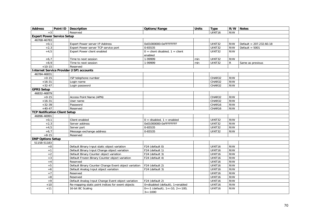| <b>Address</b>                       | Point ID   Description                               | Options/Range                                                     | <b>Units</b> | <b>Type</b>         |              | R/W Notes                 |
|--------------------------------------|------------------------------------------------------|-------------------------------------------------------------------|--------------|---------------------|--------------|---------------------------|
| $+3$                                 | Reserved                                             |                                                                   |              | UINT16              | R/W          |                           |
| <b>Expert Power Service Setup</b>    |                                                      |                                                                   |              |                     |              |                           |
| 46768-46783                          |                                                      |                                                                   |              |                     |              |                           |
| $+0,1$                               | Expert Power server IP Address                       | 0x01000000-0xFFFFFFFF                                             |              | UINT32              | R/W          | Default = $207.232.60.18$ |
| $+2,3$                               | Expert Power server TCP service port                 | 0-65535                                                           |              | <b>UINT32</b>       | R/W          | Default = $5001$          |
| $+4.5$                               | Expert Power client enabled                          | $0 =$ client disabled, $1 =$ client                               |              | <b>UINT32</b>       | R/W          |                           |
|                                      |                                                      | enabled                                                           |              |                     |              |                           |
| $+6,7$                               | Time to next session                                 | 1-99999                                                           | min          | UINT32              | R/W          |                           |
| $+8,9$                               | Time to next session                                 | 1-99999                                                           | min          | UINT32              | $\mathsf{R}$ | Same as previous          |
| $+10-15$                             | Reserved                                             |                                                                   |              |                     |              |                           |
|                                      | <b>Internet Service Provider (ISP) accounts</b>      |                                                                   |              |                     |              |                           |
| 46784-46831                          |                                                      |                                                                   |              |                     |              |                           |
| $+0-15$                              | ISP telephone number                                 |                                                                   |              | CHAR32              | R/W          |                           |
| $+16-31$                             | Login name                                           |                                                                   |              | CHAR32              | R/W          |                           |
| $+32-47$                             | Login password                                       |                                                                   |              | CHAR32              | R/W          |                           |
| <b>GPRS Setup</b>                    |                                                      |                                                                   |              |                     |              |                           |
| 46832-46879                          |                                                      |                                                                   |              |                     |              |                           |
| $+0-15$                              | Access Point Name (APN)                              |                                                                   |              | CHAR32              | R/W          |                           |
| $+16-31$                             | User name                                            |                                                                   |              | CHAR32              | R/W          |                           |
| $+32-39$                             | Password                                             |                                                                   |              | CHAR16              | R/W          |                           |
| $+40-47$                             | Reserved                                             |                                                                   |              | CHAR16              | R/W          |                           |
| <b>TCP Notification Client Setup</b> |                                                      |                                                                   |              |                     |              |                           |
| 46896-46991                          |                                                      |                                                                   |              |                     |              |                           |
| $+0,1$                               | Client enabled                                       | $0 =$ disabled, $1 =$ enabled                                     |              | <b>UINT32</b>       | R/W          |                           |
| $+2,3$                               | Server address                                       | 0x01000000-0xFFFFFFFF                                             |              | $\overline{UINT32}$ | R/W          |                           |
| $+4,5$                               | Server port                                          | 0-65535                                                           |              | UINT32              | R/W          |                           |
| $+6,7$                               | Message exchange address                             | 0-65535                                                           |              | UINT32              | R/W          |                           |
| $+8-15$                              | Reserved                                             |                                                                   |              |                     |              |                           |
| <b>DNP Options Setup</b>             |                                                      |                                                                   |              |                     |              |                           |
| 51158-51183                          |                                                      |                                                                   |              |                     |              |                           |
| $\bf +0$                             | Default Binary Input static object variation         | F24 (default 0)                                                   |              | UINT16              | R/W          |                           |
| $+1$                                 | Default Binary Input Change object variation         | F24 (default 1)                                                   |              | UINT16              | R/W          |                           |
| $+2$                                 | Default Binary Counter object variation              | F24 (default 3)                                                   |              | UINT16              | R/W          |                           |
| $+3$                                 | Default Frozen Binary Counter object variation       | F24 (default 4)                                                   |              | UINT16              | R/W          |                           |
| $+4$                                 | Reserved                                             |                                                                   |              | UINT <sub>16</sub>  | R/W          |                           |
| $+5$                                 | Default Binary Counter Change Event object variation | F24 (default 2)                                                   |              | UINT16              | R/W          |                           |
| $+6$                                 | Default Analog Input object variation                | F24 (default 3)                                                   |              | UINT16              | R/W          |                           |
| $+7$                                 | Reserved                                             |                                                                   |              | UINT16              | R/W          |                           |
| $\bf +8$                             | Reserved                                             |                                                                   |              | UINT16              | R/W          |                           |
| $+9$                                 | Default Analog Input Change Event object variation   | F24 (default 2)                                                   |              | UINT16              | R/W          |                           |
| $+10$                                | Re-mapping static point indices for event objects    | 0=disabled (default), 1=enabled                                   |              | UINT16              | R/W          |                           |
| $+11$                                | 16-bit BC Scaling                                    | $0 = x1$ (default), $1 = x10$ , $2 = x100$ ,<br>$3 = \times 1000$ |              | UINT16              | R/W          |                           |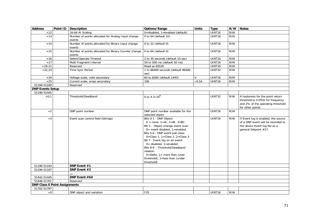| <b>Address</b>                       | Point ID | <b>Description</b>                                             | Options/Range                                                                                                                                                                                                                                                                                                                                                                                                      | <b>Units</b>  | <b>Type</b>        | R/W | Notes                                                                                                                                |
|--------------------------------------|----------|----------------------------------------------------------------|--------------------------------------------------------------------------------------------------------------------------------------------------------------------------------------------------------------------------------------------------------------------------------------------------------------------------------------------------------------------------------------------------------------------|---------------|--------------------|-----|--------------------------------------------------------------------------------------------------------------------------------------|
| $+12$                                |          | 16-bit AI Scaling                                              | 0=disabled, 1=enabled (default)                                                                                                                                                                                                                                                                                                                                                                                    |               | UINT16             | R/W |                                                                                                                                      |
| $+13$                                |          | Number of points allocated for Analog Input change<br>events   | 0 to 64 (default 32)                                                                                                                                                                                                                                                                                                                                                                                               |               | UINT16             | R/W |                                                                                                                                      |
| $+14$                                |          | Number of points allocated for Binary Input change<br>events   | 0 to 32 (default $0$ )                                                                                                                                                                                                                                                                                                                                                                                             |               | UINT16             | R/W |                                                                                                                                      |
| $+15$                                |          | Number of points allocated for Binary Counter change<br>events | 0 to $64$ (default 0)                                                                                                                                                                                                                                                                                                                                                                                              |               | UINT16             | R/W |                                                                                                                                      |
| $+16$                                |          | Select/Operate Timeout                                         | 2 to 30 seconds (default 10 sec)                                                                                                                                                                                                                                                                                                                                                                                   |               | UINT16             | R/W |                                                                                                                                      |
| $+17$                                |          | Multi Fragment Interval                                        | 50 to 500 ms (default 50 ms)                                                                                                                                                                                                                                                                                                                                                                                       |               | UINT16             | R/W |                                                                                                                                      |
| $+18-21$                             |          | Reserved                                                       | Read as 65535                                                                                                                                                                                                                                                                                                                                                                                                      |               | <b>UINT16</b>      | R/W |                                                                                                                                      |
| $+22,23$                             |          | Time Sync Period                                               | 1 to 86400 seconds (default 86400<br>sec)                                                                                                                                                                                                                                                                                                                                                                          |               | <b>UINT32</b>      | R/W |                                                                                                                                      |
| $+24$                                |          | Voltage scale, volts secondary                                 | 60 to 828V (default 144V)                                                                                                                                                                                                                                                                                                                                                                                          | V             | UINT16             | R/W |                                                                                                                                      |
| $+25$                                |          | Current scale, amps secondary                                  | 100                                                                                                                                                                                                                                                                                                                                                                                                                | $\times 0.1A$ | UINT16             | R/W |                                                                                                                                      |
| 51184-51189                          |          | Reserved                                                       |                                                                                                                                                                                                                                                                                                                                                                                                                    |               |                    |     |                                                                                                                                      |
| <b>DNP Events Setup</b>              |          |                                                                |                                                                                                                                                                                                                                                                                                                                                                                                                    |               |                    |     |                                                                                                                                      |
| 51190-51445                          |          |                                                                |                                                                                                                                                                                                                                                                                                                                                                                                                    |               |                    |     |                                                                                                                                      |
| $+0,1$                               |          | Threshold/Deadband                                             | 0 to $4.3 \times 10^9$                                                                                                                                                                                                                                                                                                                                                                                             |               | UINT32             | R/W | A hysteresis for the point return<br>threshold is 0.05Hz for frequency<br>and 2% of the operating threshold<br>for other points      |
| $+2$                                 |          | DNP point number                                               | DNP point number available for the<br>selected object                                                                                                                                                                                                                                                                                                                                                              |               | UINT16             | R/W |                                                                                                                                      |
| $+3$                                 |          | Event scan control field (bitmap)                              | Bits 0-1 - DNP Object:<br>$0 = none, 1 = AI, 2 = BI, 3 = BC$<br>Bit 2 - Object change event scan:<br>$0=$ event disabled, 1=enabled<br>Bits 5-6 - DNP event poll class:<br>$0 = Class 1$ , 1=Class 2, 2=Class 3<br>Bit 7 - Event log on an event:<br>$0 =$ disabled, 1=enabled<br>Bits 8-9 - Threshold/Deadband<br>relation:<br>$0 =$ Delta, $1 =$ more than (over<br>threshold), 2=less than (under<br>threshold) |               | UINT16             | R/W | If Event log is enabled, the source<br>of a DNP event will be recorded to<br>the device Event log file as a<br>general Setpoint #17. |
| 51190-51193                          |          | DNP Event #1                                                   |                                                                                                                                                                                                                                                                                                                                                                                                                    |               |                    |     |                                                                                                                                      |
| 51194-51197                          |          | DNP Event #2                                                   |                                                                                                                                                                                                                                                                                                                                                                                                                    |               |                    |     |                                                                                                                                      |
|                                      |          |                                                                |                                                                                                                                                                                                                                                                                                                                                                                                                    |               |                    |     |                                                                                                                                      |
| 51442-51445                          |          | DNP Event #64                                                  |                                                                                                                                                                                                                                                                                                                                                                                                                    |               |                    |     |                                                                                                                                      |
| 51446-51701                          |          | Reserved                                                       |                                                                                                                                                                                                                                                                                                                                                                                                                    |               |                    |     |                                                                                                                                      |
| <b>DNP Class 0 Point Assignments</b> |          |                                                                |                                                                                                                                                                                                                                                                                                                                                                                                                    |               |                    |     |                                                                                                                                      |
| 51702-51797                          |          |                                                                |                                                                                                                                                                                                                                                                                                                                                                                                                    |               |                    |     |                                                                                                                                      |
| $+0$                                 |          | DNP object and variation                                       | F25                                                                                                                                                                                                                                                                                                                                                                                                                |               | UINT <sub>16</sub> | R/W |                                                                                                                                      |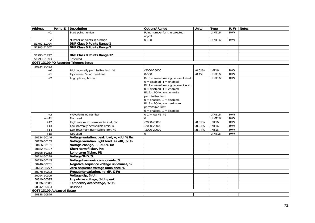| <b>Address</b>            | Point ID | Description                               | Options/Range                        | <b>Units</b>    | <b>Type</b>        | R/W | <b>Notes</b> |
|---------------------------|----------|-------------------------------------------|--------------------------------------|-----------------|--------------------|-----|--------------|
| $+1$                      |          | Start point number                        | Point number for the selected        |                 | UINT <sub>16</sub> | R/W |              |
|                           |          |                                           | object                               |                 |                    |     |              |
| $+2$                      |          | Number of points in a range               | $0 - 128$                            |                 | UINT <sub>16</sub> | R/W |              |
| 51702-51704               |          | <b>DNP Class 0 Points Range 1</b>         |                                      |                 |                    |     |              |
| 51705-51707               |          | <b>DNP Class 0 Points Range 2</b>         |                                      |                 |                    |     |              |
|                           |          |                                           |                                      |                 |                    |     |              |
| 51795-51797               |          | <b>DNP Class 0 Points Range 32</b>        |                                      |                 |                    |     |              |
| 51798-51893               |          | Reserved                                  |                                      |                 |                    |     |              |
|                           |          | GOST 13109 PQ Recorder Triggers Setup     |                                      |                 |                    |     |              |
| 50134-50453               |          |                                           |                                      |                 |                    |     |              |
| $+0$                      |          | High normally permissible limit, %        | $-2000 - 20000$                      | $\times 0.01\%$ | <b>INT16</b>       | R/W |              |
| $+1$                      |          | Hysteresis, % of threshold                | $0 - 500$                            | $\times$ 0.1%   | UINT16             | R/W |              |
| $+2$                      |          | Log options, bitmap                       | Bit 0 - waveform log on event start: |                 | UINT16             | R/W |              |
|                           |          |                                           | $0 =$ disabled, $1 =$ enabled;       |                 |                    |     |              |
|                           |          |                                           | Bit 1 - waveform log on event end:   |                 |                    |     |              |
|                           |          |                                           | $0 =$ disabled, $1 =$ enabled;       |                 |                    |     |              |
|                           |          |                                           | Bit 2 - PQ log on normally           |                 |                    |     |              |
|                           |          |                                           | permissible limit:                   |                 |                    |     |              |
|                           |          |                                           | $0 =$ enabled, $1 =$ disabled.       |                 |                    |     |              |
|                           |          |                                           | Bit 3 - PQ log on maximum            |                 |                    |     |              |
|                           |          |                                           | permissible limit:                   |                 |                    |     |              |
|                           |          |                                           | $0 =$ enabled, $1 =$ disabled.       |                 |                    |     |              |
| $+3$                      |          | Waveform log number                       | $0-1 = \log #1 - #2$                 |                 | UINT16             | R/W |              |
| $+4-11$                   |          | Not used                                  | $\Omega$                             |                 | UINT16             | R/W |              |
| $+12$                     |          | High maximum permissible limit, %         | $-2000 - 20000$                      | $\times 0.01\%$ | <b>INT16</b>       | R/W |              |
| $+13$                     |          | Low normally permissible limit, %         | $-2000 - 20000$                      | $\times 0.01\%$ | <b>INT16</b>       | R/W |              |
| $+14$                     |          | Low maximum permissible limit, %          | $-2000 - 20000$                      | $\times 0.01\%$ | <b>INT16</b>       | R/W |              |
| $+15$                     |          | Not used                                  | $\Omega$                             |                 | UINT16             | R/W |              |
| 50134-50149               |          | Voltage variation, peak load, +/-dU, %Un  |                                      |                 |                    |     |              |
| 50150-50165               |          | Voltage variation, light load, +/-dU, %Un |                                      |                 |                    |     |              |
| 50166-50181               |          | Voltage change, +/-dU, %Un                |                                      |                 |                    |     |              |
| 50182-50197               |          | Short-term flicker, Pst                   |                                      |                 |                    |     |              |
| 50198-50213               |          | Long-term flicker, Plt                    |                                      |                 |                    |     |              |
| 50214-50229               |          | Voltage THD, %                            |                                      |                 |                    |     |              |
| 50230-50245               |          | Voltage harmonic components, %            |                                      |                 |                    |     |              |
| 50246-50261               |          | Negative-sequence voltage unbalance, %    |                                      |                 |                    |     |              |
| 50262-50277               |          | Zero-sequence voltage unbalance, %        |                                      |                 |                    |     |              |
| 50278-50293               |          | Frequency variation, +/-dF, %Fn           |                                      |                 |                    |     |              |
| 50294-50309               |          | Voltage dip, %Un                          |                                      |                 |                    |     |              |
| 50310-50325               |          | Impulsive voltage, %Un peak               |                                      |                 |                    |     |              |
| 50326-50341               |          | Temporary overvoltage, %Un                |                                      |                 |                    |     |              |
| 50342-50453               |          | Reserved                                  |                                      |                 |                    |     |              |
| GOST 13109 Advanced Setup |          |                                           |                                      |                 |                    |     |              |
| 50838-50879               |          |                                           |                                      |                 |                    |     |              |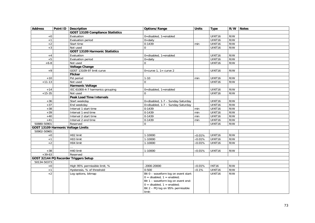| <b>Address</b> | Point ID Description                    | Options/Range                        | <b>Units</b>    | <b>Type</b>        |     | R/W Notes |
|----------------|-----------------------------------------|--------------------------------------|-----------------|--------------------|-----|-----------|
|                | <b>GOST 13109 Compliance Statistics</b> |                                      |                 |                    |     |           |
| $+0$           | Evaluation                              | 0=disabled, 1=enabled                |                 | UINT16             | R/W |           |
| $+1$           | Evaluation period                       | $0 = \text{d}$ aily                  |                 | UINT16             | R/W |           |
| $+2$           | Start time                              | $0-1439$                             | min             | UINT16             | R/W |           |
| $+3$           | Not used                                | $\Omega$                             |                 | UINT16             | R/W |           |
|                | <b>GOST 13109 Harmonic Statistics</b>   |                                      |                 |                    |     |           |
| $+4$           | Evaluation                              | 0=disabled, 1=enabled                |                 | UINT16             | R/W |           |
| $+5$           | Evaluation period                       | $0 =$ daily                          |                 | UINT16             | R/W |           |
| $+6-8$         | Not used                                | $\Omega$                             |                 | UINT16             | R/W |           |
|                | <b>Voltage Change</b>                   |                                      |                 |                    |     |           |
| $+9$           | GOST 13109-97 limit curve               | $0$ =curve 1, 1 = curve 2            |                 | UINT16             | R/W |           |
|                | <b>Flicker</b>                          |                                      |                 |                    |     |           |
| $+10$          | Pst period                              | $1 - 10$                             | min             | UINT16             | R/W |           |
| $+11-13$       | Not used                                | $\mathbf 0$                          |                 | UINT16             | R/W |           |
|                | <b>Harmonic Voltage</b>                 |                                      |                 |                    |     |           |
| $+14$          | IEC 61000-4-7 harmonics grouping        | 0=disabled, 1=enabled                |                 | UINT <sub>16</sub> | R/W |           |
| $+15-35$       | Not used                                | $\Omega$                             |                 | UINT16             | R/W |           |
|                | <b>Peak Load Time Intervals</b>         |                                      |                 |                    |     |           |
| $+36$          | Start weekday                           | 0=disabled, 1-7 - Sunday-Saturday    |                 | UINT16             | R/W |           |
| $+37$          | End weekday                             | 0=disabled, 1-7 - Sunday-Saturday    |                 | UINT16             | R/W |           |
| $+38$          | Interval 1 start time                   | $0 - 1439$                           | min             | UINT16             | R/W |           |
| $+39$          | Interval 1 end time                     | $0-1439$                             | min             | UINT16             | R/W |           |
| $+40$          | Interval 2 start time                   | 0-1439                               | min             | UINT16             | R/W |           |
| $+41$          | Interval 2 end time                     | $0-1439$                             | min             | UINT16             | R/W |           |
| 50880-50901    | Reserved                                | $\mathbf 0$                          |                 | UINT16             | R/W |           |
|                | GOST 13109 Harmonic Voltage Limits      |                                      |                 |                    |     |           |
| 50902-50965    |                                         |                                      |                 |                    |     |           |
| $+0$           | H02 limit                               | 1-10000                              | $\times$ 0.01%  | UINT16             | R/W |           |
| $+1$           | H03 limit                               | $1-10000$                            | $\times 0.01\%$ | UINT16             | R/W |           |
| $+2$           | H04 limit                               | 1-10000                              | $\times 0.01\%$ | UINT16             | R/W |           |
|                |                                         |                                      |                 |                    |     |           |
| $+38$          | H40 limit                               | 1-10000                              | $\times 0.01\%$ | UINT16             | R/W |           |
| $+39-63$       | Reserved                                |                                      |                 |                    |     |           |
|                | GOST 32144 PQ Recorder Triggers Setup   |                                      |                 |                    |     |           |
| 50134-50373    |                                         |                                      |                 |                    |     |           |
| $\rm ^{+0}$    | High 95% permissible limit, %           | $-2000 - 20000$                      | $\times 0.01\%$ | <b>INT16</b>       | R/W |           |
| $+1$           | Hysteresis, % of threshold              | $0 - 500$                            | $\times$ 0.1%   | UINT16             | R/W |           |
| $+2$           | Log options, bitmap                     | Bit 0 - waveform log on event start: |                 | UINT16             | R/W |           |
|                |                                         | $0 =$ disabled, $1 =$ enabled;       |                 |                    |     |           |
|                |                                         | Bit 1 - waveform log on event end:   |                 |                    |     |           |
|                |                                         | $0 =$ disabled, $1 =$ enabled;       |                 |                    |     |           |
|                |                                         | Bit 2 - PQ log on 95% permissible    |                 |                    |     |           |
|                |                                         | limit:                               |                 |                    |     |           |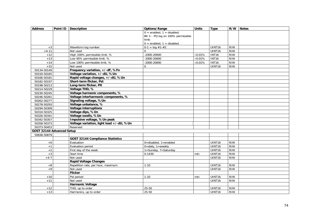| <b>Address</b>            | Point ID | Description                              | Options/Range                      | <b>Units</b>    | <b>Type</b>        | R/W | <b>Notes</b> |
|---------------------------|----------|------------------------------------------|------------------------------------|-----------------|--------------------|-----|--------------|
|                           |          |                                          | $0 =$ enabled, $1 =$ disabled.     |                 |                    |     |              |
|                           |          |                                          | Bit 3 - PQ log on 100% permissible |                 |                    |     |              |
|                           |          |                                          | limit:                             |                 |                    |     |              |
|                           |          |                                          | $0 =$ enabled, $1 =$ disabled.     |                 |                    |     |              |
| $+3$                      |          | Waveform log number                      | $0-1 = log #1-#2$                  |                 | UINT16             | R/W |              |
| $+4-11$                   |          | Not used                                 | $\Omega$                           |                 | UINT16             | R/W |              |
| $+12$                     |          | High 100% permissible limit, %           | $-2000 - 20000$                    | $\times 0.01\%$ | <b>INT16</b>       | R/W |              |
| $+13$                     |          | Low 95% permissible limit, %             | $-2000 - 20000$                    | $\times 0.01\%$ | <b>INT16</b>       | R/W |              |
| $+14$                     |          | Low 100% permissible limit, %            | $-2000 - 20000$                    | $\times 0.01\%$ | <b>INT16</b>       | R/W |              |
| $+15$                     |          | Not used                                 | 0                                  |                 | UINT16             | R/W |              |
| 50134-50149               |          | Frequency variation, +/-dF, %Fn          |                                    |                 |                    |     |              |
| 50150-50165               |          | Voltage variation, +/-dU, %Un            |                                    |                 |                    |     |              |
| 50166-50181               |          | Rapid voltage changes, +/-dU, %Un        |                                    |                 |                    |     |              |
| 50182-50197               |          | Short-term flicker, Pst                  |                                    |                 |                    |     |              |
| 50198-50213               |          | Long-term flicker, Plt                   |                                    |                 |                    |     |              |
| 50214-50229               |          | Voltage THD, %                           |                                    |                 |                    |     |              |
| 50230-50245               |          | Voltage harmonic components, %           |                                    |                 |                    |     |              |
| 50246-50261               |          | Voltage interharmonic components, %      |                                    |                 |                    |     |              |
| 50262-50277               |          | Signaling voltage, %Un                   |                                    |                 |                    |     |              |
| 50278-50293               |          | Voltage unbalance, %                     |                                    |                 |                    |     |              |
| 50294-50309               |          | <b>Voltage interruptions</b>             |                                    |                 |                    |     |              |
| 50310-50325               |          | Voltage dips, %Un                        |                                    |                 |                    |     |              |
| 50326-50341               |          | Voltage swells, %Un                      |                                    |                 |                    |     |              |
| 50342-50357               |          | Impulsive voltage, %Un peak              |                                    |                 |                    |     |              |
| 50358-50373               |          | Voltage variation, light load +/-dU, %Un |                                    |                 |                    |     |              |
| 50373-50453               |          | Reserved                                 |                                    |                 |                    |     |              |
| GOST 32144 Advanced Setup |          |                                          |                                    |                 |                    |     |              |
| 50838-50879               |          |                                          |                                    |                 |                    |     |              |
|                           |          | <b>GOST 32144 Compliance Statistics</b>  |                                    |                 |                    |     |              |
| $+0$                      |          | Evaluation                               | $0 =$ disabled, $1 =$ enabled      |                 | UINT <sub>16</sub> | R/W |              |
| $+1$                      |          | Evaluation period                        | $0 =$ daily, $1 =$ weekly          |                 | UINT16             | R/W |              |
| $+2$                      |          | First day of the week                    | 1=Sunday, 7=Saturday               |                 | UINT <sub>16</sub> | R/W |              |
| $+3$                      |          | Start time                               | 0-1439                             | min             | UINT16             | R/W |              |
| $+4-7$                    |          | Not used                                 |                                    |                 | UINT16             | R/W |              |
|                           |          | <b>Rapid Voltage Changes</b>             |                                    |                 |                    |     |              |
| $+8$                      |          | Repetition rate, per hour, maximum       | $1 - 10$                           |                 | UINT16             | R/W |              |
| $+9$                      |          | Not used                                 |                                    |                 | UINT16             | R/W |              |
|                           |          | <b>Flicker</b>                           |                                    |                 |                    |     |              |
| $+10$                     |          | Pst period                               | $1 - 10$                           | min             | UINT16             | R/W |              |
| $+11$                     |          | Not used                                 |                                    |                 | UINT16             | R/W |              |
|                           |          | <b>Harmonic Voltage</b>                  |                                    |                 |                    |     |              |
| $+12$                     |          | THD, up to order                         | 25-50                              |                 | UINT <sub>16</sub> | R/W |              |
| $+13$                     |          | Harmonics, up to order                   | 25-50                              |                 | UINT16             | R/W |              |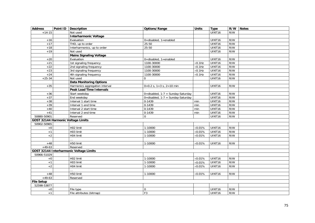| <b>Address</b>                     | Point ID | <b>Description</b>                      | Options/Range                       | <b>Units</b>    | <b>Type</b>   |     | R/W Notes |
|------------------------------------|----------|-----------------------------------------|-------------------------------------|-----------------|---------------|-----|-----------|
| $+14-15$                           |          | Not used                                |                                     |                 | <b>UINT16</b> | R/W |           |
|                                    |          | <b>Interharmonic Voltage</b>            |                                     |                 |               |     |           |
| $+16$                              |          | Evaluation                              | 0=disabled, 1=enabled               |                 | UINT16        | R/W |           |
| $+17$                              |          | THD, up to order                        | 25-50                               |                 | UINT16        | R/W |           |
| $+18$                              |          | Interharmonics, up to order             | 25-50                               |                 | UINT16        | R/W |           |
| $+19$                              |          | Not used                                |                                     |                 | UINT16        | R/W |           |
|                                    |          | <b>Mains Signaling Voltage</b>          |                                     |                 |               |     |           |
| $+20$                              |          | Evaluation                              | 0=disabled, 1=enabled               |                 | UINT16        | R/W |           |
| $+21$                              |          | 1st signaling frequency                 | 1100-30000                          | $\times$ 0.1Hz  | UINT16        | R/W |           |
| $+22$                              |          | 2nd signaling frequency                 | 1100-30000                          | $\times$ 0.1Hz  | UINT16        | R/W |           |
| $+23$                              |          | 3rd signaling frequency                 | 1100-30000                          | $\times$ 0.1Hz  | <b>UINT16</b> | R/W |           |
| $+24$                              |          | 4th signaling frequency                 | 1100-30000                          | $\times$ 0.1Hz  | <b>UINT16</b> | R/W |           |
| $+25-34$                           |          | Not used                                | 0                                   |                 | UINT16        | R/W |           |
|                                    |          | <b>Data Monitoring Options</b>          |                                     |                 |               |     |           |
| $+35$                              |          | Harmonics aggregation interval          | $0=0.2$ s, $1=3$ s, $2=10$ min      |                 | UINT16        | R/W |           |
|                                    |          | <b>Peak Load Time Intervals</b>         |                                     |                 |               |     |           |
| $+36$                              |          | Start weekday                           | 0=disabled, $1-7$ = Sunday-Saturday |                 | UINT16        | R/W |           |
| $+37$                              |          | End weekday                             | 0=disabled, $1-7$ = Sunday-Saturday |                 | UINT16        | R/W |           |
| $+38$                              |          | Interval 1 start time                   | 0-1439                              | min             | <b>UINT16</b> | R/W |           |
| $+39$                              |          | Interval 1 end time                     | $0 - 1439$                          | min             | UINT16        | R/W |           |
| $+40$                              |          | Interval 2 start time                   | 0-1439                              | min             | UINT16        | R/W |           |
| $+41$                              |          | Interval 2 end time                     | 0-1439                              | min             | <b>UINT16</b> | R/W |           |
| 50880-50901                        |          | Reserved                                | $\mathbf 0$                         |                 | UINT16        | R/W |           |
| GOST 32144 Harmonic Voltage Limits |          |                                         |                                     |                 |               |     |           |
| 50902-50965                        |          |                                         |                                     |                 |               |     |           |
| $+0$                               |          | H02 limit                               | $1-10000$                           | $\times 0.01\%$ | UINT16        | R/W |           |
| $+1$                               |          | H03 limit                               | 1-10000                             | $\times 0.01\%$ | <b>UINT16</b> | R/W |           |
| $+2$                               |          | H04 limit                               | 1-10000                             | $\times 0.01\%$ | UINT16        | R/W |           |
|                                    |          |                                         |                                     |                 |               |     |           |
| $+48$                              |          | H50 limit                               | 1-10000                             | $\times 0.01\%$ | UINT16        | R/W |           |
| $+49-63$                           |          | Reserved                                |                                     |                 |               |     |           |
|                                    |          | GOST 32144 Interharmonic Voltage Limits |                                     |                 |               |     |           |
| 50966-51029                        |          |                                         |                                     |                 |               |     |           |
| $+0$                               |          | H02 limit                               | 1-10000                             | $\times 0.01\%$ | <b>UINT16</b> | R/W |           |
| $+1$                               |          | H03 limit                               | $1-10000$                           | $\times 0.01\%$ | UINT16        | R/W |           |
| $+2$                               |          | H04 limit                               | 1-10000                             | $\times 0.01\%$ | UINT16        | R/W |           |
|                                    |          |                                         |                                     |                 |               |     |           |
| $+48$                              |          | H50 limit                               | 1-10000                             | $\times 0.01\%$ | UINT16        | R/W |           |
| $+49-63$                           |          | Reserved                                |                                     |                 |               |     |           |
| <b>File Setup</b>                  |          |                                         |                                     |                 |               |     |           |
| 52598-53877                        |          |                                         |                                     |                 |               |     |           |
| $\rm ^{+0}$                        |          | File type                               | $\mathbf 0$                         |                 | <b>UINT16</b> | R/W |           |
| $+1$                               |          | File attributes (bitmap)                | F <sub>3</sub>                      |                 | <b>UINT16</b> | R/W |           |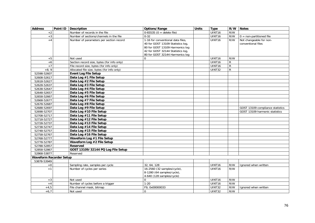| <b>Address</b>                 | Point ID Description                       | Options/Range                     | <b>Units</b> | <b>Type</b> | R/W            | <b>Notes</b>                     |
|--------------------------------|--------------------------------------------|-----------------------------------|--------------|-------------|----------------|----------------------------------|
| $+2$                           | Number of records in the file              | $0-65535$ (0 = delete file)       |              | UINT16      | R/W            |                                  |
| $+\sqrt{3}$                    | Number of sections/channels in the file    | $0 - 32$                          |              | UINT16      | R/W            | $0 =$ non-partitioned file       |
| $+4$                           | Number of parameters per section record    | 1-16 for conventional data files, |              | UINT16      | R/W            | Not changeable for non-          |
|                                |                                            | 40 for GOST 13109 Statistics log, |              |             |                | conventional files               |
|                                |                                            | 80 for GOST 13109 Harmonics log   |              |             |                |                                  |
|                                |                                            | 42 for GOST 32144 Statistics log, |              |             |                |                                  |
|                                |                                            | 80 for GOST 32144 Harmonics log   |              |             |                |                                  |
| $+5$                           | Not used                                   | $\mathbf 0$                       |              | UINT16      | R/W            |                                  |
| $+6$                           | Section record size, bytes (for info only) |                                   |              | UINT16      | R              |                                  |
| $+7$                           | File record size, bytes (for info only)    |                                   |              | UINT16      | $\overline{R}$ |                                  |
| $+8, 9$                        | Allocated file size, bytes (for info only) |                                   |              | UINT32      | $\mathsf{R}$   |                                  |
| 52598-52607                    | <b>Event Log File Setup</b>                |                                   |              |             |                |                                  |
| 52608-52617                    | Data Log #1 File Setup                     |                                   |              |             |                |                                  |
| 52618-52627                    | Data Log #2 File Setup                     |                                   |              |             |                |                                  |
| 52628-52637                    | Data Log #3 File Setup                     |                                   |              |             |                |                                  |
| 52638-52647                    | Data Log #4 File Setup                     |                                   |              |             |                |                                  |
| 52648-52657                    | Data Log #5 File Setup                     |                                   |              |             |                |                                  |
| 52658-52667                    | Data Log #6 File Setup                     |                                   |              |             |                |                                  |
| 52668-52677                    | Data Log #7 File Setup                     |                                   |              |             |                |                                  |
| 52678-52687                    | Data Log #8 File Setup                     |                                   |              |             |                |                                  |
| 52688-52697                    | Data Log #9 File Setup                     |                                   |              |             |                | GOST 13109 compliance statistics |
| 52698-52707                    | Data Log #10 File Setup                    |                                   |              |             |                | GOST 13109 harmonic statistics   |
| 52708-52717                    | Data Log #11 File Setup                    |                                   |              |             |                |                                  |
| 52718-52727                    | Data Log #12 File Setup                    |                                   |              |             |                |                                  |
| 52728-52737                    | Data Log #13 File Setup                    |                                   |              |             |                |                                  |
| 52738-52747                    | Data Log #14 File Setup                    |                                   |              |             |                |                                  |
| 52748-52757                    | Data Log #15 File Setup                    |                                   |              |             |                |                                  |
| 52758-52767                    | Data Log #16 File Setup                    |                                   |              |             |                |                                  |
| 52768-52777                    | Waveform Log #1 File Setup                 |                                   |              |             |                |                                  |
| 52778-52787                    | Waveform Log #2 File Setup                 |                                   |              |             |                |                                  |
| 52788-52857                    | <b>Reserved</b>                            |                                   |              |             |                |                                  |
| 52858-52867                    | GOST 13109/32144 PQ Log File Setup         |                                   |              |             |                |                                  |
| 52868-53877                    | Reserved                                   |                                   |              |             |                |                                  |
| <b>Waveform Recorder Setup</b> |                                            |                                   |              |             |                |                                  |
| 53878-53949                    |                                            |                                   |              |             |                |                                  |
| $+0$                           | Sampling rate, samples per cycle           | 32, 64, 128                       |              | UINT16      | R/W            | Ignored when written             |
| $+1$                           | Number of cycles per series                | 16-2560 (32 samples/cycle),       |              | UINT16      | R/W            |                                  |
|                                |                                            | 8-1280 (64 samples/cycle),        |              |             |                |                                  |
|                                |                                            | 4-640 (128 samples/cycle)         |              |             |                |                                  |
| $+3$                           | Not used                                   | $\Omega$                          |              | UINT16      | R/W            |                                  |
| $+4$                           | Number of cycles before a trigger          | $1 - 20$                          |              | UINT16      | R/W            |                                  |
| $+4,5$                         | File channel mask, bitmap                  | F9, 0x00000033                    |              | UINT32      | R/W            | Ignored when written             |
| $+6,7$                         | Not used                                   | $\mathbf 0$                       |              | UINT32      | R/W            |                                  |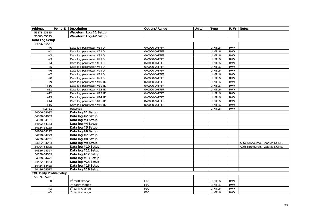| <b>Address</b>                 | Point ID | <b>Description</b>            | Options/Range | <b>Units</b> | <b>Type</b>        | R/W | <b>Notes</b>                   |
|--------------------------------|----------|-------------------------------|---------------|--------------|--------------------|-----|--------------------------------|
| 53878-53885                    |          | Waveform Log #1 Setup         |               |              |                    |     |                                |
| 53886-53893                    |          | Waveform Log #2 Setup         |               |              |                    |     |                                |
| Data Log Setup                 |          |                               |               |              |                    |     |                                |
| 54006-55541                    |          |                               |               |              |                    |     |                                |
| $+0$                           |          | Data log parameter #1 ID      | 0x0000-0xFFFF |              | UINT16             | R/W |                                |
| $+1$                           |          | Data log parameter #2 ID      | 0x0000-0xFFFF |              | UINT16             | R/W |                                |
| $+2$                           |          | Data log parameter #3 ID      | 0x0000-0xFFFF |              | UINT16             | R/W |                                |
| $+3$                           |          | Data log parameter #4 ID      | 0x0000-0xFFFF |              | UINT16             | R/W |                                |
| $+4$                           |          | Data log parameter #5 ID      | 0x0000-0xFFFF |              | UINT16             | R/W |                                |
| $+5$                           |          | Data log parameter #6 ID      | 0x0000-0xFFFF |              | UINT16             | R/W |                                |
| $+6$                           |          | Data log parameter #7 ID      | 0x0000-0xFFFF |              | UINT16             | R/W |                                |
| $+7$                           |          | Data log parameter #8 ID      | 0x0000-0xFFFF |              | UINT16             | R/W |                                |
| $\bf +8$                       |          | Data log parameter #9 ID      | 0x0000-0xFFFF |              | UINT16             | R/W |                                |
| $+9$                           |          | Data log parameter #10 ID     | 0x0000-0xFFFF |              | UINT16             | R/W |                                |
| $+10$                          |          | Data log parameter #11 ID     | 0x0000-0xFFFF |              | UINT16             | R/W |                                |
| $+11$                          |          | Data log parameter #12 ID     | 0x0000-0xFFFF |              | UINT16             | R/W |                                |
| $+12$                          |          | Data log parameter #13 ID     | 0x0000-0xFFFF |              | UINT16             | R/W |                                |
| $+13$                          |          | Data log parameter #14 ID     | 0x0000-0xFFFF |              | UINT16             | R/W |                                |
| $+14$                          |          | Data log parameter #15 ID     | 0x0000-0xFFFF |              | UINT16             | R/W |                                |
| $+15$                          |          | Data log parameter #16 ID     | 0x0000-0xFFFF |              | UINT <sub>16</sub> | R/W |                                |
| $+16-31$                       |          | Reserved                      |               |              | UINT16             | R/W |                                |
| 54006-54037                    |          | Data log #1 Setup             |               |              |                    |     |                                |
| 54038-54069                    |          | Data log #2 Setup             |               |              |                    |     |                                |
| 54070-54101                    |          | Data log #3 Setup             |               |              |                    |     |                                |
| 54102-54133                    |          | Data log #4 Setup             |               |              |                    |     |                                |
| 54134-54165                    |          | Data log #5 Setup             |               |              |                    |     |                                |
| 54166-54197                    |          | Data log #6 Setup             |               |              |                    |     |                                |
| 54198-54229                    |          | Data log #7 Setup             |               |              |                    |     |                                |
| 54230-54261                    |          | Data log #8 Setup             |               |              |                    |     |                                |
| 54262-54293                    |          | Data log #9 Setup             |               |              |                    |     | Auto-configured. Read as NONE. |
| 54294-54325                    |          | Data log #10 Setup            |               |              |                    |     | Auto-configured. Read as NONE. |
| 54326-54357                    |          | Data log #11 Setup            |               |              |                    |     |                                |
| 54358-54389                    |          | Data log #12 Setup            |               |              |                    |     |                                |
| 54390-54421                    |          | Data log #13 Setup            |               |              |                    |     |                                |
| 54422-54453                    |          | Data log #14 Setup            |               |              |                    |     |                                |
| 54454-54485                    |          | Data log #15 Setup            |               |              |                    |     |                                |
| 54486-54517                    |          | Data log #16 Setup            |               |              |                    |     |                                |
| <b>TOU Daily Profile Setup</b> |          |                               |               |              |                    |     |                                |
| 55574-55701                    |          |                               |               |              |                    |     |                                |
| $+0$                           |          | 1 <sup>st</sup> tariff change | F10           |              | UINT16             | R/W |                                |
| $+1$                           |          | 2 <sup>nd</sup> tariff change | F10           |              | UINT16             | R/W |                                |
| $+2$                           |          | 3rd tariff change             | F10           |              | UINT16             | R/W |                                |
| $+3$                           |          | 4 <sup>th</sup> tariff change | F10           |              | UINT16             | R/W |                                |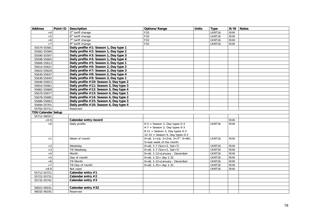| <b>Address</b>            | Point ID   Description                  | Options/Range                                   | <b>Units</b> | <b>Type</b> | R/W | <b>Notes</b> |
|---------------------------|-----------------------------------------|-------------------------------------------------|--------------|-------------|-----|--------------|
| $+4$                      | 5 <sup>th</sup> tariff change           | F10                                             |              | UINT16      | R/W |              |
| $+5$                      | 6 <sup>th</sup> tariff change           | F10                                             |              | UINT16      | R/W |              |
| $+6$                      | $7th$ tariff change                     | F10                                             |              | UINT16      | R/W |              |
| $+7$                      | 8 <sup>th</sup> tariff change           | F10                                             |              | UINT16      | R/W |              |
| 55574-55581               | Daily profile #1: Season 1, Day type 1  |                                                 |              |             |     |              |
| 55582-55589               | Daily profile #2: Season 1, Day type 2  |                                                 |              |             |     |              |
| 55590-55597               | Daily profile #3: Season 1, Day type 3  |                                                 |              |             |     |              |
| 55598-55605               | Daily profile #4: Season 1, Day type 4  |                                                 |              |             |     |              |
| 55606-55613               | Daily profile #5: Season 2, Day type 1  |                                                 |              |             |     |              |
| 55614-55621               | Daily profile #6: Season 2, Day type 2  |                                                 |              |             |     |              |
| 55622-55629               | Daily profile #7: Season 2, Day type 3  |                                                 |              |             |     |              |
| 55630-55637               | Daily profile #8: Season 2, Day type 4  |                                                 |              |             |     |              |
| 55638-55645               | Daily profile #9: Season 3, Day type 1  |                                                 |              |             |     |              |
| 55646-55653               | Daily profile #10: Season 3, Day type 2 |                                                 |              |             |     |              |
| 55654-55661               | Daily profile #11: Season 3, Day type 3 |                                                 |              |             |     |              |
| 55662-55669               | Daily profile #12: Season 3, Day type 4 |                                                 |              |             |     |              |
| 55670-55677               | Daily profile #13: Season 4, Day type 1 |                                                 |              |             |     |              |
| 55678-55685               | Daily profile #14: Season 4, Day type 2 |                                                 |              |             |     |              |
| 55686-55693               | Daily profile #15: Season 4, Day type 3 |                                                 |              |             |     |              |
| 55694-55701               | Daily profile #16: Season 4, Day type 4 |                                                 |              |             |     |              |
| 55702-55711               | Reserved                                |                                                 |              |             |     |              |
| <b>TOU Calendar Setup</b> |                                         |                                                 |              |             |     |              |
| 55712-56031               |                                         |                                                 |              |             |     |              |
| $+0-9$                    | Calendar entry record                   |                                                 |              |             | R/W |              |
| $+0$                      | Daily profile                           | $0-3$ = Season 1, Day types 0-3                 |              | UINT16      | R/W |              |
|                           |                                         | $4-7$ = Season 2, Day types 0-3                 |              |             |     |              |
|                           |                                         | $8-11 =$ Season 3, Day types 0-3                |              |             |     |              |
|                           |                                         | $12-15 =$ Season 4, Day types 0-3               |              |             |     |              |
| $+1$                      | Week of month                           | 0=all, 1=1st, 2=2nd, 3=3 <sup>rd</sup> , 4=4th, |              | UINT16      | R/W |              |
|                           |                                         | 5=last week of the month                        |              |             |     |              |
| $+2$                      | Weekday                                 | $0 = all, 1 - 7$ (Sun=1, Sat=7)                 |              | UINT16      | R/W |              |
| $+3$                      | <b>Till Weekday</b>                     | 0=all, 1-7 (Sun=1, Sat=7)                       |              | UINT16      | R/W |              |
| $+4$                      | Month                                   | 0=all, 1-12=January - December                  |              | UINT16      | R/W |              |
| $+5$                      | Day of month                            | $0 = all, 1 - 31 = day 1 - 31$                  |              | UINT16      | R/W |              |
| $+6$                      | <b>Till Month</b>                       | 0=all, 1-12=January - December                  |              | UINT16      | R/W |              |
| $+7$                      | Till Day of month                       | $0 = all$ , $1 - 31 = day 1 - 31$               |              | UINT16      | R/W |              |
| $+8-9$                    | Not used                                |                                                 |              | UINT16      | R/W |              |
| 55712-55721               | Calendar entry #1                       |                                                 |              |             |     |              |
| 55722-55731               | Calendar entry #2                       |                                                 |              |             |     |              |
| 55732-55741               | Calendar entry $#3$                     |                                                 |              |             |     |              |
|                           |                                         |                                                 |              |             |     |              |
| 56022-56031               | Calendar entry #32                      |                                                 |              |             |     |              |
| 56032-56191               | Reserved                                |                                                 |              |             |     |              |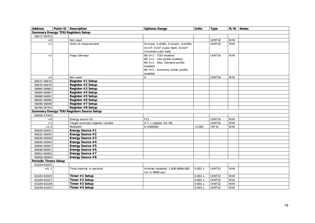| <b>Address</b>               | Point ID Description                             | Options/Range                                       | <b>Units</b>   | <b>Type</b>   | R/W | <b>Notes</b> |
|------------------------------|--------------------------------------------------|-----------------------------------------------------|----------------|---------------|-----|--------------|
|                              | <b>Summary Energy/TOU Registers Setup</b>        |                                                     |                |               |     |              |
| 56672-56703                  |                                                  |                                                     |                |               |     |              |
| $+0$                         | Not used                                         |                                                     |                | UINT16        | R/W |              |
| $+1$                         | Units of measurement                             | $0 = none$ , $1 = kWh$ , $2 = kvark$ , $3 = kVAh$ , |                | UINT16        | R/W |              |
|                              |                                                  | $4=m^3$ , 5=CF (cubic feet), 6=CCF                  |                |               |     |              |
|                              |                                                  | (hundred cubic feet)                                |                |               |     |              |
| $+2$                         | Flags (bitmap)                                   | Bit $0=1$ - TOU enabled                             |                | UINT16        | R/W |              |
|                              |                                                  | Bit 1=1 - Use profile enabled                       |                |               |     |              |
|                              |                                                  | Bit 2=1 - Max. Demand profile                       |                |               |     |              |
|                              |                                                  | enabled                                             |                |               |     |              |
|                              |                                                  | Bit 3=1 - Summary (total) profile                   |                |               |     |              |
|                              |                                                  | enabled                                             |                |               |     |              |
| $+3$                         | Not used                                         | $\Omega$                                            |                | UINT16        | R/W |              |
| 56672-56675                  | Register #1 Setup                                |                                                     |                |               |     |              |
| 56676-56679                  | Register #2 Setup                                |                                                     |                |               |     |              |
| 56680-56683                  | Register #3 Setup                                |                                                     |                |               |     |              |
| 56684-56687                  | Register #4 Setup                                |                                                     |                |               |     |              |
| 56688-56691                  | Register #5 Setup                                |                                                     |                |               |     |              |
| 56692-56695                  | Register #6 Setup                                |                                                     |                |               |     |              |
| 56696-56699                  | Register #7 Setup                                |                                                     |                |               |     |              |
| 56700-56703                  | Register #8 Setup                                |                                                     |                |               |     |              |
|                              | <b>Summary Energy/TOU Registers Source Setup</b> |                                                     |                |               |     |              |
| 56928-57183                  |                                                  |                                                     |                |               |     |              |
| $+0$                         | Energy source ID                                 | F11                                                 |                | UINT16        | R/W |              |
| $+1$                         | Target summary register number                   | $0-7$ = register #1-#8                              |                | UINT16        | R/W |              |
| $+2,3$                       | Multiplier                                       | 0-1000000                                           | $\times 0.001$ | INT32         | R/W |              |
| 56928-56931                  | Energy Source #1                                 |                                                     |                |               |     |              |
| 56932-56935                  | Energy Source #2                                 |                                                     |                |               |     |              |
| 56936-56939                  | Energy Source #3                                 |                                                     |                |               |     |              |
| 56940-56943                  | Energy Source #4                                 |                                                     |                |               |     |              |
| 56944-56947                  | Energy Source #5                                 |                                                     |                |               |     |              |
| 56948-56951<br>56952-56955   | Energy Source #6                                 |                                                     |                |               |     |              |
| 56956-56959                  | Energy Source #7<br>Energy Source #8             |                                                     |                |               |     |              |
| <b>Periodic Timers Setup</b> |                                                  |                                                     |                |               |     |              |
| 61024-61031                  |                                                  |                                                     |                |               |     |              |
| $+0, 1$                      | Time interval, in seconds                        | 0=timer disabled, 1,000-9999,000                    | 0.001 s        | <b>UINT32</b> | R/W |              |
|                              |                                                  | ms (1-9999 sec)                                     |                |               |     |              |
| 61024-61025                  | Timer #1 Setup                                   |                                                     | 0.001 s        | UINT32        | R/W |              |
| 61026-61027                  | Timer #2 Setup                                   |                                                     | 0.001 s        | <b>UINT32</b> | R/W |              |
| 61028-61029                  | Timer #3 Setup                                   |                                                     | 0.001 s        | UINT32        | R/W |              |
| 61030-61031                  | Timer #4 Setup                                   |                                                     | 0.001 s        | UINT32        | R/W |              |
|                              |                                                  |                                                     |                |               |     |              |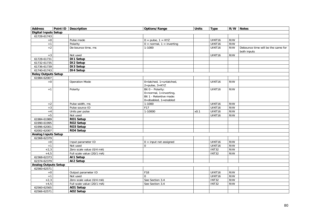| <b>Address</b>              | Point ID Description       |          | Options/Range                                                                                                     | <b>Units</b> | Type               | R/W | <b>Notes</b>                                      |
|-----------------------------|----------------------------|----------|-------------------------------------------------------------------------------------------------------------------|--------------|--------------------|-----|---------------------------------------------------|
| Digital Inputs Setup        |                            |          |                                                                                                                   |              |                    |     |                                                   |
| 61728-61743                 |                            |          |                                                                                                                   |              |                    |     |                                                   |
| $+0$                        | Pulse mode                 |          | $0 = pulse, 1 = KYZ$                                                                                              |              | UINT16             | R/W |                                                   |
| $+1$                        | Polarity                   |          | $0 = normal, 1 = inverting$                                                                                       |              | UINT16             | R/W |                                                   |
| $+2$                        | De-bounce time, ms         |          | $1 - 1000$                                                                                                        |              | UINT16             | R/W | Debounce time will be the same for<br>both inputs |
| $+3$                        | Not used                   |          |                                                                                                                   |              | UINT16             | R/W |                                                   |
| 61728-61731                 | DI1 Setup                  |          |                                                                                                                   |              |                    |     |                                                   |
| 61732-61735                 | DI2 Setup                  |          |                                                                                                                   |              |                    |     |                                                   |
| 61736-61739                 | DI3 Setup                  |          |                                                                                                                   |              |                    |     |                                                   |
| 61740-61743                 | DI4 Setup                  |          |                                                                                                                   |              |                    |     |                                                   |
| <b>Relay Outputs Setup</b>  |                            |          |                                                                                                                   |              |                    |     |                                                   |
| 61984-62007                 |                            |          |                                                                                                                   |              |                    |     |                                                   |
| $+0$                        | <b>Operation Mode</b>      |          | 0=latched, $1=$ unlatched,<br>$2 = pulse, 3 = KYZ$                                                                |              | UINT16             | R/W |                                                   |
| $+1$                        | Polarity                   |          | Bit 0 - Polarity:<br>$0 = normal$ , $1 = inverting$ ,<br>Bit 1 - Retentive mode:<br>$0 =$ disabled, $1 =$ enabled |              | UINT16             | R/W |                                                   |
| $+2$                        | Pulse width, ms            |          | $1-1000$                                                                                                          |              | UINT <sub>16</sub> | R/W |                                                   |
| $+3$                        | Pulse source ID            |          | F17                                                                                                               |              | UINT16             | R/W |                                                   |
| $+4$                        | Units per pulse            |          | 1-10000                                                                                                           | x0.1         | UINT16             | R/W |                                                   |
| $+5$                        | Not used                   |          |                                                                                                                   |              | UINT16             | R/W |                                                   |
| 61984-61989                 | RO1 Setup                  |          |                                                                                                                   |              |                    |     |                                                   |
| 61990-61995                 | RO2 Setup                  |          |                                                                                                                   |              |                    |     |                                                   |
| 61996-62001                 | RO3 Setup                  |          |                                                                                                                   |              |                    |     |                                                   |
| 62002-62007                 | RO4 Setup                  |          |                                                                                                                   |              |                    |     |                                                   |
| <b>Analog Inputs Setup</b>  |                            |          |                                                                                                                   |              |                    |     |                                                   |
| 62368-62379                 |                            |          |                                                                                                                   |              |                    |     |                                                   |
| $+0$                        | Input parameter ID         |          | $\overline{0}$ = input not assigned                                                                               |              | UINT16             | R/W |                                                   |
| $+1$                        | Not used                   | $\Omega$ |                                                                                                                   |              | <b>UINT16</b>      | R/W |                                                   |
| $+2,3$                      | Zero scale value (0/4 mA)  |          |                                                                                                                   |              | <b>INT32</b>       | R/W |                                                   |
| $+4,5$                      | Full scale value (20/1 mA) |          |                                                                                                                   |              | <b>INT32</b>       | R/W |                                                   |
| 62368-62373                 | AI1 Setup                  |          |                                                                                                                   |              |                    |     |                                                   |
| 62374-62379                 | AI2 Setup                  |          |                                                                                                                   |              |                    |     |                                                   |
| <b>Analog Outputs Setup</b> |                            |          |                                                                                                                   |              |                    |     |                                                   |
| 62560-62571                 |                            |          |                                                                                                                   |              |                    |     |                                                   |
| $+0$                        | Output parameter ID        |          | F18                                                                                                               |              | UINT16             | R/W |                                                   |
| $+1$                        | Not used                   | $\Omega$ |                                                                                                                   |              | UINT16             | R/W |                                                   |
| $+2,3$                      | Zero scale value (0/4 mA)  |          | See Section 3.4                                                                                                   |              | <b>INT32</b>       | R/W |                                                   |
| $+4,5$                      | Full scale value (20/1 mA) |          | See Section 3.4                                                                                                   |              | <b>INT32</b>       | R/W |                                                   |
| 62560-62565                 | AO1 Setup                  |          |                                                                                                                   |              |                    |     |                                                   |
| 62566-62571                 | AO2 Setup                  |          |                                                                                                                   |              |                    |     |                                                   |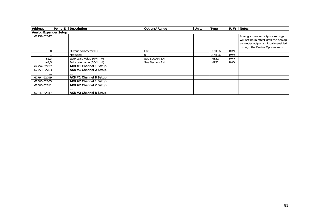| <b>Address</b>               | Point ID Description       | <b>Options/Range</b> | <b>Units</b> | <b>Type</b>        | R/W | <b>Notes</b>                           |
|------------------------------|----------------------------|----------------------|--------------|--------------------|-----|----------------------------------------|
| <b>Analog Expander Setup</b> |                            |                      |              |                    |     |                                        |
| 62752-62847                  |                            |                      |              |                    |     | Analog expander outputs settings       |
|                              |                            |                      |              |                    |     | will not be in effect until the analog |
|                              |                            |                      |              |                    |     | expander output is globally enabled    |
|                              |                            |                      |              |                    |     | through the Device Options setup       |
| $+0$                         | Output parameter ID        | F18                  |              | UINT <sub>16</sub> | R/W |                                        |
| $+1$                         | Not used                   |                      |              | UINT <sub>16</sub> | R/W |                                        |
| $+2,3$                       | Zero scale value (0/4 mA)  | See Section 3.4      |              | INT32              | R/W |                                        |
| $+4,5$                       | Full scale value (20/1 mA) | See Section 3.4      |              | INT32              | R/W |                                        |
| 62752-62757                  | AX8 #1 Channel 1 Setup     |                      |              |                    |     |                                        |
| 62758-62763                  | AX8 #1 Channel 2 Setup     |                      |              |                    |     |                                        |
|                              |                            |                      |              |                    |     |                                        |
| 62794-62799                  | AX8 #1 Channel 8 Setup     |                      |              |                    |     |                                        |
| 62800-62805                  | AX8 #2 Channel 1 Setup     |                      |              |                    |     |                                        |
| 62806-62811                  | AX8 #2 Channel 2 Setup     |                      |              |                    |     |                                        |
|                              | $\cdots$                   |                      |              |                    |     |                                        |
| 62842-62847                  | AX8 #2 Channel 8 Setup     |                      |              |                    |     |                                        |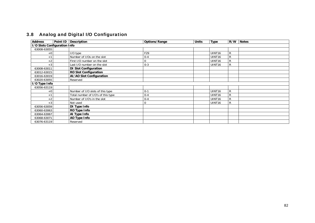# 3.8 Analog and Digital I/O Configuration

| <b>Address</b>               | Point ID Description               | <b>Options/Range</b> | <b>Units</b> | <b>Type</b>        | R/W          | <b>Notes</b> |
|------------------------------|------------------------------------|----------------------|--------------|--------------------|--------------|--------------|
| I/O Slots Configuration Info |                                    |                      |              |                    |              |              |
| 63008-63055                  |                                    |                      |              |                    |              |              |
| $+0$                         | I/O type                           | F29                  |              | UINT <sub>16</sub> | R            |              |
| $+$ <sup>-</sup>             | Number of I/Os on the slot         | $0 - 4$              |              | UINT <sub>16</sub> | $\mathsf{R}$ |              |
| $+2$                         | First I/O number on the slot       |                      |              | UINT <sub>16</sub> | R            |              |
| $+3$                         | Last I/O number on the slot        | $0 - 3$              |              | UINT <sub>16</sub> | $\mathsf{R}$ |              |
| 63008-63011                  | <b>DI Slot Configuration</b>       |                      |              |                    |              |              |
| 63012-63015                  | <b>RO Slot Configuration</b>       |                      |              |                    |              |              |
| 63016-63019                  | AI/AO Slot Configuration           |                      |              |                    |              |              |
| 63020-63055                  | Reserved                           |                      |              |                    |              |              |
| I/O Type Info                |                                    |                      |              |                    |              |              |
| 63056-63119                  |                                    |                      |              |                    |              |              |
| $+0$                         | Number of I/O slots of this type   | $0 - 1$              |              | UINT <sub>16</sub> | R            |              |
| $+$                          | Total number of I/O's of this type | $0 - 4$              |              | UINT <sub>16</sub> | $\mathsf{R}$ |              |
| $+2$                         | Number of I/O's in the slot        | $0 - 4$              |              | UINT <sub>16</sub> | $\mathsf{R}$ |              |
| $+3$                         | Not used                           |                      |              | UINT <sub>16</sub> | R            |              |
| 63056-63059                  | DI Type Info                       |                      |              |                    |              |              |
| 63060-63063                  | RO Type Info                       |                      |              |                    |              |              |
| 63064-63067                  | Al Type Info                       |                      |              |                    |              |              |
| 63068-63071                  | AO Type Info                       |                      |              |                    |              |              |
| 63076-63119                  | Reserved                           |                      |              |                    |              |              |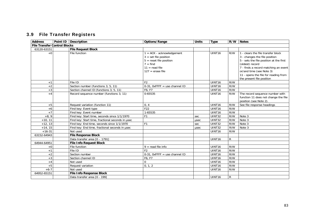## 3.9 File Transfer Registers

| <b>Address</b>                      | Point ID   Description                           | Options/Range                                                                                                                              | <b>Units</b> | <b>Type</b>        | R/W          | <b>Notes</b>                                                                                                                                                                                                                                                               |
|-------------------------------------|--------------------------------------------------|--------------------------------------------------------------------------------------------------------------------------------------------|--------------|--------------------|--------------|----------------------------------------------------------------------------------------------------------------------------------------------------------------------------------------------------------------------------------------------------------------------------|
| <b>File Transfer Control Blocks</b> |                                                  |                                                                                                                                            |              |                    |              |                                                                                                                                                                                                                                                                            |
| 63120-63151                         | <b>File Request Block</b>                        |                                                                                                                                            |              |                    |              |                                                                                                                                                                                                                                                                            |
| $+0$                                | File function                                    | $1 = ACK - acknowledgment$<br>$3 = set file position$<br>$5 =$ reset file position<br>$7 = find$<br>$11 = read file$<br>$127$ = erase file |              | UINT16             | R/W          | 1 - clears the file transfer block<br>3 - changes the file position<br>5 - sets the file position at the first<br>(oldest) record<br>7 - finds a record matching an event<br>or/and time (see Note 3)<br>11 - opens the file for reading from<br>the present file position |
| $+1$                                | File ID                                          | F <sub>2</sub>                                                                                                                             |              | UINT <sub>16</sub> | R/W          |                                                                                                                                                                                                                                                                            |
| $+2$                                | Section number (functions 3, 5, 11)              | $0-31$ , OxFFFF = use channel ID                                                                                                           |              | UINT16             | R/W          |                                                                                                                                                                                                                                                                            |
| $+3$                                | Section channel ID (functions 3, 5, 11)          | F6, F7                                                                                                                                     |              | UINT16             | R/W          |                                                                                                                                                                                                                                                                            |
| $+4$                                | Record sequence number (functions 3, 11)         | 0-65535                                                                                                                                    |              | UINT <sub>16</sub> | R/W          | The record sequence number with<br>function 11 does not change the file<br>position (see Note 2).                                                                                                                                                                          |
| $+5$                                | Request variation (function 11)                  | 0, 4                                                                                                                                       |              | UINT <sub>16</sub> | R/W          | See file response headings                                                                                                                                                                                                                                                 |
| $+6$                                | Find key: Event type                             | F <sub>22</sub>                                                                                                                            |              | UINT16             | R/W          |                                                                                                                                                                                                                                                                            |
| $+7$                                | Find key: Event number                           | 1-65535                                                                                                                                    |              | UINT16             | R/W          |                                                                                                                                                                                                                                                                            |
| $+8.9$                              | Find key: Start time, seconds since 1/1/1970     | F1                                                                                                                                         | sec          | UINT32             | R/W          | Note 3                                                                                                                                                                                                                                                                     |
| $+10, 11$                           | Find key: Start time, fractional seconds in usec |                                                                                                                                            | usec         | UINT32             | R/W          | Note 3                                                                                                                                                                                                                                                                     |
| $+12, 13$                           | Find key: End time, seconds since 1/1/1970       | F <sub>1</sub>                                                                                                                             | sec          | UINT32             | R/W          | Note 3                                                                                                                                                                                                                                                                     |
| $+14, 15$                           | Find key: End time, fractional seconds in usec   |                                                                                                                                            | usec         | UINT32             | R/W          | Note 3                                                                                                                                                                                                                                                                     |
| $+16-31$                            | Not used                                         |                                                                                                                                            |              | UINT <sub>16</sub> | R/W          |                                                                                                                                                                                                                                                                            |
| 63152-64943                         | <b>File Response Block</b>                       |                                                                                                                                            |              |                    |              |                                                                                                                                                                                                                                                                            |
|                                     | Data transfer area [0 - 1791]                    |                                                                                                                                            |              | UINT <sub>16</sub> | $\mathsf{R}$ |                                                                                                                                                                                                                                                                            |
| 64944-64951                         | <b>File Info Request Block</b>                   |                                                                                                                                            |              |                    |              |                                                                                                                                                                                                                                                                            |
| $+0$                                | File function                                    | $9 = read file info$                                                                                                                       |              | UINT <sub>16</sub> | R/W          |                                                                                                                                                                                                                                                                            |
| $+1$                                | File ID                                          | F <sub>2</sub>                                                                                                                             |              | UINT16             | R/W          |                                                                                                                                                                                                                                                                            |
| $+2$                                | Section number                                   | $0-31$ . OxFFFF = use channel ID                                                                                                           |              | UINT16             | R/W          |                                                                                                                                                                                                                                                                            |
| $+3$                                | Section channel ID                               | F6, F7                                                                                                                                     |              | UINT16             | R/W          |                                                                                                                                                                                                                                                                            |
| $+4$                                | Not used                                         | $\Omega$                                                                                                                                   |              | UINT <sub>16</sub> | R/W          |                                                                                                                                                                                                                                                                            |
| $+5$                                | Request variation                                | 0.1.2                                                                                                                                      |              | UINT16             | R/W          |                                                                                                                                                                                                                                                                            |
| $+6-7$                              | Not used                                         |                                                                                                                                            |              | UINT <sub>16</sub> | R/W          |                                                                                                                                                                                                                                                                            |
| 64952-65151                         | <b>File Info Response Block</b>                  |                                                                                                                                            |              |                    |              |                                                                                                                                                                                                                                                                            |
|                                     | Data transfer area [0 - 199]                     |                                                                                                                                            |              | UINT16             | R            |                                                                                                                                                                                                                                                                            |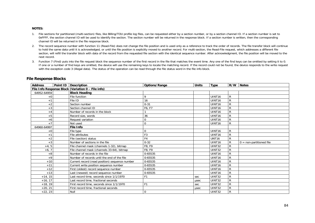#### **NOTES:**

- 1. File sections for partitioned (multi-section) files, like Billing/TOU profile log files, can be requested either by a section number, or by a section channel ID. If a section number is set to 0xFFFF, the section channel ID will be used to identify the section. The section number will be returned in the response block. If a section number is written, then the corresponding channel ID will be returned in the file response block.
- 2. The record sequence number with function 11 (Read-File) does not change the file position and is used only as a reference to track the order of records. The file transfer block will continue to hold the same data until it is acknowledged, or until the file position is explicitly moved to another record. For multi-section, the Read-File request, which addresses a different file section, will refill the transfer block with data of the record from the requested file section with the identical sequence number. After acknowledgment, the file position will be moved to the next record.
- 3. Function 7 (Find) puts into the file request block the sequence number of the first record in the file that matches the event time. Any one of the find keys can be omitted by setting it to 0. If one or a number of find keys are omitted, the device will use the remaining keys to locate the matching record. If the record could not be found, the device responds to the write request with the exception code 3 (illegal data). The status of the operation can be read through the file status word in the file info block.

| <b>Address</b> | Point ID   Description                             | Options/Range  | <b>Units</b> | Type               |              | R/W Notes                  |
|----------------|----------------------------------------------------|----------------|--------------|--------------------|--------------|----------------------------|
|                | File Info Response Block (Variation 0 - File info) |                |              |                    |              |                            |
| 64952-64959    | <b>Block Heading</b>                               |                |              |                    |              |                            |
| $+0$           | File function                                      | Q              |              | UINT <sub>16</sub> | $\mathsf{R}$ |                            |
| $+1$           | File ID                                            | 16             |              | UINT <sub>16</sub> | R            |                            |
| $+2$           | Section number                                     | $0 - 31$       |              | UINT <sub>16</sub> | $\mathsf{R}$ |                            |
| $+3$           | Section channel ID                                 | F6, F7         |              | UINT <sub>16</sub> | $\mathsf{R}$ |                            |
| $+4$           | Number of records in the block                     |                |              | UINT <sub>16</sub> | R            |                            |
| $+5$           | Record size, words                                 | 36             |              | UINT <sub>16</sub> | R            |                            |
| $+6$           | Request variation                                  |                |              | UINT <sub>16</sub> | $\mathsf{R}$ |                            |
| $+7$           | Not used                                           |                |              | UINT16             | R            |                            |
| 64960-64997    | <b>File Info</b>                                   |                |              |                    |              |                            |
| $+0$           | File type                                          |                |              | UINT <sub>16</sub> | R            |                            |
| $+1$           | File attributes                                    | F3             |              | UINT <sub>16</sub> | R            |                            |
| $+2$           | File (section) status                              | F <sub>4</sub> |              | UNT <sub>16</sub>  | R            |                            |
| $+3$           | Number of sections in the file                     | $0 - 32$       |              | UINT <sub>16</sub> | R            | $0 =$ non-partitioned file |
| $+4, 5$        | File channel mask (channels 1-32), bitmap          | F8, F9         |              | <b>UINT32</b>      | $\mathsf{R}$ |                            |
| $+6, 7$        | File channel mask (channels 33-64), bitmap         | F8, F9         |              | <b>UINT32</b>      | R            |                            |
| $+8$           | Number of records in the file                      | 0-65535        |              | UINT16             | R            |                            |
| $+9$           | Number of records until the end of the file        | 0-65535        |              | UINT <sub>16</sub> | R            |                            |
| $+10$          | Current record (read position) sequence number     | 0-65535        |              | UINT <sub>16</sub> | R            |                            |
| $+11$          | Current write position sequence number             | 0-65535        |              | UINT <sub>16</sub> | $\mathsf{R}$ |                            |
| $+12$          | First (oldest) record sequence number              | 0-65535        |              | UINT <sub>16</sub> | R            |                            |
| $+13$          | Last (newest) record sequence number               | 0-65535        |              | UINT <sub>16</sub> | $\mathsf{R}$ |                            |
| $+14, 15$      | Last record time, seconds since 1/1/1970           |                | sec          | <b>UINT32</b>      | R            |                            |
| $+16, 17$      | Last record time, fractional seconds               |                | usec         | <b>UINT32</b>      | $\mathsf{R}$ |                            |
| $+18, 19$      | First record time, seconds since 1/1/1970          | F <sub>1</sub> | sec          | <b>UINT32</b>      | R            |                            |
| $+20, 21$      | First record time, fractional seconds              |                | usec         | UINT32             | R            |                            |
| $+22, 23$      | Null                                               | 0              |              | UINT32             | $\mathsf{R}$ |                            |

### **File Response Blocks**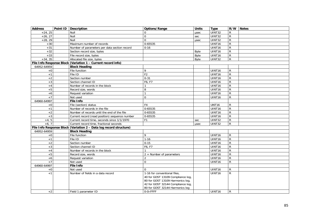| <b>Address</b> | Point ID   Description                                             | Options/Range                                                     | <b>Units</b> | <b>Type</b>        |                | R/W Notes |
|----------------|--------------------------------------------------------------------|-------------------------------------------------------------------|--------------|--------------------|----------------|-----------|
| $+24, 25$      | Null                                                               | $\Omega$                                                          | usec         | UINT32             | R              |           |
| $+26, 27$      | Null                                                               | $\Omega$                                                          | sec          | <b>UINT32</b>      | R              |           |
| $+28, 29$      | Null                                                               | $\Omega$                                                          | usec         | UINT32             | ${\sf R}$      |           |
| $+30$          | Maximum number of records                                          | 0-65535                                                           |              | UINT16             | $\mathsf{R}$   |           |
| $+31$          | Number of parameters per data section record                       | $0 - 16$                                                          |              | UINT16             | R              |           |
| $+32$          | Section record size, bytes                                         |                                                                   | Byte         | UINT <sub>16</sub> | $\mathsf{R}$   |           |
| $+33$          | File record size, bytes                                            |                                                                   | Byte         | UINT16             | R              |           |
| $+34, 35$      | Allocated file size, bytes                                         |                                                                   | Byte         | UINT32             | ${\sf R}$      |           |
|                | File Info Response Block (Variation 1 - Current record info)       |                                                                   |              |                    |                |           |
| 64952-64959    | <b>Block Heading</b>                                               |                                                                   |              |                    |                |           |
| $+0$           | File function                                                      | 9                                                                 |              | UINT16             | R              |           |
| $+1$           | File ID                                                            | F <sub>2</sub>                                                    |              | UINT <sub>16</sub> | ${\sf R}$      |           |
| $+2$           | Section number                                                     | $0 - 31$                                                          |              | UINT <sub>16</sub> | ${\sf R}$      |           |
| $+3$           | Section channel ID                                                 | F6, F7                                                            |              | UINT <sub>16</sub> | $\mathsf{R}$   |           |
| $+4$           | Number of records in the block                                     |                                                                   |              | UINT16             | ${\sf R}$      |           |
| $+5$           | Record size, words                                                 | 8                                                                 |              | UINT16             | $\overline{R}$ |           |
| $+6$           | Request variation                                                  |                                                                   |              | UINT16             | R              |           |
| $+7$           | Not used                                                           | $\Omega$                                                          |              | UINT16             | R              |           |
| 64960-64997    | <b>File Info</b>                                                   |                                                                   |              |                    |                |           |
| $+0$           | File (section) status                                              | F <sub>4</sub>                                                    |              | <b>UNT16</b>       | $\mathsf{R}$   |           |
| $+1$           | Number of records in the file                                      | $0 - 65535$                                                       |              | UINT16             | $\mathsf{R}$   |           |
| $+2$           | Number of records until the end of the file                        | $0 - 65535$                                                       |              | UINT16             | $\overline{R}$ |           |
| $+3$           | Current record (read position) sequence number                     | 0-65535                                                           |              | UINT16             | $\mathsf{R}$   |           |
| $+4.5$         | Current record time, seconds since 1/1/1970                        | F <sub>1</sub>                                                    | sec          | <b>UINT32</b>      | R              |           |
| $+6.7$         | Current record time, fractional seconds                            |                                                                   | usec         | UINT32             | R.             |           |
|                | File Info Response Block (Variation 2 - Data log record structure) |                                                                   |              |                    |                |           |
| 64952-64959    | <b>Block Heading</b>                                               |                                                                   |              |                    |                |           |
| $+0$           | File function                                                      | 9                                                                 |              | UINT16             | R              |           |
| $+1$           | File ID                                                            | $1 - 16$                                                          |              | UINT16             | $\mathsf{R}$   |           |
| $+2$           | Section number                                                     | $0 - 15$                                                          |              | UINT16             | R              |           |
| $+3$           | Section channel ID                                                 | F6, F7                                                            |              | UINT16             | ${\sf R}$      |           |
| $+4$           | Number of records in the block                                     |                                                                   |              | UINT <sub>16</sub> | ${\sf R}$      |           |
| $+5$           | Record size, words                                                 | 2 + Number of parameters                                          |              | UINT16             | ${\sf R}$      |           |
| $+6$           | Request variation                                                  | $\mathfrak{D}$                                                    |              | UINT16             | $\overline{R}$ |           |
| $+7$           | Not used                                                           | $\Omega$                                                          |              | UINT16             | R              |           |
| 64960-64997    | <b>File Info</b>                                                   |                                                                   |              |                    |                |           |
| $+0$           | Not used                                                           | $\Omega$                                                          |              | UINT16             | $\mathsf{R}$   |           |
| $+1$           | Number of fields in a data record                                  | 1-16 for conventional files,<br>40 for GOST 13109 Compliance log, |              | UINT <sub>16</sub> | $\mathsf{R}$   |           |
|                |                                                                    | 80 for GOST 13109 Harmonics log,                                  |              |                    |                |           |
|                |                                                                    | 42 for GOST 32144 Compliance log,                                 |              |                    |                |           |
|                |                                                                    | 80 for GOST 32144 Harmonics log                                   |              |                    |                |           |
| $+2$           | Field 1 parameter ID                                               | $0-0\times$ FFFF                                                  |              | UINT <sub>16</sub> | R              |           |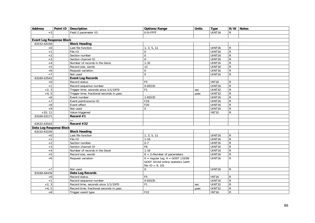| <b>Address</b>                  |  | Point ID Description                     | Options/Range                                                              | <b>Units</b> | <b>Type</b>        |                | R/W Notes |
|---------------------------------|--|------------------------------------------|----------------------------------------------------------------------------|--------------|--------------------|----------------|-----------|
| $+3$                            |  | Field 2 parameter ID                     | $0-0\times$ FFFF                                                           |              | UINT16             | R              |           |
|                                 |  |                                          |                                                                            |              |                    |                |           |
| <b>Event Log Response Block</b> |  |                                          |                                                                            |              |                    |                |           |
| 63152-63159                     |  | <b>Block Heading</b>                     |                                                                            |              |                    |                |           |
| $+0$                            |  | Last file function                       | 1, 3, 5, 11                                                                |              | UINT <sub>16</sub> | R.             |           |
| $+1$                            |  | File ID                                  | $\Omega$                                                                   |              | UINT16             | $\mathsf{R}$   |           |
| $+2$                            |  | Section number                           | $\Omega$                                                                   |              | UINT <sub>16</sub> | R              |           |
| $+3$                            |  | Section channel ID                       | $\Omega$                                                                   |              | UINT16             | $\overline{R}$ |           |
| $+4$                            |  | Number of records in the block           | $1-32$                                                                     |              | UINT16             | $\mathsf{R}$   |           |
| $+5$                            |  | Record size, words                       | $\overline{12}$                                                            |              | UINT16             | R              |           |
| $+6$                            |  | Request variation                        | $\Omega$                                                                   |              | UINT16             | $\overline{R}$ |           |
| $+7$                            |  | Not used                                 | $\Omega$                                                                   |              | UINT16             | $\mathsf{R}$   |           |
| 63160-63543                     |  | <b>Event Log Records</b>                 |                                                                            |              |                    |                |           |
| $+0$                            |  | Record status                            | F <sub>5</sub>                                                             |              | <b>INT16</b>       | R              |           |
| $+1$                            |  | Record sequence number                   | 0-65535                                                                    |              | UINT16             | R              |           |
| $+2, 3$                         |  | Trigger time, seconds since 1/1/1970     | F <sub>1</sub>                                                             | sec          | UINT32             | R              |           |
| $+4, 5$                         |  | Trigger time, fractional seconds in usec |                                                                            | usec         | UINT32             | R              |           |
| $+6$                            |  | Event number                             | 1-65535                                                                    |              | UINT16             | R              |           |
| $+7$                            |  | Event point/source ID                    | F19                                                                        |              | UINT16             | R              |           |
| $+8$                            |  | Event effect                             | F20                                                                        |              | UINT16             | $\overline{R}$ |           |
| $+9$                            |  | Not used                                 | $\Omega$                                                                   |              | UINT16             | $\overline{R}$ |           |
| $+10, 11$                       |  | Value triggered                          |                                                                            |              | <b>INT32</b>       | $\mathsf{R}$   |           |
| 63160-63171                     |  | Record #1                                |                                                                            |              |                    |                |           |
|                                 |  |                                          |                                                                            |              |                    |                |           |
| 63532-63543                     |  | Record #32                               |                                                                            |              |                    |                |           |
| Data Log Response Block         |  |                                          |                                                                            |              |                    |                |           |
| 63152-63159                     |  | <b>Block Heading</b>                     |                                                                            |              |                    |                |           |
| $+0$                            |  | Last file function                       | 1, 3, 5, 11                                                                |              | UINT16             | R              |           |
| $+1$                            |  | File ID                                  | $1 - 16$                                                                   |              | UINT16             | R              |           |
| $+2$                            |  | Section number                           | $0 - 7$                                                                    |              | UINT16             | R.             |           |
| $+3$                            |  | Section channel ID                       | F6                                                                         |              | UINT16             | R              |           |
| $+4$                            |  | Number of records in the block           | $1 - 16$                                                                   |              | UINT16             | R              |           |
| $+5$                            |  | Record size, words                       | 8 + 2×Number of parameters                                                 |              | <b>UINT16</b>      | $\overline{R}$ |           |
| $+6$                            |  | Request variation                        | $0 =$ regular log, $4 =$ GOST 13109/<br>GOST 32144 online statistics (with |              | UINT16             | $\overline{R}$ |           |
|                                 |  |                                          | file $ID = 9, 10$                                                          |              |                    |                |           |
| $+7$                            |  | Not used                                 | $\mathbf 0$                                                                |              | UINT16             | R              |           |
| 63160-64439                     |  | Data Log Records                         |                                                                            |              |                    |                |           |
| $+0$                            |  | Record status                            | F <sub>5</sub>                                                             |              | <b>INT16</b>       | R              |           |
| $+1$                            |  | Record sequence number                   | 0-65535                                                                    |              | UINT16             | R              |           |
| $+2, 3$                         |  | Record time, seconds since 1/1/1970      | F <sub>1</sub>                                                             | sec          | UINT32             | R              |           |
| $+4, 5$                         |  | Record time, fractional seconds in usec  |                                                                            | usec         | UINT32             | R              |           |
| $+6$                            |  | Trigger event type                       | F22                                                                        |              | <b>INT16</b>       | R              |           |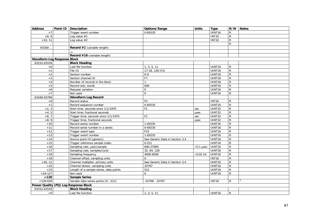| <b>Address</b>                     | Point ID   Description                 | Options/Range                   | <b>Units</b>      | <b>Type</b>        |                | R/W Notes |
|------------------------------------|----------------------------------------|---------------------------------|-------------------|--------------------|----------------|-----------|
| $+7$                               | Trigger event number                   | 0-65535                         |                   | UINT16             | R              |           |
| $+8, 9$                            | Log value $#1$                         |                                 |                   | <b>INT32</b>       | R              |           |
| $+10, 11$                          | Log value $#2$                         |                                 |                   | <b>INT32</b>       | R.             |           |
|                                    |                                        |                                 |                   |                    | $\mathsf{R}$   |           |
| 63160-.                            | Record #1 (variable length)            |                                 |                   |                    |                |           |
|                                    |                                        |                                 |                   |                    |                |           |
|                                    | Record #16 (variable length)           |                                 |                   |                    |                |           |
| <b>Waveform Log Response Block</b> |                                        |                                 |                   |                    |                |           |
| 63152-63159                        | <b>Block Heading</b>                   |                                 |                   |                    |                |           |
| $+0$                               | Last file function                     | 1, 3, 5, 11                     |                   | UINT16             | R              |           |
| $+1$                               | File ID                                | 17-18, 128 (F2)                 |                   | UINT16             | R.             |           |
| $+2$                               | Section number                         | $0 - 9$                         |                   | UINT <sub>16</sub> | $\mathsf{R}$   |           |
| $+3$                               | Section channel ID                     | F7                              |                   | UINT16             | $\mathsf{R}$   |           |
| $+4$                               | Number of records in the block         |                                 |                   | UINT16             | R              |           |
| $+5$                               | Record size, words                     | 640                             |                   | UINT16             | R              |           |
| $+6$                               | Request variation                      | $\mathbf 0$                     |                   | UINT16             | $\mathsf{R}$   |           |
| $+7$                               | Not used                               | $\Omega$                        |                   | UINT16             | R.             |           |
| 63160-63799                        | <b>Waveform Log Record</b>             |                                 |                   |                    |                |           |
| $+0$                               | Record status                          | F <sub>5</sub>                  |                   | <b>INT16</b>       | R              |           |
| $+1$                               | Record sequence number                 | $0 - 65535$                     |                   | UINT16             | R.             |           |
| $+2, 3$                            | Start time, seconds since 1/1/1970     | F <sub>1</sub>                  | sec               | UINT32             | R              |           |
| $+4, 5$                            | Start time, fractional seconds         |                                 | usec              | UINT32             | $\mathsf{R}$   |           |
| $+6, 7$                            | Trigger time, seconds since 1/1/1970   | F <sub>1</sub>                  | sec               | UINT32             | $\overline{R}$ |           |
| $+8, \overline{9}$                 | Trigger time, fractional seconds       |                                 | usec              | <b>UINT32</b>      | $\mathsf{R}$   |           |
| $+10$                              | Record series number                   | 1-65535                         |                   | UINT16             | $\mathsf{R}$   |           |
| $+11$                              | Record serial number in a series       | 0-65535                         |                   | UINT16             | R              |           |
| $+12$                              | Trigger event type                     | F <sub>22</sub>                 |                   | UINT16             | R              |           |
| $+13$                              | Trigger event number                   | $1 - 65535$                     |                   | UINT16             | $\mathsf{R}$   |           |
| $+14$                              | Source point ID (generic)              | See Generic Data in Section 3.4 |                   | UINT16             | $\overline{R}$ |           |
| $+15$                              | Trigger reference sample index         | $0 - 511$                       |                   | UINT16             | R              |           |
| $+16$                              | Sampling rate, usec/sample             | 600-27000                       | $\times$ 0.1 µsec | UINT16             | R              |           |
| $+17$                              | Sampling rate, samples/cycle           | 32, 64, 128                     |                   | UINT16             | $\mathsf{R}$   |           |
| $+18$                              | Sampling frequency                     | 4500-6500                       | $\times 0.01$ Hz  | UINT16             | ${\sf R}$      |           |
| $+19$                              | Channel offset, sampling units         | $\Omega$                        |                   | <b>INT16</b>       | $\mathsf{R}$   |           |
| $+20, 21$                          | Channel multiplier, primary units      | See Generic Data in Section 3.4 |                   | UINT32             | $\mathsf{R}$   |           |
| $+22$                              | Channel divisor, sampling units        | 32767                           |                   | UINT16             | R              |           |
| $+23$                              | Length of a sample series, data points | 512                             |                   | UINT16             | $\mathsf{R}$   |           |
| $+24-127$                          | Not used                               | $\Omega$                        |                   | UINT16             | $\mathsf{R}$   |           |
| $+128$                             | <b>Sample Series</b>                   |                                 |                   |                    |                |           |
| $+128-639$                         | Sample data series points [0511]       | $-32768 - 32767$                |                   | <b>INT16</b>       | R.             |           |
|                                    | Power Quality (PQ) Log Response Block  |                                 |                   |                    |                |           |
| 63152-63159                        | <b>Block Heading</b>                   |                                 |                   |                    |                |           |
| $+0$                               | Last file function                     | 1, 3, 5, 11                     |                   | UINT16             | R              |           |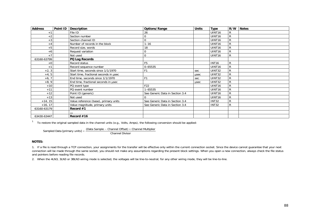| <b>Address</b>   | Point ID | <b>Description</b>                     | Options/Range                   | <b>Units</b> | <b>Type</b>        | R/W          | <b>Notes</b> |
|------------------|----------|----------------------------------------|---------------------------------|--------------|--------------------|--------------|--------------|
|                  |          | File ID                                | 26                              |              | UINT <sub>16</sub> | R            |              |
| $+2$             |          | Section number                         |                                 |              | UINT <sub>16</sub> | $\mathsf{R}$ |              |
| $+3$             |          | Section channel ID                     |                                 |              | UINT <sub>16</sub> | $\mathsf{R}$ |              |
| $+4$             |          | Number of records in the block         | $1 - 16$                        |              | UINT <sub>16</sub> | R            |              |
| $+5$             |          | Record size, words                     | 18                              |              | UINT <sub>16</sub> | R            |              |
| $+6$             |          | Request variation                      |                                 |              | UINT <sub>16</sub> | R            |              |
| $+7$             |          | Not used                               |                                 |              | UINT <sub>16</sub> | R            |              |
| 63160-63799      |          | PQ Log Records                         |                                 |              |                    |              |              |
| $+0$             |          | Record status                          | F <sub>5</sub>                  |              | <b>INT16</b>       | R            |              |
| $+$ <sup>-</sup> |          | Record sequence number                 | 0-65535                         |              | UINT <sub>16</sub> | R            |              |
| $+2, 3$          |          | Start time, seconds since 1/1/1970     |                                 | sec          | UINT32             | $\mathsf{R}$ |              |
| $+4, 5$          |          | Start time, fractional seconds in usec |                                 | usec         | <b>UINT32</b>      | R            |              |
| $+6, 7$          |          | End time, seconds since 1/1/1970       | F <sub>1</sub>                  | sec          | UINT32             | R            |              |
| $+8, 9$          |          | End time, fractional seconds in usec   |                                 | usec         | UINT32             | R            |              |
| $+10$            |          | PQ event type                          | F <sub>22</sub>                 |              | UINT <sub>16</sub> | R            |              |
| $+11$            |          | PQ event number                        | $1 - 65535$                     |              | UINT <sub>16</sub> | $\mathsf R$  |              |
| $+12$            |          | Point ID (generic)                     | See Generic Data in Section 3.4 |              | UINT <sub>16</sub> | R            |              |
| $+13$            |          | Not used                               |                                 |              | UINT <sub>16</sub> | $\mathsf R$  |              |
| $+14, 15$        |          | Value reference (base), primary units  | See Generic Data in Section 3.4 |              | <b>INT32</b>       | R            |              |
| $+16, 17$        |          | Value magnitude, primary units         | See Generic Data in Section 3.4 |              | <b>INT32</b>       | $\mathsf{R}$ |              |
| 63160-63179      |          | Record $#1$                            |                                 |              |                    |              |              |
|                  |          |                                        |                                 |              |                    |              |              |
| 63430-63447      |          | Record $#16$                           |                                 |              |                    |              |              |

 $1$  To restore the original sampled data in the channel units (e.g., Volts, Amps), the following conversion should be applied:

Sampled Data [primary units] =  $\frac{\text{(Data Sample - Channel Offset)} \times \text{Channel Multiplier}}{\text{Channel Division}}$ 

#### **NOTES:**

1. If a file is read through a TCP connection, your assignments for the transfer will be effective only within the current connection socket. Since the device cannot guarantee that your next connection will be made through the same socket, you should not make any assumptions regarding the present block settings. When you open a new connection, always check the file status and pointers before reading file records.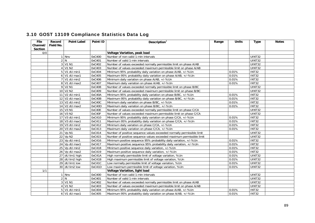| File     | Record    | <b>Point Label</b>                | Point ID | Description <sup>1</sup>                                               | Range | <b>Units</b> | <b>Type</b>               | <b>Notes</b> |
|----------|-----------|-----------------------------------|----------|------------------------------------------------------------------------|-------|--------------|---------------------------|--------------|
| Channel/ | Field No. |                                   |          |                                                                        |       |              |                           |              |
| Section  |           |                                   |          |                                                                        |       |              |                           |              |
| 0/0      |           |                                   |          | Voltage Variation, peak load                                           |       |              |                           |              |
|          |           | 1 Nnv                             | 0xC400   | Number of non-valid 1-min intervals                                    |       |              | UINT32                    |              |
|          |           | 2 N                               | 0xC401   | Number of valid 1-min intervals                                        |       |              | <b>UINT32</b>             |              |
|          |           | 3 V1 N1                           | 0xC402   | Number of values exceeded normally permissible limit on phase A/AB     |       |              | <b>UINT32</b>             |              |
|          |           | $4$ V <sub>1</sub> N <sub>2</sub> | 0xC403   | Number of values exceeded maximum permissible limit on phase A/AB      |       |              | <b>UINT32</b>             |              |
|          |           | $5$ V1 dU min1                    | 0xC404   | Minimum 95% probability daily variation on phase A/AB, +/-%Un          |       | 0.01%        | $\overline{\text{INT32}}$ |              |
|          |           | 6 V1 dU max1                      | 0xC405   | Maximum 95% probability daily variation on phase A/AB, +/-%Un          |       | 0.01%        | <b>INT32</b>              |              |
|          |           | 7 V1 dU min2                      | 0xC406   | Minimum daily variation on phase A/AB, +/-%Un                          |       | 0.01%        | INT32                     |              |
|          |           | 8 V1 dU max2                      | 0xC407   | Maximum daily variation on phase A/AB, +/-%Un                          |       | 0.01%        | <b>INT32</b>              |              |
|          |           | 9 V <sub>2</sub> N <sub>1</sub>   | 0xC408   | Number of values exceeded normally permissible limit on phase B/BC     |       |              | UINT32                    |              |
|          |           | 10 V2 N2                          | 0xC409   | Number of values exceeded maximum permissible limit on phase B/BC      |       |              | UINT32                    |              |
|          |           | 11 V2 dU min1                     | 0xC40A   | Minimum 95% probability daily variation on phase B/BC, +/-%Un          |       | 0.01%        | <b>INT32</b>              |              |
|          |           | 12 V2 dU max1                     | 0xC40B   | Maximum 95% probability daily variation on phase B/BC, +/-%Un          |       | 0.01%        | <b>INT32</b>              |              |
|          |           | 13 V2 dU min2                     | 0xC40C   | Minimum daily variation on phase B/BC, +/-%Un                          |       | 0.01%        | <b>INT32</b>              |              |
|          |           | 14 V2 dU max2                     | 0xC40D   | Maximum daily variation on phase B/BC, +/-%Un                          |       | 0.01%        | <b>INT32</b>              |              |
|          |           | 15 V3 N1                          | 0xC40E   | Number of values exceeded normally permissible limit on phase C/CA     |       |              | <b>UINT32</b>             |              |
|          |           | 16 V3 N2                          | 0xC40F   | Number of values exceeded maximum permissible limit on phase C/CA      |       |              | UINT32                    |              |
|          |           | 17 V3 dU min1                     | 0xC410   | Minimum 95% probability daily variation on phase C/CA, +/-%Un          |       | 0.01%        | <b>INT32</b>              |              |
|          |           | 18 V3 dU max1                     | 0xC411   | Maximum 95% probability daily variation on phase C/CA, +/-%Un          |       | 0.01%        | INT32                     |              |
|          |           | 19 V3 dU min2                     | 0xC412   | Minimum daily variation on phase C/CA, +/-%Un                          |       | 0.01%        | <b>INT32</b>              |              |
|          |           | 20 V3 dU max2                     | 0xC413   | Maximum daily variation on phase C/CA, +/-%Un                          |       | 0.01%        | INT32                     |              |
|          |           | 21 Vp N1                          | 0xC414   | Number of positive sequence values exceeded normally permissible limit |       |              | UINT32                    |              |
|          |           | $22$ Vp N <sub>2</sub>            | 0xC415   | Number of positive sequence values exceeded maximum permissible limit  |       |              | UINT32                    |              |
|          |           | 23 Vp dU min1                     | 0xC416   | Minimum positive sequence 95% probability daily variation, +/-%Un      |       | 0.01%        | INT32                     |              |
|          |           | 24 Vp dU max1                     | 0xC417   | Maximum positive sequence 95% probability daily variation, +/-%Un      |       | 0.01%        | <b>INT32</b>              |              |
|          |           | 25 Vp dU min2                     | 0xC418   | Minimum positive sequence daily variation, +/-%Un                      |       | 0.01%        | <b>INT32</b>              |              |
|          |           | 26 Vp dU max2                     | 0xC419   | Maximum positive sequence daily variation, +/-%Un                      |       | 0.01%        | <b>INT32</b>              |              |
|          |           | 27 dU lim1 high                   | 0xC41A   | High normally permissible limit of voltage variation, %Un              |       | 0.01%        | UINT32                    |              |
|          |           | 28 dU lim2 high                   | 0xC41B   | High maximum permissible limit of voltage variation, %Un               |       | 0.01%        | <b>UINT32</b>             |              |
|          |           | 29 dU lim1 low                    | 0xC41C   | Low normally permissible limit of voltage variation, %Un               |       | 0.01%        | UINT32                    |              |
|          |           | 30 dU lim2 low                    | 0xC41D   | Low maximum permissible limit of voltage variation, %Un                |       | 0.01%        | <b>UINT32</b>             |              |
| 1/1      |           |                                   |          | Voltage Variation, light load                                          |       |              |                           |              |
|          |           | 1 Nnv                             | 0xC400   | Number of non-valid 1-min intervals                                    |       |              | <b>UINT32</b>             |              |
|          |           | 2 N                               | 0xC401   | Number of valid 1-min intervals                                        |       |              | <b>UINT32</b>             |              |
|          |           | 3 V1 N1                           | 0xC402   | Number of values exceeded normally permissible limit on phase A/AB     |       |              | UINT32                    |              |
|          |           | $4$ V <sub>1</sub> N <sub>2</sub> | 0xC403   | Number of values exceeded maximum permissible limit on phase A/AB      |       |              | UINT32                    |              |
|          |           | 5 V1 dU min1                      | 0xC404   | Minimum 95% probability daily variation on phase A/AB, +/-%Un          |       | 0.01%        | <b>INT32</b>              |              |
|          |           | 6 V1 dU max1                      | 0xC405   | Maximum 95% probability daily variation on phase A/AB, +/-%Un          |       | 0.01%        | <b>INT32</b>              |              |

## 3.10 GOST 13109 Compliance Statistics Data Log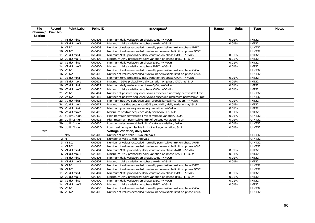| File     | Record    | <b>Point Label</b>         | Point ID | Description $1$                                                        | Range | <b>Units</b> | <b>Type</b>         | <b>Notes</b> |
|----------|-----------|----------------------------|----------|------------------------------------------------------------------------|-------|--------------|---------------------|--------------|
| Channel/ | Field No. |                            |          |                                                                        |       |              |                     |              |
| Section  |           |                            |          |                                                                        |       |              |                     |              |
|          |           | $7$ V1 dU min2             | 0xC406   | Minimum daily variation on phase A/AB, +/-%Un                          |       | 0.01%        | <b>INT32</b>        |              |
|          |           | 8 V1 dU max2               | 0xC407   | Maximum daily variation on phase A/AB, +/-%Un                          |       | 0.01%        | <b>INT32</b>        |              |
|          |           | 9 V2 N1                    | 0xC408   | Number of values exceeded normally permissible limit on phase B/BC     |       |              | <b>UINT32</b>       |              |
|          |           | 10 V2 N2                   | 0xC409   | Number of values exceeded maximum permissible limit on phase B/BC      |       |              | <b>UINT32</b>       |              |
|          |           | 11 V2 dU min1              | 0xC40A   | Minimum 95% probability daily variation on phase B/BC, +/-%Un          |       | 0.01%        | INT32               |              |
|          |           | 12 V2 dU max1              | 0xC40B   | Maximum 95% probability daily variation on phase B/BC, +/-%Un          |       | 0.01%        | <b>INT32</b>        |              |
|          |           | 13 V2 dU min2              | 0xC40C   | Minimum daily variation on phase B/BC, +/-%Un                          |       | 0.01%        | <b>INT32</b>        |              |
|          |           | $14$ V2 dU max2            | 0xC40D   | Maximum daily variation on phase B/BC, +/-%Un                          |       | 0.01%        | <b>INT32</b>        |              |
|          |           | 15 V3 N1                   | 0xC40E   | Number of values exceeded normally permissible limit on phase C/CA     |       |              | <b>UINT32</b>       |              |
|          |           | 16 V3 N2                   | 0xC40F   | Number of values exceeded maximum permissible limit on phase C/CA      |       |              | UINT32              |              |
|          |           | 17 V3 dU min1              | 0xC410   | Minimum 95% probability daily variation on phase C/CA, +/-%Un          |       | 0.01%        | <b>INT32</b>        |              |
|          |           | 18 V3 dU max1              | 0xC411   | Maximum 95% probability daily variation on phase C/CA, +/-%Un          |       | 0.01%        | <b>INT32</b>        |              |
|          |           | 19 V3 dU min2              | 0xC412   | Minimum daily variation on phase C/CA, +/-%Un                          |       | 0.01%        | <b>INT32</b>        |              |
|          |           | 20 V3 dU max2              | 0xC413   | Maximum daily variation on phase C/CA, +/-%Un                          |       | 0.01%        | INT32               |              |
|          |           | 21 Vp N1                   | 0xC414   | Number of positive sequence values exceeded normally permissible limit |       |              | UINT32              |              |
|          |           | 22 Vp N2                   | 0xC415   | Number of positive sequence values exceeded maximum permissible limit  |       |              | <b>UINT32</b>       |              |
|          |           | 23 Vp dU min1              | 0xC416   | Minimum positive sequence 95% probability daily variation, +/-%Un      |       | 0.01%        | INT32               |              |
|          |           | $\overline{24}$ Vp dU max1 | 0xC417   | Maximum positive sequence 95% probability daily variation, +/-%Un      |       | 0.01%        | <b>INT32</b>        |              |
|          |           | 25 Vp dU min2              | 0xC418   | Minimum positive sequence daily variation, +/-%Un                      |       | 0.01%        | <b>INT32</b>        |              |
|          |           | 26 Vp dU max2              | 0xC419   | Maximum positive sequence daily variation, +/-%Un                      |       | 0.01%        | <b>INT32</b>        |              |
|          |           | 27 dU lim1 high            | 0xC41A   | High normally permissible limit of voltage variation, %Un              |       | 0.01%        | <b>UINT32</b>       |              |
|          |           | 28 dU lim2 high            | 0xC41B   | High maximum permissible limit of voltage variation, %Un               |       | 0.01%        | <b>UINT32</b>       |              |
|          |           | 29 dU lim1 low             | 0xC41C   | Low normally permissible limit of voltage variation, %Un               |       | 0.01%        | <b>UINT32</b>       |              |
|          |           | 30 dU lim2 low             | 0xC41D   | Low maximum permissible limit of voltage variation, %Un                |       | 0.01%        | UINT32              |              |
| 2/2      |           |                            |          | Voltage Variation, daily load                                          |       |              |                     |              |
|          |           | 1 Nnv                      | 0xC400   | Number of non-valid 1-min intervals                                    |       |              | $\overline{UINT32}$ |              |
|          |           | 2N                         | 0xC401   | Number of valid 1-min intervals                                        |       |              | <b>UINT32</b>       |              |
|          |           | 3 V1 N1                    | 0xC402   | Number of values exceeded normally permissible limit on phase A/AB     |       |              | <b>UINT32</b>       |              |
|          |           | 4 V1 N2                    | 0xC403   | Number of values exceeded maximum permissible limit on phase A/AB      |       |              | <b>UINT32</b>       |              |
|          |           | 5 V1 dU min1               | 0xC404   | Minimum 95% probability daily variation on phase A/AB, +/-%Un          |       | 0.01%        | <b>INT32</b>        |              |
|          |           | 6 V1 dU max1               | 0xC405   | Maximum 95% probability daily variation on phase A/AB, +/-%Un          |       | 0.01%        | <b>INT32</b>        |              |
|          |           | 7 V1 dU min2               | 0xC406   | Minimum daily variation on phase A/AB, +/-%Un                          |       | 0.01%        | <b>INT32</b>        |              |
|          |           | 8 V1 dU max2               | 0xC407   | Maximum daily variation on phase A/AB, +/-%Un                          |       | 0.01%        | <b>INT32</b>        |              |
|          |           | 9 V2 N1                    | 0xC408   | Number of values exceeded normally permissible limit on phase B/BC     |       |              | UINT32              |              |
|          |           | $10$ $V2 N2$               | 0xC409   | Number of values exceeded maximum permissible limit on phase B/BC      |       |              | UINT32              |              |
|          |           | 11 V2 dU min1              | 0xC40A   | Minimum 95% probability daily variation on phase B/BC, +/-%Un          |       | 0.01%        | <b>INT32</b>        |              |
|          |           | 12 V2 dU max1              | 0xC40B   | Maximum 95% probability daily variation on phase B/BC, +/-%Un          |       | 0.01%        | <b>INT32</b>        |              |
|          |           | 13 V2 dU min2              | 0xC40C   | Minimum daily variation on phase B/BC, +/-%Un                          |       | 0.01%        | <b>INT32</b>        |              |
|          |           | 14 V2 dU max2              | 0xC40D   | Maximum daily variation on phase B/BC, +/-%Un                          |       | 0.01%        | <b>INT32</b>        |              |
|          |           | 15 V3 N1                   | 0xC40E   | Number of values exceeded normally permissible limit on phase C/CA     |       |              | UINT32              |              |
|          |           | 16 V3 N2                   | 0xC40F   | Number of values exceeded maximum permissible limit on phase C/CA      |       |              | UINT32              |              |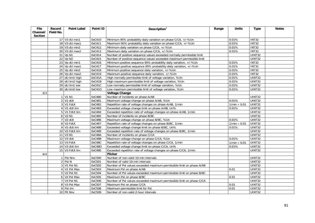| <b>File</b> | Record    | <b>Point Label</b>     | Point ID | Description $1$                                                        | Range | <b>Units</b>                          | <b>Type</b>         | <b>Notes</b> |
|-------------|-----------|------------------------|----------|------------------------------------------------------------------------|-------|---------------------------------------|---------------------|--------------|
| Channel/    | Field No. |                        |          |                                                                        |       |                                       |                     |              |
| Section     |           | 17 V3 dU min1          | 0xC410   | Minimum 95% probability daily variation on phase C/CA, +/-%Un          |       | 0.01%                                 | INT32               |              |
|             |           | 18 V3 dU max1          | 0xC411   | Maximum 95% probability daily variation on phase C/CA, +/-%Un          |       | 0.01%                                 | <b>INT32</b>        |              |
|             |           | 19 V3 dU min2          | 0xC412   | Minimum daily variation on phase C/CA, +/-%Un                          |       | 0.01%                                 | <b>INT32</b>        |              |
|             |           | $20$ V3 dU max2        | 0xC413   | Maximum daily variation on phase C/CA, +/-%Un                          |       | 0.01%                                 | <b>INT32</b>        |              |
|             |           | 21 Vp N1               | 0xC414   | Number of positive sequence values exceeded normally permissible limit |       |                                       | UINT32              |              |
|             |           | 22 Vp N2               | 0xC415   | Number of positive sequence values exceeded maximum permissible limit  |       |                                       | <b>UINT32</b>       |              |
|             |           | 23 Vp dU min1          | 0xC416   | Minimum positive sequence 95% probability daily variation, +/-%Un      |       | 0.01%                                 | <b>INT32</b>        |              |
|             |           | 24 Vp dU max1          | 0xC417   | Maximum positive sequence 95% probability daily variation, +/-%Un      |       | 0.01%                                 | <b>INT32</b>        |              |
|             |           | 25 Vp dU min2          | 0xC418   | Minimum positive sequence daily variation, +/-%Un                      |       | 0.01%                                 | <b>INT32</b>        |              |
|             |           | 26 Vp dU max2          | 0xC419   | Maximum positive sequence daily variation, +/-%Un                      |       | 0.01%                                 | <b>INT32</b>        |              |
|             |           | 27 dU lim1 high        | 0xC41A   | High normally permissible limit of voltage variation, %Un              |       | 0.01%                                 | <b>UINT32</b>       |              |
|             |           | 28 dU lim2 high        | 0xC41B   | High maximum permissible limit of voltage variation, %Un               |       | 0.01%                                 | <b>UINT32</b>       |              |
|             |           | 29 dU lim1 low         | 0xC41C   | Low normally permissible limit of voltage variation, %Un               |       | 0.01%                                 | UINT32              |              |
|             |           | 30 dU lim2 low         | 0xC41D   | Low maximum permissible limit of voltage variation, %Un                |       | 0.01%                                 | UINT32              |              |
| 3/3         |           |                        |          | <b>Voltage Change</b>                                                  |       |                                       |                     |              |
|             |           | 1 V1 N1                | 0xC480   | Number of incidents on phase A/AB                                      |       |                                       | UINT32              |              |
|             |           | $2$ V1 dUt             | 0xC481   | Maximum voltage change on phase A/AB, %Un                              |       | 0.01%                                 | UINT32              |              |
|             |           | 3 V1 FdUt              | 0xC482   | Repetition rate of voltage changes on phase A/AB, 1/min                |       | $1/min \times 0.01$                   | UINT32              |              |
|             |           | 4 V1 dUt lim           | 0xC483   | Exceeded voltage change limit on phase A/AB, Un%                       |       | 0.01%                                 | UINT32              |              |
|             |           | 5 V1 FdUt lim          | 0xC484   | Exceeded repetition rate of voltage changes on phase A/AB, 1/min       |       |                                       | <b>UINT32</b>       |              |
|             |           | 6 V2 N1                | 0xC485   | Number of incidents on phase B/BC                                      |       |                                       | <b>UINT32</b>       |              |
|             |           | $7$ V <sub>2</sub> dUt | 0xC486   | Maximum voltage change on phase B/BC, %Un                              |       | 0.01%                                 | UINT32              |              |
|             |           | 8 V <sub>2</sub> FdUt  | 0xC487   | Repetition rate of voltage changes on phase B/BC, 1/min                |       | $\overline{1/\text{min}} \times 0.01$ | UINT32              |              |
|             |           | 9 V2 dUt lim           | 0xC488   | Exceeded voltage change limit on phase B/BC, Un%                       |       | 0.01%                                 | <b>UINT32</b>       |              |
|             |           | 10 V2 FdUt lim         | 0xC489   | Exceeded repetition rate of voltage changes on phase B/BC, 1/min       |       |                                       | <b>UINT32</b>       |              |
|             |           | 11 V3 N1               | 0xC48A   | Number of incidents on phase C/CA                                      |       |                                       | UINT32              |              |
|             |           | 12 V3 dUt              | 0xC48B   | Maximum voltage change on phase C/CA, %Un                              |       | 0.01%                                 | UINT32              |              |
|             |           | 13 V3 FdUt             | 0xC48C   | Repetition rate of voltage changes on phase C/CA, 1/min                |       | $1/min \times 0.01$                   | <b>UINT32</b>       |              |
|             |           | 14 V3 dUt lim          | 0xC48D   | Exceeded voltage change limit on phase C/CA, Un%                       |       | 0.01%                                 | $\overline{UINT32}$ |              |
|             |           | 15 V3 FdUt lim         | 0xC48E   | Exceeded repetition rate of voltage changes on phase C/CA, 1/min       |       |                                       | UINT32              |              |
| 4/4         |           |                        |          | <b>Flicker</b>                                                         |       |                                       |                     |              |
|             |           | 1 Pst Nnv              | 0xC500   | Number of non-valid 10-min intervals                                   |       |                                       | <b>UINT32</b>       |              |
|             |           | 2 Pst N                | 0xC501   | Number of valid 10-min intervals                                       |       |                                       | UINT32              |              |
|             |           | 3 V1 Pst N1            | 0xC502   | Number of Pst values exceeded maximum permissible limit on phase A/AB  |       |                                       | <b>UINT32</b>       |              |
|             |           | 4 V1 Pst Max           | 0xC503   | Maximum Pst on phase A/AB                                              |       | 0.01                                  | <b>UINT32</b>       |              |
|             |           | 5 V2 Pst N1            | 0xC504   | Number of Pst values exceeded maximum permissible limit on phase B/BC  |       |                                       | <b>UINT32</b>       |              |
|             |           | 6 V2 Pst Max           | 0xC505   | Maximum Pst on phase B/BC                                              |       | 0.01                                  | <b>UINT32</b>       |              |
|             |           | 7 V3 Pst N1            | 0xC506   | Number of Pst values exceeded maximum permissible limit on phase C/CA  |       |                                       | <b>UINT32</b>       |              |
|             |           | 8 V3 Pst Max           | 0xC507   | Maximum Pst on phase C/CA                                              |       | 0.01                                  | <b>UINT32</b>       |              |
|             |           | 9 Pst lim              | 0xC508   | Maximum permissible limit for Pst                                      |       | 0.01                                  | <b>UINT32</b>       |              |
|             |           | 10 Plt Nnv             | 0xC509   | Number of non-valid 2-hour intervals                                   |       |                                       | <b>UINT32</b>       |              |
|             |           |                        |          |                                                                        |       |                                       |                     |              |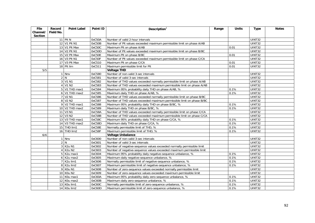| File     | Record    | <b>Point Label</b>                   | Point ID | Description $1$                                                        | Range | <b>Units</b> | <b>Type</b>   | <b>Notes</b> |
|----------|-----------|--------------------------------------|----------|------------------------------------------------------------------------|-------|--------------|---------------|--------------|
| Channel/ | Field No. |                                      |          |                                                                        |       |              |               |              |
| Section  |           |                                      |          |                                                                        |       |              |               |              |
|          |           | $11$ PIt N                           | 0xC50A   | Number of valid 2-hour intervals                                       |       |              | UINT32        |              |
|          |           | 12 V1 Plt N1                         | 0xC50B   | Number of Plt values exceeded maximum permissible limit on phase A/AB  |       |              | <b>UINT32</b> |              |
|          |           | 13 V1 Plt Max                        | 0xC50C   | Maximum Plt on phase A/AB                                              |       | 0.01         | UINT32        |              |
|          |           | 14 V2 PIt N1                         | 0xC50D   | Number of Plt values exceeded maximum permissible limit on phase B/BC  |       |              | <b>UINT32</b> |              |
|          |           | 15 V2 Plt Max                        | 0xC50E   | Maximum Plt on phase B/BC                                              |       | 0.01         | UINT32        |              |
|          |           | 16 V3 Plt N1                         | 0xC50F   | Number of Plt values exceeded maximum permissible limit on phase C/CA  |       |              | <b>UINT32</b> |              |
|          |           | 17 V3 Plt Max                        | 0xC510   | Maximum Plt on phase C/CA                                              |       | 0.01         | UINT32        |              |
|          |           | 18 Plt lim                           | 0xC511   | Maximum permissible limit for Plt                                      |       | 0.01         | UINT32        |              |
| 5/5      |           |                                      |          | <b>Voltage THD</b>                                                     |       |              |               |              |
|          |           | 1 Nnv                                | 0xC580   | Number of non-valid 3-sec intervals                                    |       |              | <b>UINT32</b> |              |
|          |           | 2 N                                  | 0xC581   | Number of valid 3-sec intervals                                        |       |              | <b>UINT32</b> |              |
|          |           | 3 V1 N1                              | 0xC582   | Number of THD values exceeded normally permissible limit on phase A/AB |       |              | <b>UINT32</b> |              |
|          |           | 4 V1 N2                              | 0xC583   | Number of THD values exceeded maximum permissible limit on phase A/AB  |       |              | UINT32        |              |
|          |           | 5 V1 THD max1                        | 0xC584   | Maximum 95% probability daily THD on phase A/AB, %                     |       | 0.1%         | UINT32        |              |
|          |           | 6 V1 THD max2                        | 0xC585   | Maximum daily THD on phase A/AB, %                                     |       | 0.1%         | UINT32        |              |
|          |           | 7 V2 N1                              | 0xC586   | Number of THD values exceeded normally permissible limit on phase B/BC |       |              | UINT32        |              |
|          |           | 8 V2 N2                              | 0xC587   | Number of THD values exceeded maximum permissible limit on phase B/BC  |       |              | UINT32        |              |
|          |           | 9 V2 THD max1                        | 0xC588   | Maximum 95% probability daily THD on phase B/BC, %                     |       | 0.1%         | <b>UINT32</b> |              |
|          |           | 10 V2 THD max2                       | 0xC589   | Maximum daily THD on phase B/BC, %                                     |       | 0.1%         | <b>UINT32</b> |              |
|          |           | 11 V3 N1                             | 0xC58A   | Number of THD values exceeded normally permissible limit on phase C/CA |       |              | UINT32        |              |
|          |           | 12 V3 N2                             | 0xC58B   | Number of THD values exceeded maximum permissible limit on phase C/CA  |       |              | UINT32        |              |
|          |           | 13 V3 THD max1                       | 0xC58C   | Maximum 95% probability daily THD on phase C/CA, %                     |       | 0.1%         | UINT32        |              |
|          |           | 14 V3 THD max2                       | 0xC58D   | Maximum daily THD on phase C/CA, %                                     |       | 0.1%         | UINT32        |              |
|          |           | 15 THD lim1                          | 0xC58E   | Normally permissible limit of THD, %                                   |       | 0.1%         | UINT32        |              |
|          |           | 16 THD lim2                          | 0xC58F   | Maximum permissible limit of THD, %                                    |       | 0.1%         | UINT32        |              |
| 6/6      |           |                                      |          | <b>Voltage Unbalance</b>                                               |       |              |               |              |
|          |           | Nnv                                  | 0xC600   | Number of non-valid 3-sec intervals                                    |       |              | <b>UINT32</b> |              |
|          |           | 2N                                   | 0xC601   | Number of valid 3-sec intervals                                        |       |              | UINT32        |              |
|          |           | 3 K2u N1                             | 0xC602   | Number of negative-sequence values exceeded normally permissible limit |       |              | <b>UINT32</b> |              |
|          |           | 4 K2u N2                             | 0xC603   | Number of negative-sequence values exceeded maximum permissible limit  |       |              | <b>UINT32</b> |              |
|          |           | $5$ K <sub>2u</sub> max <sub>1</sub> | 0xC604   | Maximum 95% probability daily negative-sequence unbalance, %           |       | 0.1%         | <b>UINT32</b> |              |
|          |           | $6$ K2u max2                         | 0xC605   | Maximum daily negative-sequence unbalance, %                           |       | 0.1%         | UINT32        |              |
|          |           | 7 K2u lim1                           | 0xC606   | Normally permissible limit of negative-sequence unbalance, %           |       | 0.1%         | <b>UINT32</b> |              |
|          |           | 8 K2u lim2                           | 0xC607   | Maximum permissible limit of negative-sequence unbalance, %            |       | 0.1%         | <b>UINT32</b> |              |
|          |           | 9 K0u N1                             | 0xC608   | Number of zero-sequence values exceeded normally permissible limit     |       |              | UINT32        |              |
|          |           | 10 KOu N2                            | 0xC609   | Number of zero-sequence values exceeded maximum permissible limit      |       |              | <b>UINT32</b> |              |
|          |           | 11 KOu max1                          | 0xC60A   | Maximum 95% probability daily zero-sequence unbalance, %               |       | 0.1%         | UINT32        |              |
|          |           | 12 KOu max2                          | 0xC60B   | Maximum daily zero-sequence unbalance, %                               |       | 0.1%         | UINT32        |              |
|          |           | 13 KOu lim1                          | 0xC60C   | Normally permissible limit of zero-sequence unbalance, %               |       | 0.1%         | UINT32        |              |
|          |           | 14 KOu lim2                          | 0xC60D   | Maximum permissible limit of zero-sequence unbalance, %                |       | 0.1%         | UINT32        |              |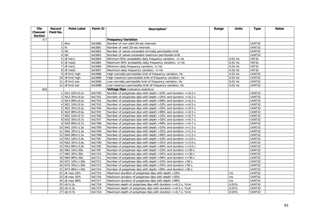| <b>File</b> | Record         | <b>Point Label</b> | Point ID | Description $1$                                                         | Range | <b>Units</b> | <b>Type</b>          | <b>Notes</b> |
|-------------|----------------|--------------------|----------|-------------------------------------------------------------------------|-------|--------------|----------------------|--------------|
| Channel/    | Field No.      |                    |          |                                                                         |       |              |                      |              |
| Section     |                |                    |          |                                                                         |       |              |                      |              |
| 7/7         |                |                    |          | <b>Frequency Variation</b>                                              |       |              |                      |              |
|             |                | 1 Nnv              | 0xC680   | Number of non-valid 20-sec intervals                                    |       |              | $\overline{UINT}$ 32 |              |
|             | $\overline{2}$ | ${\sf N}$          | 0xC681   | Number of valid 20-sec intervals                                        |       |              | <b>UINT32</b>        |              |
|             |                | $3$ $N1$           | 0xC682   | Number of values exceeded normally permissible limit                    |       |              | UINT32               |              |
|             |                | 4 N2               | 0xC683   | Number of values exceeded maximum permissible limit                     |       |              | <b>UINT32</b>        |              |
|             |                | $5$ df min1        | 0xC684   | Minimum 95% probability daily frequency variation, +/-Hz                |       | $0.01$ Hz    | <b>INT32</b>         |              |
|             |                | $6$ df max1        | 0xC685   | Maximum 95% probability daily frequency variation, +/-Hz                |       | $0.01$ Hz    | <b>INT32</b>         |              |
|             |                | $7$ df min2        | 0xC686   | Minimum daily frequency variation, +/-Hz                                |       | $0.01$ Hz    | <b>INT32</b>         |              |
|             |                | $8$ df max2        | 0xC687   | Maximum daily frequency variation, +/-Hz                                |       | $0.01$ Hz    | INT32                |              |
|             |                | 9 df lim1 high     | 0xC688   | High normally permissible limit of frequency variation, Hz              |       | $0.01$ Hz    | <b>UINT32</b>        |              |
|             |                | 10 df lim2 high    | 0xC689   | High maximum permissible limit of frequency variation, Hz               |       | $0.01$ Hz    | UINT32               |              |
|             |                | 11 df lim1 low     | 0xC68A   | Low normally permissible limit of frequency variation, Hz               |       | $0.01$ Hz    | UINT32               |              |
|             |                | 12 df lim2 low     | OxC68B   | Low maximum permissible limit of frequency variation, Hz                |       | $0.01$ Hz    | UINT32               |              |
| 8/8         |                |                    |          | Voltage Dips (indicative statistics)                                    |       |              |                      |              |
|             |                | 1 N11 10%/0.2s     | 0xC700   | Number of polyphase dips with depth $>10\%$ and duration $<-0.2$ s      |       |              | UINT32               |              |
|             |                | 2 N12 35%/0,2s     | 0xC701   | Number of polyphase dips with depth $>35\%$ and duration $<=0.2$ s      |       |              | UINT32               |              |
|             |                | 3 N13 99%/0,2s     | 0xC702   | Number of polyphase dips with depth >99% and duration <= 0.2 s          |       |              | UINT32               |              |
|             |                | 4 N21 10%/0.5s     | 0xC703   | Number of polyphase dips with depth >10% and duration <= 0.5 s          |       |              | UINT32               |              |
|             |                | 5 N22 35%/0,5s     | 0xC704   | Number of polyphase dips with depth > 35% and duration <= 0.5 s         |       |              | UINT32               |              |
|             |                | 6 N23 99%/0,5s     | 0xC705   | Number of polyphase dips with depth >99% and duration $\epsilon$ =0.5 s |       |              | UINT32               |              |
|             |                | 7 N31 10%/0.7s     | 0xC706   | Number of polyphase dips with depth $>10\%$ and duration $<=0.7$ s      |       |              | <b>UINT32</b>        |              |
|             |                | 8 N32 35%/0,7s     | 0xC707   | Number of polyphase dips with depth $>35\%$ and duration $<=0.7$ s      |       |              | <b>UINT32</b>        |              |
|             |                | 9 N33 99%/0,7s     | 0xC708   | Number of polyphase dips with depth >99% and duration $\epsilon$ =0.7 s |       |              | UINT32               |              |
|             |                | 10 N41 10%/1.5s    | 0xC709   | Number of polyphase dips with depth >10% and duration <= 1.5 s          |       |              | UINT32               |              |
|             |                | 11 N42 35%/1,5s    | 0xC70A   | Number of polyphase dips with depth $>35\%$ and duration $\lt=1.5$ s    |       |              | <b>UINT32</b>        |              |
|             |                | 12 N43 99%/1,5s    | 0xC70B   | Number of polyphase dips with depth >99% and duration $\epsilon$ =1.5 s |       |              | <b>UINT32</b>        |              |
|             |                | 13 N51 10%/3.0s    | 0xC70C   | Number of polyphase dips with depth $>10\%$ and duration $\lt =3.0$ s   |       |              | <b>UINT32</b>        |              |
|             |                | 14 N52 35%/3,0s    | 0xC70D   | Number of polyphase dips with depth >35% and duration <= 3.0 s          |       |              | UINT32               |              |
|             |                | 15 N53 99%/3,0s    | 0xC70E   | Number of polyphase dips with depth >99% and duration $\epsilon$ =3.0 s |       |              | <b>UINT32</b>        |              |
|             |                | 16 N61 10%/30s     | 0xC70F   | Number of polyphase dips with depth $>10\%$ and duration $\lt$ =30 s    |       |              | UINT32               |              |
|             |                | 17 N62 35%/30s     | 0xC710   | Number of polyphase dips with depth $>35\%$ and duration $\lt$ =30 s    |       |              | UINT32               |              |
|             |                | 18 N63 99%/30s     | 0xC711   | Number of polyphase dips with depth >99% and duration <= 30 s           |       |              | UINT32               |              |
|             |                | 19 N71 10%/>30s    | 0xC712   | Number of polyphase dips with depth >10% and duration >30 s             |       |              | <b>UINT32</b>        |              |
|             |                | 20 N72 35%/>30s    | 0xC713   | Number of polyphase dips with depth >35% and duration >30 s             |       |              | UINT32               |              |
|             |                | 21 N73 99%/>30s    | 0xC714   | Number of polyphase dips with depth >99% and duration >30 s             |       |              | UINT32               |              |
|             |                | 22 dt max 10%      | 0xC715   | Maximum duration of polyphase dips with depth >10%                      |       | ms           | UINT32               |              |
|             |                | 23 dt max 35%      | 0xC716   | Maximum duration of polyphase dips with depth >35%                      |       | ms           | <b>UINT32</b>        |              |
|             |                | 24 dt max 99%      | 0xC717   | Maximum duration of polyphase dips with depth >99%                      |       | ms           | <b>UINT32</b>        |              |
|             |                | 25 dU 0.2s         | 0xC718   | Maximum depth of polyphase dips with duration <= 0.2 s, %Un             |       | 0.01%        | <b>UINT32</b>        |              |
|             |                | 26 dU 0.5s         | 0xC719   | Maximum depth of polyphase dips with duration $\epsilon$ =0.5 s, %Un    |       | 0.01%        | UINT32               |              |
|             |                | 27 dU 0.7s         | 0xC71A   | Maximum depth of polyphase dips with duration $\epsilon$ =0.7 s, %Un    |       | 0.01%        | UINT32               |              |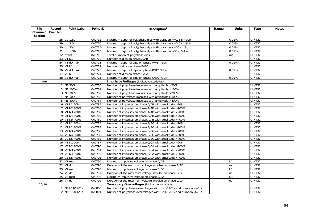| <b>File</b> | Record    | <b>Point Label</b>       | Point ID         | Description $1$                                                      | Range | <b>Units</b>   | <b>Type</b>                    | <b>Notes</b> |
|-------------|-----------|--------------------------|------------------|----------------------------------------------------------------------|-------|----------------|--------------------------------|--------------|
| Channel/    | Field No. |                          |                  |                                                                      |       |                |                                |              |
| Section     |           |                          |                  |                                                                      |       |                |                                |              |
|             |           | 28 dU 1.5s<br>29 dU 3.0s | 0xC71B<br>0xC71C | Maximum depth of polyphase dips with duration $\epsilon$ =1.5 s, %Un |       | 0.01%<br>0.01% | <b>UINT32</b><br><b>UINT32</b> |              |
|             |           | 30 dU 30s                | 0xC71D           | Maximum depth of polyphase dips with duration $\epsilon$ =3.0 s, %Un |       | 0.01%          | <b>UINT32</b>                  |              |
|             |           |                          |                  | Maximum depth of polyphase dips with duration $\epsilon$ =30 s, %Un  |       |                |                                |              |
|             |           | $31$ dU $>30s$           | 0xC71E           | Maximum depth of polyphase dips with duration > 30 s, %Un            |       | 0.01%          | UINT32                         |              |
|             |           | $32$ dt tot              | 0xC71F           | Total duration of polyphase dips                                     |       | ms             | <b>UINT32</b>                  |              |
|             |           | 33 V1 N1                 | 0xC720           | Number of dips on phase A/AB                                         |       |                | <b>UINT32</b>                  |              |
|             |           | 34 V1 dU max             | 0xC721           | Maximum depth of dips on phase A/AB, %Un                             |       | 0.01%          | <b>UINT32</b>                  |              |
|             |           | 35 V2 N1                 | 0xC722           | Number of dips on phase B/BC                                         |       |                | UINT32                         |              |
|             |           | 36 V2 dU max             | 0xC723           | Maximum depth of dips on phase B/BC, %Un                             |       | 0.01%          | <b>UINT32</b>                  |              |
|             |           | 37 V3 N1                 | 0xC724           | Number of dips on phase C/CA                                         |       |                | UINT32                         |              |
|             |           | 38 V3 dU max             | 0xC725           | Maximum depth of dips on phase C/CA, %Un                             |       | 0.01%          | <b>UINT32</b>                  |              |
| 9/9         |           |                          |                  | <b>Impulsive Voltages (indicative statistics)</b>                    |       |                |                                |              |
|             |           | 1 N1 20%                 | 0xC780           | Number of polyphase impulses with amplitude >20%                     |       |                | <b>UINT32</b>                  |              |
|             |           | 2 N2 100%                | 0xC781           | Number of polyphase impulses with amplitude >100%                    |       |                | UINT32                         |              |
|             |           | 3 N3 200%                | 0xC782           | Number of polyphase impulses with amplitude >200%                    |       |                | <b>UINT32</b>                  |              |
|             |           | 4 N4 300%                | 0xC783           | Number of polyphase impulses with amplitude >300%                    |       |                | <b>UINT32</b>                  |              |
|             |           | 5 N5 400%                | 0xC784           | Number of polyphase impulses with amplitude >400%                    |       |                | <b>UINT32</b>                  |              |
|             |           | 6 V1 N1 20%              | 0xC785           | Number of impulses on phase A/AB with amplitude >20%                 |       |                | UINT32                         |              |
|             |           | 7 V1 N2 100%             | 0xC786           | Number of impulses on phase A/AB with amplitude >100%                |       |                | <b>UINT32</b>                  |              |
|             |           | 8 V1 N3 200%             | 0xC787           | Number of impulses on phase A/AB with amplitude >200%                |       |                | <b>UINT32</b>                  |              |
|             |           | 9 V1 N4 300%             | 0xC788           | Number of impulses on phase A/AB with amplitude >300%                |       |                | UINT32                         |              |
|             |           | 10 V1 N5 400%            | 0xC789           | Number of impulses on phase A/AB with amplitude >400%                |       |                | <b>UINT32</b>                  |              |
|             |           | 11 V2 N1 20%             | 0xC78A           | Number of impulses on phase B/BC with amplitude >20%                 |       |                | UINT32                         |              |
|             |           | 12 V2 N2 100%            | 0xC78B           | Number of impulses on phase B/BC with amplitude >100%                |       |                | UINT32                         |              |
|             |           | 13 V2 N3 200%            | 0xC78C           | Number of impulses on phase B/BC with amplitude >200%                |       |                | <b>UINT32</b>                  |              |
|             |           | 14 V2 N4 300%            | 0xC78D           | Number of impulses on phase B/BC with amplitude > 300%               |       |                | <b>UINT32</b>                  |              |
|             |           | 15 V2 N5 400%            | 0xC78E           | Number of impulses on phase B/BC with amplitude >400%                |       |                | UINT32                         |              |
|             |           | 16 V3 N1 20%             | 0xC78F           | Number of impulses on phase C/CA with amplitude >20%                 |       |                | UINT32                         |              |
|             |           | 17 V3 N2 100%            | 0xC790           | Number of impulses on phase C/CA with amplitude >100%                |       |                | UINT32                         |              |
|             |           | 18 V3 N3 200%            | 0xC791           | Number of impulses on phase C/CA with amplitude >200%                |       |                | UINT32                         |              |
|             |           | 19 V3 N4 300%            | 0xC792           | Number of impulses on phase C/CA with amplitude >300%                |       |                | UINT32                         |              |
|             |           | 20 V3 N5 400%            | 0xC793           | Number of impulses on phase C/CA with amplitude >400%                |       |                | <b>UINT32</b>                  |              |
|             |           | 21 V1 max                | 0xC794           | Maximum impulsive voltage on phase A/AB                              |       | U1             | UINT32                         |              |
|             |           | 22 V1 dt                 | 0xC795           | Duration of the maximum voltage impulse on phase A/AB                |       | us             | UINT32                         |              |
|             |           | 23 V2 max                | 0xC796           | Maximum impulsive voltage on phase B/BC                              |       | U1             | UINT32                         |              |
|             |           | 24 V2 dt                 | 0xC797           | Duration of the maximum voltage impulse on phase B/BC                |       | us             | UINT32                         |              |
|             |           | 25 V3 max                | 0xC798           | Maximum impulsive voltage on phase C/CA                              |       | U1             | UINT32                         |              |
|             |           | 26 V4 dt                 | 0xC799           | Duration of the maximum voltage impulse on phase C/CA                |       | us             | UINT32                         |              |
| 10/10       |           |                          |                  | Temporary Overvoltages (indicative statistics)                       |       |                |                                |              |
|             |           | 1 N11 110%/1s            | 0xC800           | Number of polyphase overvoltages with Ua >110% and duration <= 1 s   |       |                | UINT32                         |              |
|             |           | 2 N12 120%/1s            | 0xC801           | Number of polyphase overvoltages with Ua >120% and duration <= 1 s   |       |                | UINT32                         |              |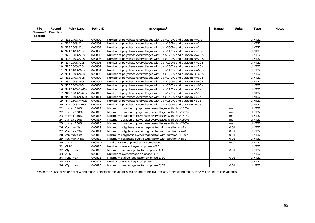| File           | Record    | <b>Point Label</b> | Point ID | Description $1$                                                              | Range | <b>Units</b> | <b>Type</b>   | <b>Notes</b> |
|----------------|-----------|--------------------|----------|------------------------------------------------------------------------------|-------|--------------|---------------|--------------|
| Channel/       | Field No. |                    |          |                                                                              |       |              |               |              |
| <b>Section</b> |           |                    |          |                                                                              |       |              |               |              |
|                |           | 3 N13 140%/1s      | 0xC802   | Number of polyphase overvoltages with Ua > 140% and duration $\epsilon$ =1 s |       |              | <b>UINT32</b> |              |
|                |           | 4 N14 160%/1s      | 0xC803   | Number of polyphase overvoltages with Ua > 160% and duration $\leq 1$ s      |       |              | <b>UINT32</b> |              |
|                |           | 5 N15 200%/1s      | 0xC804   | Number of polyphase overvoltages with Ua $>$ 200% and duration $\lt$ = 1 s   |       |              | UINT32        |              |
|                |           | 6 N21 110%/20s     | 0xC805   | Number of polyphase overvoltages with Ua $>110\%$ and duration $<=20s$       |       |              | UINT32        |              |
|                |           | 7 N22 120%/20s     | 0xC806   | Number of polyphase overvoltages with Ua >120% and duration <= 20 s          |       |              | <b>UINT32</b> |              |
|                |           | 8 N23 140%/20s     | 0xC807   | Number of polyphase overvoltages with Ua $>140\%$ and duration $<-20$ s      |       |              | <b>UINT32</b> |              |
|                |           | 9 N24 160%/20s     | 0xC808   | Number of polyphase overvoltages with Ua $>160\%$ and duration $\lt = 20$ s  |       |              | UINT32        |              |
|                |           | 10 N25 200%/20s    | 0xC809   | Number of polyphase overvoltages with Ua $>$ 200% and duration $\lt$ = 20 s  |       |              | UINT32        |              |
|                |           | 11 N31 110%/60s    | 0xC80A   | Number of polyphase overvoltages with Ua $>110\%$ and duration $<=60$ s      |       |              | UINT32        |              |
|                |           | 12 N31 120%/60s    | 0xC80B   | Number of polyphase overvoltages with Ua $>120\%$ and duration $\lt$ =60 s   |       |              | <b>UINT32</b> |              |
|                |           | 13 N33 140%/60s    | 0xC80C   | Number of polyphase overvoltages with Ua $>140\%$ and duration $\lt$ =60 s   |       |              | <b>UINT32</b> |              |
|                |           | 14 N34 160%/60s    | 0xC80D   | Number of polyphase overvoltages with Ua $>160\%$ and duration $<=60$ s      |       |              | <b>UINT32</b> |              |
|                |           | 15 N35 200%/60s    | 0xC80E   | Number of polyphase overvoltages with Ua $>$ 200% and duration $\lt$ = 60 s  |       |              | UINT32        |              |
|                |           | 16 N41 110%/>60s   | 0xC80F   | Number of polyphase overvoltages with Ua > 110% and duration > 60 s          |       |              | <b>UINT32</b> |              |
|                |           | 17 N42 120%/>60s   | 0xC810   | Number of polyphase overvoltages with Ua >120% and duration >60 s            |       |              | UINT32        |              |
|                |           | 18 N43 140%/>60s   | 0xC811   | Number of polyphase overvoltages with Ua >140% and duration >60 s            |       |              | UINT32        |              |
|                |           | 19 N44 160%/>60s   | 0xC812   | Number of polyphase overvoltages with Ua >160% and duration >60 s            |       |              | <b>UINT32</b> |              |
|                |           | 20 N45 200%/>60s   | 0xC813   | Number of polyphase overvoltages with Ua > 200% and duration >60 s           |       |              | <b>UINT32</b> |              |
|                |           | 21 dt max 110%     | 0xC814   | Maximum duration of polyphase overvoltages with Ua >110%                     |       | ms           | <b>UINT32</b> |              |
|                |           | 22 dt max 120%     | 0xC815   | Maximum duration of polyphase overvoltages with Ua >120%                     |       | ms           | UINT32        |              |
|                |           | 23 dt max 140%     | 0xC816   | Maximum duration of polyphase overvoltages with Ua >140%                     |       | ms           | UINT32        |              |
|                |           | 24 dt max 160%     | 0xC817   | Maximum duration of polyphase overvoltages with Ua >160%                     |       | ms           | UINT32        |              |
|                |           | 25 dt max 200%     | 0xC818   | Maximum duration of polyphase overvoltages with Ua >200%                     |       | ms           | <b>UINT32</b> |              |
|                |           | 26 Vpu max 1s      | 0xC819   | Maximum polyphase overvoltage factor with duration $\epsilon$ =1 s           |       | 0.01         | <b>UINT32</b> |              |
|                |           | 27 Vpu max 20s     | 0xC81A   | Maximum polyphase overvoltage factor with duration <= 20 s                   |       | 0.01         | UINT32        |              |
|                |           | 28 Vpu max 60s     | 0xC81B   | Maximum polyphase overvoltage factor with duration $\epsilon$ =60 s          |       | 0.01         | UINT32        |              |
|                |           | 29 Vpu max $>60s$  | 0xC81C   | Maximum polyphase overvoltage factor with duration >60 s                     |       | 0.01         | UINT32        |              |
|                |           | $30$ dt tot        | 0xC81D   | Total duration of polyphase overvoltages                                     |       | ms           | UINT32        |              |
|                |           | 31 V1 N1           | 0xC81E   | Number of overvoltages on phase A/AB                                         |       |              | UINT32        |              |
|                |           | 32 V1pu max        | 0xC81F   | Maximum overvoltage factor on phase A/AB                                     |       | 0.01         | UINT32        |              |
|                |           | 33 V2 N1           | 0xC820   | Number of overvoltages on phase B/BC                                         |       |              | UINT32        |              |
|                |           | 34 V2pu max        | 0xC821   | Maximum overvoltage factor on phase B/BC                                     |       | 0.01         | UINT32        |              |
|                |           | 35 V3 N1           | 0xC822   | Number of overvoltages on phase C/CA                                         |       |              | UINT32        |              |
|                |           | 36 V3pu max        | 0xC823   | Maximum overvoltage factor on phase C/CA                                     |       | 0.01         | <b>UINT32</b> |              |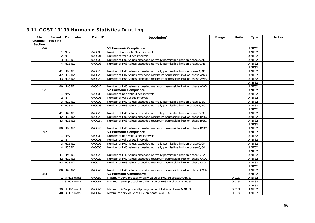| <b>File</b>    |           | Record Point Label                | Point ID | Description <sup>1</sup>                                               | Range | <b>Units</b> | <b>Type</b>   | <b>Notes</b> |
|----------------|-----------|-----------------------------------|----------|------------------------------------------------------------------------|-------|--------------|---------------|--------------|
| Channel/       | Field No. |                                   |          |                                                                        |       |              |               |              |
| <b>Section</b> |           |                                   |          |                                                                        |       |              |               |              |
| 0/0            |           |                                   |          | V1 Harmonic Compliance                                                 |       |              | <b>UINT32</b> |              |
|                |           | 1 Nnv                             | 0xCC00   | Number of non-valid 3-sec intervals                                    |       |              | <b>UINT32</b> |              |
|                |           | 2 N                               | 0xCC01   | Number of valid 3-sec intervals                                        |       |              | UINT32        |              |
|                |           | 3 H <sub>02</sub> N <sub>1</sub>  | 0xCC02   | Number of H02 values exceeded normally permissible limit on phase A/AB |       |              | <b>UINT32</b> |              |
|                |           | 4 H03 N1                          | 0xCC03   | Number of H03 values exceeded normally permissible limit on phase A/AB |       |              | UINT32        |              |
|                |           |                                   |          |                                                                        |       |              | UINT32        |              |
|                |           | 41 H40 N1                         | 0xCC28   | Number of H40 values exceeded normally permissible limit on phase A/AB |       |              | UINT32        |              |
|                |           | 42 H02 N2                         | 0xCC29   | Number of H02 values exceeded maximum permissible limit on phase A/AB  |       |              | <b>UINT32</b> |              |
|                |           | 43 H03 N2                         | 0xCC2A   | Number of H03 values exceeded maximum permissible limit on phase A/AB  |       |              | <b>UINT32</b> |              |
|                |           |                                   |          |                                                                        |       |              | UINT32        |              |
|                |           | 80 H40 N2                         | 0xCC4F   | Number of H40 values exceeded maximum permissible limit on phase A/AB  |       |              | UINT32        |              |
| 1/1            |           |                                   |          | <b>V2 Harmonic Compliance</b>                                          |       |              | UINT32        |              |
|                |           | $1$ Nnv                           | 0xCC00   | Number of non-valid 3-sec intervals                                    |       |              | <b>UINT32</b> |              |
|                |           | 2 N                               | 0xCC01   | Number of valid 3-sec intervals                                        |       |              | <b>UINT32</b> |              |
|                |           | 3 H <sub>02</sub> N <sub>1</sub>  | 0xCC02   | Number of H02 values exceeded normally permissible limit on phase B/BC |       |              | UINT32        |              |
|                |           | 4 H03 N1                          | 0xCC03   | Number of H03 values exceeded normally permissible limit on phase B/BC |       |              | <b>UINT32</b> |              |
|                |           |                                   |          |                                                                        |       |              | UINT32        |              |
|                |           | 41 H40 N1                         | 0xCC28   | Number of H40 values exceeded normally permissible limit on phase B/BC |       |              | <b>UINT32</b> |              |
|                |           | 42 H <sub>02</sub> N <sub>2</sub> | 0xCC29   | Number of H02 values exceeded maximum permissible limit on phase B/BC  |       |              | UINT32        |              |
|                |           | 43 H03 N2                         | 0xCC2A   | Number of H03 values exceeded maximum permissible limit on phase B/BC  |       |              | UINT32        |              |
|                |           |                                   |          |                                                                        |       |              | UINT32        |              |
|                |           | 80 H40 N2                         | 0xCC4F   | Number of H40 values exceeded maximum permissible limit on phase B/BC  |       |              | <b>UINT32</b> |              |
| 2/2            |           |                                   |          | V3 Harmonic Compliance                                                 |       |              | <b>UINT32</b> |              |
|                |           | 1 Nnv                             | 0xCC00   | Number of non-valid 3-sec intervals                                    |       |              | <b>UINT32</b> |              |
|                |           | 2 N                               | 0xCC01   | Number of valid 3-sec intervals                                        |       |              | UINT32        |              |
|                |           | 3 H <sub>02</sub> N <sub>1</sub>  | 0xCC02   | Number of H02 values exceeded normally permissible limit on phase C/CA |       |              | UINT32        |              |
|                |           | 4 H03 N1                          | 0xCC03   | Number of H03 values exceeded normally permissible limit on phase C/CA |       |              | UINT32        |              |
|                |           |                                   |          |                                                                        |       |              | <b>UINT32</b> |              |
|                |           | 41 H40 N1                         | 0xCC28   | Number of H40 values exceeded normally permissible limit on phase C/CA |       |              | UINT32        |              |
|                |           | 42 H02 N2                         | 0xCC29   | Number of H02 values exceeded maximum permissible limit on phase C/CA  |       |              | <b>UINT32</b> |              |
|                |           | 43 H03 N2                         | 0xCC2A   | Number of H03 values exceeded maximum permissible limit on phase C/CA  |       |              | UINT32        |              |
|                |           |                                   |          |                                                                        |       |              | <b>UINT32</b> |              |
|                |           | 80 H40 N2                         | 0xCC4F   | Number of H40 values exceeded maximum permissible limit on phase C/CA  |       |              | UINT32        |              |
| 3/3            |           |                                   |          | <b>V1 Harmonic Components</b>                                          |       |              | UINT32        |              |
|                |           | 1 %H02 max1                       | 0xCC80   | Maximum 95% probability daily value of H02 on phase A/AB, %            |       | 0.01%        | <b>UINT32</b> |              |
|                |           | 2 %H03 max1                       | OxCC81   | Maximum 95% probability daily value of H03 on phase A/AB, %            |       | 0.01%        | <b>UINT32</b> |              |
|                |           |                                   |          |                                                                        |       |              | <b>UINT32</b> |              |
|                |           | 39 %H40 max1                      | 0xCCA6   | Maximum 95% probability daily value of H40 on phase A/AB, %            |       | 0.01%        | UINT32        |              |
|                |           | 40 %H02 max2                      | OxCCA7   | Maximum daily value of H02 on phase A/AB, %                            |       | 0.01%        | UINT32        |              |
|                |           |                                   |          |                                                                        |       |              |               |              |

### 3.11 GOST 13109 Harmonic Statistics Data Log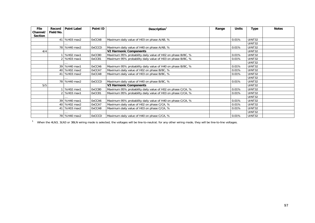| <b>File</b>    | Record    | <b>Point Label</b> | Point ID      | Description $1$                                             | Range | <b>Units</b> | Type          | <b>Notes</b> |
|----------------|-----------|--------------------|---------------|-------------------------------------------------------------|-------|--------------|---------------|--------------|
| Channel/       | Field No. |                    |               |                                                             |       |              |               |              |
| <b>Section</b> |           |                    |               |                                                             |       |              |               |              |
|                |           | 41 %H03 max2       | 0xCCA8        | Maximum daily value of H03 on phase A/AB, %                 |       | 0.01%        | UINT32        |              |
|                |           |                    |               |                                                             |       |              | UINT32        |              |
|                |           | 78 %H40 max2       | <b>OxCCCD</b> | Maximum daily value of H40 on phase A/AB, %                 |       | 0.01%        | UINT32        |              |
| 4/4            |           |                    |               | <b>V2 Harmonic Components</b>                               |       |              | UINT32        |              |
|                |           | %H02 max1          | 0xCC80        | Maximum 95% probability daily value of H02 on phase B/BC, % |       | 0.01%        | UINT32        |              |
|                |           | %H03 max1          | 0xCC81        | Maximum 95% probability daily value of H03 on phase B/BC, % |       | 0.01%        | UINT32        |              |
|                |           |                    |               |                                                             |       |              | UINT32        |              |
|                |           | 39 %H40 max1       | 0xCCA6        | Maximum 95% probability daily value of H40 on phase B/BC, % |       | 0.01%        | UINT32        |              |
|                |           | 40 %H02 max2       | 0xCCA7        | Maximum daily value of H02 on phase B/BC, %                 |       | 0.01%        | UINT32        |              |
|                |           | 41   %H03 max2     | 0xCCA8        | Maximum daily value of H03 on phase B/BC, %                 |       | 0.01%        | UINT32        |              |
|                |           |                    |               |                                                             |       |              | UINT32        |              |
|                |           | 78 %H40 max2       | <b>OxCCCD</b> | Maximum daily value of H40 on phase B/BC, %                 |       | 0.01%        | UINT32        |              |
| 5/5            |           |                    |               | <b>V3 Harmonic Components</b>                               |       |              | UINT32        |              |
|                |           | %H02 max1          | 0xCC80        | Maximum 95% probability daily value of H02 on phase C/CA, % |       | 0.01%        | UINT32        |              |
|                |           | %H03 max1          | 0xCC81        | Maximum 95% probability daily value of H03 on phase C/CA, % |       | 0.01%        | UINT32        |              |
|                |           |                    |               |                                                             |       |              | UINT32        |              |
|                |           | 39 %H40 max1       | 0xCCA6        | Maximum 95% probability daily value of H40 on phase C/CA, % |       | 0.01%        | <b>UINT32</b> |              |
|                |           | 40 %H02 max2       | 0xCCA7        | Maximum daily value of H02 on phase C/CA, %                 |       | 0.01%        | UINT32        |              |
|                |           | 41 %H03 max2       | 0xCCA8        | Maximum daily value of H03 on phase C/CA, %                 |       | 0.01%        | UINT32        |              |
|                |           |                    |               |                                                             |       |              | UINT32        |              |
|                |           | 78 %H40 max2       | <b>OxCCCD</b> | Maximum daily value of H40 on phase C/CA, %                 |       | 0.01%        | UINT32        |              |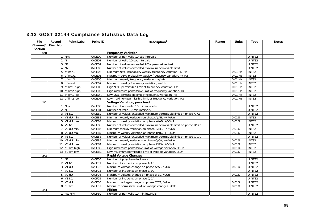| File     | Record    | <b>Point Label</b>       | Point ID      | Description <sup>1</sup>                                          | Range | <b>Units</b> | <b>Type</b>   | <b>Notes</b> |
|----------|-----------|--------------------------|---------------|-------------------------------------------------------------------|-------|--------------|---------------|--------------|
| Channel/ | Field No. |                          |               |                                                                   |       |              |               |              |
| Section  |           |                          |               |                                                                   |       |              |               |              |
| 0/0      |           |                          |               | <b>Frequency Variation</b>                                        |       |              |               |              |
|          |           | 1 Nnv                    | 0xCE00        | Number of non-valid 10-sec intervals                              |       |              | <b>UINT32</b> |              |
|          |           | 2 N                      | 0xCE01        | Number of valid 10-sec intervals                                  |       |              | UINT32        |              |
|          |           | 3 N1                     | 0xCE02        | Number of values exceeded 95% permissible limit                   |       |              | <b>UINT32</b> |              |
|          |           | 4 N2                     | 0xCE03        | Number of values exceeded maximum permissible limit               |       |              | UINT32        |              |
|          |           | $5$ df min1              | 0xCE04        | Minimum 95% probability weekly frequency variation, +/-Hz         |       | 0.01 Hz      | <b>INT32</b>  |              |
|          |           | $6$ df max1              | 0xCE05        | Maximum 95% probability weekly frequency variation, +/-Hz         |       | $0.01$ Hz    | <b>INT32</b>  |              |
|          |           | 7 df min2                | 0xCE06        | Minimum weekly frequency variation, +/-Hz                         |       | $0.01$ Hz    | <b>INT32</b>  |              |
|          |           | 8 df max2                | 0xCE07        | Maximum weekly frequency variation, +/-Hz                         |       | $0.01$ Hz    | INT32         |              |
|          |           | 9 df lim1 high           | 0xCE08        | High 95% permissible limit of frequency variation, Hz             |       | $0.01$ Hz    | <b>INT32</b>  |              |
|          |           | 10 df lim2 high          | 0xCE09        | High maximum permissible limit of frequency variation, Hz         |       | $0.01$ Hz    | <b>INT32</b>  |              |
|          |           | 11 $df$ lim1 low         | <b>OxCEOA</b> | Low 95% permissible limit of frequency variation, Hz              |       | $0.01$ Hz    | <b>INT32</b>  |              |
|          |           | 12 df lim2 low           | <b>OxCEOB</b> | Low maximum permissible limit of frequency variation, Hz          |       | $0.01$ Hz    | <b>INT32</b>  |              |
| 1/1      |           |                          |               | <b>Voltage Variation, peak load</b>                               |       |              |               |              |
|          |           | 1 Nnv                    | 0xCE80        | Number of non-valid 10-min intervals                              |       |              | UINT32        |              |
|          |           | 2 N                      | 0xCE81        | Number of valid 10-min intervals                                  |       |              | UINT32        |              |
|          |           | 3 V1 N1                  | 0xCE82        | Number of values exceeded maximum permissible limit on phase A/AB |       |              | <b>UINT32</b> |              |
|          |           | $4$ V1 dU min            | 0xCE83        | Minimum weekly variation on phase A/AB, +/-%Un                    |       | 0.01%        | <b>INT32</b>  |              |
|          |           | 5 V1 dU max              | 0xCE84        | Maximum weekly variation on phase A/AB, +/-%Un                    |       | 0.01%        | <b>INT32</b>  |              |
|          |           | 6 V2 N1                  | 0xCE85        | Number of values exceeded maximum permissible limit on phase B/BC |       |              | UINT32        |              |
|          |           | $\overline{7}$ V2 dU min | 0xCE86        | Minimum weekly variation on phase B/BC, +/-%Un                    |       | 0.01%        | INT32         |              |
|          |           | 8 V2 dU max              | 0xCE87        | Maximum weekly variation on phase B/BC, +/-%Un                    |       | 0.01%        | <b>INT32</b>  |              |
|          |           | 9 V3 N1                  | 0xCE88        | Number of values exceeded maximum permissible limit on phase C/CA |       |              | UINT32        |              |
|          |           | 10 V3 dU min             | 0xCE89        | Minimum weekly variation on phase C/CA, +/-%Un                    |       | 0.01%        | <b>INT32</b>  |              |
|          |           | 11 V3 dU max             | OxCE8A        | Maximum weekly variation on phase C/CA, +/-%Un                    |       | 0.01%        | INT32         |              |
|          |           | 12 dU lim high           | 0xCE8B        | High maximum permissible limit of voltage variation, %Un          |       | 0.01%        | <b>INT32</b>  |              |
|          |           | 13 dU lim low            | 0xCE8C        | Low maximum permissible limit of voltage variation, %Un           |       | 0.01%        | <b>INT32</b>  |              |
| 2/2      |           |                          |               | <b>Rapid Voltage Changes</b>                                      |       |              |               |              |
|          |           | 1 N1                     | 0xCF00        | Number of polyphase incidents                                     |       |              | UINT32        |              |
|          |           | 2 V1 N1                  | 0xCF01        | Number of incidents on phase A/AB                                 |       |              | <b>UINT32</b> |              |
|          |           | $3$ V1 dU                | 0xCF02        | Maximum voltage change on phase A/AB, %Un                         |       | 0.01%        | <b>UINT32</b> |              |
|          |           | 4 V2 N1                  | 0xCF03        | Number of incidents on phase B/BC                                 |       |              | UINT32        |              |
|          |           | 5 V2 dU                  | 0xCF04        | Maximum voltage change on phase B/BC, %Un                         |       | 0.01%        | UINT32        |              |
|          |           | 6 V3 N1                  | 0xCF05        | Number of incidents on phase C/CA                                 |       |              | <b>UINT32</b> |              |
|          |           | 7 V3 dU                  | 0xCF06        | Maximum voltage change on phase C/CA, %Un                         |       | 0.01%        | UINT32        |              |
|          |           | 8 dU lim                 | 0xCF07        | Maximum permissible limit of voltage changes, Un%                 |       | 0.01%        | <b>UINT32</b> |              |
| 3/3      |           |                          |               | <b>Flicker</b>                                                    |       |              |               |              |
|          |           | 1 Pst Nnv                | 0xCF80        | Number of non-valid 10-min intervals                              |       |              | UINT32        |              |

## 3.12 GOST 32144 Compliance Statistics Data Log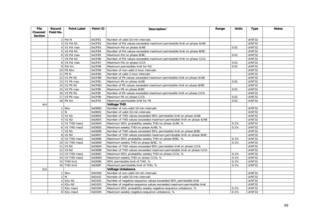| <b>File</b>    | Record    | <b>Point Label</b>                   | Point ID | Description $1$                                                       | Range | <b>Units</b> | <b>Type</b>   | <b>Notes</b> |
|----------------|-----------|--------------------------------------|----------|-----------------------------------------------------------------------|-------|--------------|---------------|--------------|
| Channel/       | Field No. |                                      |          |                                                                       |       |              |               |              |
| <b>Section</b> |           |                                      |          |                                                                       |       |              |               |              |
|                |           | 2 Pst N                              | 0xCF81   | Number of valid 10-min intervals                                      |       |              | UINT32        |              |
|                |           | 3 V1 Pst N1                          | 0xCF82   | Number of Pst values exceeded maximum permissible limit on phase A/AB |       |              | <b>UINT32</b> |              |
|                |           | $\overline{4}$ V1 Pst max            | 0xCF83   | Maximum Pst on phase A/AB                                             |       | 0.01         | <b>UINT32</b> |              |
|                |           | 5 V2 Pst N1                          | 0xCF84   | Number of Pst values exceeded maximum permissible limit on phase B/BC |       |              | UINT32        |              |
|                |           | 6 V2 Pst max                         | 0xCF85   | Maximum Pst on phase B/BC                                             |       | 0.01         | <b>UINT32</b> |              |
|                |           | 7 V3 Pst N1                          | 0xCF86   | Number of Pst values exceeded maximum permissible limit on phase C/CA |       |              | <b>UINT32</b> |              |
|                |           | 8 V3 Pst max                         | 0xCF87   | Maximum Pst on phase C/CA                                             |       | 0.01         | UINT32        |              |
|                |           | 9 Pst lim                            | 0xCF88   | Maximum permissible limit for Pst                                     |       | 0.01         | UINT32        |              |
|                |           | 10 Plt Nnv                           | 0xCF89   | Number of non-valid 2-hour intervals                                  |       |              | <b>UINT32</b> |              |
|                |           | 11 Plt N                             | 0xCF8A   | Number of valid 2-hour intervals                                      |       |              | <b>UINT32</b> |              |
|                |           | 12 V1 Plt N1                         | 0xCF8B   | Number of Plt values exceeded maximum permissible limit on phase A/AB |       |              | UINT32        |              |
|                |           | 13 V1 Plt max                        | 0xCF8C   | Maximum Plt on phase A/AB                                             |       | 0.01         | <b>UINT32</b> |              |
|                |           | 14 V2 Plt N1                         | 0xCF8D   | Number of Plt values exceeded maximum permissible limit on phase B/BC |       |              | <b>UINT32</b> |              |
|                |           | 15 V2 Plt max                        | 0xCF8E   | Maximum Plt on phase B/BC                                             |       | 0.01         | UINT32        |              |
|                |           | 16 V3 Plt N1                         | 0xCF8F   | Number of Plt values exceeded maximum permissible limit on phase C/CA |       |              | <b>UINT32</b> |              |
|                |           | 17 V3 Plt max                        | 0xCF90   | Maximum Plt on phase C/CA                                             |       | 0.01         | <b>UINT32</b> |              |
|                |           | 18 Plt lim                           | 0xCF91   | Maximum permissible limit for Plt                                     |       | 0.01         | UINT32        |              |
| 4/4            |           |                                      |          | <b>Voltage THD</b>                                                    |       |              |               |              |
|                |           | 1 Nnv                                | 0xD000   | Number of non-valid 10-min intervals                                  |       |              | <b>UINT32</b> |              |
|                |           | 2 N                                  | 0xD001   | Number of valid 10-min intervals                                      |       |              | UINT32        |              |
|                |           | 3 V1 N1                              | 0xD002   | Number of THD values exceeded 95% permissible limit on phase A/AB     |       |              | <b>UINT32</b> |              |
|                |           | 4 V1 N2                              | 0xD003   | Number of THD values exceeded maximum permissible limit on phase A/AB |       |              | UINT32        |              |
|                |           | 5 V1 THD max1                        | 0xD004   | Maximum 95% probability weekly THD on phase A/AB, %                   |       | 0.1%         | <b>UINT32</b> |              |
|                |           | 6 V1 THD max2                        | 0xD005   | Maximum weekly THD on phase A/AB, %                                   |       | 0.1%         | UINT32        |              |
|                |           | 7 V2 N1                              | 0xD006   | Number of THD values exceeded 95% permissible limit on phase B/BC     |       |              | <b>UINT32</b> |              |
|                |           | 8 V <sub>2</sub> N <sub>2</sub>      | 0xD007   | Number of THD values exceeded maximum permissible limit on phase B/BC |       |              | <b>UINT32</b> |              |
|                |           | 9 V2 THD max1                        | 0xD008   | Maximum 95% probability weekly THD on phase B/BC, %                   |       | 0.1%         | UINT32        |              |
|                |           | 10 V2 THD max2                       | 0xD009   | Maximum weekly THD on phase B/BC, %                                   |       | 0.1%         | UINT32        |              |
|                |           | 11 V3 N1                             | 0xD00A   | Number of THD values exceeded 95% permissible limit on phase C/CA     |       |              | UINT32        |              |
|                |           | 12 V3 N2                             | 0xD00B   | Number of THD values exceeded maximum permissible limit on phase C/CA |       |              | UINT32        |              |
|                |           | 13 V3 THD max1                       | 0xD00C   | Maximum 95% probability weekly THD on phase C/CA, %                   |       | 0.1%         | <b>UINT32</b> |              |
|                |           | 14 V3 THD max2                       | 0xD00D   | Maximum weekly THD on phase C/CA, %                                   |       | 0.1%         | UINT32        |              |
|                |           | 15 THD lim1                          | 0xD00E   | 95% permissible limit of THD, %                                       |       | 0.1%         | <b>UINT32</b> |              |
|                |           | 16 THD lim2                          | 0xD00F   | Maximum permissible limit of THD, %                                   |       | 0.1%         | UINT32        |              |
| 5/5            |           |                                      |          | <b>Voltage Unbalance</b>                                              |       |              |               |              |
|                |           | 1 Nnv                                | 0xD100   | Number of non-valid 10-min intervals                                  |       |              | <b>UINT32</b> |              |
|                |           | 2 N                                  | 0xD101   | Number of valid 10-min intervals                                      |       |              | UINT32        |              |
|                |           | 3 K2u N1                             | 0xD102   | Number of negative-sequence values exceeded 95% permissible limit     |       |              | <b>UINT32</b> |              |
|                |           | 4 K2u N2                             | 0xD103   | Number of negative-sequence values exceeded maximum permissible limit |       |              | <b>UINT32</b> |              |
|                |           | 5 K2u max1                           | 0xD104   | Maximum 95% probability weekly negative-sequence unbalance, %         |       | 0.1%         | UINT32        |              |
|                |           | $6$ K <sub>2u</sub> max <sub>2</sub> | 0xD105   | Maximum weekly negative-sequence unbalance, %                         |       | 0.1%         | UINT32        |              |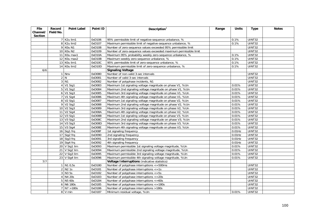| <b>File</b>         | Record    | <b>Point Label</b>                  | Point ID         | Description $1$                                                                                                | Range | <b>Units</b>   | <b>Type</b>             | <b>Notes</b> |
|---------------------|-----------|-------------------------------------|------------------|----------------------------------------------------------------------------------------------------------------|-------|----------------|-------------------------|--------------|
| Channel/<br>Section | Field No. |                                     |                  |                                                                                                                |       |                |                         |              |
|                     |           | 7 K2u lim1                          | 0xD106           | 95% permissible limit of negative-sequence unbalance, %                                                        |       | 0.1%           | UINT32                  |              |
|                     |           | 8 K2u lim2                          | 0xD107           | Maximum permissible limit of negative-sequence unbalance, %                                                    |       | 0.1%           | <b>UINT32</b>           |              |
|                     |           | 9 K0u N1                            | 0xD108           | Number of zero-sequence values exceeded 95% permissible limit                                                  |       |                | $\overline{UINT32}$     |              |
|                     |           | 10 KOu N2                           | 0xD109           | Number of zero-sequence values exceeded maximum permissible limit                                              |       |                | <b>UINT32</b>           |              |
|                     |           | 11 KOu max1                         | 0xD10A           | Maximum 95% probability weekly zero-sequence unbalance, %                                                      |       | 0.1%           | <b>UINT32</b>           |              |
|                     |           | 12 KOu max2                         | 0xD10B           | Maximum weekly zero-sequence unbalance, %                                                                      |       | 0.1%           | <b>UINT32</b>           |              |
|                     |           | 13 KOu lim1                         | 0xD10C           |                                                                                                                |       |                |                         |              |
|                     |           | 14 KOu lim2                         | 0xD10D           | 95% permissible limit of zero-sequence unbalance, %<br>Maximum permissible limit of zero-sequence unbalance, % |       | 0.1%<br>0.1%   | <b>UINT32</b><br>UINT32 |              |
| 6/6                 |           |                                     |                  | <b>Signaling Voltage</b>                                                                                       |       |                |                         |              |
|                     |           | 1 Nnv                               | 0xD080           | Number of non-valid 3-sec intervals                                                                            |       |                | UINT32                  |              |
|                     |           | 2 N                                 | 0xD081           | Number of valid 3-sec intervals                                                                                |       |                | UINT32                  |              |
|                     |           | $3$ N <sub>1</sub>                  | 0xD082           | Number of polyphase incidents, N1                                                                              |       |                | <b>UINT32</b>           |              |
|                     |           | 4 V1 Sig1                           | 0xD083           |                                                                                                                |       | 0.01%          | <b>UINT32</b>           |              |
|                     |           | 5 V1 Sig2                           | 0xD084           | Maximum 1st signaling voltage magnitude on phase V1, %Un                                                       |       | 0.01%          | UINT32                  |              |
|                     |           | $6$ V1 Sig3                         | 0xD085           | Maximum 2nd signaling voltage magnitude on phase V1, %Un                                                       |       | 0.01%          | <b>UINT32</b>           |              |
|                     |           |                                     |                  | Maximum 3rd signaling voltage magnitude on phase V1, %Un                                                       |       |                | <b>UINT32</b>           |              |
|                     |           | 7 V1 Sig4                           | 0xD086           | Maximum 4th signaling voltage magnitude on phase V1, %Un                                                       |       | 0.01%<br>0.01% |                         |              |
|                     |           | 8 V2 Sig1                           | 0xD087           | Maximum 1st signaling voltage magnitude on phase V2, %Un                                                       |       |                | UINT32                  |              |
|                     |           | $9$ V <sub>2</sub> Sig <sub>2</sub> | 0xD088           | Maximum 2nd signaling voltage magnitude on phase V2, %Un                                                       |       | 0.01%          | UINT32                  |              |
|                     |           | 10 V2 Sig3                          | 0xD089           | Maximum 3rd signaling voltage magnitude on phase V2, %Un                                                       |       | 0.01%          | UINT32                  |              |
|                     |           | 11 V2 Sig4                          | 0xD08A           | Maximum 4th signaling voltage magnitude on phase V2, %Un                                                       |       | 0.01%          | UINT32                  |              |
|                     |           | 12 V3 Sig1                          | 0xD08B           | Maximum 1st signaling voltage magnitude on phase V3, %Un                                                       |       | 0.01%          | UINT32<br>UINT32        |              |
|                     |           | 13 V3 Sig2                          | 0xD08C<br>0xD08D | Maximum 2nd signaling voltage magnitude on phase V3, %Un                                                       |       | 0.01%          |                         |              |
|                     |           | 14 V3 Sig3                          |                  | Maximum 3rd signaling voltage magnitude on phase V3, %Un                                                       |       | 0.01%          | UINT32                  |              |
|                     |           | 15 V3 Sig4                          | 0xD08E           | Maximum 4th signaling voltage magnitude on phase V3, %Un                                                       |       | 0.01%          | UINT32<br><b>UINT32</b> |              |
|                     |           | 16 Sig1 frq                         | 0xD08F           | 1st signaling frequency                                                                                        |       | $0.01$ Hz      |                         |              |
|                     |           | 17 Sig2 frq                         | 0xD090           | 2nd signaling frequency                                                                                        |       | $0.01$ Hz      | <b>UINT32</b>           |              |
|                     |           | 18 Sig3 frq                         | 0xD091           | 3rd signaling frequency                                                                                        |       | $0.01$ Hz      | <b>UINT32</b>           |              |
|                     |           | 19 Sig4 frq                         | 0xD092           | 4th signaling frequency                                                                                        |       | $0.01$ Hz      | UINT32                  |              |
|                     |           | 20 V Sig1 lim                       | 0xD093           | Maximum permissible 1st signaling voltage magnitude, %Un                                                       |       | 0.01%          | UINT32                  |              |
|                     |           | 21 V Sig2 lim                       | 0xD094           | Maximum permissible 2nd signaling voltage magnitude, %Un                                                       |       | 0.01%          | UINT32                  |              |
|                     |           | 22 V Sig3 lim                       | 0xD095           | Maximum permissible 3rd signaling voltage magnitude, %Un                                                       |       | 0.01%          | UINT32                  |              |
|                     |           | 23 V Sig4 lim                       | 0xD096           | Maximum permissible 4th signaling voltage magnitude, %Un                                                       |       | 0.01%          | <b>UINT32</b>           |              |
| 7/7                 |           |                                     |                  | Voltage Interruptions (indicative statistics)                                                                  |       |                |                         |              |
|                     |           | $1$ N1 0,5s                         | 0xD180           | Number of polyphase interruptions <= 500ms                                                                     |       |                | UINT32                  |              |
|                     |           | $2$ N <sub>2</sub> 1s               | 0xD181           | Number of polyphase interruptions <= 1s                                                                        |       |                | <b>UINT32</b>           |              |
|                     |           | 3 N3 5s                             | 0xD182           | Number of polyphase interruptions <= 5s                                                                        |       |                | UINT32                  |              |
|                     |           | 4 N4 20s                            | 0xD183           | Number of polyphase interruptions $\leq$ = 20s                                                                 |       |                | UINT32                  |              |
|                     |           | 5 N <sub>5</sub> 60s                | 0xD184           | Number of polyphase interruptions <= 60s                                                                       |       |                | UINT32                  |              |
|                     |           | 6 N6 180s                           | 0xD185           | Number of polyphase interruptions <= 180s                                                                      |       |                | UINT32                  |              |
|                     |           | $7$ N7 $>180s$                      | 0xD186           | Number of polyphase interruptions >180s                                                                        |       |                | UINT32                  |              |
|                     |           | 8 V min                             | 0xD187           | Minimum residual voltage, %Un                                                                                  |       | 0.01%          | UINT32                  |              |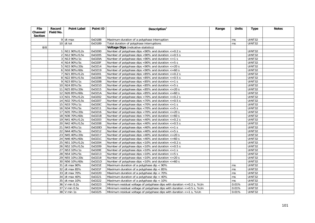| <b>File</b>    | Record    | <b>Point Label</b> | Point ID | Description $1$                                                                 | Range | <b>Units</b> | <b>Type</b>   | <b>Notes</b> |
|----------------|-----------|--------------------|----------|---------------------------------------------------------------------------------|-------|--------------|---------------|--------------|
| Channel/       | Field No. |                    |          |                                                                                 |       |              |               |              |
| <b>Section</b> |           |                    |          |                                                                                 |       |              |               |              |
|                |           | $9$ dt max         | 0xD188   | Maximum duration of a polyphase interruption                                    |       | ms           | UINT32        |              |
|                |           | $10$ dt tot        | 0xD189   | Total duration of polyphase interruptions                                       |       | ms           | <b>UINT32</b> |              |
| 8/8            |           |                    |          | Voltage Dips (indicative statistics)                                            |       |              |               |              |
|                |           | 1 N11 90%/0,2s     | 0xD200   | Number of polyphase dips <90% and duration $\epsilon$ =0.2 s                    |       |              | UINT32        |              |
|                |           | 2 N12 90%/0,5s     | 0xD205   | Number of polyphase dips <90% and duration $\epsilon$ =0.5 s                    |       |              | <b>UINT32</b> |              |
|                |           | 3 N13 90%/1s       | 0xD20A   | Number of polyphase dips <90% and duration $\epsilon$ =1 s                      |       |              | <b>UINT32</b> |              |
|                |           | 4 N14 90%/5s       | 0xD20F   | Number of polyphase dips $<90\%$ and duration $<=5$ s                           |       |              | <b>UINT32</b> |              |
|                |           | 5 N15 90%/20s      | 0xD214   | Number of polyphase dips $< 90\%$ and duration $<= 20$ s                        |       |              | <b>UINT32</b> |              |
|                |           | 6 N16 90%/60s      | 0xD219   | Number of polyphase dips <90% and duration $\epsilon$ =60 s                     |       |              | UINT32        |              |
|                |           | 7 N21 85%/0,2s     | 0xD201   | Number of polyphase dips $<85\%$ and duration $<=0.2$ s                         |       |              | UINT32        |              |
|                |           | 8 N22 85%/0,5s     | 0xD206   | Number of polyphase dips <85% and duration $\epsilon$ =0.5 s                    |       |              | UINT32        |              |
|                |           | 9 N23 85%/1s       | 0xD20B   | Number of polyphase dips $<85\%$ and duration $<=1$ s                           |       |              | <b>UINT32</b> |              |
|                |           | 10 N24 85%/5s      | 0xD210   | Number of polyphase dips <85% and duration $\epsilon$ =5 s                      |       |              | <b>UINT32</b> |              |
|                |           | 11 N25 85%/20s     | 0xD215   | Number of polyphase dips $<85\%$ and duration $<=20$ s                          |       |              | UINT32        |              |
|                |           | 12 N26 85%/60s     | 0xD21A   | Number of polyphase dips $<85\%$ and duration $<=60$ s                          |       |              | <b>UINT32</b> |              |
|                |           | 13 N31 70%/0,2s    | 0xD202   | Number of polyphase dips $<$ 70% and duration $<$ =0.2 s                        |       |              | UINT32        |              |
|                |           | 14 N32 70%/0,5s    | 0xD207   | Number of polyphase dips <70% and duration $\epsilon$ =0.5 s                    |       |              | UINT32        |              |
|                |           | 15 N33 70%/1s      | 0xD20C   | Number of polyphase dips $<$ 70% and duration $<$ =1 s                          |       |              | UINT32        |              |
|                |           | 16 N34 70%/5s      | 0xD211   | Number of polyphase dips $<$ 70% and duration $<$ = 5 s                         |       |              | UINT32        |              |
|                |           | 17 N35 70%/20s     | 0xD216   | Number of polyphase dips $<70\%$ and duration $<=20$ s                          |       |              | <b>UINT32</b> |              |
|                |           | 18 N36 70%/60s     | 0xD21B   | Number of polyphase dips $<70\%$ and duration $<=60$ s                          |       |              | <b>UINT32</b> |              |
|                |           | 19 N41 40%/0,2s    | 0xD203   | Number of polyphase dips $<$ 40% and duration $<=$ 0.2 s                        |       |              | UINT32        |              |
|                |           | 20 N42 40%/0,5s    | 0xD208   | Number of polyphase dips <40% and duration $\epsilon$ =0.5 s                    |       |              | <b>UINT32</b> |              |
|                |           | 21 N43 40%/1s      | 0xD20D   | Number of polyphase dips $<$ 40% and duration $<=1$ s                           |       |              | UINT32        |              |
|                |           | 22 N44 40%/5s      | 0xD212   | Number of polyphase dips $<$ 40% and duration $<=$ 5 s                          |       |              | <b>UINT32</b> |              |
|                |           | 23 N45 40%/20s     | 0xD217   | Number of polyphase dips $<$ 40% and duration $<=$ 20 s                         |       |              | <b>UINT32</b> |              |
|                |           | 24 N46 40%/60s     | 0xD21C   | Number of polyphase dips $<$ 40% and duration $<=$ 60 s                         |       |              | UINT32        |              |
|                |           | 25 N51 10%/0,2s    | 0xD204   | Number of polyphase dips $<$ 10% and duration $<$ =0.2 s                        |       |              | <b>UINT32</b> |              |
|                |           | 26 N52 10%/0,5s    | 0xD209   | Number of polyphase dips $<10\%$ and duration $<=0.5$ s                         |       |              | <b>UINT32</b> |              |
|                |           | 27 N53 10%/1s      | 0xD20E   | Number of polyphase dips $<$ 10% and duration $<=1$ s                           |       |              | UINT32        |              |
|                |           | 28 N54 10%/5s      | 0xD213   | Number of polyphase dips $<10\%$ and duration $<=5$ s                           |       |              | <b>UINT32</b> |              |
|                |           | 29 N55 10%/20s     | 0xD218   | Number of polyphase dips $<10\%$ and duration $<=20$ s                          |       |              | UINT32        |              |
|                |           | 30 N56 10%/60s     | 0xD21D   | Number of polyphase dips $<10\%$ and duration $<=60$ s                          |       |              | UINT32        |              |
|                |           | 31 dt max 90%      | 0xD21E   | Maximum duration of a polyphase dip < 90%                                       |       | ms           | UINT32        |              |
|                |           | 32 dt max 85%      | 0xD21F   | Maximum duration of a polyphase dip < 85%                                       |       | ms           | <b>UINT32</b> |              |
|                |           | 33 dt max 70%      | 0xD220   | Maximum duration of a polyphase dip < 70%                                       |       | ms           | UINT32        |              |
|                |           | 34 dt max 40%      | 0xD221   | Maximum duration of a polyphase dip < 40%                                       |       | ms           | UINT32        |              |
|                |           | 35 dt max 10%      | 0xD222   | Maximum duration of a polyphase dip < 10%                                       |       | ms           | <b>UINT32</b> |              |
|                |           | 36 V min 0.2s      | 0xD223   | Minimum residual voltage of polyphase dips with duration $\epsilon$ =0.2 s, %Un |       | 0.01%        | <b>UINT32</b> |              |
|                |           | 37 V min 0.5s      | 0xD224   | Minimum residual voltage of polyphase dips with duration $\epsilon$ =0.5 s, %Un |       | 0.01%        | UINT32        |              |
|                |           | 38 V min 1s        | 0xD225   | Minimum residual voltage of polyphase dips with duration $\epsilon$ =1 s, %Un   |       | 0.01%        | UINT32        |              |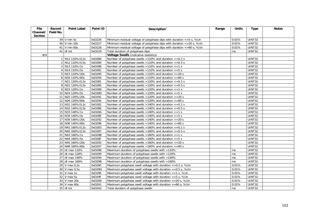| File     | Record    | <b>Point Label</b>       | Point ID | Description $1$                                                                | Range | <b>Units</b> | <b>Type</b>   | <b>Notes</b> |
|----------|-----------|--------------------------|----------|--------------------------------------------------------------------------------|-------|--------------|---------------|--------------|
| Channel/ | Field No. |                          |          |                                                                                |       |              |               |              |
| Section  |           |                          |          |                                                                                |       |              |               |              |
|          |           | 39 V min 5s              | 0xD226   | Minimum residual voltage of polyphase dips with duration $\epsilon = 5$ s, %Un |       | 0.01%        | UINT32        |              |
|          |           | 40 V min 20s             | 0xD227   | Minimum residual voltage of polyphase dips with duration $\epsilon$ =20 s, %Un |       | 0.01%        | UINT32        |              |
|          |           | 41 V min 60s             | 0xD228   | Minimum residual voltage of polyphase dips with duration <= 60 s, %Un          |       | 0.01%        | <b>UINT32</b> |              |
|          |           | $42$ dt tot              | 0xD229   | Total duration of polyphase dips                                               |       | ms           | UINT32        |              |
| 9/9      |           |                          |          | <b>Voltage Swells (indicative statistics)</b>                                  |       |              |               |              |
|          |           | 1 N11 110%/0,2s          | 0xD280   | Number of polyphase swells >110% and duration <= 0.2 s                         |       |              | UINT32        |              |
|          |           | 2 N12 110%/0,5s          | 0xD284   | Number of polyphase swells $>110\%$ and duration $<-0.5$ s                     |       |              | UINT32        |              |
|          |           | 3 N13 110%/1s            | 0xD288   | Number of polyphase swells $>110\%$ and duration $\leq 1$ s                    |       |              | UINT32        |              |
|          |           | 4 N14 110%/5s            | 0xD28C   | Number of polyphase swells $>110\%$ and duration $\lt=5$ s                     |       |              | <b>UINT32</b> |              |
|          |           | 5 N15 110%/20s           | 0xD290   | Number of polyphase swells >110% and duration <= 20 s                          |       |              | UINT32        |              |
|          |           | 6 N16 110%/60s           | 0xD294   | Number of polyphase swells >110% and duration <= 60 s                          |       |              | UINT32        |              |
|          |           | 7 N21 120%/0,2s          | 0xD281   | Number of polyphase swells $>120\%$ and duration $\lt=0.2$ s                   |       |              | UINT32        |              |
|          |           | 8 N22 120%/0,5s          | 0xD285   | Number of polyphase swells $>120\%$ and duration $\lt =0.5$ s                  |       |              | UINT32        |              |
|          |           | 9 N23 120%/1s            | 0xD289   | Number of polyphase swells >120% and duration <= 1 s                           |       |              | <b>UINT32</b> |              |
|          |           | 10 N24 120%/5s           | 0xD28D   | Number of polyphase swells >120% and duration $\epsilon$ =5 s                  |       |              | UINT32        |              |
|          |           | 11 N25 120%/20s          | 0xD291   | Number of polyphase swells >120% and duration <= 20 s                          |       |              | UINT32        |              |
|          |           | 12 N26 120%/60s          | 0xD295   | Number of polyphase swells >120% and duration <= 60 s                          |       |              | UINT32        |              |
|          |           | 13 N31 140%/0,2s         | 0xD282   | Number of polyphase swells $>140\%$ and duration $<-0.2$ s                     |       |              | UINT32        |              |
|          |           | 14 N32 140%/0,5s         | 0xD286   | Number of polyphase swells $>140\%$ and duration $<-0.5$ s                     |       |              | UINT32        |              |
|          |           | 15 N33 140%/1s           | 0xD28A   | Number of polyphase swells $>140\%$ and duration $\leq 1$ s                    |       |              | UINT32        |              |
|          |           | 16 N34 140%/5s           | 0xD28E   | Number of polyphase swells $>140\%$ and duration $\lt=5$ s                     |       |              | UINT32        |              |
|          |           | 17 N35 140%/20s          | 0xD292   | Number of polyphase swells >140% and duration <= 20 s                          |       |              | UINT32        |              |
|          |           | 18 N36 140%/60s          | 0xD296   | Number of polyphase swells $>140\%$ and duration $<=60$ s                      |       |              | UINT32        |              |
|          |           | 19 N41 160%/0,2s         | 0xD283   | Number of polyphase swells >160% and duration <= 0.2 s                         |       |              | UINT32        |              |
|          |           | 20 N42 160%/0,5s         | 0xD287   | Number of polyphase swells >160% and duration $\epsilon$ =0.5 s                |       |              | UINT32        |              |
|          |           | 21 N43 160%/1s           | 0xD28B   | Number of polyphase swells $>160\%$ and duration $\lt=1$ s                     |       |              | <b>UINT32</b> |              |
|          |           | 22 N44 160%/5s           | 0xD28F   | Number of polyphase swells $>160\%$ and duration $<=5$ s                       |       |              | UINT32        |              |
|          |           | 23 N45 160%/20s          | 0xD293   | Number of polyphase swells >160% and duration <= 20 s                          |       |              | UINT32        |              |
|          |           | 24 N46 160%/60s          | 0xD297   | Number of polyphase swells $>160\%$ and duration $<=60$ s                      |       |              | <b>UINT32</b> |              |
|          |           | 25 dt max 110%           | 0xD298   | Maximum duration of polyphase swells with >110%                                |       | ms           | <b>UINT32</b> |              |
|          |           | 26 dt max 120%           | 0xD299   | Maximum duration of polyphase swells with >120%                                |       | ms           | UINT32        |              |
|          |           | 27 dt max 140%           | 0xD29A   | Maximum duration of polyphase swells with >140%                                |       | ms           | UINT32        |              |
|          |           | 28 dt max 160%           | 0xD29B   | Maximum duration of polyphase swells with >160%                                |       | ms           | <b>UINT32</b> |              |
|          |           | 29 V max 0,2s            | 0xD29C   | Maximum polyphase swell voltage with duration $\epsilon$ =0.2 s, %Un           |       | 0.01%        | UINT32        |              |
|          |           | 30 V max 0,5s            | 0xD29D   | Maximum polyphase swell voltage with duration $\epsilon$ =0.5 s, %Un           |       | 0.01%        | UINT32        |              |
|          |           | $\overline{31}$ V max 1s | 0xD29E   | Maximum polyphase swell voltage with duration $\epsilon$ =1 s, %Un             |       | 0.01%        | UINT32        |              |
|          |           | 32 V max 5s              | 0xD29F   | Maximum polyphase swell voltage with duration $\epsilon = 5$ s, %Un            |       | 0.01%        | UINT32        |              |
|          |           | 33 V max 20s             | 0xD2A0   | Maximum polyphase swell voltage with duration $\epsilon$ =20 s, %Un            |       | 0.01%        | UINT32        |              |
|          |           | 34 V max 60s             | 0xD2A1   | Maximum polyphase swell voltage with duration <= 60 s, %Un                     |       | 0.01%        | UINT32        |              |
|          |           | 35 dt tot                | 0xD2A2   | Total duration of polyphase swells                                             |       | ms           | UINT32        |              |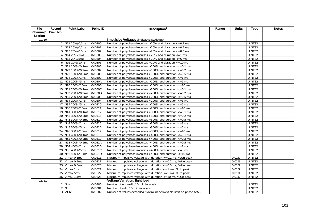| <b>File</b> | Record    | <b>Point Label</b>       | Point ID | Description $1$                                                          | Range | <b>Units</b> | <b>Type</b>   | <b>Notes</b> |
|-------------|-----------|--------------------------|----------|--------------------------------------------------------------------------|-------|--------------|---------------|--------------|
| Channel/    | Field No. |                          |          |                                                                          |       |              |               |              |
| Section     |           |                          |          |                                                                          |       |              |               |              |
| 10/10       |           |                          |          | <b>Impulsive Voltages (indicative statistics)</b>                        |       |              |               |              |
|             |           | 1 N11 20%/0,1ms          | 0xD300   | Number of polyphase impulses $>20\%$ and duration $<-0.1$ ms             |       |              | UINT32        |              |
|             |           | 2 N12 20%/0,2ms          | 0xD301   | Number of polyphase impulses $>20\%$ and duration $<=0.2$ ms             |       |              | <b>UINT32</b> |              |
|             |           | 3 N13 20%/0,5ms          | 0xD302   | Number of polyphase impulses $>20\%$ and duration $<=0.5$ ms             |       |              | UINT32        |              |
|             |           | 4 N14 20%/1ms            | 0xD303   | Number of polyphase impulses $>20\%$ and duration $\lt=1$ ms             |       |              | <b>UINT32</b> |              |
|             |           | 5 N15 20%/5ms            | 0xD304   | Number of polyphase impulses $>20\%$ and duration $<=5$ ms               |       |              | UINT32        |              |
|             |           | 6 N16 20%/10ms           | 0xD305   | Number of polyphase impulses $>20\%$ and duration $\lt$ =10 ms           |       |              | <b>UINT32</b> |              |
|             |           | 7 N21 100%/0,1ms         | 0xD306   | Number of polyphase impulses $>100\%$ and duration $<=0.1$ ms            |       |              | UINT32        |              |
|             |           | 8 N22 100%/0,2ms         | 0xD307   | Number of polyphase impulses $>100\%$ and duration $<=0.2$ ms            |       |              | UINT32        |              |
|             |           | 9 N23 100%/0,5ms         | 0xD308   | Number of polyphase impulses $>100\%$ and duration $<=0.5$ ms            |       |              | UINT32        |              |
|             |           | 10 N24 100%/1ms          | 0xD309   | Number of polyphase impulses $>100\%$ and duration $<=1$ ms              |       |              | UINT32        |              |
|             |           | 11 N25 100%/5ms          | 0xD30A   | Number of polyphase impulses $>100\%$ and duration $<=5$ ms              |       |              | <b>UINT32</b> |              |
|             |           | 12 N26 100%/10ms         | 0xD30B   | Number of polyphase impulses $>100\%$ and duration $\lt$ =10 ms          |       |              | UINT32        |              |
|             |           | 13 N31 200%/0,1ms        | 0xD30C   | Number of polyphase impulses $>$ 200% and duration $<=$ 0.1 ms           |       |              | UINT32        |              |
|             |           | 14 N32 200%/0,2ms 0xD30D |          | Number of polyphase impulses $>$ 200% and duration $<$ =0.2 ms           |       |              | UINT32        |              |
|             |           | 15 N33 200%/0,5ms        | 0xD30E   | Number of polyphase impulses $>$ 200% and duration $<$ =0.5 ms           |       |              | UINT32        |              |
|             |           | 16 N34 200%/1ms          | 0xD30F   | Number of polyphase impulses $>$ 200% and duration $\lt$ = 1 ms          |       |              | UINT32        |              |
|             |           | 17 N35 200%/5ms          | 0xD310   | Number of polyphase impulses $>$ 200% and duration $\lt$ =5 ms           |       |              | <b>UINT32</b> |              |
|             |           | 18 N36 200%/10ms         | 0xD311   | Number of polyphase impulses >200% and duration <= 10 ms                 |       |              | UINT32        |              |
|             |           | 19 N41 300%/0,1ms        | 0xD312   | Number of polyphase impulses $>300\%$ and duration $<-0.1$ ms            |       |              | <b>UINT32</b> |              |
|             |           | 20 N42 300%/0,2ms        | 0xD313   | Number of polyphase impulses $>300\%$ and duration $<=0.2$ ms            |       |              | UINT32        |              |
|             |           | 21 N43 300%/0.5ms        | 0xD314   | Number of polyphase impulses $>$ 300% and duration $\overline{<=}0.5$ ms |       |              | <b>UINT32</b> |              |
|             |           | 22 N44 300%/1ms          | 0xD315   | Number of polyphase impulses $>300\%$ and duration $<=1$ ms              |       |              | UINT32        |              |
|             |           | 23 N45 300%/5ms          | 0xD316   | Number of polyphase impulses $>300\%$ and duration $<=5$ ms              |       |              | UINT32        |              |
|             |           | 24 N46 300%/10ms         | 0xD317   | Number of polyphase impulses $>300\%$ and duration $\lt$ =10 ms          |       |              | UINT32        |              |
|             |           | 25 N51 400%/0,1ms        | 0xD318   | Number of polyphase impulses $>400\%$ and duration $<=0.1$ ms            |       |              | UINT32        |              |
|             |           | 26 N52 400%/0,2ms        | 0xD319   | Number of polyphase impulses $>400\%$ and duration $<=0.2$ ms            |       |              | UINT32        |              |
|             |           | 27 N53 400%/0.5ms        | 0xD31A   | Number of polyphase impulses $>400\%$ and duration $<=0.5$ ms            |       |              | <b>UINT32</b> |              |
|             |           | 28 N54 400%/1ms          | 0xD31B   | Number of polyphase impulses $>400\%$ and duration $\lt=1$ ms            |       |              | UINT32        |              |
|             |           | 29 N55 400%/5ms          | 0xD31C   | Number of polyphase impulses $>400\%$ and duration $<=5$ ms              |       |              | UINT32        |              |
|             |           | 30 N56 400%/10ms         | 0xD31D   | Number of polyphase impulses $>400\%$ and duration $\lt$ =10 ms          |       |              | UINT32        |              |
|             |           | $31$ V max 0,1ms         | 0xD31E   | Maximum impulsive voltage with duration $\epsilon$ =0.1 ms, %Un peak     |       | 0.01%        | <b>UINT32</b> |              |
|             |           | 32 V max 0,2ms           | 0xD31F   | Maximum impulsive voltage with duration $\epsilon$ =0.2 ms, %Un peak     |       | 0.01%        | UINT32        |              |
|             |           | 33 V max 0,5ms           | 0xD320   | Maximum impulsive voltage with duration <= 0.5 ms, %Un peak              |       | 0.01%        | UINT32        |              |
|             |           | $34$ V max 1ms           | 0xD321   | Maximum impulsive voltage with duration $\epsilon$ =1 ms, %Un peak       |       | 0.01%        | <b>UINT32</b> |              |
|             |           | 35 V max 5ms             | 0xD322   | Maximum impulsive voltage with duration $\epsilon$ =5 ms, %Un peak       |       | 0.01%        | UINT32        |              |
|             |           | 36 V max 10ms            | 0xD323   | Maximum impulsive voltage with duration <= 10 ms, %Un peak               |       | 0.01%        | UINT32        |              |
| 11/11       |           |                          |          | Voltage Variation, light load                                            |       |              |               |              |
|             |           | 1 Nnv                    | 0xD380   | Number of non-valid 10-min intervals                                     |       |              | UINT32        |              |
|             |           | 2N                       | 0xD381   | Number of valid 10-min intervals                                         |       |              | UINT32        |              |
|             |           | 3 V1 N1                  | 0xD382   | Number of values exceeded maximum permissible limit on phase A/AB        |       |              | UINT32        |              |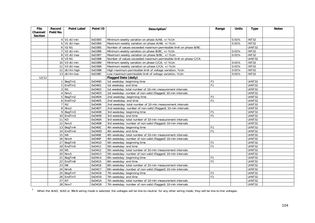| <b>File</b> | Record    | <b>Point Label</b>     | Point ID | Description $1$                                                   | Range          | <b>Units</b> | <b>Type</b>        | <b>Notes</b> |
|-------------|-----------|------------------------|----------|-------------------------------------------------------------------|----------------|--------------|--------------------|--------------|
| Channel/    | Field No. |                        |          |                                                                   |                |              |                    |              |
| Section     |           |                        |          |                                                                   |                |              |                    |              |
|             |           | 4 V1 dU min            | 0xD383   | Minimum weekly variation on phase A/AB, +/-%Un                    |                | 0.01%        | $\overline{INT32}$ |              |
|             |           | $5$ V1 dU max          | 0xD384   | Maximum weekly variation on phase A/AB, +/-%Un                    |                | 0.01%        | INT32              |              |
|             |           | 6 V2 N1                | 0xD385   | Number of values exceeded maximum permissible limit on phase B/BC |                |              | UINT32             |              |
|             |           | 7 V2 dU min            | 0xD386   | Minimum weekly variation on phase B/BC, +/-%Un                    |                | 0.01%        | <b>INT32</b>       |              |
|             |           | 8 V2 dU max            | 0xD387   | Maximum weekly variation on phase B/BC, +/-%Un                    |                | 0.01%        | INT32              |              |
|             |           | 9 V3 N1                | 0xD388   | Number of values exceeded maximum permissible limit on phase C/CA |                |              | UINT32             |              |
|             |           | 10 V3 dU min           | 0xD389   | Minimum weekly variation on phase C/CA, +/-%Un                    |                | 0.01%        | <b>INT32</b>       |              |
|             |           | $11$ V3 dU max         | 0xD38A   | Maximum weekly variation on phase C/CA, +/-%Un                    |                | 0.01%        | <b>INT32</b>       |              |
|             |           | 12 dU lim high         | 0xD38B   | High maximum permissible limit of voltage variation, %Un          |                | 0.01%        | <b>INT32</b>       |              |
|             |           | 13 dU lim low          | 0xD38C   | Low maximum permissible limit of voltage variation, %Un           |                | 0.01%        | <b>INT32</b>       |              |
| 12/12       |           |                        |          | <b>Flagged Data (daily)</b>                                       |                |              |                    |              |
|             |           | 1 BegTm1               | 0xD400   | 1st weekday: beginning time                                       | F <sub>1</sub> |              | UINT32             |              |
|             |           | $2$ EndTm1             | 0xD401   | 1st weekday: end time                                             | F1             |              | <b>UINT32</b>      |              |
|             |           | $3$ N <sub>1</sub>     | 0xD402   | 1st weekday: total number of 10-min measurement intervals         |                |              | UINT32             |              |
|             |           | 4 Nnv1                 | 0xD403   | 1st weekday: number of non-valid (flagged) 10-min intervals       |                |              | UINT32             |              |
|             |           | $5$ BegTm2             | 0xD404   | 2nd weekday: beginning time                                       | F <sub>1</sub> |              | UINT32             |              |
|             |           | 6 EndTm2               | 0xD405   | 2nd weekday: end time                                             | F <sub>1</sub> |              | UINT32             |              |
|             |           | $7$ N <sub>2</sub>     | 0xD406   | 2nd weekday: total number of 10-min measurement intervals         |                |              | <b>UINT32</b>      |              |
|             |           | $8$ Nnv2               | 0xD407   | 2nd weekday: number of non-valid (flagged) 10-min intervals       |                |              | <b>UINT32</b>      |              |
|             |           | 9 BegTm3               | 0xD408   | 3rd weekday: beginning time                                       | F <sub>1</sub> |              | UINT32             |              |
|             |           | 10 EndTm3              | 0xD409   | 3rd weekday: end time                                             | F <sub>1</sub> |              | UINT32             |              |
|             |           | $11$ N <sub>3</sub>    | 0xD40A   | 3rd weekday: total number of 10-min measurement intervals         |                |              | UINT32             |              |
|             |           | $12$ Nnv3              | 0xD40B   | 3rd weekday: number of non-valid (flagged) 10-min intervals       |                |              | <b>UINT32</b>      |              |
|             |           | 13 BegTm4              | 0xD40C   | 4th weekday: beginning time                                       | F <sub>1</sub> |              | UINT32             |              |
|             |           | 14 EndTm4              | 0xD40D   | 4th weekday: end time                                             | F <sub>1</sub> |              | UINT32             |              |
|             |           | 15 N4                  | 0xD40E   | 4th weekday: total number of 10-min measurement intervals         |                |              | <b>UINT32</b>      |              |
|             |           | <b>16 Nnv4</b>         | 0xD40F   | 4th weekday: number of non-valid (flagged) 10-min intervals       |                |              | UINT32             |              |
|             |           | 17 BegTm5              | 0xD410   | 5th weekday: beginning time                                       | F <sub>1</sub> |              | UINT32             |              |
|             |           | $18$ EndTm5            | 0xD411   | 5th weekday: end time                                             | F <sub>1</sub> |              | UINT32             |              |
|             |           | 19 N <sub>5</sub>      | 0xD412   | 5th weekday: total number of 10-min measurement intervals         |                |              | <b>UINT32</b>      |              |
|             |           | $20$ Nnv5              | 0xD413   | 5th weekday: number of non-valid (flagged) 10-min intervals       |                |              | <b>UINT32</b>      |              |
|             |           | 21 BegTm6              | 0xD414   | 6th weekday: beginning time                                       | F <sub>1</sub> |              | UINT32             |              |
|             |           | $\overline{22}$ EndTm6 | 0xD415   | 6th weekday: end time                                             | F <sub>1</sub> |              | UINT32             |              |
|             |           | $23$ N <sub>6</sub>    | 0xD416   | 6th weekday: total number of 10-min measurement intervals         |                |              | <b>UINT32</b>      |              |
|             |           | $24$ Nnv6              | 0xD417   | 6th weekday: number of non-valid (flagged) 10-min intervals       |                |              | <b>UINT32</b>      |              |
|             |           | 25 BegTm7              | 0xD418   | 7th weekday: beginning time                                       | F <sub>1</sub> |              | UINT32             |              |
|             |           | $\overline{26}$ EndTm7 | 0xD419   | 7th weekday: end time                                             | F1             |              | <b>UINT32</b>      |              |
|             |           | $27$ N7                | 0xD41A   | 7th weekday: total number of 10-min measurement intervals         |                |              | UINT32             |              |
|             |           | 28 Nnv7                | 0xD41B   | 7th weekday: number of non-valid (flagged) 10-min intervals       |                |              | <b>UINT32</b>      |              |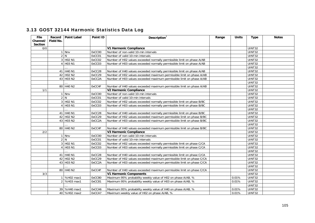|  |  |  |  | 3.13 GOST 32144 Harmonic Statistics Data Log |  |  |
|--|--|--|--|----------------------------------------------|--|--|
|--|--|--|--|----------------------------------------------|--|--|

| <b>File</b> | Record    | <b>Point Label</b>               | Point ID | Description <sup>1</sup>                                               | Range | <b>Units</b> | <b>Type</b>         | <b>Notes</b> |
|-------------|-----------|----------------------------------|----------|------------------------------------------------------------------------|-------|--------------|---------------------|--------------|
| Channel/    | Field No. |                                  |          |                                                                        |       |              |                     |              |
| Section     |           |                                  |          |                                                                        |       |              |                     |              |
| 0/0         |           |                                  |          | V1 Harmonic Compliance                                                 |       |              | UINT32              |              |
|             |           | 1 Nnv                            | 0xCC00   | Number of non-valid 10-min intervals                                   |       |              | UINT32              |              |
|             |           | 2 N                              | 0xCC01   | Number of valid 10-min intervals                                       |       |              | <b>UINT32</b>       |              |
|             |           | 3 H <sub>02</sub> N <sub>1</sub> | 0xCC02   | Number of H02 values exceeded normally permissible limit on phase A/AB |       |              | UINT32              |              |
|             |           | 4 H03 N1                         | 0xCC03   | Number of H03 values exceeded normally permissible limit on phase A/AB |       |              | UINT32              |              |
|             |           |                                  |          |                                                                        |       |              | UINT32              |              |
|             |           | 41 H40 N1                        | 0xCC28   | Number of H40 values exceeded normally permissible limit on phase A/AB |       |              | <b>UINT32</b>       |              |
|             |           | 42 H02 N2                        | 0xCC29   | Number of H02 values exceeded maximum permissible limit on phase A/AB  |       |              | <b>UINT32</b>       |              |
|             |           | 43 H03 N2                        | 0xCC2A   | Number of H03 values exceeded maximum permissible limit on phase A/AB  |       |              | $\overline{UINT32}$ |              |
|             |           |                                  |          |                                                                        |       |              | UINT32              |              |
|             |           | 80 H40 N2                        | 0xCC4F   | Number of H40 values exceeded maximum permissible limit on phase A/AB  |       |              | <b>UINT32</b>       |              |
| 1/1         |           |                                  |          | <b>V2 Harmonic Compliance</b>                                          |       |              | <b>UINT32</b>       |              |
|             |           | 1 Nnv                            | 0xCC00   | Number of non-valid 10-min intervals                                   |       |              | UINT32              |              |
|             |           | 2 N                              | 0xCC01   | Number of valid 10-min intervals                                       |       |              | <b>UINT32</b>       |              |
|             |           | 3 H02 N1                         | 0xCC02   | Number of H02 values exceeded normally permissible limit on phase B/BC |       |              | UINT32              |              |
|             |           | 4 H03 N1                         | 0xCC03   | Number of H03 values exceeded normally permissible limit on phase B/BC |       |              | UINT32              |              |
|             |           |                                  |          |                                                                        |       |              | <b>UINT32</b>       |              |
|             |           | 41 H40 N1                        | 0xCC28   | Number of H40 values exceeded normally permissible limit on phase B/BC |       |              | <b>UINT32</b>       |              |
|             |           | 42 H02 N2                        | 0xCC29   | Number of H02 values exceeded maximum permissible limit on phase B/BC  |       |              | UINT32              |              |
|             |           | 43 H03 N2                        | 0xCC2A   | Number of H03 values exceeded maximum permissible limit on phase B/BC  |       |              | UINT32              |              |
|             |           |                                  |          |                                                                        |       |              | <b>UINT32</b>       |              |
|             |           | 80 H40 N2                        | 0xCC4F   | Number of H40 values exceeded maximum permissible limit on phase B/BC  |       |              | UINT32              |              |
| 2/2         |           |                                  |          | V3 Harmonic Compliance                                                 |       |              | <b>UINT32</b>       |              |
|             |           | 1 Nnv                            | 0xCC00   | Number of non-valid 10-min intervals                                   |       |              | UINT32              |              |
|             |           | 2 N                              | 0xCC01   | Number of valid 10-min intervals                                       |       |              | UINT32              |              |
|             |           | 3 H <sub>02</sub> N <sub>1</sub> | 0xCC02   | Number of H02 values exceeded normally permissible limit on phase C/CA |       |              | UINT32              |              |
|             |           | 4 H03 N1                         | 0xCC03   | Number of H03 values exceeded normally permissible limit on phase C/CA |       |              | UINT32              |              |
|             |           |                                  |          |                                                                        |       |              | UINT32              |              |
|             |           | 41 H40 N1                        | 0xCC28   | Number of H40 values exceeded normally permissible limit on phase C/CA |       |              | UINT32              |              |
|             |           | 42 H02 N2                        | 0xCC29   | Number of H02 values exceeded maximum permissible limit on phase C/CA  |       |              | <b>UINT32</b>       |              |
|             |           | 43 H03 N2                        | 0xCC2A   | Number of H03 values exceeded maximum permissible limit on phase C/CA  |       |              | UINT32              |              |
|             |           |                                  |          |                                                                        |       |              | <b>UINT32</b>       |              |
|             |           | 80 H40 N2                        | 0xCC4F   | Number of H40 values exceeded maximum permissible limit on phase C/CA  |       |              | UINT32              |              |
| 3/3         |           |                                  |          | <b>V1 Harmonic Components</b>                                          |       |              | UINT32              |              |
|             |           | %H02 max1                        | 0xCC80   | Maximum 95% probability weekly value of H02 on phase A/AB, %           |       | 0.01%        | UINT32              |              |
|             |           | 2 %H03 max1                      | 0xCC81   | Maximum 95% probability weekly value of H03 on phase A/AB, %           |       | 0.01%        | UINT32              |              |
|             |           |                                  |          |                                                                        |       |              | <b>UINT32</b>       |              |
|             |           | 39 %H40 max1                     | 0xCCA6   | Maximum 95% probability weekly value of H40 on phase A/AB, %           |       | 0.01%        | <b>UINT32</b>       |              |
|             |           | 40 %H02 max2                     | 0xCCA7   | Maximum weekly value of H02 on phase A/AB, %                           |       | 0.01%        | UINT32              |              |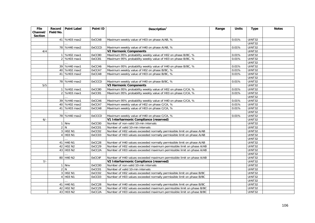| <b>File</b>         |              | Record Point Label               | Point ID      | Description $1$                                                        | Range | <b>Units</b> | <b>Type</b>         | <b>Notes</b> |
|---------------------|--------------|----------------------------------|---------------|------------------------------------------------------------------------|-------|--------------|---------------------|--------------|
| Channel/<br>Section | Field No.    |                                  |               |                                                                        |       |              |                     |              |
|                     |              | 41 %H03 max2                     | 0xCCA8        | Maximum weekly value of H03 on phase A/AB, %                           |       | 0.01%        | UINT32              |              |
|                     |              |                                  |               |                                                                        |       |              | <b>UINT32</b>       |              |
|                     |              | 78 %H40 max2                     | <b>OxCCCD</b> | Maximum weekly value of H40 on phase A/AB, %                           |       | 0.01%        | <b>UINT32</b>       |              |
| 4/4                 |              |                                  |               | <b>V2 Harmonic Components</b>                                          |       |              | UINT32              |              |
|                     | $\mathbf{1}$ | %H02 max1                        | 0xCC80        | Maximum 95% probability weekly value of H02 on phase B/BC, %           |       | 0.01%        | <b>UINT32</b>       |              |
|                     |              | 2 %H03 max1                      | 0xCC81        | Maximum 95% probability weekly value of H03 on phase B/BC, %           |       | 0.01%        | <b>UINT32</b>       |              |
|                     |              |                                  |               |                                                                        |       |              | UINT32              |              |
|                     |              | 39 %H40 max1                     | 0xCCA6        | Maximum 95% probability weekly value of H40 on phase B/BC, %           |       | 0.01%        | <b>UINT32</b>       |              |
|                     |              | 40 %H02 max2                     | 0xCCA7        | Maximum weekly value of H02 on phase B/BC, %                           |       | 0.01%        | <b>UINT32</b>       |              |
|                     |              | 41 %H03 max2                     | 0xCCA8        | Maximum weekly value of H03 on phase B/BC, %                           |       | 0.01%        | <b>UINT32</b>       |              |
|                     |              |                                  |               |                                                                        |       |              | <b>UINT32</b>       |              |
|                     |              | 78 %H40 max2                     | <b>OxCCCD</b> | Maximum weekly value of H40 on phase B/BC, %                           |       | 0.01%        | <b>UINT32</b>       |              |
| 5/5                 |              |                                  |               | <b>V3 Harmonic Components</b>                                          |       |              | <b>UINT32</b>       |              |
|                     |              | %H02 max1                        | 0xCC80        | Maximum 95% probability weekly value of H02 on phase C/CA, %           |       | 0.01%        | UINT32              |              |
|                     |              | 2 %H03 max1                      | 0xCC81        | Maximum 95% probability weekly value of H03 on phase C/CA, %           |       | 0.01%        | <b>UINT32</b>       |              |
|                     |              |                                  |               |                                                                        |       |              | <b>UINT32</b>       |              |
|                     |              | 39 %H40 max1                     | 0xCCA6        | Maximum 95% probability weekly value of H40 on phase C/CA, %           |       | 0.01%        | UINT32              |              |
|                     |              | 40 %H02 max2                     | 0xCCA7        | Maximum weekly value of H02 on phase C/CA, %                           |       | 0.01%        | UINT32              |              |
|                     |              | 41 %H03 max2                     | 0xCCA8        | Maximum weekly value of H03 on phase C/CA, %                           |       | 0.01%        | <b>UINT32</b>       |              |
|                     |              |                                  |               |                                                                        |       |              | <b>UINT32</b>       |              |
|                     |              | 78 %H40 max2                     | <b>OxCCCD</b> | Maximum weekly value of H40 on phase C/CA, %                           |       | 0.01%        | <b>UINT32</b>       |              |
| $6/-$               |              |                                  |               | V1 Interharmonic Compliance (reserved)                                 |       |              | <b>UINT32</b>       |              |
|                     |              | 1 Nnv                            | 0xCC00        | Number of non-valid 10-min intervals                                   |       |              | UINT32              |              |
|                     |              | 2 N                              | 0xCC01        | Number of valid 10-min intervals                                       |       |              | UINT32              |              |
|                     |              | 3 H02 N1                         | 0xCC02        | Number of H02 values exceeded normally permissible limit on phase A/AB |       |              | <b>UINT32</b>       |              |
|                     |              | 4 H03 N1                         | 0xCC03        | Number of H03 values exceeded normally permissible limit on phase A/AB |       |              | <b>UINT32</b>       |              |
|                     |              |                                  |               |                                                                        |       |              | UINT32              |              |
|                     |              | 41 H40 N1                        | 0xCC28        | Number of H40 values exceeded normally permissible limit on phase A/AB |       |              | UINT32              |              |
|                     |              | 42 H02 N2                        | 0xCC29        | Number of H02 values exceeded maximum permissible limit on phase A/AB  |       |              | <b>UINT32</b>       |              |
|                     |              | 43 H03 N2                        | 0xCC2A        | Number of H03 values exceeded maximum permissible limit on phase A/AB  |       |              | UINT32              |              |
|                     |              |                                  |               |                                                                        |       |              | <b>UINT32</b>       |              |
|                     |              | 80 H40 N2                        | 0xCC4F        | Number of H40 values exceeded maximum permissible limit on phase A/AB  |       |              | <b>UINT32</b>       |              |
| $7/-$               |              |                                  |               | V2 Interharmonic Compliance (reserved)                                 |       |              | UINT32              |              |
|                     |              | $1$ Nnv                          | 0xCC00        | Number of non-valid 10-min intervals                                   |       |              | UINT32              |              |
|                     |              | 2 N                              | 0xCC01        | Number of valid 10-min intervals                                       |       |              | UINT32              |              |
|                     |              | 3 H <sub>02</sub> N <sub>1</sub> | 0xCC02        | Number of H02 values exceeded normally permissible limit on phase B/BC |       |              | $\overline{UINT32}$ |              |
|                     |              | 4 H03 N1                         | 0xCC03        | Number of H03 values exceeded normally permissible limit on phase B/BC |       |              | UINT32              |              |
|                     |              |                                  |               |                                                                        |       |              | <b>UINT32</b>       |              |
|                     |              | 41 H40 N1                        | 0xCC28        | Number of H40 values exceeded normally permissible limit on phase B/BC |       |              | UINT32              |              |
|                     |              | 42 H02 N2                        | 0xCC29        | Number of H02 values exceeded maximum permissible limit on phase B/BC  |       |              | UINT32              |              |
|                     |              | 43 H03 N2                        | 0xCC2A        | Number of H03 values exceeded maximum permissible limit on phase B/BC  |       |              | UINT32              |              |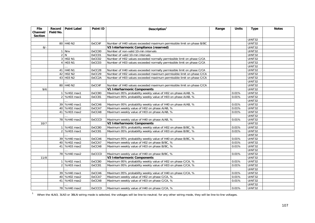| File<br>Channel/<br><b>Section</b> | Field No. | Record   Point Label             | Point ID      | Description $1$                                                        | Range | <b>Units</b> | <b>Type</b>         | <b>Notes</b> |
|------------------------------------|-----------|----------------------------------|---------------|------------------------------------------------------------------------|-------|--------------|---------------------|--------------|
|                                    |           |                                  |               |                                                                        |       |              | UINT32              |              |
|                                    |           | 80 H40 N2                        | 0xCC4F        | Number of H40 values exceeded maximum permissible limit on phase B/BC  |       |              | <b>UINT32</b>       |              |
| $8/-$                              |           |                                  |               | V3 Interharmonic Compliance (reserved)                                 |       |              | UINT32              |              |
|                                    |           | 1 Nnv                            | 0xCC00        | Number of non-valid 10-min intervals                                   |       |              | $\overline{UINT32}$ |              |
|                                    |           | 2 N                              | 0xCC01        | Number of valid 10-min intervals                                       |       |              | UINT32              |              |
|                                    |           | 3 H <sub>02</sub> N <sub>1</sub> | 0xCC02        | Number of H02 values exceeded normally permissible limit on phase C/CA |       |              | UINT32              |              |
|                                    |           | 4 H03 N1                         | 0xCC03        | Number of H03 values exceeded normally permissible limit on phase C/CA |       |              | <b>UINT32</b>       |              |
|                                    |           |                                  |               |                                                                        |       |              | <b>UINT32</b>       |              |
|                                    |           | 41 H40 N1                        | 0xCC28        | Number of H40 values exceeded normally permissible limit on phase C/CA |       |              | UINT32              |              |
|                                    |           | 42 H02 N2                        | 0xCC29        | Number of H02 values exceeded maximum permissible limit on phase C/CA  |       |              | <b>UINT32</b>       |              |
|                                    |           | 43 H03 N2                        | 0xCC2A        | Number of H03 values exceeded maximum permissible limit on phase C/CA  |       |              | UINT32              |              |
|                                    |           |                                  |               |                                                                        |       |              | UINT32              |              |
|                                    |           | 80 H40 N2                        | 0xCC4F        | Number of H40 values exceeded maximum permissible limit on phase C/CA  |       |              | UINT32              |              |
| 9/6                                |           |                                  |               | V1 Interharmonic Components                                            |       |              | <b>UINT32</b>       |              |
|                                    |           | 1 %H02 max1                      | 0xCC80        | Maximum 95% probability weekly value of H02 on phase A/AB, %           |       | 0.01%        | UINT32              |              |
|                                    |           | 2 %H03 max1                      | 0xCC81        | Maximum 95% probability weekly value of H03 on phase A/AB, %           |       | 0.01%        | UINT32              |              |
|                                    |           |                                  |               |                                                                        |       |              | UINT32              |              |
|                                    |           | 39 %H40 max1                     | 0xCCA6        | Maximum 95% probability weekly value of H40 on phase A/AB, %           |       | 0.01%        | <b>UINT32</b>       |              |
|                                    |           | 40 %H02 max2                     | 0xCCA7        | Maximum weekly value of H02 on phase A/AB, %                           |       | 0.01%        | UINT32              |              |
|                                    |           | 41 %H03 max2                     | 0xCCA8        | Maximum weekly value of H03 on phase A/AB, %                           |       | 0.01%        | UINT32              |              |
|                                    |           |                                  |               |                                                                        |       |              | UINT32              |              |
|                                    |           | 78 %H40 max2                     | 0xCCCD        | Maximum weekly value of H40 on phase A/AB, %                           |       | 0.01%        | UINT32              |              |
| 10/7                               |           |                                  |               | <b>V2 Interharmonic Components</b>                                     |       |              | $\overline{UINT32}$ |              |
|                                    |           | 1 %H02 max1                      | 0xCC80        | Maximum 95% probability weekly value of H02 on phase B/BC, %           |       | 0.01%        | UINT32              |              |
|                                    |           | 2 %H03 max1                      | 0xCC81        | Maximum 95% probability weekly value of H03 on phase B/BC, %           |       | 0.01%        | UINT32              |              |
|                                    |           |                                  |               |                                                                        |       |              | <b>UINT32</b>       |              |
|                                    |           | 39 %H40 max1                     | 0xCCA6        | Maximum 95% probability weekly value of H40 on phase B/BC, %           |       | 0.01%        | $\overline{UINT32}$ |              |
|                                    |           | 40 %H02 max2                     | 0xCCA7        | Maximum weekly value of H02 on phase B/BC, %                           |       | 0.01%        | UINT32              |              |
|                                    |           | 41 %H03 max2                     | 0xCCA8        | Maximum weekly value of H03 on phase B/BC, %                           |       | 0.01%        | UINT32              |              |
|                                    |           |                                  |               |                                                                        |       |              | <b>UINT32</b>       |              |
|                                    |           | 78 %H40 max2                     | <b>OxCCCD</b> | Maximum weekly value of H40 on phase B/BC, %                           |       | 0.01%        | UINT32              |              |
| 11/8                               |           |                                  |               | V3 Interharmonic Components                                            |       |              | UINT32              |              |
|                                    |           | 1 %H02 max1                      | 0xCC80        | Maximum 95% probability weekly value of H02 on phase C/CA, %           |       | 0.01%        | <b>UINT32</b>       |              |
|                                    |           | 2 %H03 max1                      | 0xCC81        | Maximum 95% probability weekly value of H03 on phase C/CA, %           |       | 0.01%        | <b>UINT32</b>       |              |
|                                    |           |                                  |               |                                                                        |       |              | UINT32              |              |
|                                    |           | 39 %H40 max1                     | 0xCCA6        | Maximum 95% probability weekly value of H40 on phase C/CA, %           |       | 0.01%        | UINT32              |              |
|                                    |           | 40 %H02 max2                     | 0xCCA7        | Maximum weekly value of H02 on phase C/CA, %                           |       | 0.01%        | <b>UINT32</b>       |              |
|                                    |           | 41 %H03 max2                     | 0xCCA8        | Maximum weekly value of H03 on phase C/CA, %                           |       | 0.01%        | UINT32              |              |
|                                    |           |                                  |               |                                                                        |       |              | UINT32              |              |
|                                    |           | 78 %H40 max2                     | <b>OxCCCD</b> | Maximum weekly value of H40 on phase C/CA, %                           |       | 0.01%        | UINT32              |              |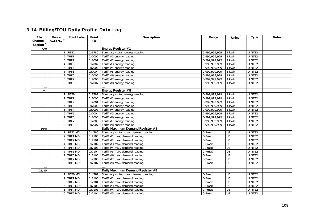## 3.14 Billing/TOU Daily Profile Data Log

| File                 | Record                 | <b>Point Label</b> | Point  | Description                         | Range           | Units $3$        | <b>Type</b>         | <b>Notes</b> |
|----------------------|------------------------|--------------------|--------|-------------------------------------|-----------------|------------------|---------------------|--------------|
| Channel/             | Field No. <sup>2</sup> |                    | ID     |                                     |                 |                  |                     |              |
| Section <sup>1</sup> |                        |                    |        |                                     |                 |                  |                     |              |
| 0/0                  |                        |                    |        | Energy Register #1                  |                 |                  |                     |              |
|                      |                        | REG1               | 0x1780 | Summary (total) energy reading      | 0-999,999,999   | 1 kWh            | UINT32              |              |
|                      |                        | 2 TRF1             | 0x7000 | Tariff #1 energy reading            | 0-999,999,999   | 1 kWh            | <b>UINT32</b>       |              |
|                      | 3                      | TRF2               | 0x7001 | Tariff #2 energy reading            | 0-999,999,999   | 1 kWh            | <b>UINT32</b>       |              |
|                      |                        | TRF3               | 0x7002 | Tariff #3 energy reading            | 0-999,999,999   | 1 kWh            | UINT32              |              |
|                      | 5                      | TRF4               | 0x7003 | Tariff #4 energy reading            | 0-999,999,999   | 1 kWh            | <b>UINT32</b>       |              |
|                      | 6 <sup>1</sup>         | TRF5               | 0x7004 | Tariff #5 energy reading            | 0-999, 999, 999 | 1 kWh            | <b>UINT32</b>       |              |
|                      |                        | TRF6               | 0x7005 | Tariff #6 energy reading            | 0-999,999,999   | 1 kWh            | <b>UINT32</b>       |              |
|                      | 8                      | TRF7               | 0x7006 | Tariff #7 energy reading            | 0-999, 999, 999 | 1 kWh            | $\overline{UINT32}$ |              |
|                      |                        | 9 TRF8             | 0x7007 | Tariff #8 energy reading            | 0-999,999,999   | 1 kWh            | UINT32              |              |
|                      |                        |                    |        |                                     |                 |                  |                     |              |
| 7/7                  |                        |                    |        | Energy Register #8                  |                 |                  |                     |              |
|                      |                        | REG8               | 0x1787 | Summary (total) energy reading      | 0-999.999.999   | 1 kWh            | UINT32              |              |
|                      | $\overline{2}$         | TRF1               | 0x7000 | Tariff #1 energy reading            | 0-999,999,999   | 1 kWh            | <b>UINT32</b>       |              |
|                      | 3                      | TRF <sub>2</sub>   | 0x7001 | Tariff #2 energy reading            | 0-999,999,999   | 1 kWh            | UINT32              |              |
|                      |                        | TRF3               | 0x7002 | Tariff #3 energy reading            | 0-999, 999, 999 | 1 kWh            | <b>UINT32</b>       |              |
|                      | 5 <sup>1</sup>         | TRF4               | 0x7003 | Tariff #4 energy reading            | 0-999, 999, 999 | 1 kWh            | <b>UINT32</b>       |              |
|                      | 6                      | TRF5               | 0x7004 | Tariff #5 energy reading            | 0-999, 999, 999 | 1 kWh            | <b>UINT32</b>       |              |
|                      | 7                      | TRF6               | 0x7005 | Tariff #6 energy reading            | 0-999,999,999   | 1 kWh            | <b>UINT32</b>       |              |
|                      |                        | 8 TRF7             | 0x7006 | Tariff #7 energy reading            | 0-999,999,999   | 1 kWh            | UINT32              |              |
|                      |                        | 9 TRF8             | 0x7007 | Tariff #8 energy reading            | 0-999,999,999   | 1 kWh            | <b>UINT32</b>       |              |
| 16/8                 |                        |                    |        | Daily Maximum Demand Register #1    |                 |                  |                     |              |
|                      |                        | REG1 MD            | 0x4780 | Summary (total) max. demand reading | 0-Pmax          | U <sub>3</sub>   | UINT32              |              |
|                      | $\overline{2}$         | TRF1 MD            | 0x7100 | Tariff #1 max. demand reading       | 0-Pmax          | U3               | <b>UINT32</b>       |              |
|                      | $\overline{3}$         | TRF2 MD            | 0x7101 | Tariff #2 max. demand reading       | 0-Pmax          | U3               | <b>UINT32</b>       |              |
|                      |                        | 4 TRF3 MD          | 0x7102 | Tariff #3 max. demand reading       | $0$ -Pmax       | $\overline{U}$   | UINT32              |              |
|                      | 5 <sup>1</sup>         | TRF4 MD            | 0x7103 | Tariff #4 max. demand reading       | $0$ -Pmax       | $\overline{U}$ 3 | <b>UINT32</b>       |              |
|                      | 6                      | TRF5 MD            | 0x7104 | Tariff #5 max. demand reading       | 0-Pmax          | $\overline{U}$   | UINT32              |              |
|                      | $\overline{7}$         | TRF6 MD            | 0x7105 | Tariff #6 max. demand reading       | 0-Pmax          | U3               | UINT32              |              |
|                      |                        | 8 TRF7 MD          | 0x7106 | Tariff #7 max. demand reading       | 0-Pmax          | $\overline{U}$ 3 | UINT32              |              |
|                      |                        | 9 TRF8 MD          | 0x7107 | Tariff #8 max. demand reading       | 0-Pmax          | U <sub>3</sub>   | UINT32              |              |
|                      |                        |                    |        |                                     |                 |                  |                     |              |
| 23/15                |                        |                    |        | Daily Maximum Demand Register #8    |                 |                  |                     |              |
|                      |                        | REG8 MD            | 0x4787 | Summary (total) max. demand reading | 0-Pmax          | U <sub>3</sub>   | UINT32              |              |
|                      |                        | 2 TRF1 MD          | 0x7100 | Tariff #1 max. demand reading       | $0$ -Pmax       | U3               | UINT32              |              |
|                      | 3 <sup>1</sup>         | TRF2 MD            | 0x7101 | Tariff #2 max. demand reading       | 0-Pmax          | $\overline{U}$   | <b>UINT32</b>       |              |
|                      |                        | 4 TRF3 MD          | 0x7102 | Tariff #3 max. demand reading       | 0-Pmax          | $\overline{U}$   | UINT32              |              |
|                      | 5.                     | TRF4 MD            | 0x7103 | Tariff #4 max. demand reading       | 0-Pmax          | U3               | UINT32              |              |
|                      |                        | 6 TRF5 MD          | 0x7104 | Tariff #5 max. demand reading       | 0-Pmax          | $\overline{U}$   | UINT32              |              |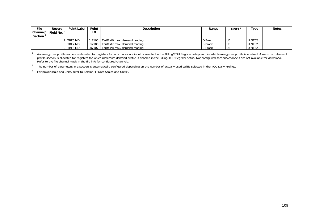| File<br>Channel/ | Record<br>Field No. | <b>Point Label</b> | Point<br>ID | <b>Description</b>            | Range  | <b>Units</b> | Type   | <b>Notes</b> |
|------------------|---------------------|--------------------|-------------|-------------------------------|--------|--------------|--------|--------------|
| <b>Section</b>   |                     |                    |             |                               |        |              |        |              |
|                  |                     | <b>TRF6 MD</b>     | 0x7105      | Tariff #6 max. demand reading | 0-Pmax | U3           | UINT32 |              |
|                  |                     | 8 TRF7 MD          | 0x7106      | Tariff #7 max. demand reading | 0-Pmax | U3           | UINT32 |              |
|                  |                     | 9 TRF8 MD          | 0x7107      | Tariff #8 max. demand reading | 0-Pmax | U3           | UINT32 |              |

<sup>1</sup> An energy use profile section is allocated for registers for which a source input is selected in the Billing/TOU Register setup and for which energy use profile is enabled. A maximum demand profile section is allocated for registers for which maximum demand profile is enabled in the Billing/TOU Register setup. Not configured sections/channels are not available for download. Refer to the file channel mask in the file info for configured channels.

<sup>2</sup> The number of parameters in a section is automatically configured depending on the number of actually used tariffs selected in the TOU Daily Profiles.

3 For power scale and units, refer to Section 4 "Data Scales and Units".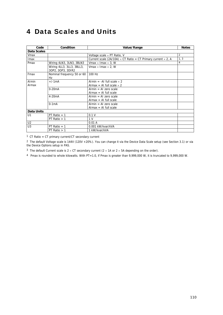## 4 Data Scales and Units

| Code               | Condition                                      | Value/Range                                                                 | <b>Notes</b>   |
|--------------------|------------------------------------------------|-----------------------------------------------------------------------------|----------------|
| <b>Data Scales</b> |                                                |                                                                             |                |
| Vmax               |                                                | Voltage scale $\times$ PT Ratio, V                                          | $\overline{2}$ |
| Imax               |                                                | Current scale (2A/10A) $\times$ CT Ratio = CT Primary current $\times$ 2, A | 1, 3           |
| Pmax               | Wiring 4LN3, 3LN3, 3BLN3                       | Vmax $\times$ Imax $\times$ 3, W                                            | 4              |
|                    | Wiring 4LL3, 3LL3, 3BLL3,<br>30P2, 30P3, 3DIR2 | Vmax $\times$ Imax $\times$ 2, W                                            |                |
| Fmax               | Nominal frequency 50 or 60<br>Hz               | 100 Hz                                                                      |                |
| Almin              | $+/-1mA$                                       | Almin = -Al full scale $\times$ 2                                           |                |
| Almax              |                                                | Almax = Al full scale $\times$ 2                                            |                |
|                    | $0-20mA$                                       | $Almin = Al$ zero scale                                                     |                |
|                    |                                                | $Almax = Al full scale$                                                     |                |
|                    | 4-20 <sub>m</sub> A                            | $Almin = Al$ zero scale                                                     |                |
|                    |                                                | $Almax = Al full scale$                                                     |                |
|                    | $0-1mA$                                        | $Almin = Al$ zero scale                                                     |                |
|                    |                                                | $Almax = Al full scale$                                                     |                |
| <b>Data Units</b>  |                                                |                                                                             |                |
| U1                 | PT Ratio $= 1$                                 | 0.1V                                                                        |                |
|                    | PT Ratio $> 1$                                 | 1 <sub>V</sub>                                                              |                |
| U <sub>2</sub>     |                                                | 0.01A                                                                       |                |
| U3                 | PT Ratio $= 1$                                 | 0.001 kW/kvar/kVA                                                           |                |
|                    | PT Ratio $> 1$                                 | 1 kW/kvar/kVA                                                               |                |

1 CT Ratio = CT primary current/CT secondary current

<sup>2</sup> The default Voltage scale is 144V (120V +20%). You can change it via the Device Data Scale setup (see Section 3.1) or via the Device Options setup in PAS.

<sup>3</sup> The default Current scale is  $2 \times CT$  secondary current ( $2 \times 1$ A or  $2 \times 5$ A depending on the order).

4 Pmax is rounded to whole kilowatts. With PT=1.0, if Pmax is greater than 9,999,000 W, it is truncated to 9,999,000 W.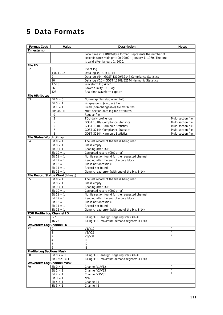# 5 Data Formats

| <b>Format Code</b>               | Value                            | <b>Description</b>                                           | <b>Notes</b>       |
|----------------------------------|----------------------------------|--------------------------------------------------------------|--------------------|
| Timestamp                        |                                  |                                                              |                    |
| F1                               |                                  | Local time in a UNIX-style format. Represents the number of  |                    |
|                                  |                                  | seconds since midnight (00:00:00), January 1, 1970. The time |                    |
|                                  |                                  | is valid after January 1, 2000.                              |                    |
| File ID                          |                                  |                                                              |                    |
| F <sub>2</sub>                   | 0                                | Event log                                                    |                    |
|                                  | $1-8, 11-16$                     | Data log #1-8, #11-16                                        |                    |
|                                  | 9                                | Data log #9 - GOST 13109/32144 Compliance Statistics         |                    |
|                                  | 10                               | Data log #10 - GOST 13109/32144 Harmonic Statistics          |                    |
|                                  | $17 - 18$                        | Waveform log #1-2                                            |                    |
|                                  | 26                               | Power quality (PQ) log                                       |                    |
|                                  | 128                              | Real time waveform capture                                   |                    |
| <b>File Attributes</b>           |                                  |                                                              |                    |
| F3                               | Bit $0 = 0$                      | Non-wrap file (stop when full)                               |                    |
|                                  | Bit $0 = 1$                      | Wrap-around (circular) file                                  |                    |
|                                  | Bit $1 = 1$                      | Fixed (non-changeable) file attributes                       |                    |
|                                  | Bits $4:7 =$                     | Multi-section data log file attributes:                      |                    |
|                                  | 0                                | Regular file                                                 |                    |
|                                  | $\overline{2}$                   | TOU daily profile log                                        | Multi-section file |
|                                  | 5                                | GOST 13109 Compliance Statistics                             | Multi-section file |
|                                  | 6                                | GOST 13109 Harmonic Statistics                               | Multi-section file |
|                                  | $\overline{7}$                   | GOST 32144 Compliance Statistics                             | Multi-section file |
|                                  | 8                                | GOST 32144 Harmonic Statistics                               | Multi-section file |
| File Status Word (bitmap)        |                                  |                                                              |                    |
| F4                               | Bit $0 = 1$                      | The last record of the file is being read                    |                    |
|                                  | Bit $8 = 1$                      | File is empty                                                |                    |
|                                  | Bit $9 = 1$                      | Reading after EOF                                            |                    |
|                                  | Bit $10 = 1$                     | Corrupted record (CRC error)                                 |                    |
|                                  | Bit $11 = 1$                     | No file section found for the requested channel              |                    |
|                                  | Bit $12 = 1$                     | Reading after the end of a data block                        |                    |
|                                  | Bit $13 = 1$                     | File is not accessible                                       |                    |
|                                  | Bit $14 = 1$                     | Record not found                                             |                    |
|                                  | Bit $15 = 1$                     | Generic read error (with one of the bits 8-14)               |                    |
|                                  | File Record Status Word (bitmap) |                                                              |                    |
| F <sub>5</sub>                   | Bit $0 = 1$                      | The last record of the file is being read                    |                    |
|                                  | Bit $8 = 1$                      | File is empty                                                |                    |
|                                  | Bit $9 = 1$                      | Reading after EOF                                            |                    |
|                                  | $\overline{Bit}$ 10 = 1          | Corrupted record (CRC error)                                 |                    |
|                                  | Bit $11 = 1$                     | No file section found for the requested channel              |                    |
|                                  | Bit $12 = 1$                     | Reading after the end of a data block                        |                    |
|                                  | Bit $13 = 1$                     | File is not accessible                                       |                    |
|                                  | Bit $14 = 1$                     | Record not found                                             |                    |
|                                  | Bit $15 = 1$                     | Generic read error (with one of the bits 8-14)               |                    |
| TOU Profile Log Channel ID       |                                  |                                                              |                    |
| F6                               | $0 - 7$                          | Billing/TOU energy usage registers #1-#8                     |                    |
|                                  | $16 - 23$                        | Billing/TOU maximum demand registers #1-#8                   |                    |
| <b>Waveform Log Channel ID</b>   |                                  |                                                              |                    |
| F7                               | 0                                | V1/V12                                                       | $\mathbf{1}$       |
|                                  | 1                                | V2/V23                                                       | $\mathbf{1}$       |
|                                  | 2                                | V3/V31                                                       | $\mathbf{1}$       |
|                                  | 4                                | $\mathsf{I}$                                                 |                    |
|                                  | 5                                | 12                                                           |                    |
|                                  | 6                                | 13                                                           |                    |
| <b>Profile Log Sections Mask</b> |                                  |                                                              |                    |
| F8                               | Bit $0:7 = 1$                    | Billing/TOU energy usage registers #1-#8                     |                    |
|                                  | Bit $16:23 = 1$                  | Billing/TOU maximum demand registers #1-#8                   |                    |
| <b>Waveform Log Channel Mask</b> |                                  |                                                              |                    |
| F9                               | Bit $0 = 1$                      | Channel V1/V12                                               |                    |
|                                  | Bit $1 = 1$                      | Channel V2/V23                                               | $\mathbf{1}$       |
|                                  | Bit $2 = 1$                      | Channel V3/V31                                               | $\mathbf{1}$       |
|                                  | Bit $3 = 1$                      | N/A                                                          |                    |
|                                  | Bit $4 = 1$                      | Channel 11                                                   |                    |
|                                  | Bit $5 = 1$                      | Channel 12                                                   |                    |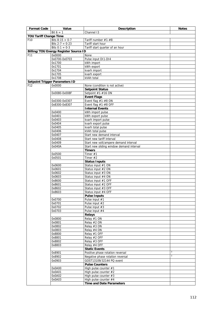| <b>Format Code</b>            | Value                                        | <b>Description</b>                       | <b>Notes</b> |
|-------------------------------|----------------------------------------------|------------------------------------------|--------------|
|                               | Bit $6 = 1$                                  | Channel 13                               |              |
| <b>TOU Tariff Change Time</b> |                                              |                                          |              |
| F <sub>10</sub>               | Bits $8:15 = 0-7$                            | Tariff number #1-#8                      |              |
|                               | Bits $2:7 = 0-23$                            | Tariff start hour                        |              |
|                               | Bits $0:1 = 0-3$                             | Tariff start quarter of an hour          |              |
|                               | <b>Billing/TOU Energy Register Source ID</b> |                                          |              |
| F11                           | 0x0000                                       | None                                     |              |
|                               | 0x0700-0x0703                                | Pulse input DI1-DI4                      |              |
|                               | 0x1700                                       | kWh import                               |              |
|                               | 0x1701                                       | kWh export                               |              |
|                               | 0x1704                                       | kvarh import                             |              |
|                               | 0x1705                                       | kvarh export                             |              |
|                               | 0x1708                                       | kVAh total                               |              |
|                               | <b>Setpoint Trigger Parameters ID</b>        |                                          |              |
| F <sub>12</sub>               | 0x0000                                       | None (condition is not active)           |              |
|                               |                                              | <b>Setpoint Status</b>                   |              |
|                               | 0x0080-0x008F                                | Setpoint #1-#16 ON                       |              |
|                               |                                              | <b>Event Flags</b>                       |              |
|                               | 0x0300-0x0307                                | Event flag $#1-#8$ ON                    |              |
|                               | 0x8300-0x8307                                | Event flag #1-#8 OFF                     |              |
|                               |                                              | <b>Internal Events</b>                   |              |
|                               | 0x0400                                       | kWh import pulse                         |              |
|                               | 0x0401                                       | kWh export pulse                         |              |
|                               | 0x0403                                       | kvarh import pulse                       |              |
|                               | 0x0404                                       | kvarh export pulse                       |              |
|                               | 0x0405                                       | kvarh total pulse                        |              |
|                               | 0x0406                                       | kVAh total pulse                         |              |
|                               | 0x0407                                       | Start new demand interval                |              |
|                               | 0x0408                                       | Start new tariff interval                |              |
|                               | 0x0409                                       | Start new volt/ampere demand interval    |              |
|                               | 0x040A                                       | Start new sliding window demand interval |              |
|                               |                                              | <b>Timers</b>                            |              |
|                               | 0x0500                                       | Timer $#1$                               |              |
|                               | 0x0501                                       | Timer $#2$                               |              |
|                               |                                              | <b>Status Inputs</b>                     |              |
|                               | 0x0600                                       | Status input #1 ON                       |              |
|                               | 0x0601                                       | Status input #2 ON                       |              |
|                               | 0x0602                                       | Status input #3 ON                       |              |
|                               | 0x0603                                       | Status input #4 ON                       |              |
|                               | 0x8600                                       | Status input #1 OFF                      |              |
|                               | 0x8601                                       | Status input #2 OFF                      |              |
|                               | 0x8602                                       | Status input #3 OFF                      |              |
|                               | 0x8603                                       | Status input #4 OFF                      |              |
|                               |                                              | <b>Pulse Inputs</b>                      |              |
|                               | 0x0700                                       | Pulse input #1                           |              |
|                               | 0x0701                                       | Pulse input #2                           |              |
|                               | 0x0702                                       | Pulse input #3                           |              |
|                               | 0x0703                                       | Pulse input #4                           |              |
|                               |                                              | <b>Relays</b>                            |              |
|                               | 0x0800                                       | Relay #1 ON<br>Relay #2 ON               |              |
|                               | 0x0801<br>0x0802                             |                                          |              |
|                               |                                              | Relay #3 ON<br>Relay #4 ON               |              |
|                               | 0x0803                                       |                                          |              |
|                               | 0x8800<br>0x8801                             | Relay #1 OFF<br>Relay #2 OFF             |              |
|                               |                                              |                                          |              |
|                               | 0x8802<br>0x8803                             | Relay #3 OFF<br>Relay #4 OFF             |              |
|                               |                                              | <b>Static Events</b>                     |              |
|                               | 0x8901                                       | Positive phase rotation reversal         | 3            |
|                               | 0x8902                                       | Negative phase rotation reversal         | 3            |
|                               | 0x0903                                       | GOST13109/32144 PQ event                 |              |
|                               |                                              | <b>Pulse Counters</b>                    |              |
|                               | 0x0A00                                       | High pulse counter #1                    |              |
|                               | 0x0A01                                       | High pulse counter $#2$                  |              |
|                               | 0x0A02                                       | High pulse counter #3                    |              |
|                               | 0x0A03                                       | High pulse counter $#4$                  |              |
|                               |                                              | <b>Time and Date Parameters</b>          |              |
|                               |                                              |                                          |              |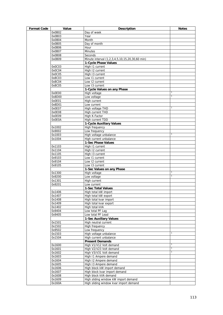| <b>Format Code</b> | Value            | <b>Description</b>                             | <b>Notes</b>   |
|--------------------|------------------|------------------------------------------------|----------------|
|                    | 0x0B02           | Day of week                                    |                |
|                    | 0x0B03           | Year                                           |                |
|                    | 0x0B04           | Month                                          |                |
|                    | 0x0B05           | Day of month                                   |                |
|                    | 0x0B06           | Hour                                           |                |
|                    | 0x0B07           | <b>Minutes</b>                                 |                |
|                    | 0x0B08           | Seconds                                        |                |
|                    | 0x0B09           | Minute interval (1,2,3,4,5,10,15,20,30,60 min) |                |
|                    |                  | 1-Cycle Phase Values                           |                |
|                    | 0x0C03           | High 11 current                                |                |
|                    | 0x0C04           | High 12 current                                |                |
|                    | 0x0C05           | High 13 current                                |                |
|                    | 0x8C03           | Low 11 current                                 |                |
|                    | 0x8C04           | Low 12 current                                 |                |
|                    | 0x8C05           | Low 13 current                                 |                |
|                    |                  | 1-Cycle Values on any Phase                    |                |
|                    | 0x0E00           | High voltage                                   | 1              |
|                    | 0x8D00           | Low voltage                                    | $\overline{1}$ |
|                    | 0x0E01           | <b>High current</b>                            |                |
|                    | 0x8D01           | Low current                                    |                |
|                    | 0x0E07           | High voltage THD                               | T              |
|                    | 0x0E08           | High current THD                               |                |
|                    | 0x0E09           | High K-Factor                                  |                |
|                    | 0x0E0A           | High current TDD                               |                |
|                    |                  | 1-Cycle Auxiliary Values                       |                |
|                    | 0x1002           | High frequency                                 |                |
|                    | 0x9002           | Low frequency                                  |                |
|                    | 0x1003           | High voltage unbalance                         | $\mathbf{1}$   |
|                    | 0x1004           | High current unbalance                         |                |
|                    |                  | 1-Sec Phase Values                             |                |
|                    | 0x1103           | High 11 current                                |                |
|                    | 0x1104           | High 12 current                                |                |
|                    | 0x1105           | High 13 current                                |                |
|                    | 0x9103           | Low 11 current                                 |                |
|                    | 0x9104           | Low 12 current                                 |                |
|                    | 0x9105           | Low 13 current                                 |                |
|                    |                  | 1-Sec Values on any Phase                      | 1              |
|                    | 0x1300<br>0x9200 | High voltage                                   | $\overline{1}$ |
|                    | 0x1301           | Low voltage<br>High current                    |                |
|                    | 0x9201           | Low current                                    |                |
|                    |                  | 1-Sec Total Values                             |                |
|                    | 0x1406           | High total kW import                           |                |
|                    | 0x1407           | High total kW export                           |                |
|                    | 0x1408           | High total kvar import                         |                |
|                    | 0x1409           | High total kvar export                         |                |
|                    | 0x1402           | High total kVA                                 |                |
|                    | 0x9404           | Low total PF Lag                               |                |
|                    | 0x9405           | Low total PF Lead                              |                |
|                    |                  | <b>1-Sec Auxiliary Values</b>                  |                |
|                    | 0x1501           | High neutral current                           |                |
|                    | 0x1502           | High frequency                                 |                |
|                    | 0x9502           | Low frequency                                  |                |
|                    | 0x1503           | High voltage unbalance                         |                |
|                    | 0x1504           | High current unbalance                         |                |
|                    |                  | <b>Present Demands</b>                         |                |
|                    | 0x1600           | High V1/V12 Volt demand                        | 1              |
|                    | 0x1601           | High V2/V23 Volt demand                        | $\mathbf{1}$   |
|                    | 0x1602           | High V3/V31 Volt demand                        | 1              |
|                    | 0x1603           | High I1 Ampere demand                          |                |
|                    | 0x1604           | High I2 Ampere demand                          |                |
|                    | 0x1605           | High 13 Ampere demand                          |                |
|                    | 0x1606           | High block kW import demand                    |                |
|                    | 0x1607           | High block kvar import demand                  |                |
|                    | 0x1608           | High block kVA demand                          |                |
|                    | 0x1609           | High sliding window kW import demand           |                |
|                    | 0x160A           | High sliding window kvar import demand         |                |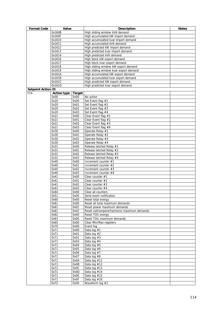| <b>Format Code</b>        | Value              |               | <b>Description</b>                                           | <b>Notes</b> |
|---------------------------|--------------------|---------------|--------------------------------------------------------------|--------------|
|                           | 0x160B             |               | High sliding window kVA demand                               |              |
|                           | 0x160F             |               | High accumulated kW import demand                            |              |
|                           | 0x1610             |               | High accumulated kvar import demand                          |              |
|                           | 0x1611             |               | High accumulated kVA demand                                  |              |
|                           | 0x1612             |               | High predicted kW import demand                              |              |
|                           | 0x1613             |               | High predicted kvar import demand                            |              |
|                           | 0x1614             |               | High predicted kVA demand                                    |              |
|                           | 0x1616<br>0x1617   |               | High block kW export demand<br>High block kvar export demand |              |
|                           | 0x1618             |               | High sliding window kW export demand                         |              |
|                           | 0x1619             |               | High sliding window kvar export demand                       |              |
|                           | 0x161A             |               | High accumulated kW export demand                            |              |
|                           | 0x161B             |               | High accumulated kvar export demand                          |              |
|                           | 0x161C             |               | High predicted kW export demand                              |              |
|                           | 0x161D             |               | High predicted kvar export demand                            |              |
| <b>Setpoint Action ID</b> |                    |               |                                                              |              |
| F14                       | <b>Action type</b> | <b>Target</b> |                                                              |              |
|                           | 0x00               | 0x00          | No action                                                    |              |
|                           | 0x20               | 0x00          | Set Event flag #1                                            |              |
|                           | 0x20               | 0x01          | Set Event flag #2                                            |              |
|                           | 0x20               | 0x02          | Set Event flag #3                                            |              |
|                           | 0x20               | 0x03          | Set Event flag #4                                            |              |
|                           | 0x21               | 0x00          | Clear Event flag #1                                          |              |
|                           | 0x21               | 0x01          | Clear Event flag #2                                          |              |
|                           | 0x21<br>0x21       | 0x02<br>0x03  | Clear Event flag $#3$<br>Clear Event flag #4                 |              |
|                           | 0x30               | 0x00          | Operate Relay #1                                             |              |
|                           | 0x30               | 0x01          | Operate Relay #2                                             |              |
|                           | 0x30               | 0x02          | Operate Relay #3                                             |              |
|                           | 0x30               | 0x03          | Operate Relay #4                                             |              |
|                           | 0x31               | 0x00          | Release latched Relay #1                                     |              |
|                           | 0x31               | 0x01          | Release latched Relay #2                                     |              |
|                           | 0x31               | 0x02          | Release latched Relay #3                                     |              |
|                           | 0x31               | 0x03          | Release latched Relay #4                                     |              |
|                           | 0x40               | 0x00          | Increment counter #1                                         |              |
|                           | 0x40               | 0x01          | Increment counter #2                                         |              |
|                           | 0x40               | 0x02          | Increment counter #3                                         |              |
|                           | 0x40               | 0x03          | Increment counter #4                                         |              |
|                           | 0x41               | 0x00          | Clear counter $#1$                                           |              |
|                           | 0x41<br>0x41       | 0x01<br>0x02  | Clear counter #2<br>Clear counter $#3$                       |              |
|                           | 0x41               | 0x03          | Clear counter #4                                             |              |
|                           | 0x64               | 0x00          | Clear all counters                                           |              |
|                           | 0x51               | 0x00          | Send event notification                                      |              |
|                           | 0x60               | 0x00          | Reset total energy                                           |              |
|                           | 0x61               | 0x00          | Reset all total maximum demands                              |              |
|                           | 0x61               | 0x01          | Reset power maximum demands                                  |              |
|                           | 0x61               | 0x02          | Reset volt/ampere/harmonic maximum demands                   |              |
|                           | 0x62               | 0x00          | Reset TOU energy                                             |              |
|                           | 0x63               | 0x00          | Reset TOU maximum demands                                    |              |
|                           | 0x65               | 0x00          | Clear Min/Max registers                                      |              |
|                           | 0x70               | 0x00          | Event log                                                    |              |
|                           | 0x71               | 0x00          | Data log #1                                                  |              |
|                           | 0x71               | 0x01          | Data log #2                                                  |              |
|                           | 0x71               | 0x02          | Data log $#3$                                                |              |
|                           | 0x71<br>0x71       | 0x03<br>0x04  | Data log $#4$                                                |              |
|                           | 0x71               | 0x05          | Data log #5<br>Data log $#6$                                 |              |
|                           | 0x71               | 0x06          | Data $log #7$                                                |              |
|                           | 0x71               | 0x07          | Data log #8                                                  |              |
|                           | 0x71               | 0x0A          | Data log #11                                                 |              |
|                           | 0x71               | 0x0B          | Data log #12                                                 |              |
|                           | 0x71               | 0x0C          | Data log #13                                                 |              |
|                           | 0x71               | 0x0D          | Data log #14                                                 |              |
|                           | 0x71               | 0x0E          | Data log #15                                                 |              |
|                           | 0x71               | 0x0F          | Data log $#16$                                               |              |
|                           | 0x72               | 0x00          | Waveform log #1                                              |              |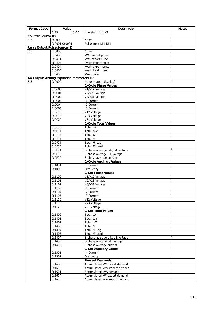| <b>Format Code</b>                  | Value                                   | <b>Description</b>              | <b>Notes</b>   |
|-------------------------------------|-----------------------------------------|---------------------------------|----------------|
|                                     | 0x00<br>0x73                            | Waveform log #2                 |                |
| <b>Counter Source ID</b>            |                                         |                                 |                |
| F <sub>16</sub>                     | 0x0000                                  | None                            |                |
|                                     | 0x0001-0x0004                           | Pulse input DI1-DI4             |                |
| <b>Relay Output Pulse Source ID</b> |                                         |                                 |                |
| F <sub>17</sub>                     | 0x0000                                  | None                            |                |
|                                     | 0x0400                                  | kWh import pulse                |                |
|                                     | 0x0401                                  | kWh export pulse                |                |
|                                     | 0x0403                                  | kvarh import pulse              |                |
|                                     | 0x0404                                  | kvarh export pulse              |                |
|                                     | 0x0405                                  | kvarh total pulse               |                |
|                                     | 0x0406                                  | kVAh pulse                      |                |
|                                     | AO Output/Analog Expander Parameters ID |                                 |                |
| F18                                 | 0x0000                                  | None (output disabled)          | $\overline{2}$ |
|                                     |                                         | 1-Cycle Phase Values            |                |
|                                     | 0x0C00                                  | V1/V12 Voltage                  |                |
|                                     | 0x0C01                                  | V2/V23 Voltage                  |                |
|                                     | 0x0C02                                  | V3/V31 Voltage                  |                |
|                                     | 0x0C03                                  | <b>11 Current</b>               |                |
|                                     | 0x0C04                                  | <b>12 Current</b>               |                |
|                                     | 0x0C05                                  | 13 Current                      |                |
|                                     | 0x0C1E                                  | V12 Voltage                     |                |
|                                     | 0x0C1F                                  | V23 Voltage                     |                |
|                                     | 0x0C20                                  | V31 Voltage                     |                |
|                                     |                                         | 1-Cycle Total Values            |                |
|                                     | 0x0F00                                  | <b>Total kW</b>                 |                |
|                                     | 0x0F01                                  | Total kvar                      |                |
|                                     | 0x0F02                                  | <b>Total kVA</b>                |                |
|                                     | 0x0F03                                  | <b>Total PF</b>                 |                |
|                                     | 0x0F04                                  | <b>Total PF Lag</b>             |                |
|                                     | 0x0F05                                  | <b>Total PF Lead</b>            |                |
|                                     | 0x0F0A                                  | 3-phase average L-N/L-L voltage |                |
|                                     | 0x0F0B                                  | 3-phase average L-L voltage     |                |
|                                     | 0x0F0C                                  | 3-phase average current         |                |
|                                     |                                         | 1-Cycle Auxiliary Values        |                |
|                                     | 0x1001                                  | In Current                      |                |
|                                     | 0x1002                                  | Frequency                       |                |
|                                     |                                         | 1-Sec Phase Values              |                |
|                                     | 0x1100                                  | V1/V12 Voltage                  |                |
|                                     | 0x1101                                  | V2/V23 Voltage                  |                |
|                                     | 0x1102                                  | V3/V31 Voltage                  |                |
|                                     | 0x1103                                  | <b>11 Current</b>               |                |
|                                     | 0x1104                                  | <b>12 Current</b>               |                |
|                                     | 0x1105                                  | 13 Current                      |                |
|                                     | 0x111E                                  | V12 Voltage                     |                |
|                                     | 0x111F                                  | V23 Voltage                     |                |
|                                     | 0x1120                                  | V31 Voltage                     |                |
|                                     |                                         | 1-Sec Total Values              |                |
|                                     | 0x1400                                  | Total kW                        |                |
|                                     | 0x1401                                  | Total kvar                      |                |
|                                     | 0x1402                                  | Total kVA                       |                |
|                                     | 0x1403                                  | <b>Total PF</b>                 |                |
|                                     | 0x1404                                  | Total PF Lag                    |                |
|                                     | 0x1405                                  | <b>Total PF Lead</b>            |                |
|                                     | 0x140A                                  | 3-phase average L-N/L-L voltage |                |
|                                     | 0x140B                                  | 3-phase average L-L voltage     |                |
|                                     | 0x140C                                  | 3-phase average current         |                |
|                                     |                                         | 1-Sec Auxiliary Values          |                |
|                                     | 0x1501                                  | In Current                      |                |
|                                     | 0x1502                                  | Frequency                       |                |
|                                     |                                         | <b>Present Demands</b>          |                |
|                                     | 0x160F                                  | Accumulated kW import demand    |                |
|                                     | 0x1610                                  | Accumulated kvar import demand  |                |
|                                     | 0x1611                                  | Accumulated kVA demand          |                |
|                                     | 0x161A                                  | Accumulated kW export demand    |                |
|                                     |                                         |                                 |                |
|                                     | 0x161B                                  | Accumulated kvar export demand  |                |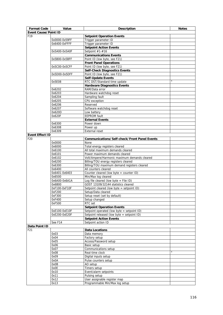| <b>Format Code</b>          | Value                   | <b>Description</b>                                           | <b>Notes</b>   |
|-----------------------------|-------------------------|--------------------------------------------------------------|----------------|
| <b>Event Cause/Point ID</b> |                         |                                                              |                |
| F <sub>19</sub>             |                         | <b>Setpoint Operation Events</b>                             |                |
|                             | 0x0000-0x59FF           | Trigger parameter ID                                         |                |
|                             | 0x6400-0xFFFF           | Trigger parameter ID                                         |                |
|                             |                         | <b>Setpoint Action Events</b>                                |                |
|                             | 0x5A00-0x5A0F           | Setpoint #1-#16<br><b>Communications Events</b>              |                |
|                             | 0x5B00-0x5BFF           | Point ID (low byte, see F21)                                 |                |
|                             |                         | <b>Front Panel Operations</b>                                |                |
|                             | 0x5C00-0x5CFF           | Point ID (low byte, see F21)                                 |                |
|                             |                         | <b>Self-Check Diagnostics Events</b>                         |                |
|                             | 0x5D00-0x5DFF           | Point ID (low byte, see F21)                                 |                |
|                             |                         | <b>Self-Update Events</b>                                    |                |
|                             | 0x5E08                  | RTC DST/Standard time update                                 | $\overline{4}$ |
|                             |                         | <b>Hardware Diagnostics Events</b>                           |                |
|                             | 0x6202                  | RAM/Data error                                               |                |
|                             | 0x6203                  | Hardware watchdog reset                                      |                |
|                             | 0x6204                  | Sampling fault                                               |                |
|                             | 0x6205                  | CPU exception                                                |                |
|                             | 0x6206                  | Reserved                                                     |                |
|                             | 0x6207                  | Software watchdog reset                                      |                |
|                             | 0x620D                  | Low battery                                                  |                |
|                             | 0x620F                  | <b>EEPROM</b> fault<br><b>External Events</b>                |                |
|                             |                         |                                                              |                |
|                             | 0x6300<br>0x6308        | Power down<br>Power up                                       |                |
|                             | 0x6309                  | <b>External reset</b>                                        |                |
| <b>Event Effect ID</b>      |                         |                                                              |                |
| F <sub>20</sub>             |                         | Communications/Self-check/Front Panel Events                 |                |
|                             | 0x0000                  | None                                                         |                |
|                             | 0x6000                  | Total energy registers cleared                               |                |
|                             | 0x6100                  | All total maximum demands cleared                            |                |
|                             | 0x6101                  | Power maximum demands cleared                                |                |
|                             | 0x6102                  | Volt/Ampere/Harmonic maximum demands cleared                 |                |
|                             | 0x6200                  | Billing/TOU energy registers cleared                         |                |
|                             | 0x6300                  | Billing/TOU maximum demand registers cleared                 |                |
|                             | 0x6400                  | All counters cleared                                         |                |
|                             | 0x6401-0x6403           | Counter cleared (low byte = counter ID)                      |                |
|                             | 0x6500<br>0x6A00-0x6A1A | Min/Max log cleared<br>Log file cleared (low byte = File ID) |                |
|                             | 0x6B00                  | GOST 13109/32144 statistics cleared                          |                |
|                             | 0xF100-0xF10F           | Setpoint cleared (low byte = setpoint ID)                    |                |
|                             | 0xF200                  | Setup/Data cleared                                           |                |
|                             | 0xF300                  | Setup reset (set by default)                                 |                |
|                             | 0xF400                  | Setup changed                                                |                |
|                             | 0xF500                  | RTC set                                                      |                |
|                             |                         | <b>Setpoint Operation Events</b>                             |                |
|                             | 0xE100-0xE10F           | Setpoint operated (low byte = setpoint ID)                   |                |
|                             | 0xE200-0xE20F           | Setpoint released (low byte = setpoint ID)                   |                |
|                             |                         | <b>Setpoint Action Events</b>                                |                |
|                             | See F14                 | Setpoint action ID                                           |                |
| Data Point ID               |                         |                                                              |                |
| F21                         |                         | <b>Data Locations</b>                                        |                |
|                             | 0x03                    | Data memory                                                  |                |
|                             | 0x04<br>0x05            | Factory setup<br>Access/Password setup                       |                |
|                             | 0x06                    | Basic setup                                                  |                |
|                             | 0x07                    | Communications setup                                         |                |
|                             | 0x08                    | Real-time clock                                              | 4              |
|                             | 0x09                    | Digital inputs setup                                         |                |
|                             | 0x0A                    | Pulse counters setup                                         |                |
|                             | 0x0B                    | AO setup                                                     |                |
|                             | 0x0E                    | Timers setup                                                 |                |
|                             | 0x10                    | Event/alarm setpoints                                        |                |
|                             | 0x11                    | Pulsing setup                                                |                |
|                             | 0x12                    | User assignable register map                                 |                |
|                             | 0x13                    | Programmable Min/Max log setup                               |                |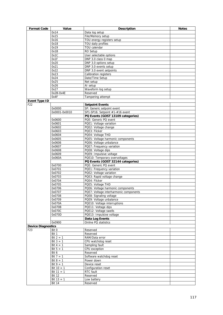| <b>Format Code</b>        | Value            | <b>Description</b>                     | <b>Notes</b> |
|---------------------------|------------------|----------------------------------------|--------------|
|                           | 0x14             | Data log setup                         |              |
|                           | 0x15             | File/Memory setup                      |              |
|                           | 0x16             | TOU energy registers setup             |              |
|                           | 0x18             | TOU daily profiles                     |              |
|                           | 0x19             | TOU calendar                           |              |
|                           | 0x1B             | RO Setup                               |              |
|                           | 0x1C             | User selectable options                |              |
|                           | 0x1F             | DNP 3.0 class 0 map                    |              |
|                           | 0x20             | DNP 3.0 options setup                  |              |
|                           | 0x21             | DNP 3.0 events setup                   |              |
|                           | 0x22             | DNP 3.0 event setpoints                |              |
|                           | 0x23             | <b>Calibration registers</b>           |              |
|                           | 0x24             | Date/Time Setup                        |              |
|                           | 0x25             | Net setup                              |              |
|                           | 0x26             | AI setup                               |              |
|                           | 0x27             | Waveform log setup                     |              |
|                           | 0x2B-0x4E        | Reserved                               |              |
|                           | 0x4F             | Tampering attempt                      |              |
| <b>Event Type ID</b>      |                  |                                        |              |
| F22                       |                  | <b>Setpoint Events</b>                 |              |
|                           | 0x0000           | SP: Generic setpoint event             |              |
|                           | 0x0001-0x0010    | SP1-SP16: Setpoint #1-#16 event        |              |
|                           |                  | PQ Events (GOST 13109 categories)      |              |
|                           | 0x0600           | PQE: Generic PQ event                  |              |
|                           | 0x0601           | PQE1: Voltage variation                |              |
|                           | 0x0602           | PQE2: Voltage change                   |              |
|                           | 0x0603           | PQE3: Flicker                          |              |
|                           | 0x0604           | PQE4: Voltage THD                      |              |
|                           | 0x0605           | PQE5: Voltage harmonic components      |              |
|                           | 0x0606           | PQE6: Voltage unbalance                |              |
|                           | 0x0607           | PQE7: Frequency variation              |              |
|                           | 0x0608           | PQE8: Voltage dips                     |              |
|                           | 0x0609           | PQE9: Impulsive voltage                |              |
|                           | 0x060A           | PQE10: Temporary overvoltages          |              |
|                           |                  | PQ Events (GOST 32144 categories)      |              |
|                           | 0x0700           | PQE: Generic PQ event                  |              |
|                           | 0x0701           | PQE1: Frequency variation              |              |
|                           | 0x0702           | PQE2: Voltage variation                |              |
|                           | 0x0703           | PQE3: Rapid voltage change             |              |
|                           | 0x0704           | PQE4: Flicker                          |              |
|                           | 0x0705           | PQE5: Voltage THD                      |              |
|                           |                  | PQE6: Voltage harmonic components      |              |
|                           | 0x0706<br>0x0707 |                                        |              |
|                           |                  | PQE7: Voltage interharmonic components |              |
|                           | 0x0708           | PQE8: Signaling voltage                |              |
|                           | 0x0709           | PQE9: Voltage unbalance                |              |
|                           | 0x070A           | PQE10: Voltage interruptions           |              |
|                           | 0x070B           | PQE11: Voltage dips                    |              |
|                           | 0x070C           | PQE12: Voltage swells                  |              |
|                           | 0x070D           | PQE13: Impulsive voltage               |              |
|                           |                  | Data Log Events                        |              |
|                           | 0x0900           | Online PQ statistics                   |              |
| <b>Device Diagnostics</b> |                  |                                        |              |
| F23                       | Bit 0            | Reserved                               |              |
|                           | Bit 1            | Reserved                               |              |
|                           | Bit $2 = 1$      | RAM/Data error                         |              |
|                           | Bit $3 = 1$      | CPU watchdog reset                     |              |
|                           | Bit $4 = 1$      | Sampling fault                         |              |
|                           | Bit $5 = 1$      | CPU exception                          |              |
|                           | Bit 6            | Reserved                               |              |
|                           | Bit $7 = 1$      | Software watchdog reset                |              |
|                           | Bit $8 = 1$      | Power down                             |              |
|                           | Bit $9 = 1$      | Device reset                           |              |
|                           | Bit $10 = 1$     | Configuration reset                    |              |
|                           | Bit $11 = 1$     | RTC fault                              |              |
|                           | <b>Bit 12</b>    | Reserved                               |              |
|                           | Bit $13 = 1$     | Low battery                            |              |
|                           | <b>Bit 14</b>    | Reserved                               |              |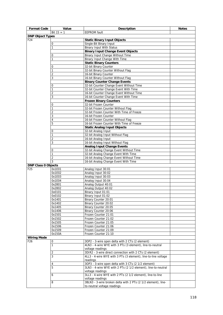| <b>Format Code</b>         | Value             | <b>Description</b>                                                                                           | <b>Notes</b> |
|----------------------------|-------------------|--------------------------------------------------------------------------------------------------------------|--------------|
|                            | Bit $15 = 1$      | <b>EEPROM</b> fault                                                                                          |              |
| <b>DNP Object Types</b>    |                   |                                                                                                              |              |
| F <sub>24</sub>            |                   | <b>Static Binary Input Objects</b>                                                                           |              |
|                            | 0                 | Single-Bit Binary Input                                                                                      |              |
|                            | 1                 | <b>Binary Input With Status</b>                                                                              |              |
|                            | 0                 | <b>Binary Input Change Event Objects</b><br>Binary Input Change Without Time                                 |              |
|                            | 1                 | Binary Input Change With Time                                                                                |              |
|                            |                   | <b>Static Binary Counters</b>                                                                                |              |
|                            | 0                 | 32-bit Binary Counter                                                                                        |              |
|                            | 1                 | 32-bit Binary Counter Without Flag                                                                           |              |
|                            | 2                 | 16-bit Binary Counter                                                                                        |              |
|                            | 3                 | 16-bit Binary Counter Without Flag                                                                           |              |
|                            |                   | <b>Binary Counter Change Events</b>                                                                          |              |
|                            | 0                 | 32-bit Counter Change Event Without Time                                                                     |              |
|                            | 1                 | 32-bit Counter Change Event With Time                                                                        |              |
|                            | 2                 | 16-bit Counter Change Event Without Time                                                                     |              |
|                            | 3                 | 16-bit Counter Change Event With Time                                                                        |              |
|                            |                   | <b>Frozen Binary Counters</b>                                                                                |              |
|                            | 0                 | 32-bit Frozen Counter                                                                                        |              |
|                            | 1                 | 32-bit Frozen Counter Without Flag                                                                           |              |
|                            | 2                 | 32-bit Frozen Counter With Time of Freeze                                                                    |              |
|                            | 3                 | 16-bit Frozen Counter                                                                                        |              |
|                            | 4<br>5            | 16-bit Frozen Counter Without Flag<br>16-bit Frozen Counter With Time of Freeze                              |              |
|                            |                   | <b>Static Analog Input Objects</b>                                                                           |              |
|                            | 0                 | 32-bit Analog Input                                                                                          |              |
|                            | 1                 | 32-bit Analog Input Without Flag                                                                             |              |
|                            | $\overline{2}$    | 16-bit Analog Input                                                                                          |              |
|                            | 3                 | 16-bit Analog Input Without Flag                                                                             |              |
|                            |                   | <b>Analog Input Change Events</b>                                                                            |              |
|                            | 0                 | 32-bit Analog Change Event Without Time                                                                      |              |
|                            | 1                 | 32-bit Analog Change Event With Time                                                                         |              |
|                            | $\overline{2}$    | 16-bit Analog Change Event Without Time                                                                      |              |
|                            | 3                 | 16-bit Analog Change Event With Time                                                                         |              |
| <b>DNP Class 0 Objects</b> |                   |                                                                                                              |              |
| F <sub>25</sub>            | 0x1E01            | Analog Input 30:01                                                                                           |              |
|                            | 0x1E02            | Analog Input 30:02                                                                                           |              |
|                            | 0x1E03<br>0x1E04  | Analog Input 30:03                                                                                           |              |
|                            | 0x2801            | Analog Input 30:04<br>Analog Output 40:01                                                                    |              |
|                            | 0x2802            | Analog Output 40:02                                                                                          |              |
|                            | 0x0101            | Binary Input 01:01                                                                                           |              |
|                            | 0x0102            | Binary Input 01:02                                                                                           |              |
|                            | 0x1401            | Binary Counter 20:01                                                                                         |              |
|                            | 0x1402            | Binary Counter 20:02                                                                                         |              |
|                            | 0x1405            | Binary Counter 20:05                                                                                         |              |
|                            | 0x1406            | Binary Counter 20:06                                                                                         |              |
|                            | 0x1501            | Frozen Counter 21:01                                                                                         |              |
|                            | 0x1502            | Frozen Counter 21:02                                                                                         |              |
|                            | 0x1505            | Frozen Counter 21:05                                                                                         |              |
|                            | 0x1506            | Frozen Counter 21:06                                                                                         |              |
|                            | 0x1509            | Frozen Counter 21:09                                                                                         |              |
|                            | 0x150A            | Frozen Counter 21:10                                                                                         |              |
| <b>Wiring Mode</b>         |                   |                                                                                                              |              |
| F <sub>26</sub>            | 0<br>$\mathbf{1}$ | 3OP2 - 3-wire open delta with 2 CTs (2 element)<br>4LN3 - 4-wire WYE with 3 PTs (3 element), line-to-neutral |              |
|                            |                   | voltage readings                                                                                             |              |
|                            | 2                 | 3DIR2 - 3-wire direct connection with 2 CTs (2 element)                                                      |              |
|                            | 3                 | 4LL3 - 4-wire WYE with 3 PTs (3 element), line-to-line voltage                                               |              |
|                            |                   | readings                                                                                                     |              |
|                            | 4                 | 3OP3 - 3-wire open delta with 3 CTs (2 1/2 element)                                                          |              |
|                            | 5                 | 3LN3 - 4-wire WYE with 2 PTs (2 1/2 element), line-to-neutral                                                |              |
|                            |                   | voltage readings                                                                                             |              |
|                            | 6                 | 3LL3 - 4-wire WYE with 2 PTs (2 1/2 element), line-to-line                                                   |              |
|                            |                   | voltage readings                                                                                             |              |
|                            | 8                 | 3BLN3 - 3-wire broken delta with 2 PTs (2 1/2 element), line-                                                |              |
|                            |                   | to-neutral voltage readings                                                                                  |              |